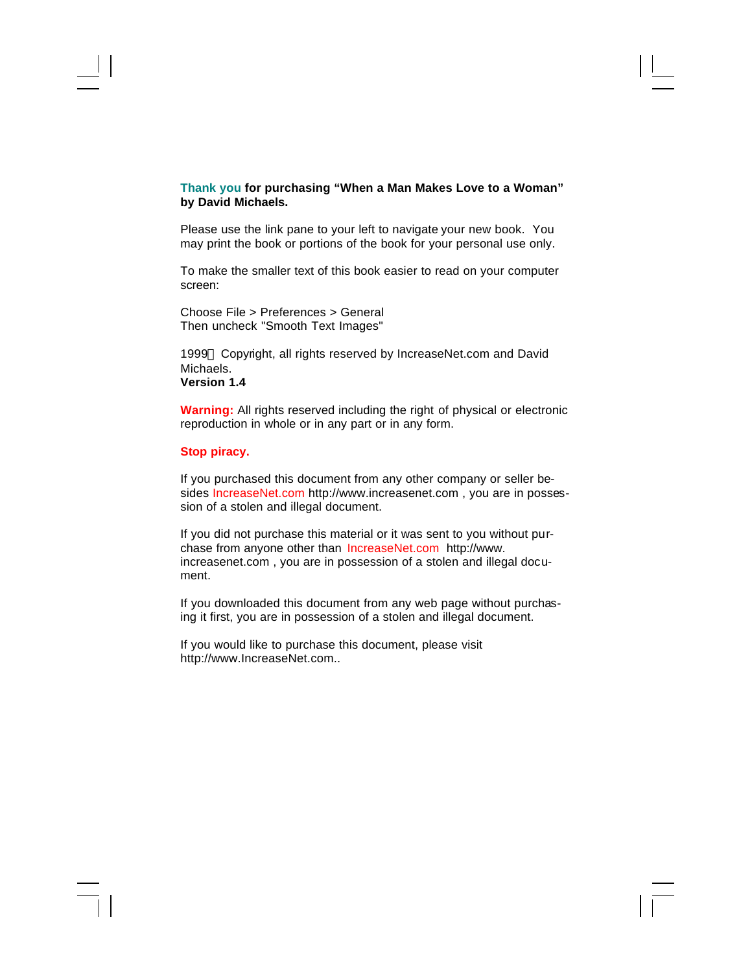#### **Thank you for purchasing "When a Man Makes Love to a Woman" by David Michaels.**

Please use the link pane to your left to navigate your new book. You may print the book or portions of the book for your personal use only.

To make the smaller text of this book easier to read on your computer screen:

Choose File > Preferences > General Then uncheck "Smooth Text Images"

1999© Copyright, all rights reserved by IncreaseNet.com and David **Michaels Version 1.4**

**Warning:** All rights reserved including the right of physical or electronic reproduction in whole or in any part or in any form.

#### **Stop piracy.**

If you purchased this document from any other company or seller besides IncreaseNet.com http://www.increasenet.com , you are in possession of a stolen and illegal document.

If you did not purchase this material or it was sent to you without purchase from anyone other than IncreaseNet.com http://www. increasenet.com , you are in possession of a stolen and illegal document.

If you downloaded this document from any web page without purchasing it first, you are in possession of a stolen and illegal document.

If you would like to purchase this document, please visit http://www.IncreaseNet.com..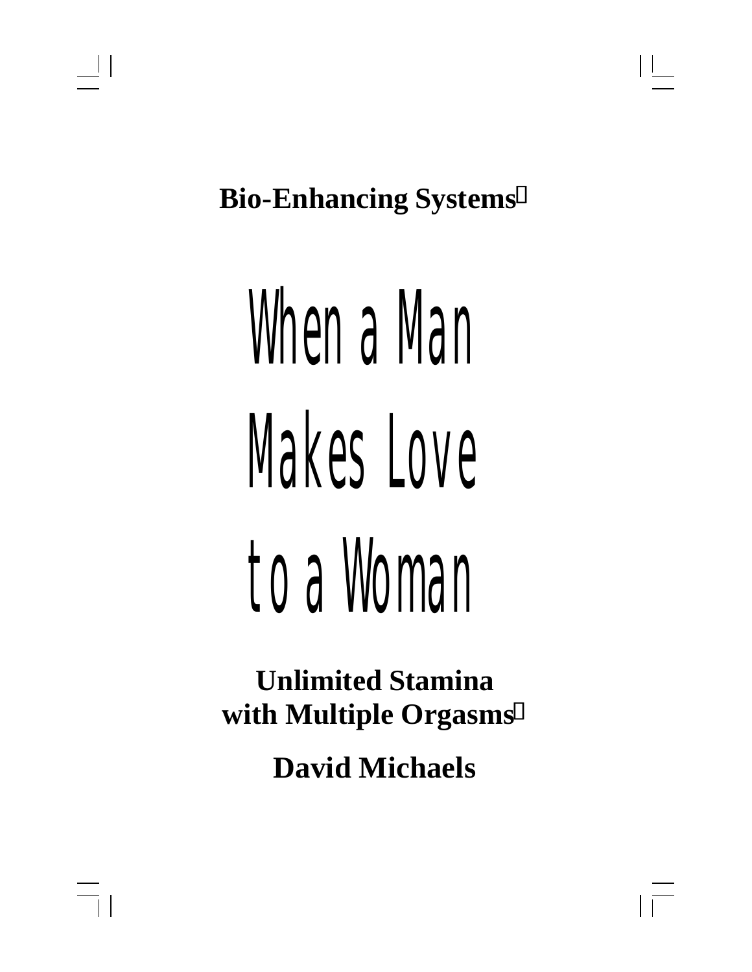# **Bio-Enhancing Systems<sup>Ó</sup>**

# When a Man Makes Love to a Woman

**Unlimited Stamina with Multiple Orgasms<sup>Ó</sup>**

**David Michaels**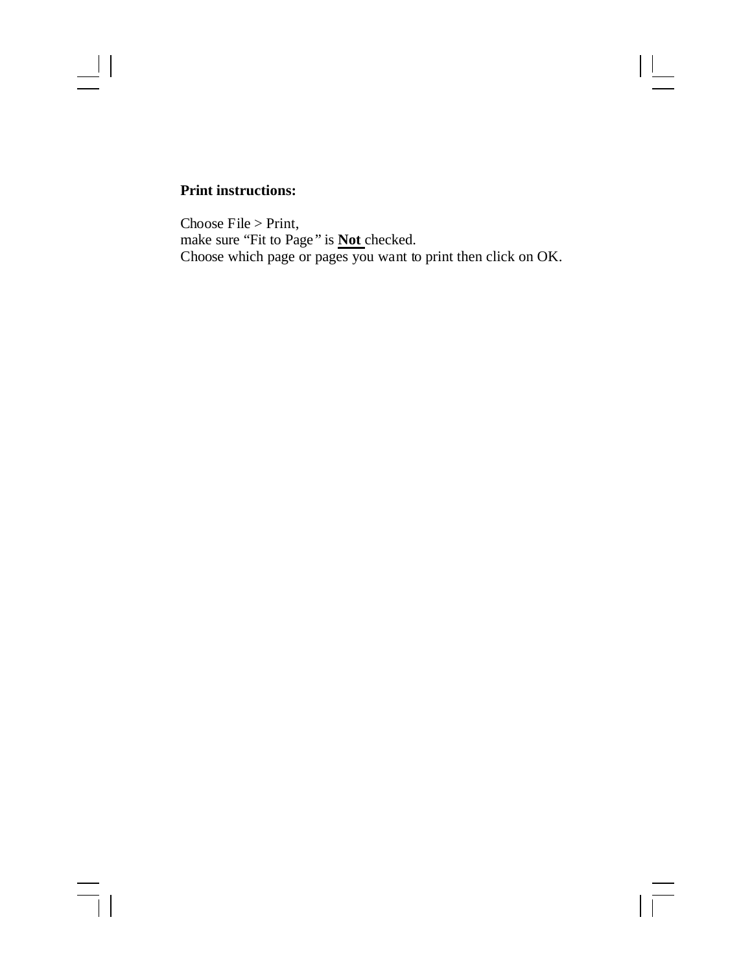#### **Print instructions:**

Choose File > Print, make sure "Fit to Page " is **Not** checked. Choose which page or pages you want to print then click on OK.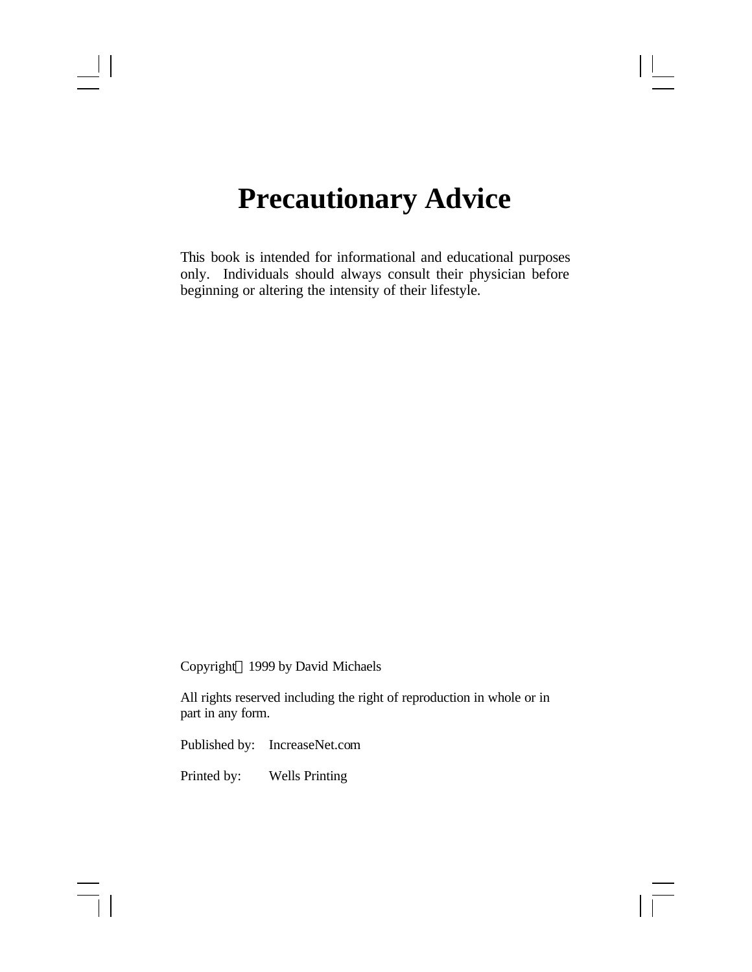# **Precautionary Advice**

This book is intended for informational and educational purposes only. Individuals should always consult their physician before beginning or altering the intensity of their lifestyle.

Copyright© 1999 by David Michaels

All rights reserved including the right of reproduction in whole or in part in any form.

Published by: IncreaseNet.com

Printed by: Wells Printing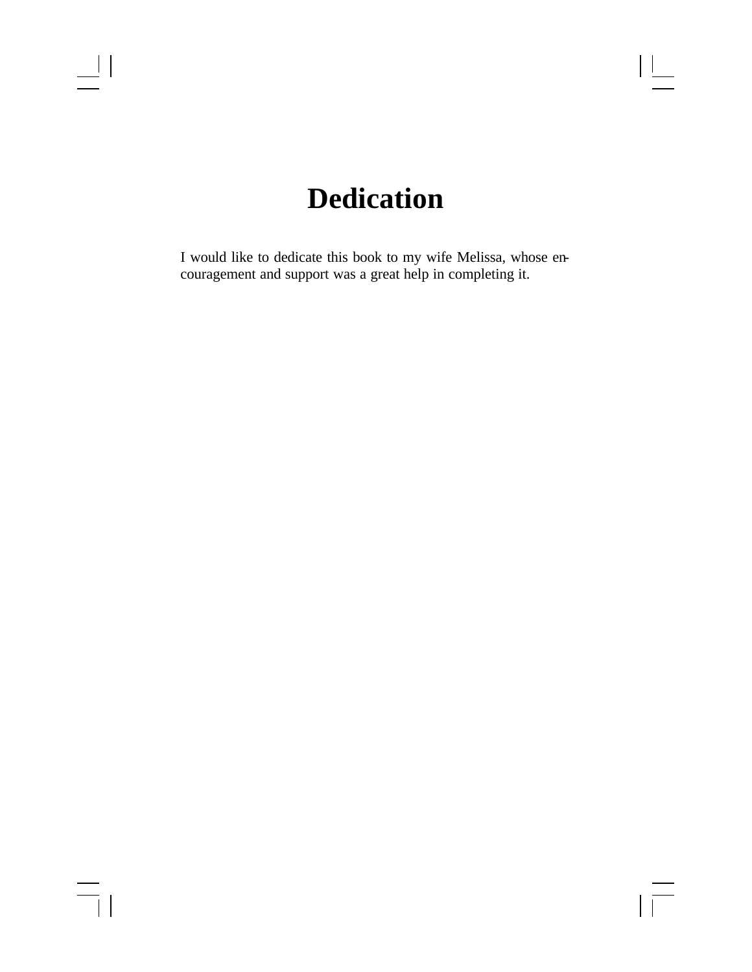# **Dedication**

I would like to dedicate this book to my wife Melissa, whose encouragement and support was a great help in completing it.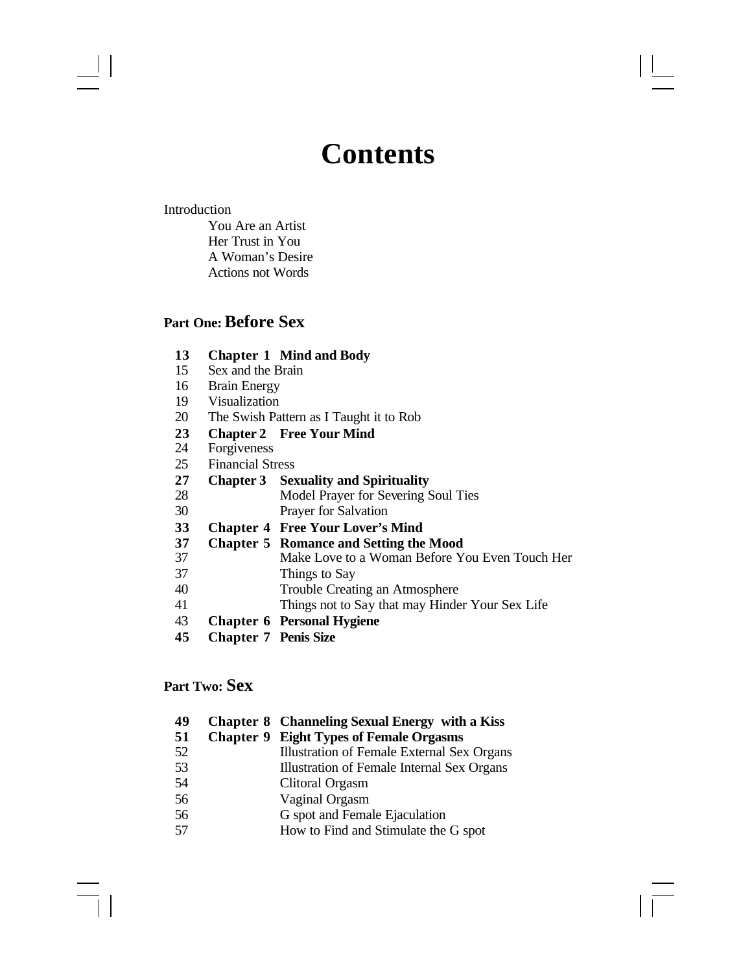# **Contents**

#### **Introduction**

 You Are an Artist Her Trust in You A Woman's Desire Actions not Words

#### **Part One: Before Sex**

- **13 Chapter 1 Mind and Body**
- 15 Sex and the Brain
- 16 Brain Energy
- 19 Visualization
- 20 The Swish Pattern as I Taught it to Rob
- **23 Chapter 2 Free Your Mind**<br>24 Forgiveness
- 24Forgiveness
- 25Financial Stress

## **27 Chapter 3 Sexuality and Spirituality**<br>28 Model Praver for Severing S

- **Model Prayer for Severing Soul Ties** 30 Prayer for Salvation
- **33 Chapter 4 Free Your Lover's Mind**
- **37 Chapter 5 Romance and Setting the Mood**
- 37 Make Love to a Woman Before You Even Touch Her
- 37 Things to Say
- 40 Trouble Creating an Atmosphere
- 41 Things not to Say that may Hinder Your Sex Life
- 43 **Chapter 6 Personal Hygiene**
- **45 Chapter 7 Penis Size**

#### **Part Two: Sex**

| 49 | <b>Chapter 8 Channeling Sexual Energy with a Kiss</b> |
|----|-------------------------------------------------------|
| 51 | <b>Chapter 9 Eight Types of Female Orgasms</b>        |
| 52 | Illustration of Female External Sex Organs            |
| 53 | Illustration of Female Internal Sex Organs            |
| 54 | Clitoral Orgasm                                       |
| 56 | Vaginal Orgasm                                        |
| 56 | G spot and Female Ejaculation                         |
|    | How to Find and Stimulate the G spot                  |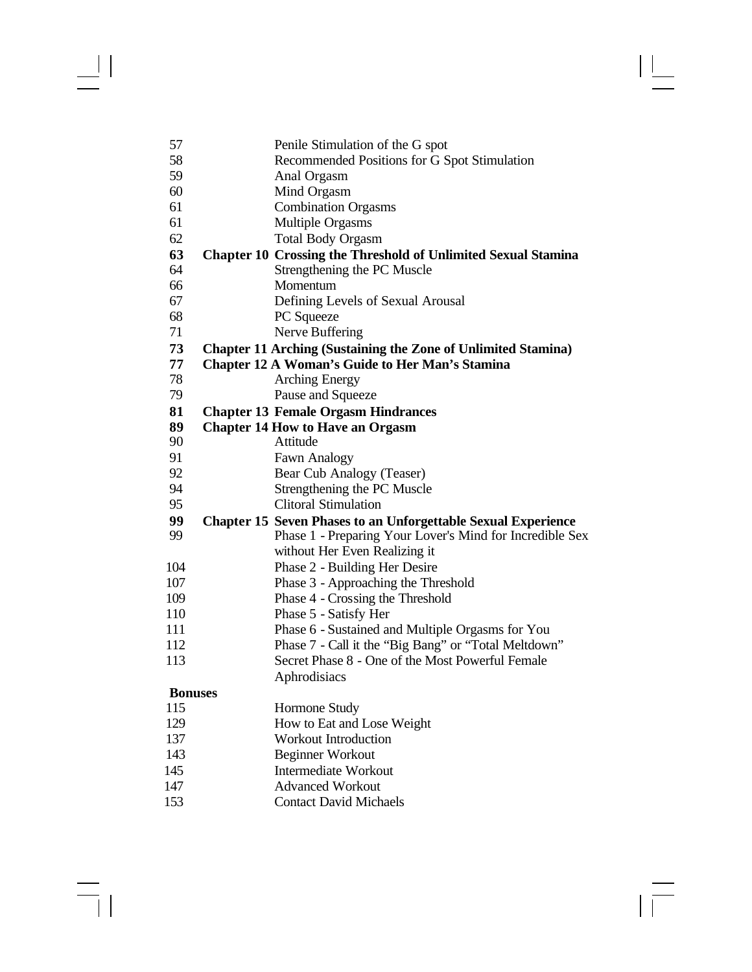| 57             | Penile Stimulation of the G spot                                     |  |
|----------------|----------------------------------------------------------------------|--|
| 58             | Recommended Positions for G Spot Stimulation                         |  |
| 59             | Anal Orgasm                                                          |  |
| 60             | Mind Orgasm                                                          |  |
| 61             | <b>Combination Orgasms</b>                                           |  |
| 61             | Multiple Orgasms                                                     |  |
| 62             | <b>Total Body Orgasm</b>                                             |  |
| 63             | <b>Chapter 10 Crossing the Threshold of Unlimited Sexual Stamina</b> |  |
| 64             | Strengthening the PC Muscle                                          |  |
| 66             | Momentum                                                             |  |
| 67             | Defining Levels of Sexual Arousal                                    |  |
| 68             | PC Squeeze                                                           |  |
| 71             | Nerve Buffering                                                      |  |
| 73             | <b>Chapter 11 Arching (Sustaining the Zone of Unlimited Stamina)</b> |  |
| 77             | <b>Chapter 12 A Woman's Guide to Her Man's Stamina</b>               |  |
| 78             | <b>Arching Energy</b>                                                |  |
| 79             | Pause and Squeeze                                                    |  |
| 81             | <b>Chapter 13 Female Orgasm Hindrances</b>                           |  |
| 89             | <b>Chapter 14 How to Have an Orgasm</b>                              |  |
| 90             | Attitude                                                             |  |
| 91             | <b>Fawn Analogy</b>                                                  |  |
| 92             | Bear Cub Analogy (Teaser)                                            |  |
| 94             | Strengthening the PC Muscle                                          |  |
| 95             | <b>Clitoral Stimulation</b>                                          |  |
| 99             | <b>Chapter 15 Seven Phases to an Unforgettable Sexual Experience</b> |  |
| 99             | Phase 1 - Preparing Your Lover's Mind for Incredible Sex             |  |
|                | without Her Even Realizing it                                        |  |
| 104            | Phase 2 - Building Her Desire                                        |  |
| 107            | Phase 3 - Approaching the Threshold                                  |  |
| 109            | Phase 4 - Crossing the Threshold                                     |  |
| 110            | Phase 5 - Satisfy Her                                                |  |
| 111            | Phase 6 - Sustained and Multiple Orgasms for You                     |  |
| 112            | Phase 7 - Call it the "Big Bang" or "Total Meltdown"                 |  |
| 113            | Secret Phase 8 - One of the Most Powerful Female                     |  |
|                | Aphrodisiacs                                                         |  |
| <b>Bonuses</b> |                                                                      |  |
| 115            | Hormone Study                                                        |  |
| 129            | How to Eat and Lose Weight                                           |  |
| 137            | Workout Introduction                                                 |  |
| 143            | <b>Beginner Workout</b>                                              |  |
| 145            | <b>Intermediate Workout</b>                                          |  |
| 147            | <b>Advanced Workout</b>                                              |  |
| 153            | <b>Contact David Michaels</b>                                        |  |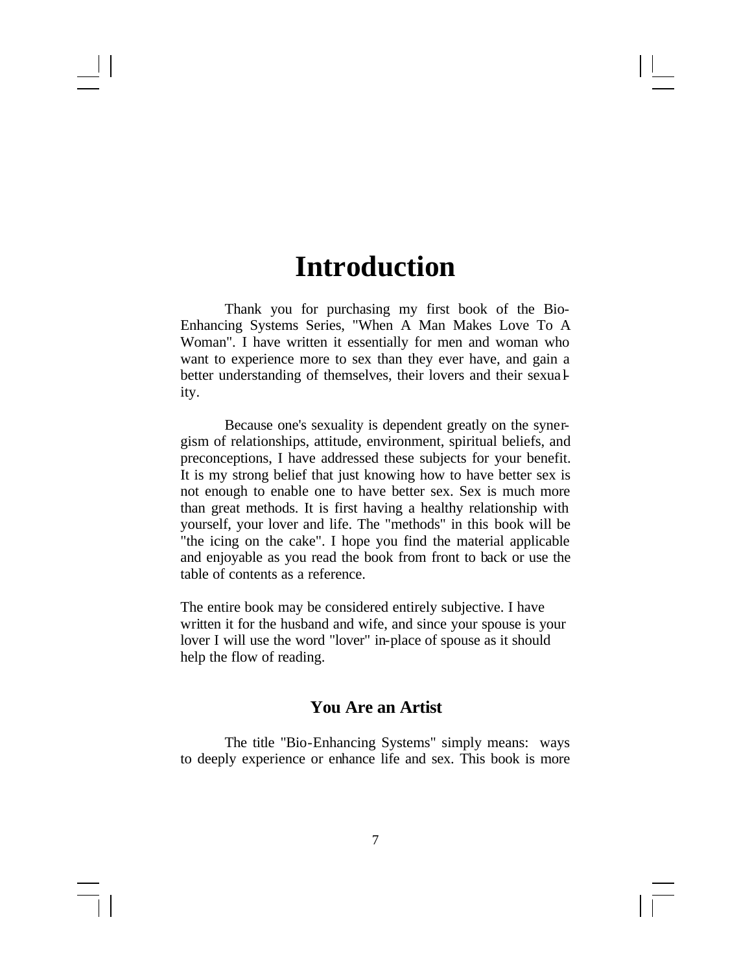## **Introduction**

 Thank you for purchasing my first book of the Bio-Enhancing Systems Series, "When A Man Makes Love To A Woman". I have written it essentially for men and woman who want to experience more to sex than they ever have, and gain a better understanding of themselves, their lovers and their sexua lity.

Because one's sexuality is dependent greatly on the synergism of relationships, attitude, environment, spiritual beliefs, and preconceptions, I have addressed these subjects for your benefit. It is my strong belief that just knowing how to have better sex is not enough to enable one to have better sex. Sex is much more than great methods. It is first having a healthy relationship with yourself, your lover and life. The "methods" in this book will be "the icing on the cake". I hope you find the material applicable and enjoyable as you read the book from front to back or use the table of contents as a reference.

The entire book may be considered entirely subjective. I have written it for the husband and wife, and since your spouse is your lover I will use the word "lover" in-place of spouse as it should help the flow of reading.

#### **You Are an Artist**

The title "Bio-Enhancing Systems" simply means: ways to deeply experience or enhance life and sex. This book is more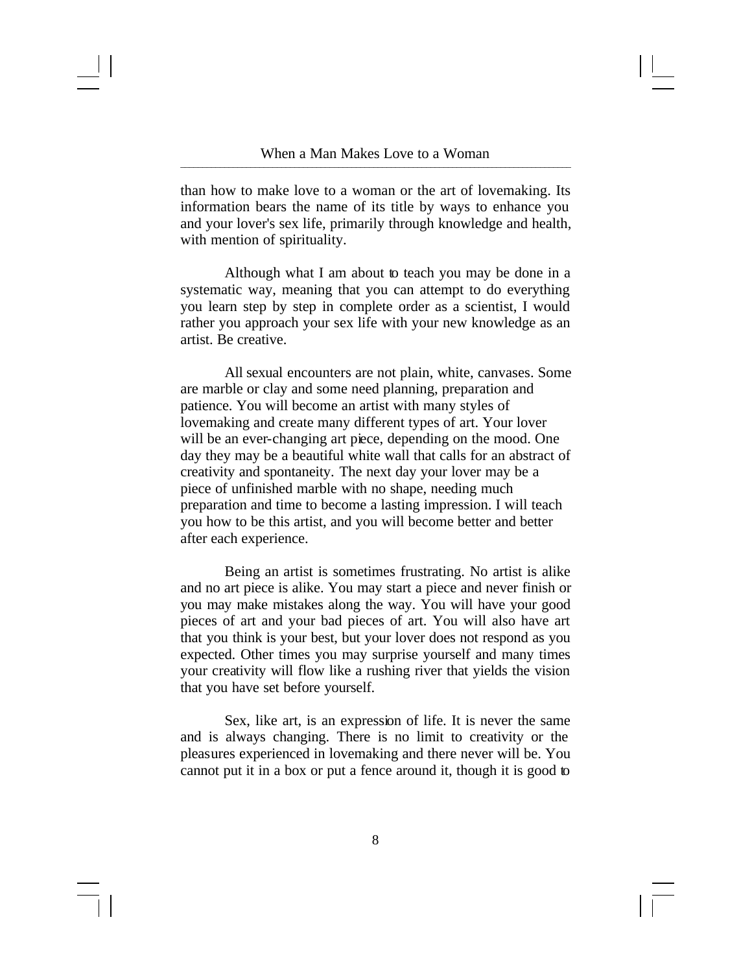than how to make love to a woman or the art of lovemaking. Its information bears the name of its title by ways to enhance you and your lover's sex life, primarily through knowledge and health, with mention of spirituality.

 Although what I am about to teach you may be done in a systematic way, meaning that you can attempt to do everything you learn step by step in complete order as a scientist, I would rather you approach your sex life with your new knowledge as an artist. Be creative.

 All sexual encounters are not plain, white, canvases. Some are marble or clay and some need planning, preparation and patience. You will become an artist with many styles of lovemaking and create many different types of art. Your lover will be an ever-changing art piece, depending on the mood. One day they may be a beautiful white wall that calls for an abstract of creativity and spontaneity. The next day your lover may be a piece of unfinished marble with no shape, needing much preparation and time to become a lasting impression. I will teach you how to be this artist, and you will become better and better after each experience.

Being an artist is sometimes frustrating. No artist is alike and no art piece is alike. You may start a piece and never finish or you may make mistakes along the way. You will have your good pieces of art and your bad pieces of art. You will also have art that you think is your best, but your lover does not respond as you expected. Other times you may surprise yourself and many times your creativity will flow like a rushing river that yields the vision that you have set before yourself.

 Sex, like art, is an expression of life. It is never the same and is always changing. There is no limit to creativity or the pleasures experienced in lovemaking and there never will be. You cannot put it in a box or put a fence around it, though it is good to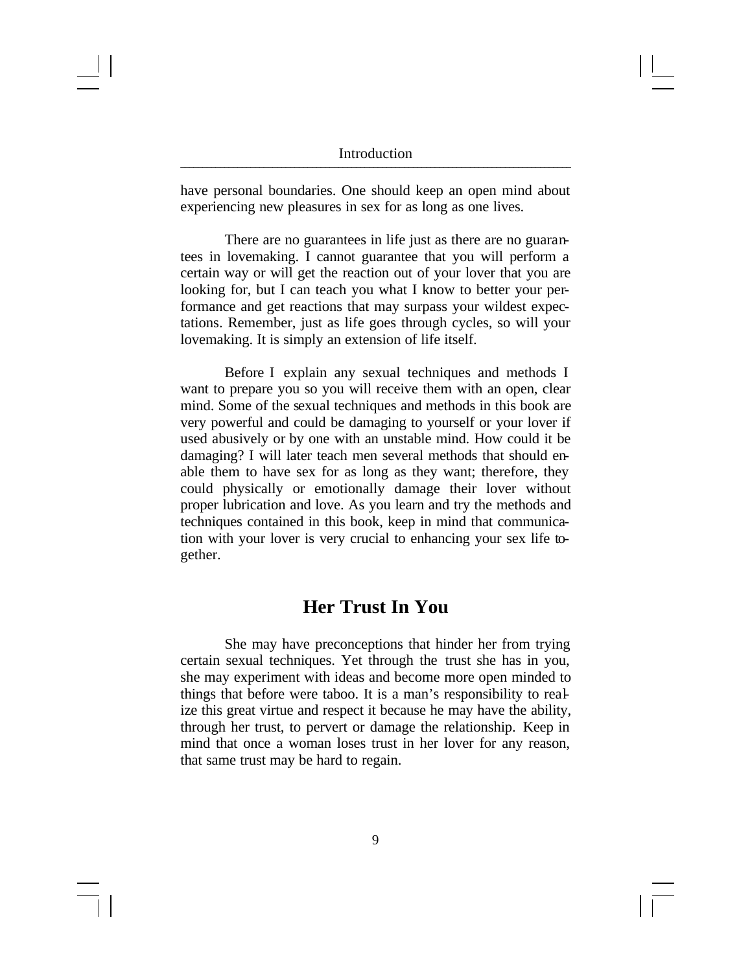have personal boundaries. One should keep an open mind about experiencing new pleasures in sex for as long as one lives.

There are no guarantees in life just as there are no guarantees in lovemaking. I cannot guarantee that you will perform a certain way or will get the reaction out of your lover that you are looking for, but I can teach you what I know to better your performance and get reactions that may surpass your wildest expectations. Remember, just as life goes through cycles, so will your lovemaking. It is simply an extension of life itself.

Before I explain any sexual techniques and methods I want to prepare you so you will receive them with an open, clear mind. Some of the sexual techniques and methods in this book are very powerful and could be damaging to yourself or your lover if used abusively or by one with an unstable mind. How could it be damaging? I will later teach men several methods that should enable them to have sex for as long as they want; therefore, they could physically or emotionally damage their lover without proper lubrication and love. As you learn and try the methods and techniques contained in this book, keep in mind that communication with your lover is very crucial to enhancing your sex life together.

### **Her Trust In You**

She may have preconceptions that hinder her from trying certain sexual techniques. Yet through the trust she has in you, she may experiment with ideas and become more open minded to things that before were taboo. It is a man's responsibility to realize this great virtue and respect it because he may have the ability, through her trust, to pervert or damage the relationship. Keep in mind that once a woman loses trust in her lover for any reason, that same trust may be hard to regain.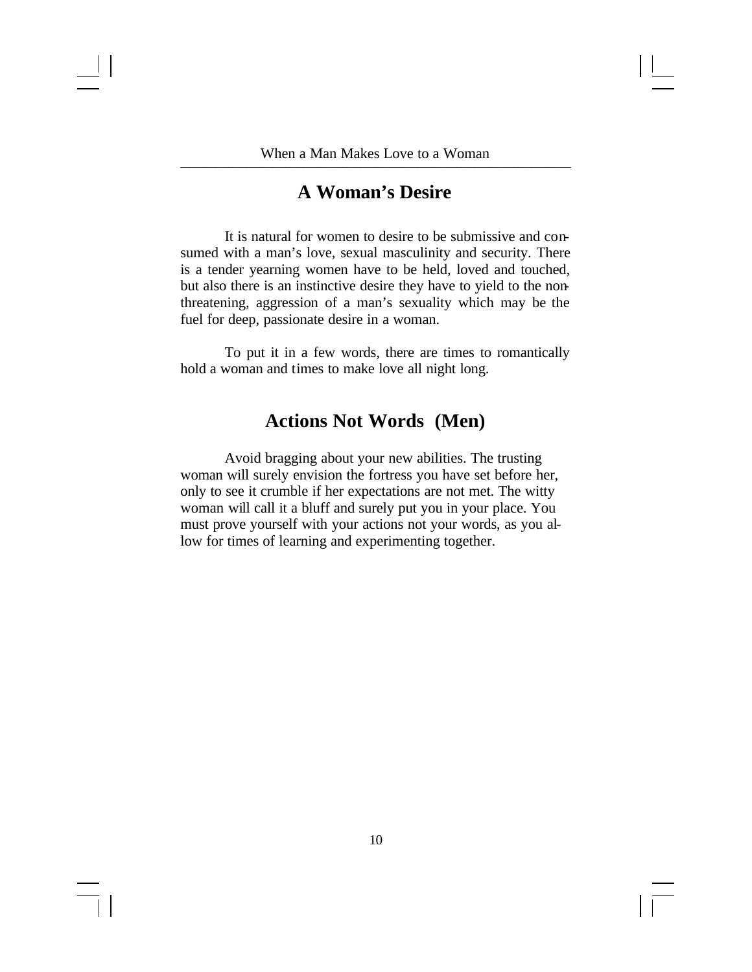## **A Woman's Desire**

It is natural for women to desire to be submissive and consumed with a man's love, sexual masculinity and security. There is a tender yearning women have to be held, loved and touched, but also there is an instinctive desire they have to yield to the nonthreatening, aggression of a man's sexuality which may be the fuel for deep, passionate desire in a woman.

To put it in a few words, there are times to romantically hold a woman and times to make love all night long.

## **Actions Not Words (Men)**

 Avoid bragging about your new abilities. The trusting woman will surely envision the fortress you have set before her, only to see it crumble if her expectations are not met. The witty woman will call it a bluff and surely put you in your place. You must prove yourself with your actions not your words, as you allow for times of learning and experimenting together.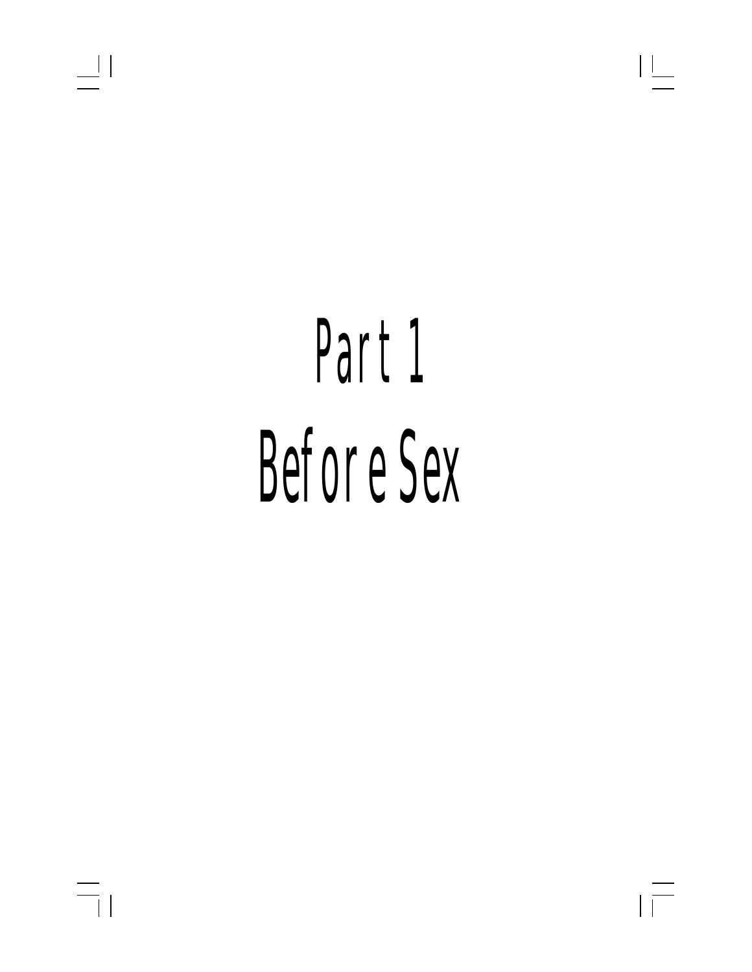# Part 1 **Before Sex**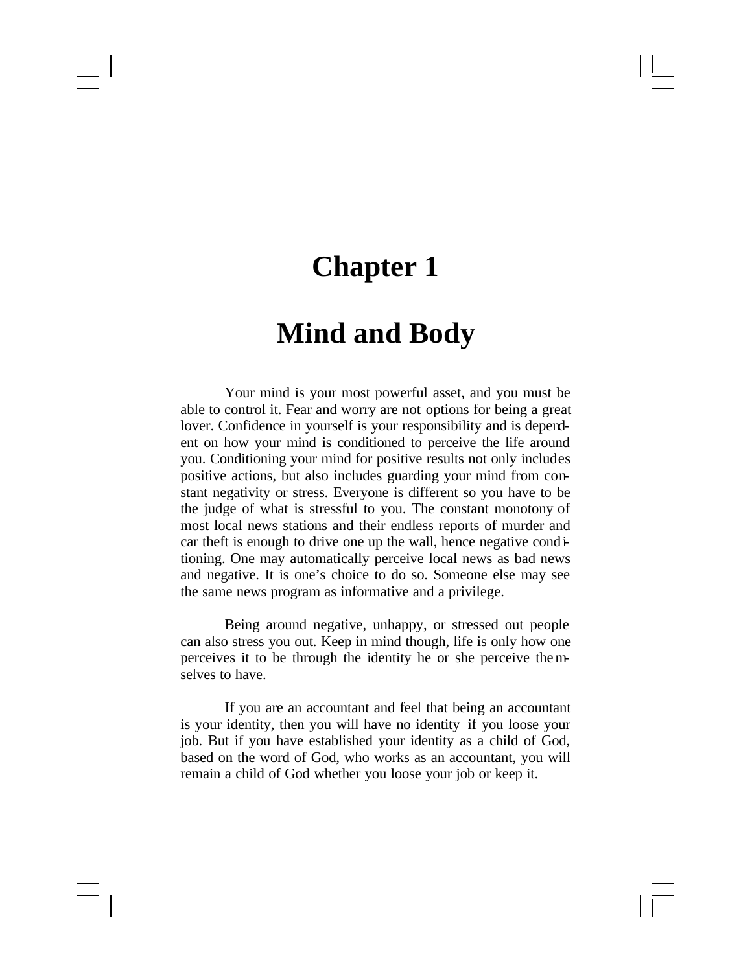# **Chapter 1**

## **Mind and Body**

 Your mind is your most powerful asset, and you must be able to control it. Fear and worry are not options for being a great lover. Confidence in yourself is your responsibility and is dependent on how your mind is conditioned to perceive the life around you. Conditioning your mind for positive results not only includes positive actions, but also includes guarding your mind from constant negativity or stress. Everyone is different so you have to be the judge of what is stressful to you. The constant monotony of most local news stations and their endless reports of murder and car theft is enough to drive one up the wall, hence negative conditioning. One may automatically perceive local news as bad news and negative. It is one's choice to do so. Someone else may see the same news program as informative and a privilege.

 Being around negative, unhappy, or stressed out people can also stress you out. Keep in mind though, life is only how one perceives it to be through the identity he or she perceive themselves to have.

 If you are an accountant and feel that being an accountant is your identity, then you will have no identity if you loose your job. But if you have established your identity as a child of God, based on the word of God, who works as an accountant, you will remain a child of God whether you loose your job or keep it.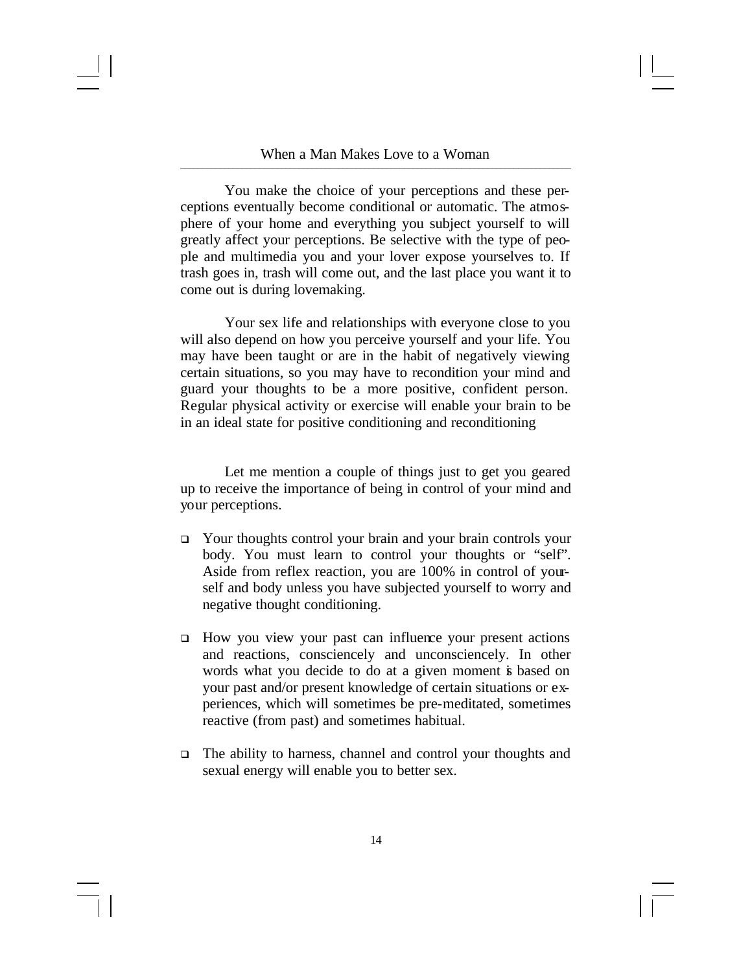You make the choice of your perceptions and these perceptions eventually become conditional or automatic. The atmosphere of your home and everything you subject yourself to will greatly affect your perceptions. Be selective with the type of people and multimedia you and your lover expose yourselves to. If trash goes in, trash will come out, and the last place you want it to come out is during lovemaking.

 Your sex life and relationships with everyone close to you will also depend on how you perceive yourself and your life. You may have been taught or are in the habit of negatively viewing certain situations, so you may have to recondition your mind and guard your thoughts to be a more positive, confident person. Regular physical activity or exercise will enable your brain to be in an ideal state for positive conditioning and reconditioning

 Let me mention a couple of things just to get you geared up to receive the importance of being in control of your mind and your perceptions.

- <sup>q</sup> Your thoughts control your brain and your brain controls your body. You must learn to control your thoughts or "self". Aside from reflex reaction, you are 100% in control of yourself and body unless you have subjected yourself to worry and negative thought conditioning.
- $\Box$  How you view your past can influence your present actions and reactions, consciencely and unconsciencely. In other words what you decide to do at a given moment is based on your past and/or present knowledge of certain situations or experiences, which will sometimes be pre-meditated, sometimes reactive (from past) and sometimes habitual.
- □ The ability to harness, channel and control your thoughts and sexual energy will enable you to better sex.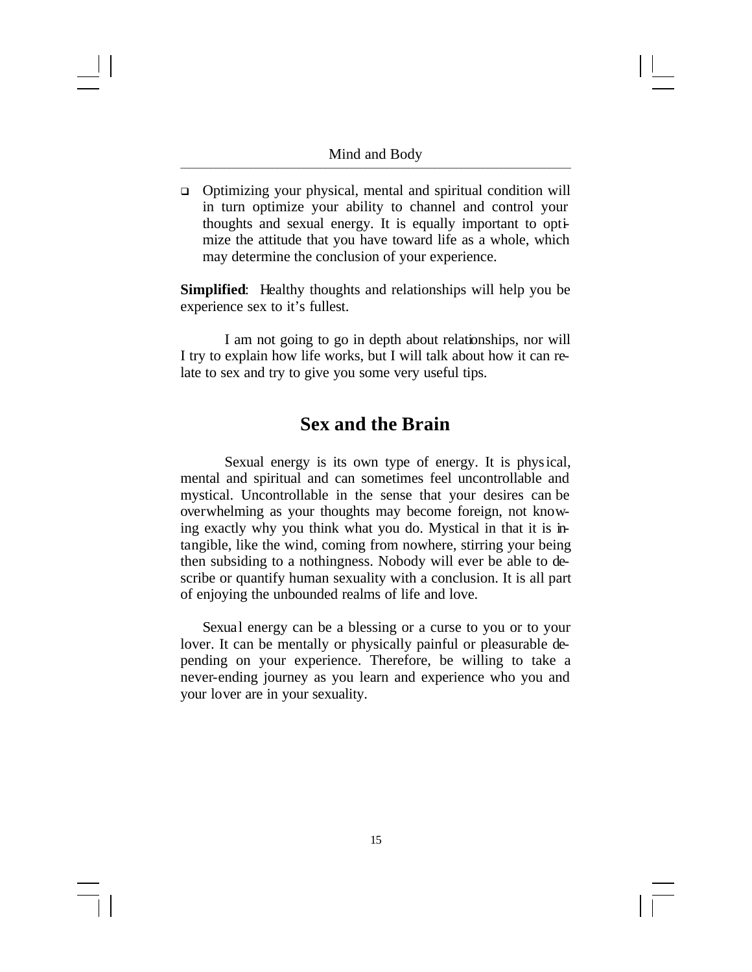$\Box$  Optimizing your physical, mental and spiritual condition will in turn optimize your ability to channel and control your thoughts and sexual energy. It is equally important to optimize the attitude that you have toward life as a whole, which may determine the conclusion of your experience.

**Simplified**: Healthy thoughts and relationships will help you be experience sex to it's fullest.

I am not going to go in depth about relationships, nor will I try to explain how life works, but I will talk about how it can relate to sex and try to give you some very useful tips.

### **Sex and the Brain**

Sexual energy is its own type of energy. It is physical, mental and spiritual and can sometimes feel uncontrollable and mystical. Uncontrollable in the sense that your desires can be overwhelming as your thoughts may become foreign, not knowing exactly why you think what you do. Mystical in that it is intangible, like the wind, coming from nowhere, stirring your being then subsiding to a nothingness. Nobody will ever be able to describe or quantify human sexuality with a conclusion. It is all part of enjoying the unbounded realms of life and love.

Sexual energy can be a blessing or a curse to you or to your lover. It can be mentally or physically painful or pleasurable depending on your experience. Therefore, be willing to take a never-ending journey as you learn and experience who you and your lover are in your sexuality.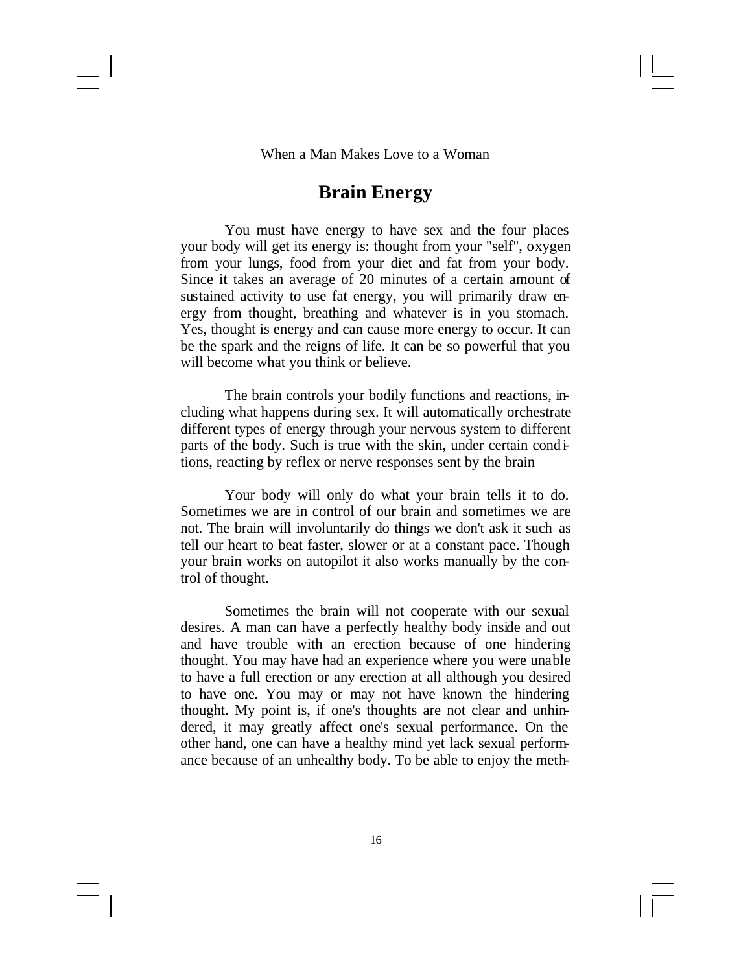## **Brain Energy**

You must have energy to have sex and the four places your body will get its energy is: thought from your "self", oxygen from your lungs, food from your diet and fat from your body. Since it takes an average of 20 minutes of a certain amount of sustained activity to use fat energy, you will primarily draw energy from thought, breathing and whatever is in you stomach. Yes, thought is energy and can cause more energy to occur. It can be the spark and the reigns of life. It can be so powerful that you will become what you think or believe.

The brain controls your bodily functions and reactions, including what happens during sex. It will automatically orchestrate different types of energy through your nervous system to different parts of the body. Such is true with the skin, under certain conditions, reacting by reflex or nerve responses sent by the brain

Your body will only do what your brain tells it to do. Sometimes we are in control of our brain and sometimes we are not. The brain will involuntarily do things we don't ask it such as tell our heart to beat faster, slower or at a constant pace. Though your brain works on autopilot it also works manually by the control of thought.

Sometimes the brain will not cooperate with our sexual desires. A man can have a perfectly healthy body inside and out and have trouble with an erection because of one hindering thought. You may have had an experience where you were unable to have a full erection or any erection at all although you desired to have one. You may or may not have known the hindering thought. My point is, if one's thoughts are not clear and unhindered, it may greatly affect one's sexual performance. On the other hand, one can have a healthy mind yet lack sexual performance because of an unhealthy body. To be able to enjoy the meth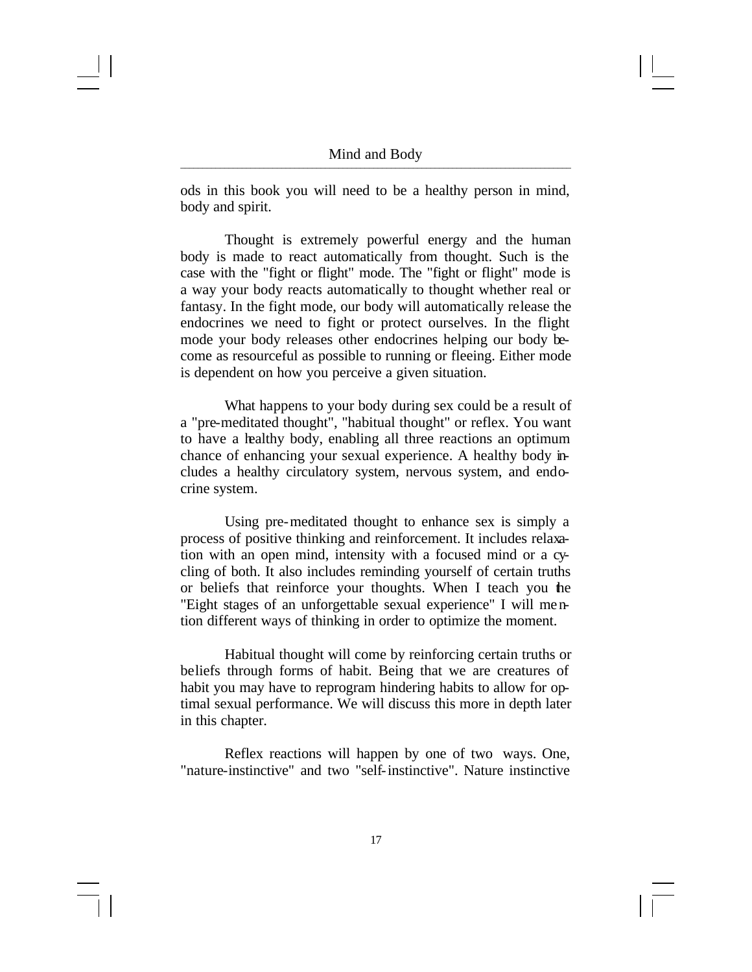ods in this book you will need to be a healthy person in mind, body and spirit.

Thought is extremely powerful energy and the human body is made to react automatically from thought. Such is the case with the "fight or flight" mode. The "fight or flight" mode is a way your body reacts automatically to thought whether real or fantasy. In the fight mode, our body will automatically release the endocrines we need to fight or protect ourselves. In the flight mode your body releases other endocrines helping our body become as resourceful as possible to running or fleeing. Either mode is dependent on how you perceive a given situation.

What happens to your body during sex could be a result of a "pre-meditated thought", "habitual thought" or reflex. You want to have a healthy body, enabling all three reactions an optimum chance of enhancing your sexual experience. A healthy body includes a healthy circulatory system, nervous system, and endocrine system.

Using pre-meditated thought to enhance sex is simply a process of positive thinking and reinforcement. It includes relaxation with an open mind, intensity with a focused mind or a cycling of both. It also includes reminding yourself of certain truths or beliefs that reinforce your thoughts. When I teach you the "Eight stages of an unforgettable sexual experience" I will mention different ways of thinking in order to optimize the moment.

Habitual thought will come by reinforcing certain truths or beliefs through forms of habit. Being that we are creatures of habit you may have to reprogram hindering habits to allow for optimal sexual performance. We will discuss this more in depth later in this chapter.

Reflex reactions will happen by one of two ways. One, "nature-instinctive" and two "self-instinctive". Nature instinctive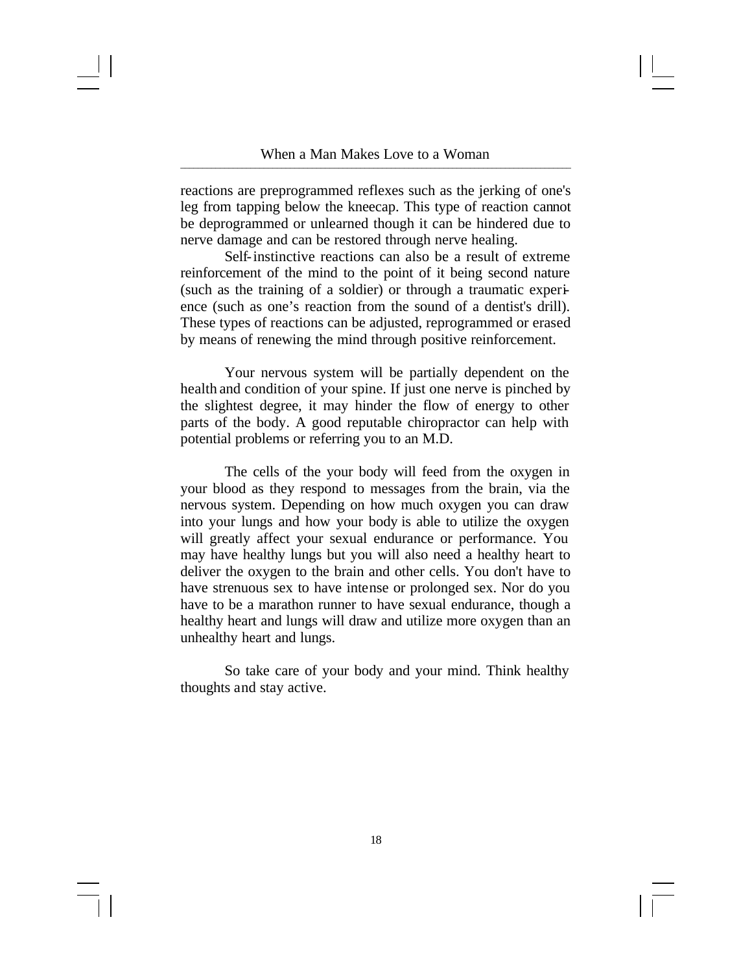reactions are preprogrammed reflexes such as the jerking of one's leg from tapping below the kneecap. This type of reaction cannot be deprogrammed or unlearned though it can be hindered due to nerve damage and can be restored through nerve healing.

Self-instinctive reactions can also be a result of extreme reinforcement of the mind to the point of it being second nature (such as the training of a soldier) or through a traumatic experience (such as one's reaction from the sound of a dentist's drill). These types of reactions can be adjusted, reprogrammed or erased by means of renewing the mind through positive reinforcement.

Your nervous system will be partially dependent on the health and condition of your spine. If just one nerve is pinched by the slightest degree, it may hinder the flow of energy to other parts of the body. A good reputable chiropractor can help with potential problems or referring you to an M.D.

The cells of the your body will feed from the oxygen in your blood as they respond to messages from the brain, via the nervous system. Depending on how much oxygen you can draw into your lungs and how your body is able to utilize the oxygen will greatly affect your sexual endurance or performance. You may have healthy lungs but you will also need a healthy heart to deliver the oxygen to the brain and other cells. You don't have to have strenuous sex to have intense or prolonged sex. Nor do you have to be a marathon runner to have sexual endurance, though a healthy heart and lungs will draw and utilize more oxygen than an unhealthy heart and lungs.

So take care of your body and your mind. Think healthy thoughts and stay active.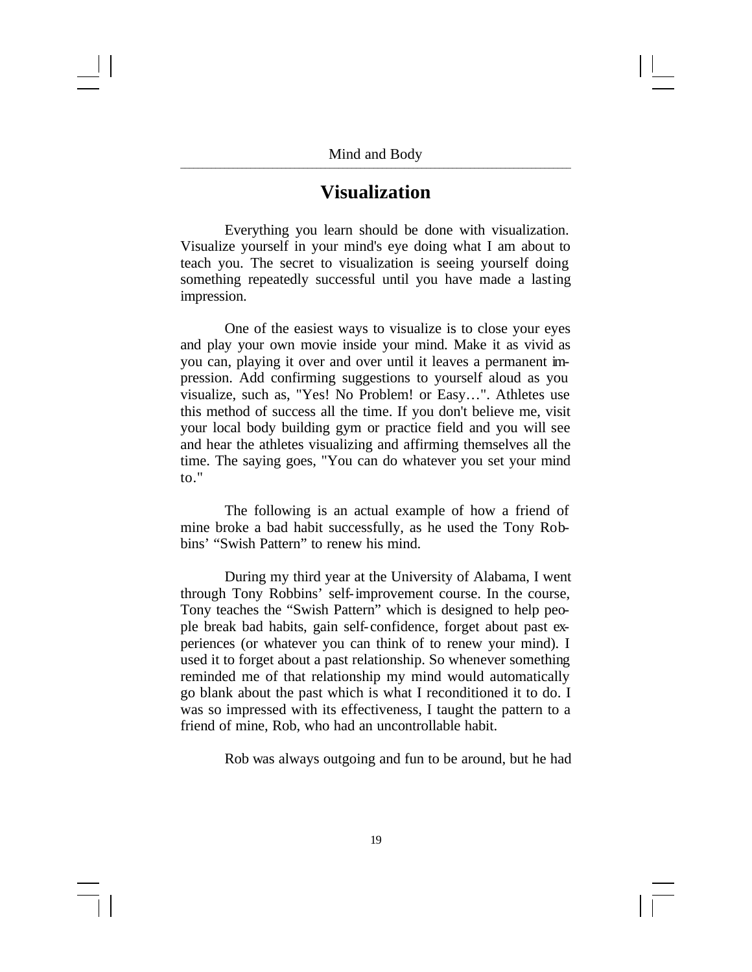## **Visualization**

Everything you learn should be done with visualization. Visualize yourself in your mind's eye doing what I am about to teach you. The secret to visualization is seeing yourself doing something repeatedly successful until you have made a lasting impression.

One of the easiest ways to visualize is to close your eyes and play your own movie inside your mind. Make it as vivid as you can, playing it over and over until it leaves a permanent impression. Add confirming suggestions to yourself aloud as you visualize, such as, "Yes! No Problem! or Easy…". Athletes use this method of success all the time. If you don't believe me, visit your local body building gym or practice field and you will see and hear the athletes visualizing and affirming themselves all the time. The saying goes, "You can do whatever you set your mind to."

The following is an actual example of how a friend of mine broke a bad habit successfully, as he used the Tony Robbins' "Swish Pattern" to renew his mind.

During my third year at the University of Alabama, I went through Tony Robbins' self-improvement course. In the course, Tony teaches the "Swish Pattern" which is designed to help people break bad habits, gain self-confidence, forget about past experiences (or whatever you can think of to renew your mind). I used it to forget about a past relationship. So whenever something reminded me of that relationship my mind would automatically go blank about the past which is what I reconditioned it to do. I was so impressed with its effectiveness, I taught the pattern to a friend of mine, Rob, who had an uncontrollable habit.

Rob was always outgoing and fun to be around, but he had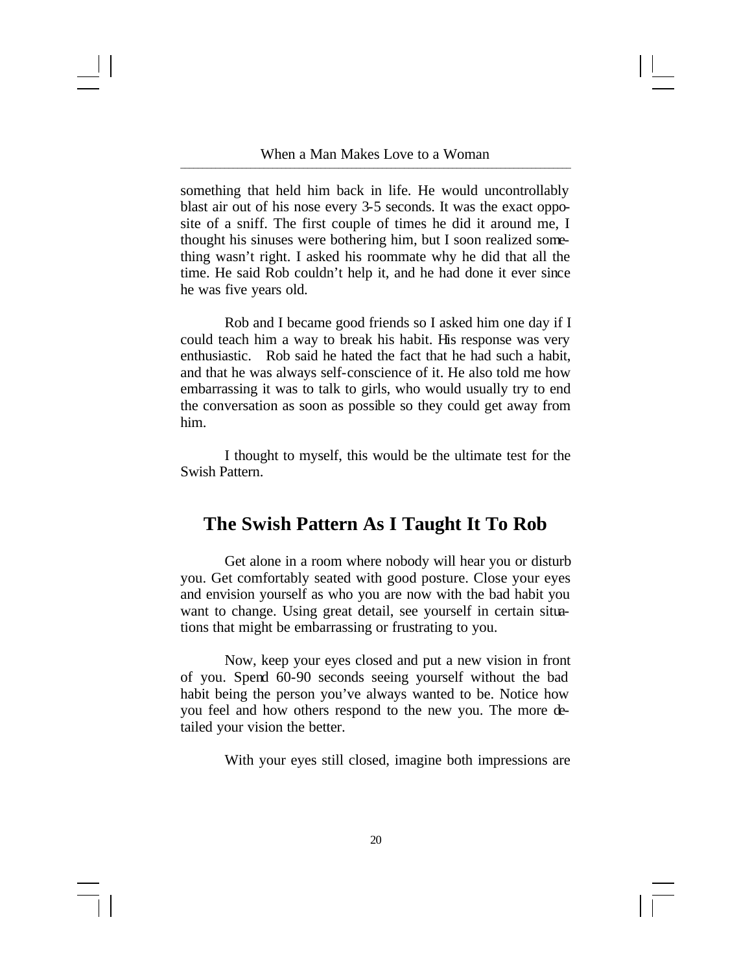something that held him back in life. He would uncontrollably blast air out of his nose every 3-5 seconds. It was the exact opposite of a sniff. The first couple of times he did it around me, I thought his sinuses were bothering him, but I soon realized something wasn't right. I asked his roommate why he did that all the time. He said Rob couldn't help it, and he had done it ever since he was five years old.

Rob and I became good friends so I asked him one day if I could teach him a way to break his habit. His response was very enthusiastic. Rob said he hated the fact that he had such a habit, and that he was always self-conscience of it. He also told me how embarrassing it was to talk to girls, who would usually try to end the conversation as soon as possible so they could get away from him.

I thought to myself, this would be the ultimate test for the Swish Pattern.

## **The Swish Pattern As I Taught It To Rob**

Get alone in a room where nobody will hear you or disturb you. Get comfortably seated with good posture. Close your eyes and envision yourself as who you are now with the bad habit you want to change. Using great detail, see yourself in certain situations that might be embarrassing or frustrating to you.

Now, keep your eyes closed and put a new vision in front of you. Spend 60-90 seconds seeing yourself without the bad habit being the person you've always wanted to be. Notice how you feel and how others respond to the new you. The more detailed your vision the better.

With your eyes still closed, imagine both impressions are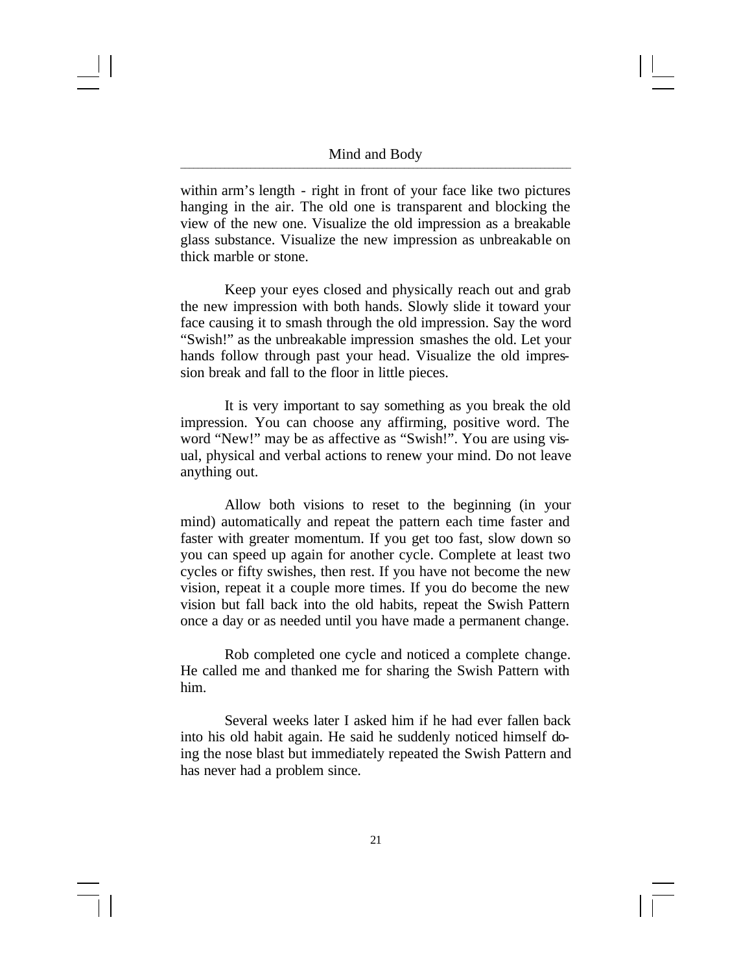within arm's length - right in front of your face like two pictures hanging in the air. The old one is transparent and blocking the view of the new one. Visualize the old impression as a breakable glass substance. Visualize the new impression as unbreakable on thick marble or stone.

 Keep your eyes closed and physically reach out and grab the new impression with both hands. Slowly slide it toward your face causing it to smash through the old impression. Say the word "Swish!" as the unbreakable impression smashes the old. Let your hands follow through past your head. Visualize the old impression break and fall to the floor in little pieces.

 It is very important to say something as you break the old impression. You can choose any affirming, positive word. The word "New!" may be as affective as "Swish!". You are using visual, physical and verbal actions to renew your mind. Do not leave anything out.

 Allow both visions to reset to the beginning (in your mind) automatically and repeat the pattern each time faster and faster with greater momentum. If you get too fast, slow down so you can speed up again for another cycle. Complete at least two cycles or fifty swishes, then rest. If you have not become the new vision, repeat it a couple more times. If you do become the new vision but fall back into the old habits, repeat the Swish Pattern once a day or as needed until you have made a permanent change.

 Rob completed one cycle and noticed a complete change. He called me and thanked me for sharing the Swish Pattern with him.

 Several weeks later I asked him if he had ever fallen back into his old habit again. He said he suddenly noticed himself doing the nose blast but immediately repeated the Swish Pattern and has never had a problem since.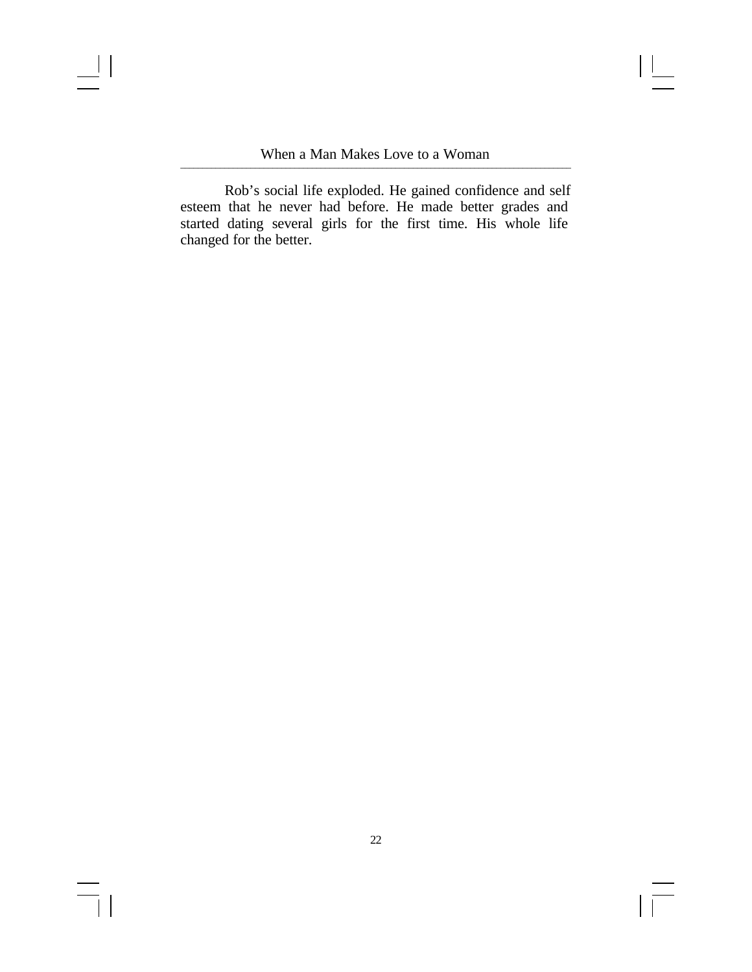Rob's social life exploded. He gained confidence and self esteem that he never had before. He made better grades and started dating several girls for the first time. His whole life changed for the better.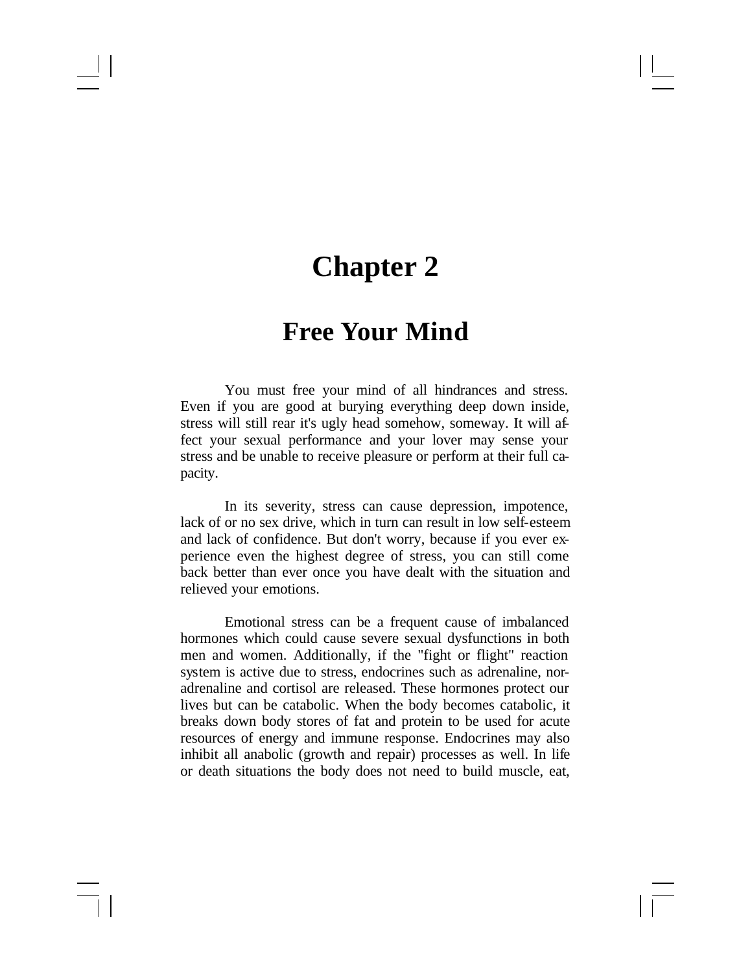# **Chapter 2**

## **Free Your Mind**

You must free your mind of all hindrances and stress. Even if you are good at burying everything deep down inside, stress will still rear it's ugly head somehow, someway. It will affect your sexual performance and your lover may sense your stress and be unable to receive pleasure or perform at their full capacity.

In its severity, stress can cause depression, impotence, lack of or no sex drive, which in turn can result in low self-esteem and lack of confidence. But don't worry, because if you ever experience even the highest degree of stress, you can still come back better than ever once you have dealt with the situation and relieved your emotions.

Emotional stress can be a frequent cause of imbalanced hormones which could cause severe sexual dysfunctions in both men and women. Additionally, if the "fight or flight" reaction system is active due to stress, endocrines such as adrenaline, noradrenaline and cortisol are released. These hormones protect our lives but can be catabolic. When the body becomes catabolic, it breaks down body stores of fat and protein to be used for acute resources of energy and immune response. Endocrines may also inhibit all anabolic (growth and repair) processes as well. In life or death situations the body does not need to build muscle, eat,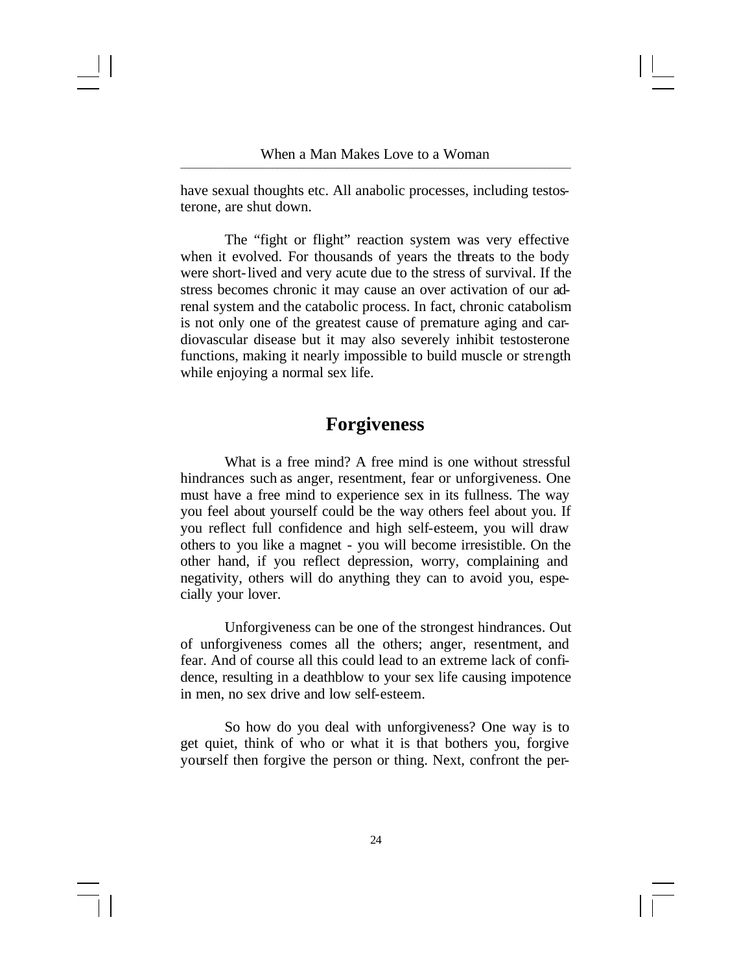have sexual thoughts etc. All anabolic processes, including testosterone, are shut down.

The "fight or flight" reaction system was very effective when it evolved. For thousands of years the threats to the body were short-lived and very acute due to the stress of survival. If the stress becomes chronic it may cause an over activation of our adrenal system and the catabolic process. In fact, chronic catabolism is not only one of the greatest cause of premature aging and cardiovascular disease but it may also severely inhibit testosterone functions, making it nearly impossible to build muscle or strength while enjoying a normal sex life.

### **Forgiveness**

What is a free mind? A free mind is one without stressful hindrances such as anger, resentment, fear or unforgiveness. One must have a free mind to experience sex in its fullness. The way you feel about yourself could be the way others feel about you. If you reflect full confidence and high self-esteem, you will draw others to you like a magnet - you will become irresistible. On the other hand, if you reflect depression, worry, complaining and negativity, others will do anything they can to avoid you, especially your lover.

Unforgiveness can be one of the strongest hindrances. Out of unforgiveness comes all the others; anger, resentment, and fear. And of course all this could lead to an extreme lack of confidence, resulting in a deathblow to your sex life causing impotence in men, no sex drive and low self-esteem.

So how do you deal with unforgiveness? One way is to get quiet, think of who or what it is that bothers you, forgive yourself then forgive the person or thing. Next, confront the per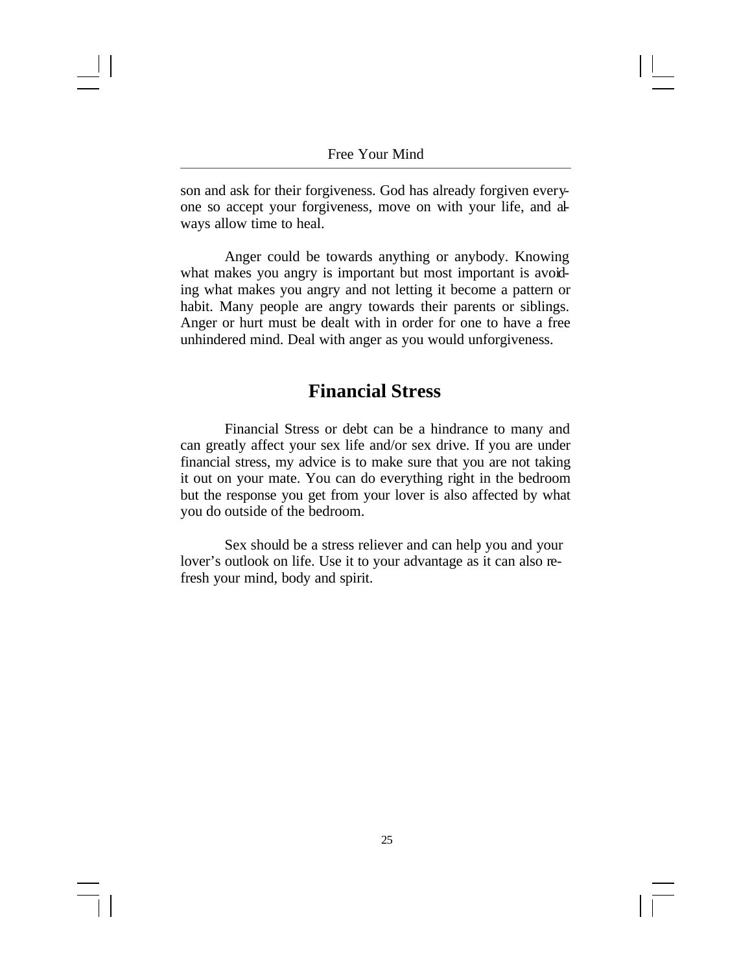son and ask for their forgiveness. God has already forgiven everyone so accept your forgiveness, move on with your life, and always allow time to heal.

Anger could be towards anything or anybody. Knowing what makes you angry is important but most important is avoiding what makes you angry and not letting it become a pattern or habit. Many people are angry towards their parents or siblings. Anger or hurt must be dealt with in order for one to have a free unhindered mind. Deal with anger as you would unforgiveness.

## **Financial Stress**

Financial Stress or debt can be a hindrance to many and can greatly affect your sex life and/or sex drive. If you are under financial stress, my advice is to make sure that you are not taking it out on your mate. You can do everything right in the bedroom but the response you get from your lover is also affected by what you do outside of the bedroom.

 Sex should be a stress reliever and can help you and your lover's outlook on life. Use it to your advantage as it can also refresh your mind, body and spirit.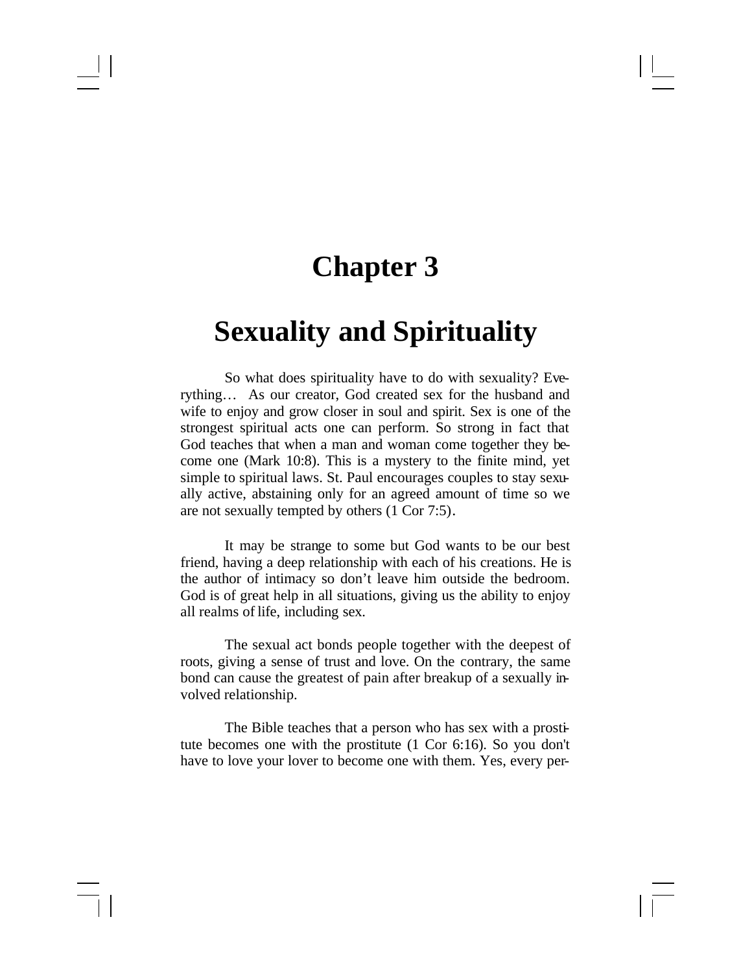## **Chapter 3**

## **Sexuality and Spirituality**

So what does spirituality have to do with sexuality? Everything… As our creator, God created sex for the husband and wife to enjoy and grow closer in soul and spirit. Sex is one of the strongest spiritual acts one can perform. So strong in fact that God teaches that when a man and woman come together they become one (Mark 10:8). This is a mystery to the finite mind, yet simple to spiritual laws. St. Paul encourages couples to stay sexually active, abstaining only for an agreed amount of time so we are not sexually tempted by others (1 Cor 7:5).

It may be strange to some but God wants to be our best friend, having a deep relationship with each of his creations. He is the author of intimacy so don't leave him outside the bedroom. God is of great help in all situations, giving us the ability to enjoy all realms of life, including sex.

The sexual act bonds people together with the deepest of roots, giving a sense of trust and love. On the contrary, the same bond can cause the greatest of pain after breakup of a sexually involved relationship.

The Bible teaches that a person who has sex with a prostitute becomes one with the prostitute (1 Cor 6:16). So you don't have to love your lover to become one with them. Yes, every per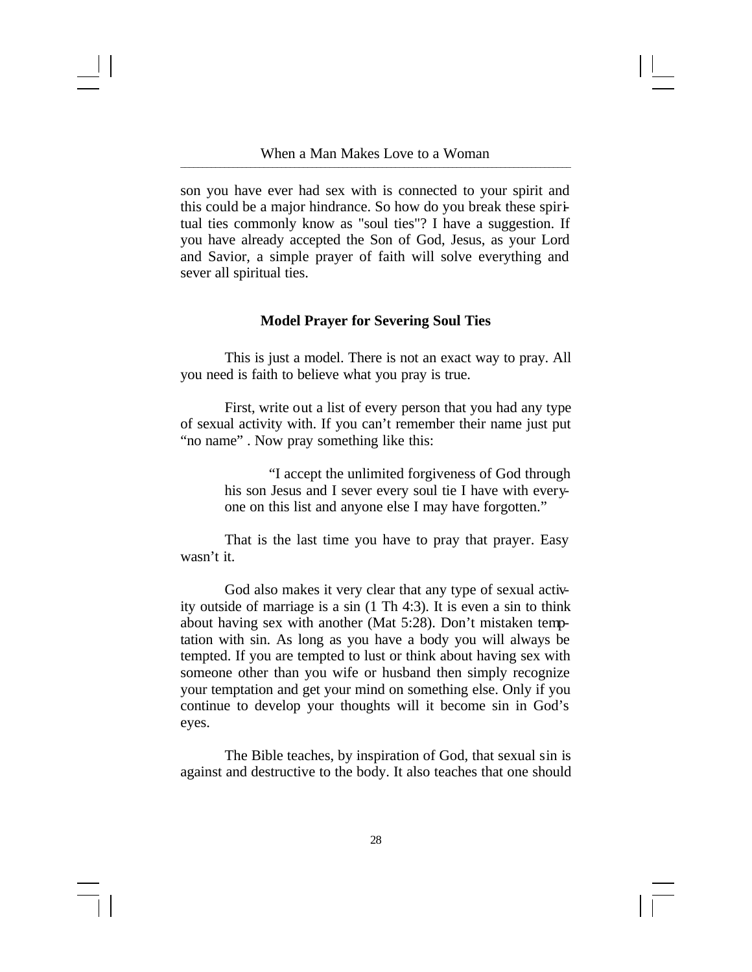son you have ever had sex with is connected to your spirit and this could be a major hindrance. So how do you break these spiritual ties commonly know as "soul ties"? I have a suggestion. If you have already accepted the Son of God, Jesus, as your Lord and Savior, a simple prayer of faith will solve everything and sever all spiritual ties.

#### **Model Prayer for Severing Soul Ties**

This is just a model. There is not an exact way to pray. All you need is faith to believe what you pray is true.

First, write out a list of every person that you had any type of sexual activity with. If you can't remember their name just put "no name" . Now pray something like this:

> "I accept the unlimited forgiveness of God through his son Jesus and I sever every soul tie I have with everyone on this list and anyone else I may have forgotten."

 That is the last time you have to pray that prayer. Easy wasn't it.

God also makes it very clear that any type of sexual activity outside of marriage is a sin (1 Th 4:3). It is even a sin to think about having sex with another (Mat 5:28). Don't mistaken temptation with sin. As long as you have a body you will always be tempted. If you are tempted to lust or think about having sex with someone other than you wife or husband then simply recognize your temptation and get your mind on something else. Only if you continue to develop your thoughts will it become sin in God's eyes.

 The Bible teaches, by inspiration of God, that sexual sin is against and destructive to the body. It also teaches that one should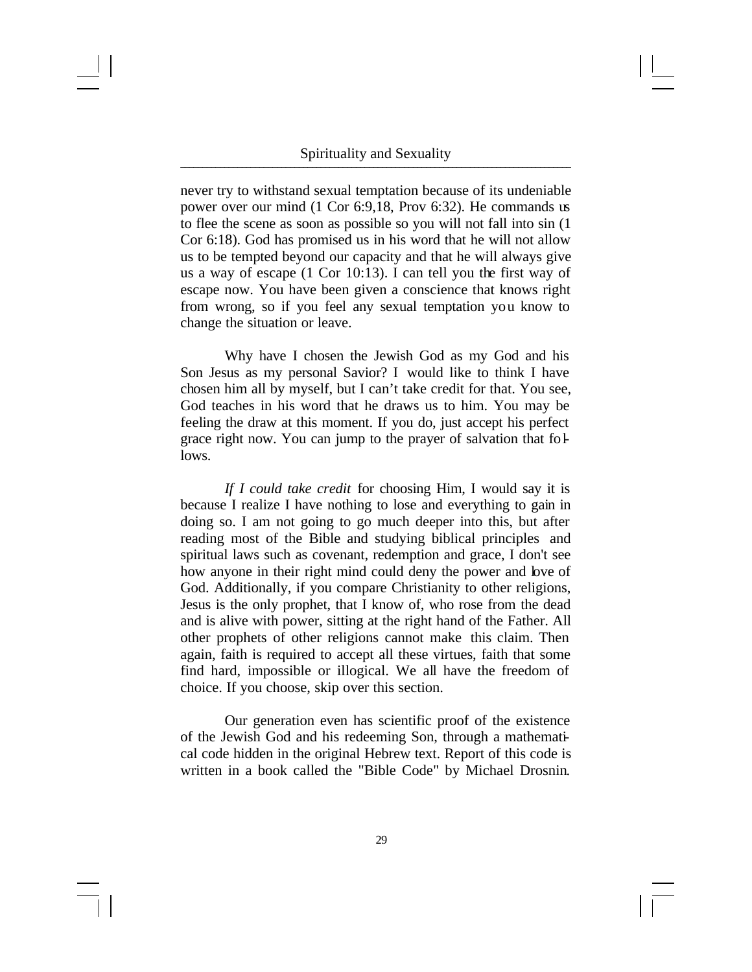never try to withstand sexual temptation because of its undeniable power over our mind (1 Cor 6:9,18, Prov 6:32). He commands us to flee the scene as soon as possible so you will not fall into sin (1 Cor 6:18). God has promised us in his word that he will not allow us to be tempted beyond our capacity and that he will always give us a way of escape (1 Cor 10:13). I can tell you the first way of escape now. You have been given a conscience that knows right from wrong, so if you feel any sexual temptation you know to change the situation or leave.

Why have I chosen the Jewish God as my God and his Son Jesus as my personal Savior? I would like to think I have chosen him all by myself, but I can't take credit for that. You see, God teaches in his word that he draws us to him. You may be feeling the draw at this moment. If you do, just accept his perfect grace right now. You can jump to the prayer of salvation that follows.

*If I could take credit* for choosing Him, I would say it is because I realize I have nothing to lose and everything to gain in doing so. I am not going to go much deeper into this, but after reading most of the Bible and studying biblical principles and spiritual laws such as covenant, redemption and grace, I don't see how anyone in their right mind could deny the power and love of God. Additionally, if you compare Christianity to other religions, Jesus is the only prophet, that I know of, who rose from the dead and is alive with power, sitting at the right hand of the Father. All other prophets of other religions cannot make this claim. Then again, faith is required to accept all these virtues, faith that some find hard, impossible or illogical. We all have the freedom of choice. If you choose, skip over this section.

Our generation even has scientific proof of the existence of the Jewish God and his redeeming Son, through a mathematical code hidden in the original Hebrew text. Report of this code is written in a book called the "Bible Code" by Michael Drosnin.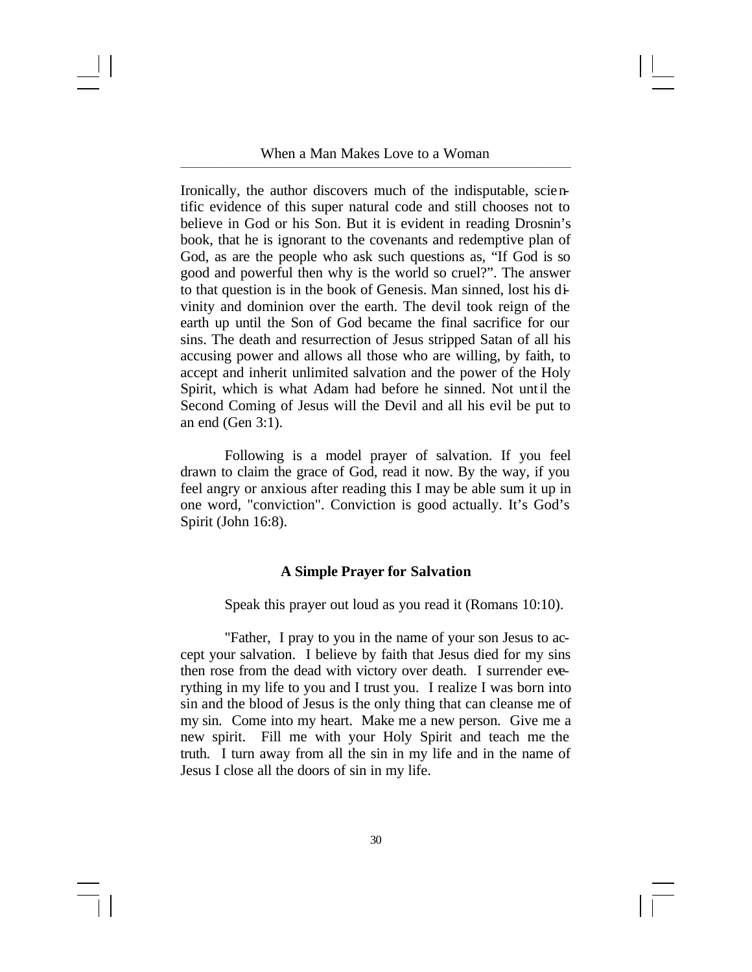Ironically, the author discovers much of the indisputable, scientific evidence of this super natural code and still chooses not to believe in God or his Son. But it is evident in reading Drosnin's book, that he is ignorant to the covenants and redemptive plan of God, as are the people who ask such questions as, "If God is so good and powerful then why is the world so cruel?". The answer to that question is in the book of Genesis. Man sinned, lost his divinity and dominion over the earth. The devil took reign of the earth up until the Son of God became the final sacrifice for our sins. The death and resurrection of Jesus stripped Satan of all his accusing power and allows all those who are willing, by faith, to accept and inherit unlimited salvation and the power of the Holy Spirit, which is what Adam had before he sinned. Not until the Second Coming of Jesus will the Devil and all his evil be put to an end (Gen 3:1).

Following is a model prayer of salvation. If you feel drawn to claim the grace of God, read it now. By the way, if you feel angry or anxious after reading this I may be able sum it up in one word, "conviction". Conviction is good actually. It's God's Spirit (John 16:8).

#### **A Simple Prayer for Salvation**

Speak this prayer out loud as you read it (Romans 10:10).

"Father, I pray to you in the name of your son Jesus to accept your salvation. I believe by faith that Jesus died for my sins then rose from the dead with victory over death. I surrender everything in my life to you and I trust you. I realize I was born into sin and the blood of Jesus is the only thing that can cleanse me of my sin. Come into my heart. Make me a new person. Give me a new spirit. Fill me with your Holy Spirit and teach me the truth. I turn away from all the sin in my life and in the name of Jesus I close all the doors of sin in my life.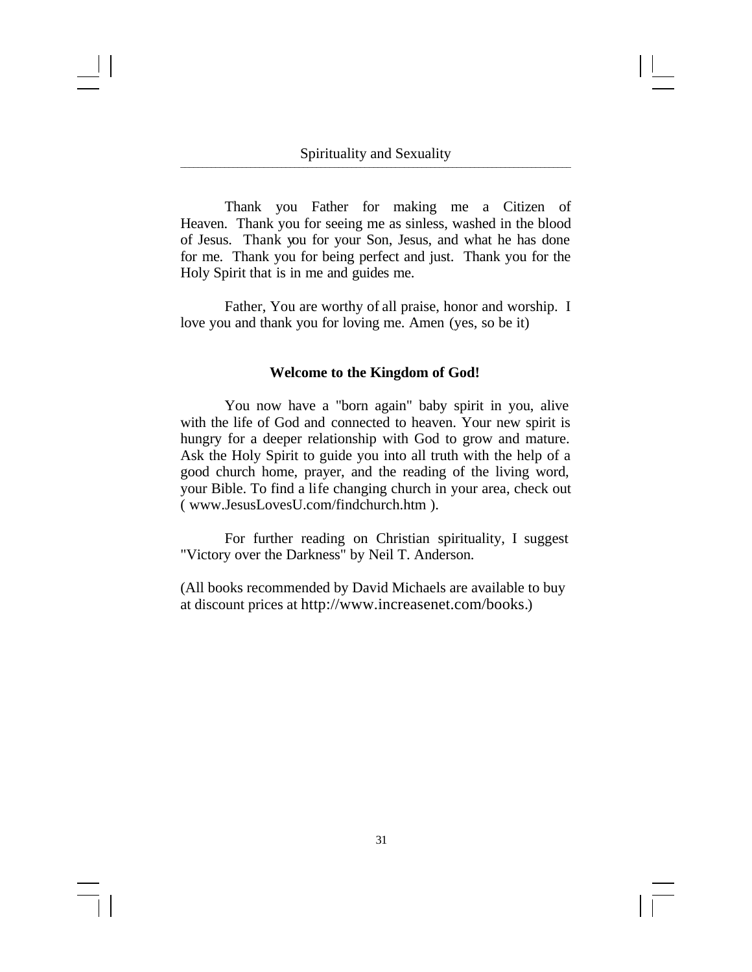Thank you Father for making me a Citizen of Heaven. Thank you for seeing me as sinless, washed in the blood of Jesus. Thank you for your Son, Jesus, and what he has done for me. Thank you for being perfect and just. Thank you for the Holy Spirit that is in me and guides me.

Father, You are worthy of all praise, honor and worship. I love you and thank you for loving me. Amen (yes, so be it)

#### **Welcome to the Kingdom of God!**

You now have a "born again" baby spirit in you, alive with the life of God and connected to heaven. Your new spirit is hungry for a deeper relationship with God to grow and mature. Ask the Holy Spirit to guide you into all truth with the help of a good church home, prayer, and the reading of the living word, your Bible. To find a life changing church in your area, check out ( www.JesusLovesU.com/findchurch.htm ).

For further reading on Christian spirituality, I suggest "Victory over the Darkness" by Neil T. Anderson.

(All books recommended by David Michaels are available to buy at discount prices at http://www.increasenet.com/books.)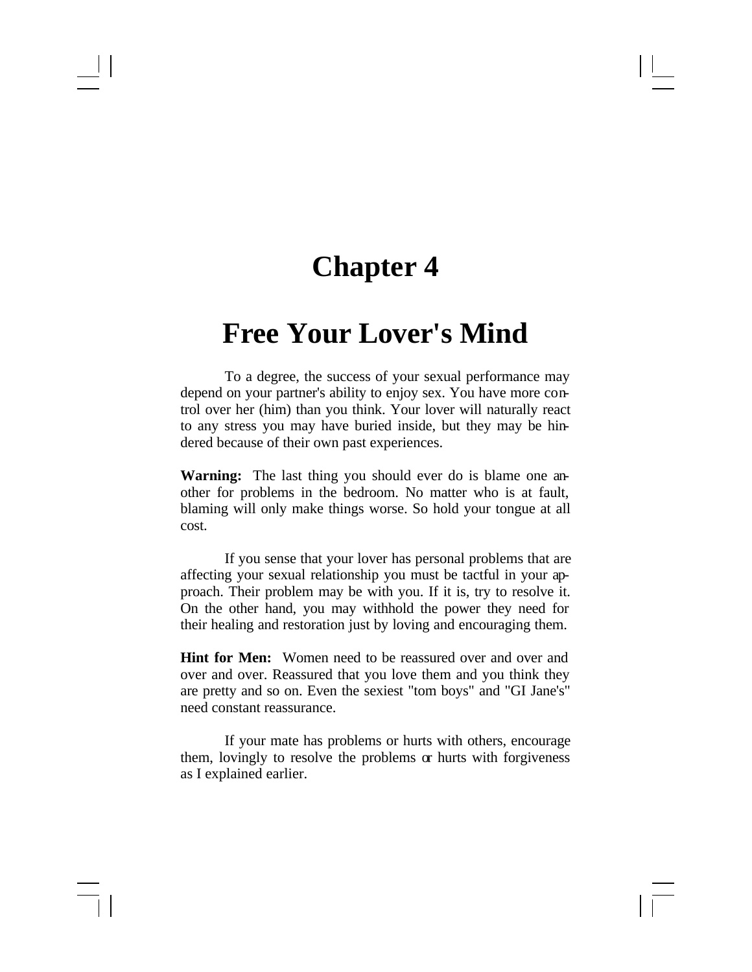# **Chapter 4**

# **Free Your Lover's Mind**

To a degree, the success of your sexual performance may depend on your partner's ability to enjoy sex. You have more control over her (him) than you think. Your lover will naturally react to any stress you may have buried inside, but they may be hindered because of their own past experiences.

**Warning:** The last thing you should ever do is blame one another for problems in the bedroom. No matter who is at fault, blaming will only make things worse. So hold your tongue at all cost.

If you sense that your lover has personal problems that are affecting your sexual relationship you must be tactful in your approach. Their problem may be with you. If it is, try to resolve it. On the other hand, you may withhold the power they need for their healing and restoration just by loving and encouraging them.

**Hint for Men:** Women need to be reassured over and over and over and over. Reassured that you love them and you think they are pretty and so on. Even the sexiest "tom boys" and "GI Jane's" need constant reassurance.

If your mate has problems or hurts with others, encourage them, lovingly to resolve the problems or hurts with forgiveness as I explained earlier.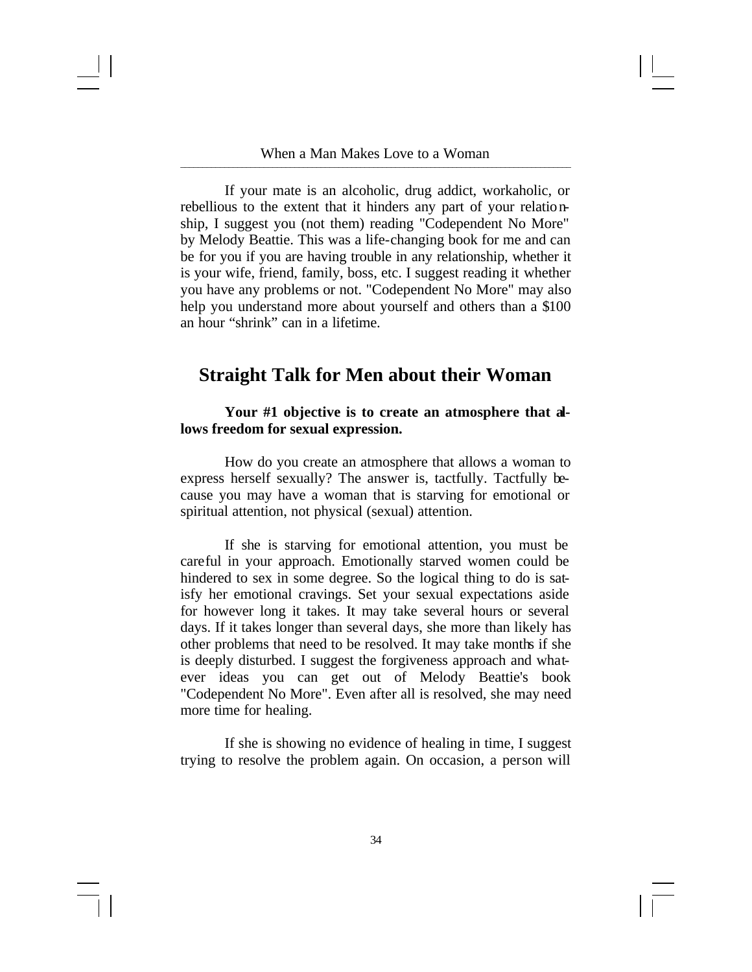If your mate is an alcoholic, drug addict, workaholic, or rebellious to the extent that it hinders any part of your relationship, I suggest you (not them) reading "Codependent No More" by Melody Beattie. This was a life-changing book for me and can be for you if you are having trouble in any relationship, whether it is your wife, friend, family, boss, etc. I suggest reading it whether you have any problems or not. "Codependent No More" may also help you understand more about yourself and others than a \$100 an hour "shrink" can in a lifetime.

### **Straight Talk for Men about their Woman**

#### Your #1 objective is to create an atmosphere that al**lows freedom for sexual expression.**

How do you create an atmosphere that allows a woman to express herself sexually? The answer is, tactfully. Tactfully because you may have a woman that is starving for emotional or spiritual attention, not physical (sexual) attention.

If she is starving for emotional attention, you must be careful in your approach. Emotionally starved women could be hindered to sex in some degree. So the logical thing to do is satisfy her emotional cravings. Set your sexual expectations aside for however long it takes. It may take several hours or several days. If it takes longer than several days, she more than likely has other problems that need to be resolved. It may take months if she is deeply disturbed. I suggest the forgiveness approach and whatever ideas you can get out of Melody Beattie's book "Codependent No More". Even after all is resolved, she may need more time for healing.

If she is showing no evidence of healing in time, I suggest trying to resolve the problem again. On occasion, a person will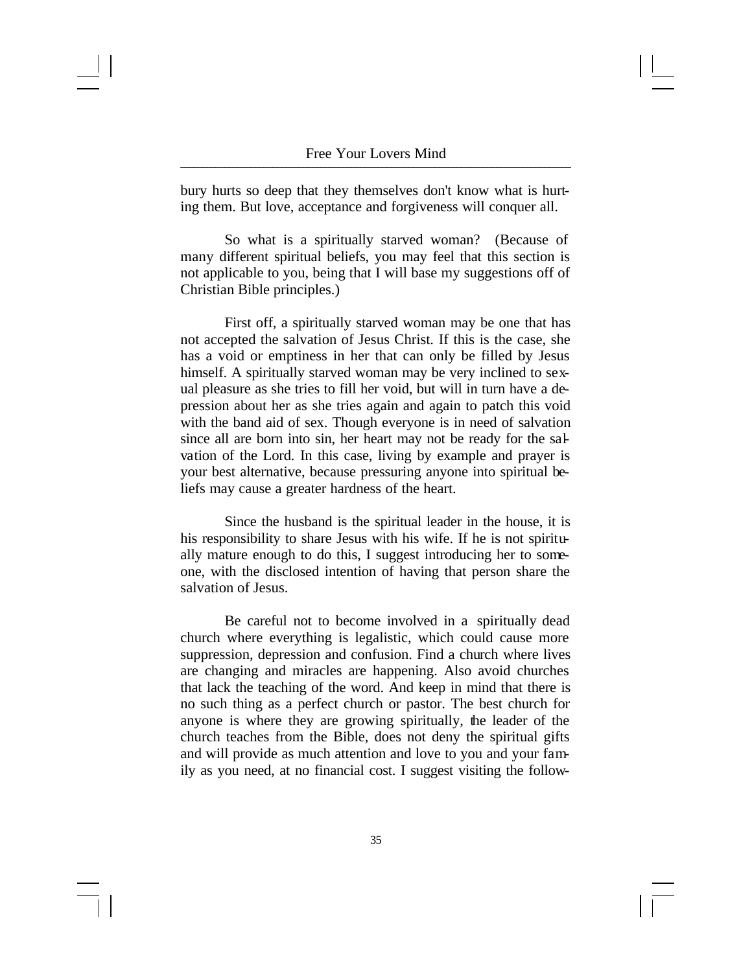bury hurts so deep that they themselves don't know what is hurting them. But love, acceptance and forgiveness will conquer all.

 So what is a spiritually starved woman? (Because of many different spiritual beliefs, you may feel that this section is not applicable to you, being that I will base my suggestions off of Christian Bible principles.)

First off, a spiritually starved woman may be one that has not accepted the salvation of Jesus Christ. If this is the case, she has a void or emptiness in her that can only be filled by Jesus himself. A spiritually starved woman may be very inclined to sexual pleasure as she tries to fill her void, but will in turn have a depression about her as she tries again and again to patch this void with the band aid of sex. Though everyone is in need of salvation since all are born into sin, her heart may not be ready for the salvation of the Lord. In this case, living by example and prayer is your best alternative, because pressuring anyone into spiritual beliefs may cause a greater hardness of the heart.

Since the husband is the spiritual leader in the house, it is his responsibility to share Jesus with his wife. If he is not spiritually mature enough to do this, I suggest introducing her to someone, with the disclosed intention of having that person share the salvation of Jesus.

Be careful not to become involved in a spiritually dead church where everything is legalistic, which could cause more suppression, depression and confusion. Find a church where lives are changing and miracles are happening. Also avoid churches that lack the teaching of the word. And keep in mind that there is no such thing as a perfect church or pastor. The best church for anyone is where they are growing spiritually, the leader of the church teaches from the Bible, does not deny the spiritual gifts and will provide as much attention and love to you and your family as you need, at no financial cost. I suggest visiting the follow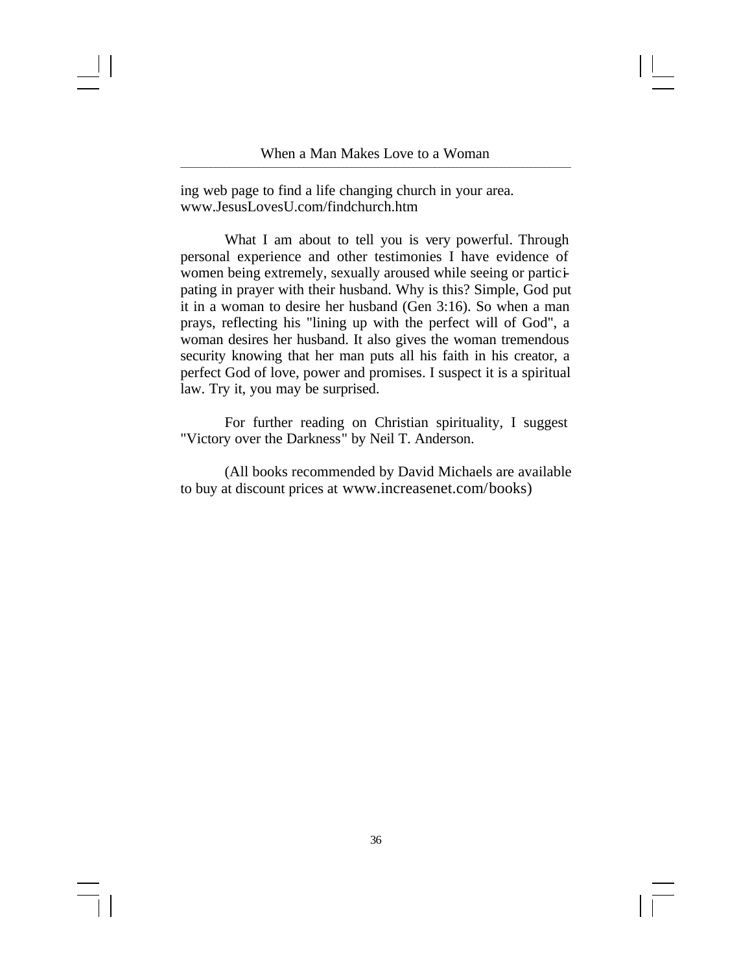ing web page to find a life changing church in your area. www.JesusLovesU.com/findchurch.htm

What I am about to tell you is very powerful. Through personal experience and other testimonies I have evidence of women being extremely, sexually aroused while seeing or participating in prayer with their husband. Why is this? Simple, God put it in a woman to desire her husband (Gen 3:16). So when a man prays, reflecting his "lining up with the perfect will of God", a woman desires her husband. It also gives the woman tremendous security knowing that her man puts all his faith in his creator, a perfect God of love, power and promises. I suspect it is a spiritual law. Try it, you may be surprised.

For further reading on Christian spirituality, I suggest "Victory over the Darkness" by Neil T. Anderson.

(All books recommended by David Michaels are available to buy at discount prices at www.increasenet.com/books)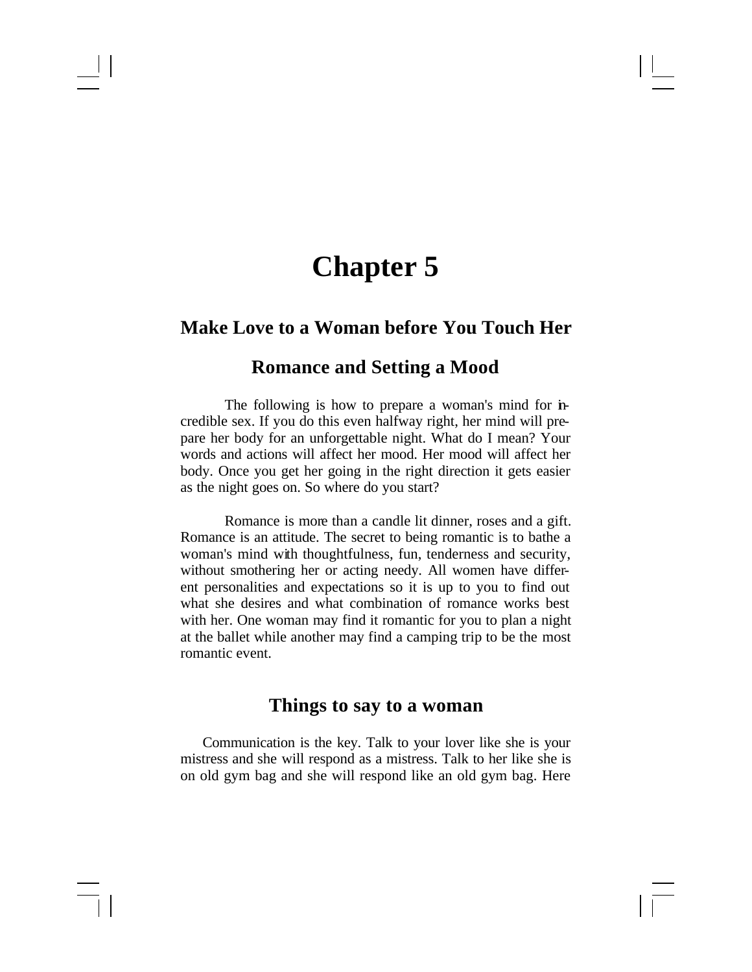## **Chapter 5**

### **Make Love to a Woman before You Touch Her**

#### **Romance and Setting a Mood**

The following is how to prepare a woman's mind for incredible sex. If you do this even halfway right, her mind will prepare her body for an unforgettable night. What do I mean? Your words and actions will affect her mood. Her mood will affect her body. Once you get her going in the right direction it gets easier as the night goes on. So where do you start?

Romance is more than a candle lit dinner, roses and a gift. Romance is an attitude. The secret to being romantic is to bathe a woman's mind with thoughtfulness, fun, tenderness and security, without smothering her or acting needy. All women have different personalities and expectations so it is up to you to find out what she desires and what combination of romance works best with her. One woman may find it romantic for you to plan a night at the ballet while another may find a camping trip to be the most romantic event.

#### **Things to say to a woman**

Communication is the key. Talk to your lover like she is your mistress and she will respond as a mistress. Talk to her like she is on old gym bag and she will respond like an old gym bag. Here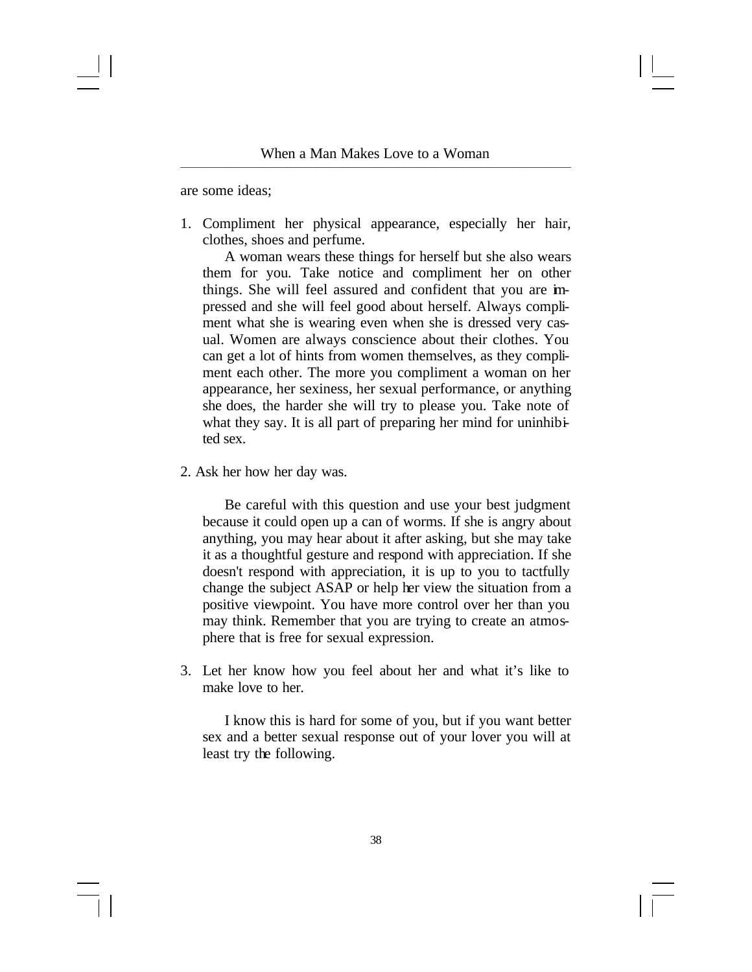are some ideas;

1. Compliment her physical appearance, especially her hair, clothes, shoes and perfume.

A woman wears these things for herself but she also wears them for you. Take notice and compliment her on other things. She will feel assured and confident that you are impressed and she will feel good about herself. Always compliment what she is wearing even when she is dressed very casual. Women are always conscience about their clothes. You can get a lot of hints from women themselves, as they compliment each other. The more you compliment a woman on her appearance, her sexiness, her sexual performance, or anything she does, the harder she will try to please you. Take note of what they say. It is all part of preparing her mind for uninhibited sex.

2. Ask her how her day was.

Be careful with this question and use your best judgment because it could open up a can of worms. If she is angry about anything, you may hear about it after asking, but she may take it as a thoughtful gesture and respond with appreciation. If she doesn't respond with appreciation, it is up to you to tactfully change the subject ASAP or help her view the situation from a positive viewpoint. You have more control over her than you may think. Remember that you are trying to create an atmosphere that is free for sexual expression.

3. Let her know how you feel about her and what it's like to make love to her.

I know this is hard for some of you, but if you want better sex and a better sexual response out of your lover you will at least try the following.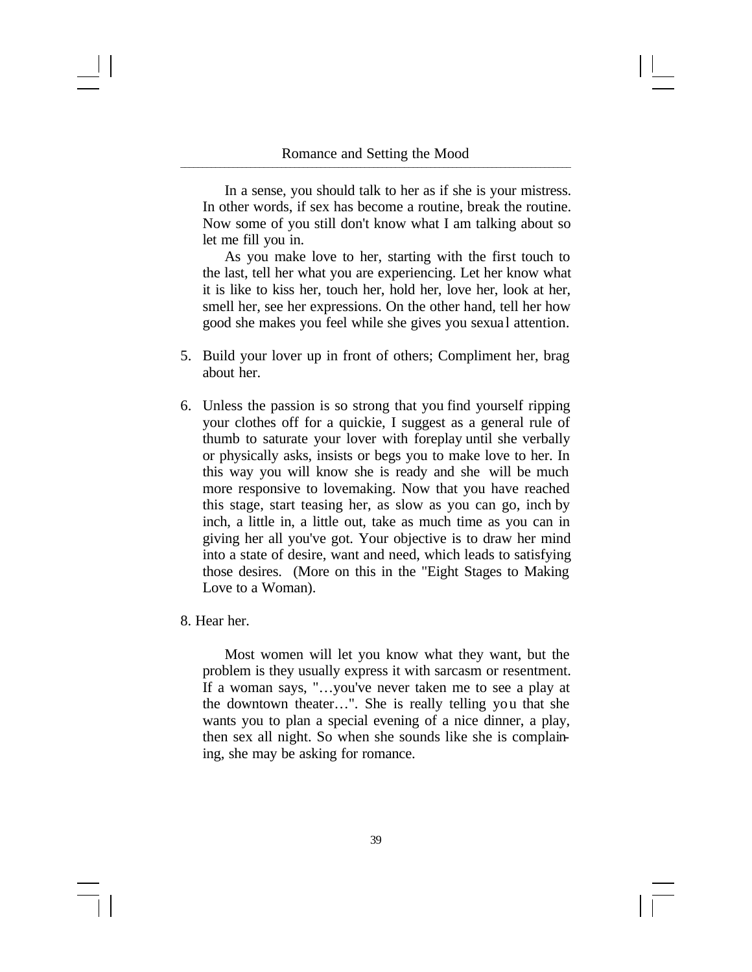In a sense, you should talk to her as if she is your mistress. In other words, if sex has become a routine, break the routine. Now some of you still don't know what I am talking about so let me fill you in.

As you make love to her, starting with the first touch to the last, tell her what you are experiencing. Let her know what it is like to kiss her, touch her, hold her, love her, look at her, smell her, see her expressions. On the other hand, tell her how good she makes you feel while she gives you sexua l attention.

- 5. Build your lover up in front of others; Compliment her, brag about her.
- 6. Unless the passion is so strong that you find yourself ripping your clothes off for a quickie, I suggest as a general rule of thumb to saturate your lover with foreplay until she verbally or physically asks, insists or begs you to make love to her. In this way you will know she is ready and she will be much more responsive to lovemaking. Now that you have reached this stage, start teasing her, as slow as you can go, inch by inch, a little in, a little out, take as much time as you can in giving her all you've got. Your objective is to draw her mind into a state of desire, want and need, which leads to satisfying those desires. (More on this in the "Eight Stages to Making Love to a Woman).
- 8. Hear her.

Most women will let you know what they want, but the problem is they usually express it with sarcasm or resentment. If a woman says, "…you've never taken me to see a play at the downtown theater…". She is really telling you that she wants you to plan a special evening of a nice dinner, a play, then sex all night. So when she sounds like she is complaining, she may be asking for romance.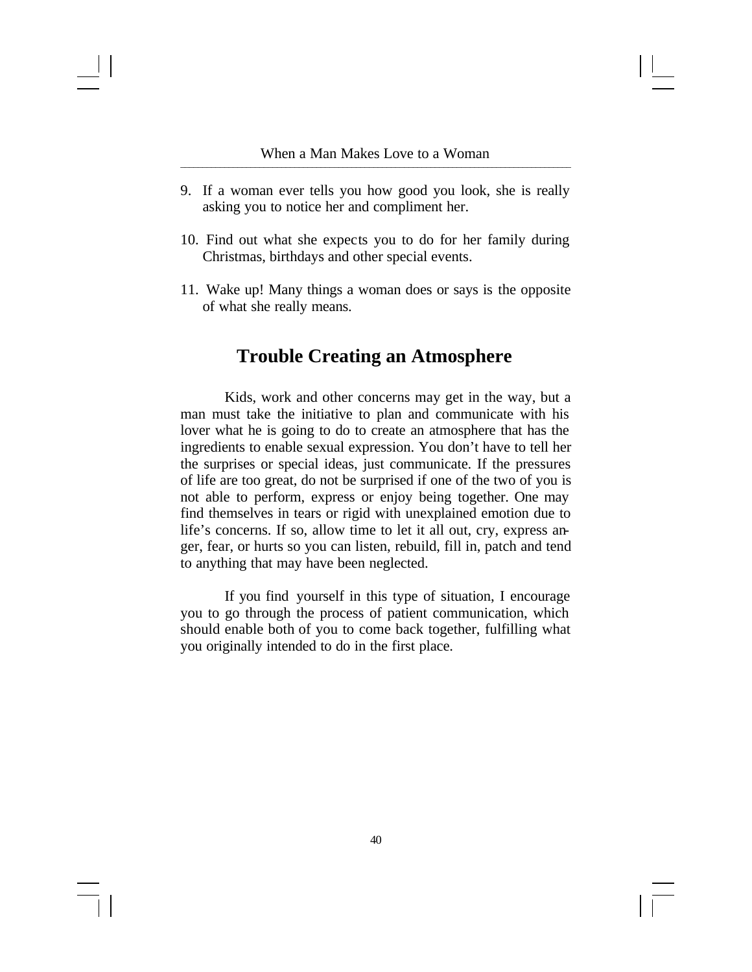- 9. If a woman ever tells you how good you look, she is really asking you to notice her and compliment her.
- 10. Find out what she expects you to do for her family during Christmas, birthdays and other special events.
- 11. Wake up! Many things a woman does or says is the opposite of what she really means.

## **Trouble Creating an Atmosphere**

 Kids, work and other concerns may get in the way, but a man must take the initiative to plan and communicate with his lover what he is going to do to create an atmosphere that has the ingredients to enable sexual expression. You don't have to tell her the surprises or special ideas, just communicate. If the pressures of life are too great, do not be surprised if one of the two of you is not able to perform, express or enjoy being together. One may find themselves in tears or rigid with unexplained emotion due to life's concerns. If so, allow time to let it all out, cry, express anger, fear, or hurts so you can listen, rebuild, fill in, patch and tend to anything that may have been neglected.

 If you find yourself in this type of situation, I encourage you to go through the process of patient communication, which should enable both of you to come back together, fulfilling what you originally intended to do in the first place.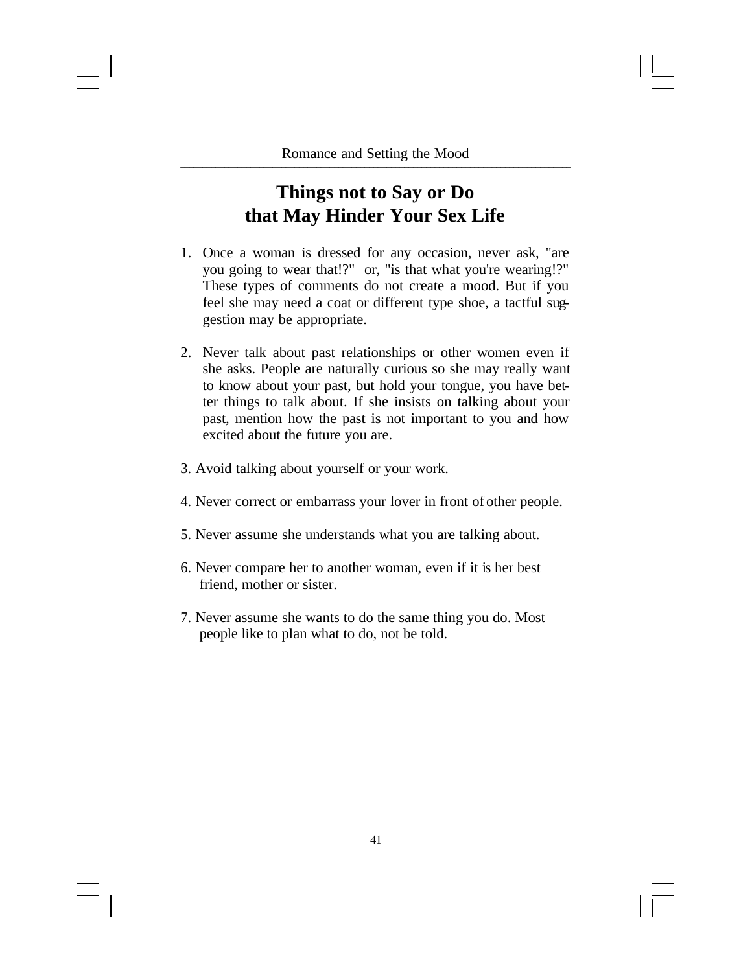## **Things not to Say or Do that May Hinder Your Sex Life**

- 1. Once a woman is dressed for any occasion, never ask, "are you going to wear that!?" or, "is that what you're wearing!?" These types of comments do not create a mood. But if you feel she may need a coat or different type shoe, a tactful suggestion may be appropriate.
- 2. Never talk about past relationships or other women even if she asks. People are naturally curious so she may really want to know about your past, but hold your tongue, you have better things to talk about. If she insists on talking about your past, mention how the past is not important to you and how excited about the future you are.
- 3. Avoid talking about yourself or your work.
- 4. Never correct or embarrass your lover in front of other people.
- 5. Never assume she understands what you are talking about.
- 6. Never compare her to another woman, even if it is her best friend, mother or sister.
- 7. Never assume she wants to do the same thing you do. Most people like to plan what to do, not be told.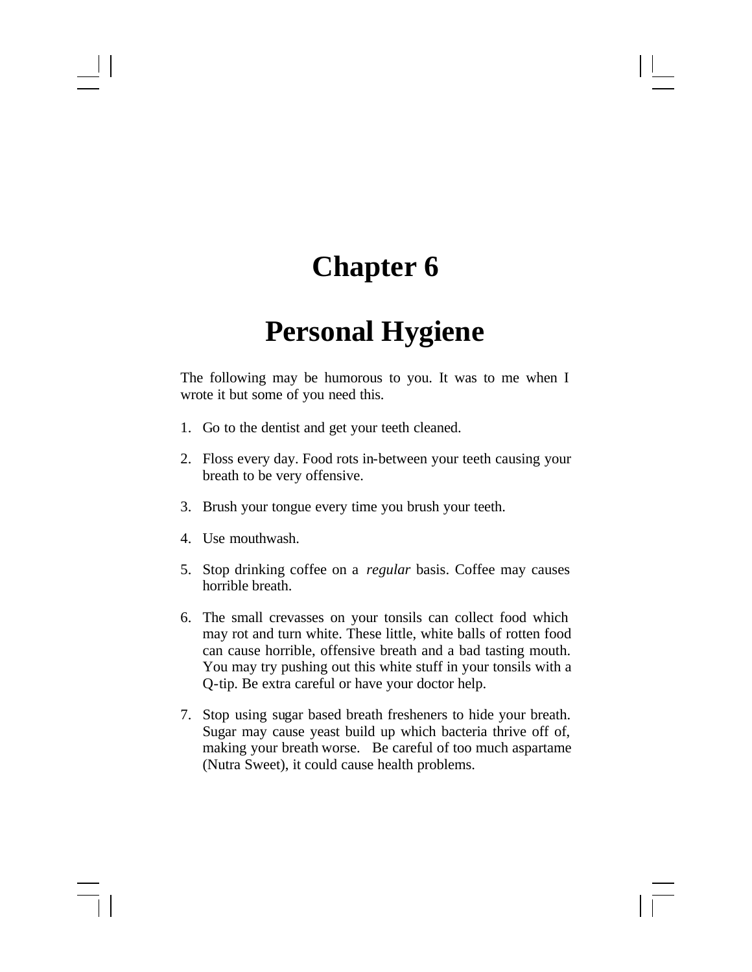# **Chapter 6**

# **Personal Hygiene**

The following may be humorous to you. It was to me when I wrote it but some of you need this.

- 1. Go to the dentist and get your teeth cleaned.
- 2. Floss every day. Food rots in-between your teeth causing your breath to be very offensive.
- 3. Brush your tongue every time you brush your teeth.
- 4. Use mouthwash.
- 5. Stop drinking coffee on a *regular* basis. Coffee may causes horrible breath.
- 6. The small crevasses on your tonsils can collect food which may rot and turn white. These little, white balls of rotten food can cause horrible, offensive breath and a bad tasting mouth. You may try pushing out this white stuff in your tonsils with a Q-tip. Be extra careful or have your doctor help.
- 7. Stop using sugar based breath fresheners to hide your breath. Sugar may cause yeast build up which bacteria thrive off of, making your breath worse. Be careful of too much aspartame (Nutra Sweet), it could cause health problems.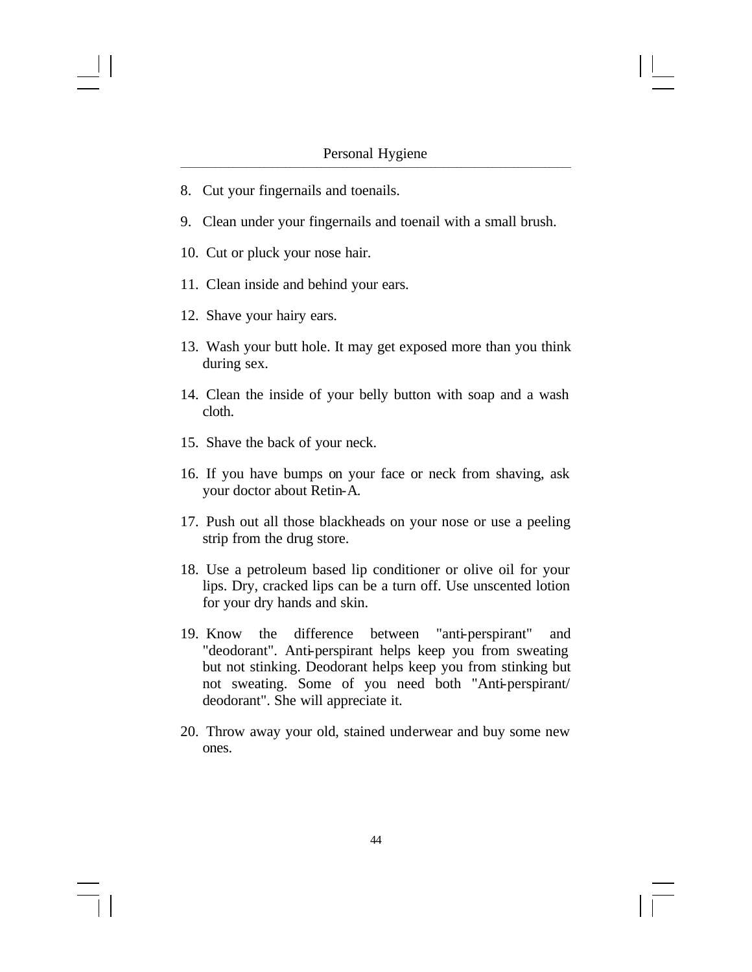- 8. Cut your fingernails and toenails.
- 9. Clean under your fingernails and toenail with a small brush.
- 10. Cut or pluck your nose hair.
- 11. Clean inside and behind your ears.
- 12. Shave your hairy ears.
- 13. Wash your butt hole. It may get exposed more than you think during sex.
- 14. Clean the inside of your belly button with soap and a wash cloth.
- 15. Shave the back of your neck.
- 16. If you have bumps on your face or neck from shaving, ask your doctor about Retin-A.
- 17. Push out all those blackheads on your nose or use a peeling strip from the drug store.
- 18. Use a petroleum based lip conditioner or olive oil for your lips. Dry, cracked lips can be a turn off. Use unscented lotion for your dry hands and skin.
- 19. Know the difference between "anti-perspirant" and "deodorant". Anti-perspirant helps keep you from sweating but not stinking. Deodorant helps keep you from stinking but not sweating. Some of you need both "Anti-perspirant/ deodorant". She will appreciate it.
- 20. Throw away your old, stained underwear and buy some new ones.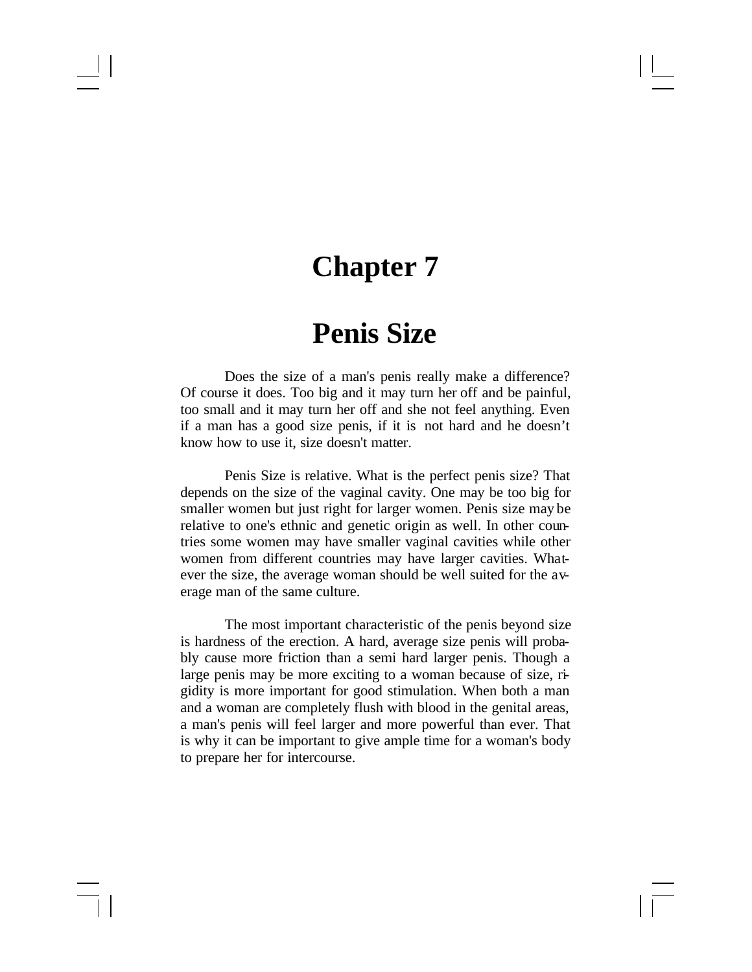# **Chapter 7**

## **Penis Size**

Does the size of a man's penis really make a difference? Of course it does. Too big and it may turn her off and be painful, too small and it may turn her off and she not feel anything. Even if a man has a good size penis, if it is not hard and he doesn't know how to use it, size doesn't matter.

Penis Size is relative. What is the perfect penis size? That depends on the size of the vaginal cavity. One may be too big for smaller women but just right for larger women. Penis size may be relative to one's ethnic and genetic origin as well. In other countries some women may have smaller vaginal cavities while other women from different countries may have larger cavities. Whatever the size, the average woman should be well suited for the average man of the same culture.

The most important characteristic of the penis beyond size is hardness of the erection. A hard, average size penis will probably cause more friction than a semi hard larger penis. Though a large penis may be more exciting to a woman because of size, rigidity is more important for good stimulation. When both a man and a woman are completely flush with blood in the genital areas, a man's penis will feel larger and more powerful than ever. That is why it can be important to give ample time for a woman's body to prepare her for intercourse.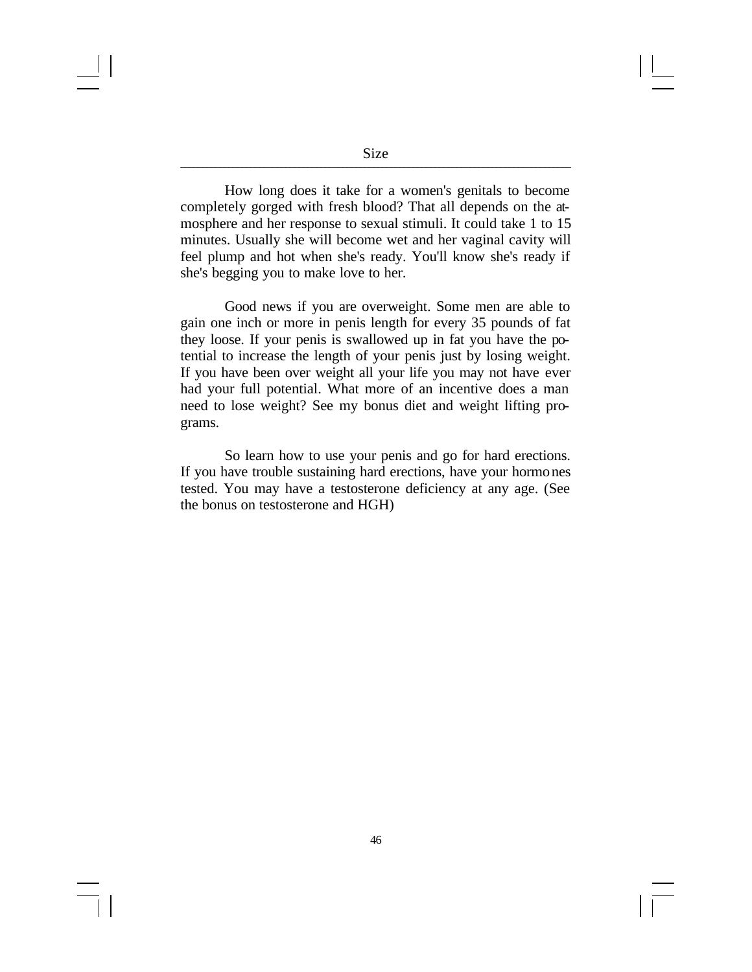How long does it take for a women's genitals to become completely gorged with fresh blood? That all depends on the atmosphere and her response to sexual stimuli. It could take 1 to 15 minutes. Usually she will become wet and her vaginal cavity will feel plump and hot when she's ready. You'll know she's ready if she's begging you to make love to her.

Good news if you are overweight. Some men are able to gain one inch or more in penis length for every 35 pounds of fat they loose. If your penis is swallowed up in fat you have the potential to increase the length of your penis just by losing weight. If you have been over weight all your life you may not have ever had your full potential. What more of an incentive does a man need to lose weight? See my bonus diet and weight lifting programs.

So learn how to use your penis and go for hard erections. If you have trouble sustaining hard erections, have your hormones tested. You may have a testosterone deficiency at any age. (See the bonus on testosterone and HGH)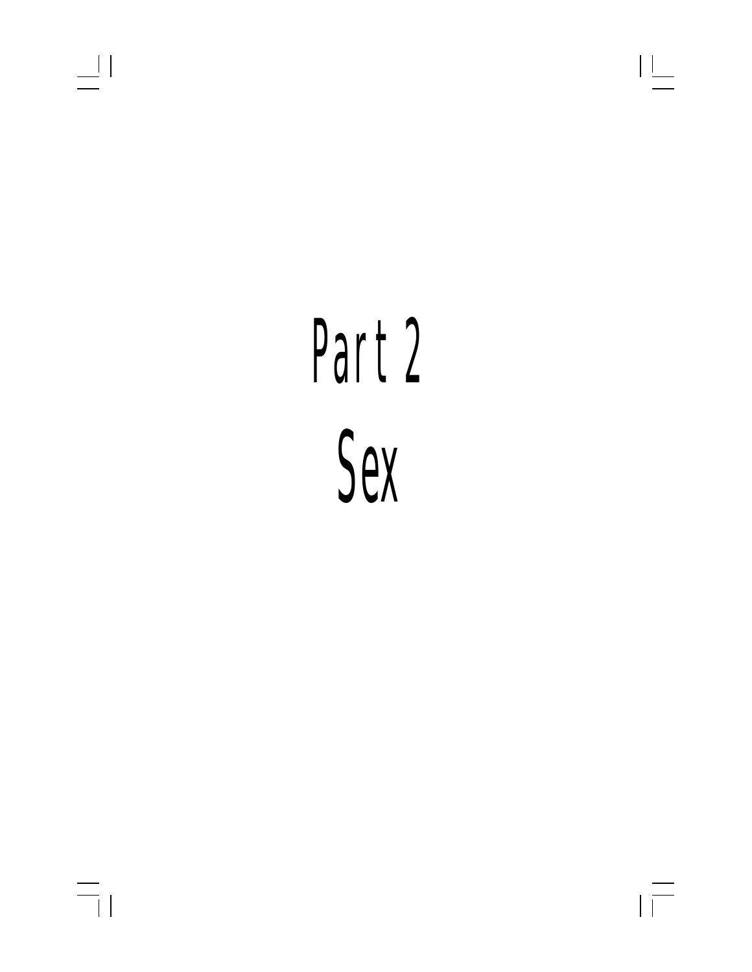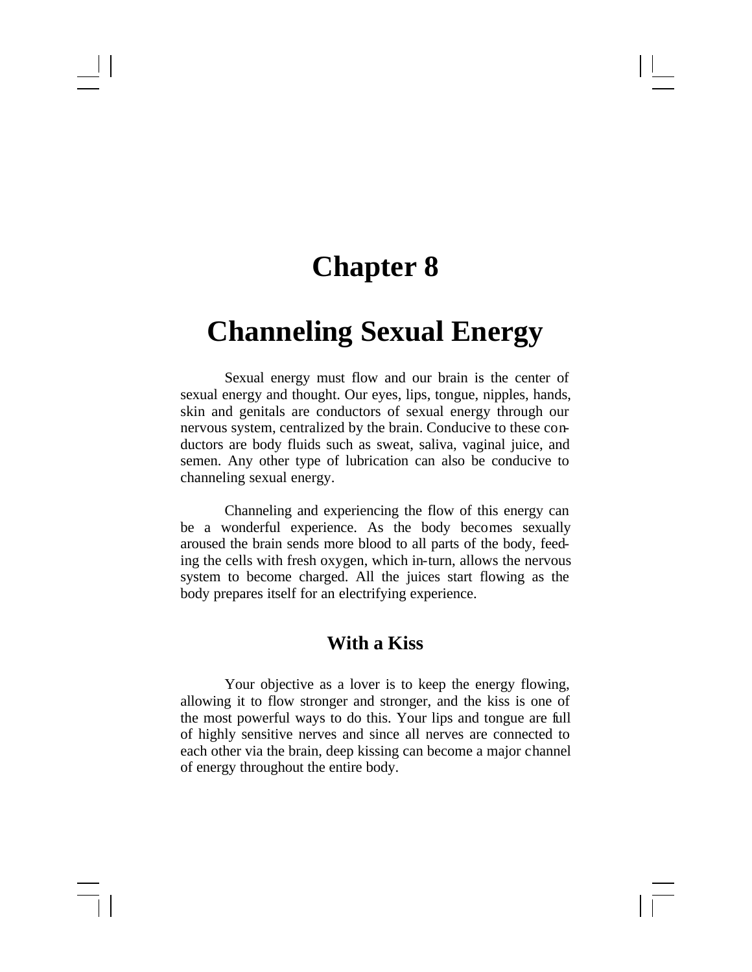# **Chapter 8**

# **Channeling Sexual Energy**

Sexual energy must flow and our brain is the center of sexual energy and thought. Our eyes, lips, tongue, nipples, hands, skin and genitals are conductors of sexual energy through our nervous system, centralized by the brain. Conducive to these conductors are body fluids such as sweat, saliva, vaginal juice, and semen. Any other type of lubrication can also be conducive to channeling sexual energy.

Channeling and experiencing the flow of this energy can be a wonderful experience. As the body becomes sexually aroused the brain sends more blood to all parts of the body, feeding the cells with fresh oxygen, which in-turn, allows the nervous system to become charged. All the juices start flowing as the body prepares itself for an electrifying experience.

### **With a Kiss**

Your objective as a lover is to keep the energy flowing, allowing it to flow stronger and stronger, and the kiss is one of the most powerful ways to do this. Your lips and tongue are full of highly sensitive nerves and since all nerves are connected to each other via the brain, deep kissing can become a major channel of energy throughout the entire body.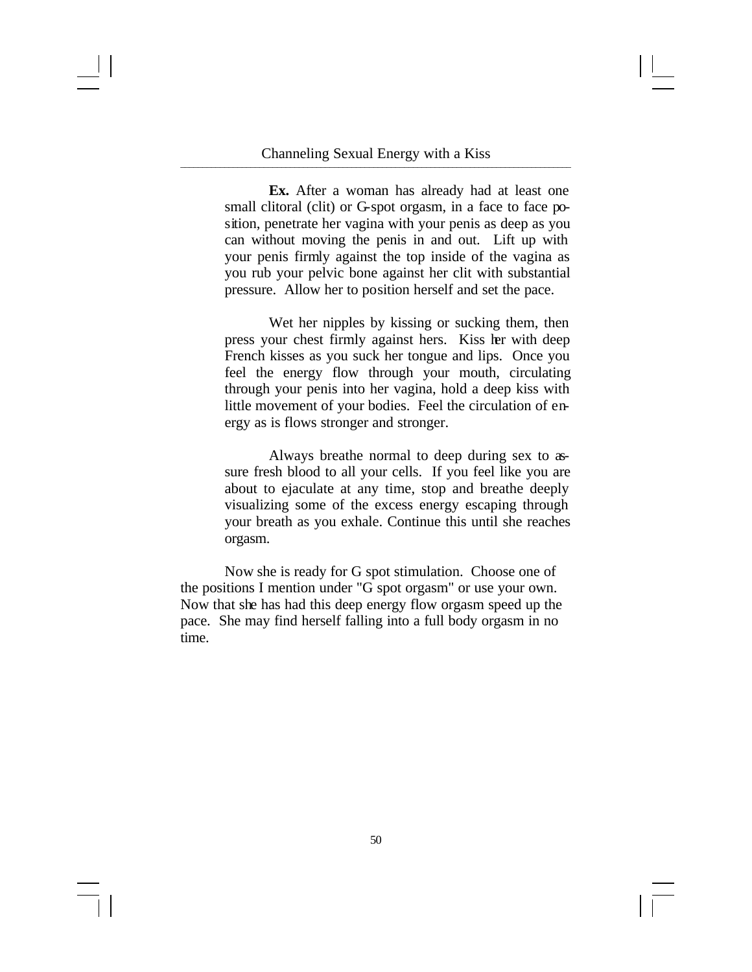**Ex.** After a woman has already had at least one small clitoral (clit) or G-spot orgasm, in a face to face position, penetrate her vagina with your penis as deep as you can without moving the penis in and out. Lift up with your penis firmly against the top inside of the vagina as you rub your pelvic bone against her clit with substantial pressure. Allow her to position herself and set the pace.

Wet her nipples by kissing or sucking them, then press your chest firmly against hers. Kiss her with deep French kisses as you suck her tongue and lips. Once you feel the energy flow through your mouth, circulating through your penis into her vagina, hold a deep kiss with little movement of your bodies. Feel the circulation of energy as is flows stronger and stronger.

Always breathe normal to deep during sex to assure fresh blood to all your cells. If you feel like you are about to ejaculate at any time, stop and breathe deeply visualizing some of the excess energy escaping through your breath as you exhale. Continue this until she reaches orgasm.

 Now she is ready for G spot stimulation. Choose one of the positions I mention under "G spot orgasm" or use your own. Now that she has had this deep energy flow orgasm speed up the pace. She may find herself falling into a full body orgasm in no time.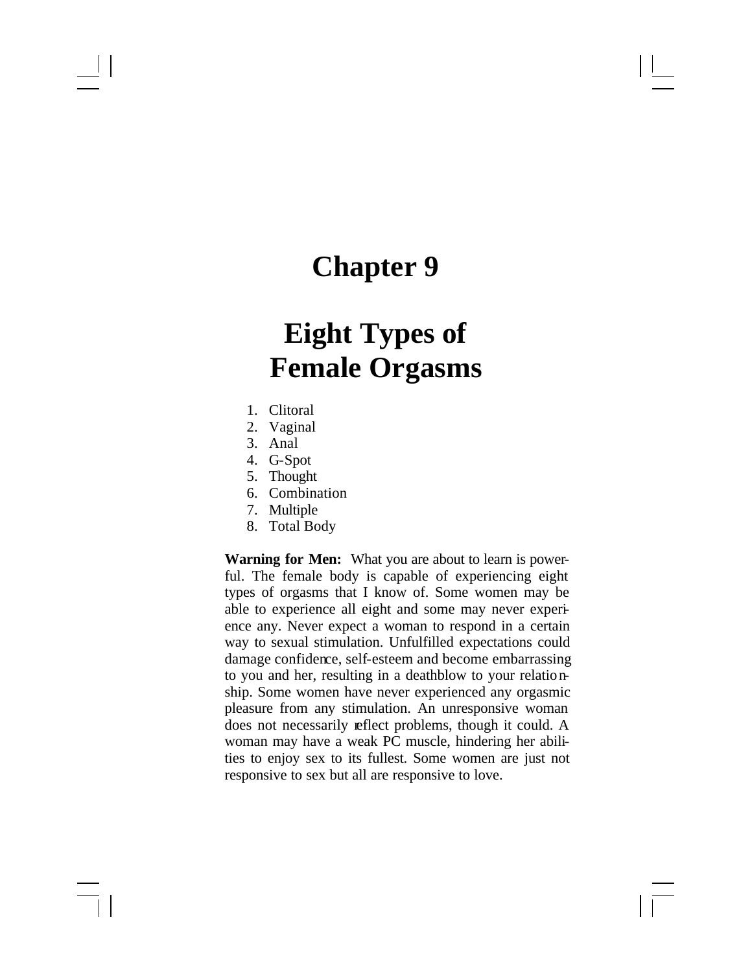# **Chapter 9**

# **Eight Types of Female Orgasms**

- 1. Clitoral
- 2. Vaginal
- 3. Anal
- 4. G-Spot
- 5. Thought
- 6. Combination
- 7. Multiple
- 8. Total Body

**Warning for Men:** What you are about to learn is powerful. The female body is capable of experiencing eight types of orgasms that I know of. Some women may be able to experience all eight and some may never experience any. Never expect a woman to respond in a certain way to sexual stimulation. Unfulfilled expectations could damage confidence, self-esteem and become embarrassing to you and her, resulting in a deathblow to your relationship. Some women have never experienced any orgasmic pleasure from any stimulation. An unresponsive woman does not necessarily reflect problems, though it could. A woman may have a weak PC muscle, hindering her abilities to enjoy sex to its fullest. Some women are just not responsive to sex but all are responsive to love.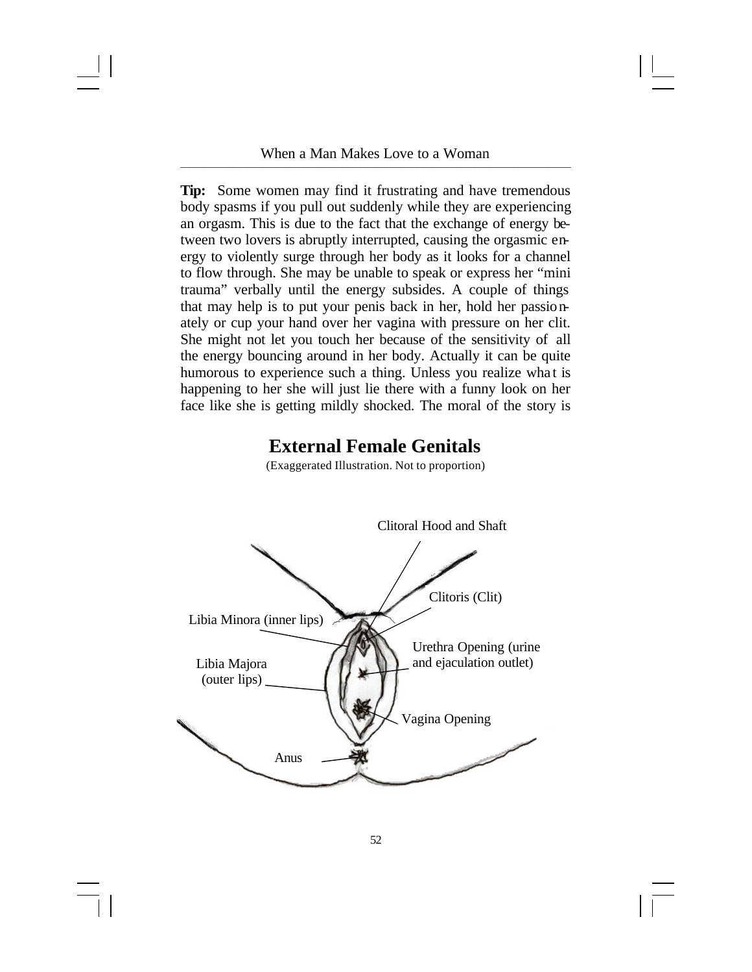**Tip:** Some women may find it frustrating and have tremendous body spasms if you pull out suddenly while they are experiencing an orgasm. This is due to the fact that the exchange of energy between two lovers is abruptly interrupted, causing the orgasmic energy to violently surge through her body as it looks for a channel to flow through. She may be unable to speak or express her "mini trauma" verbally until the energy subsides. A couple of things that may help is to put your penis back in her, hold her passionately or cup your hand over her vagina with pressure on her clit. She might not let you touch her because of the sensitivity of all the energy bouncing around in her body. Actually it can be quite humorous to experience such a thing. Unless you realize what is happening to her she will just lie there with a funny look on her face like she is getting mildly shocked. The moral of the story is

## **External Female Genitals**

(Exaggerated Illustration. Not to proportion)

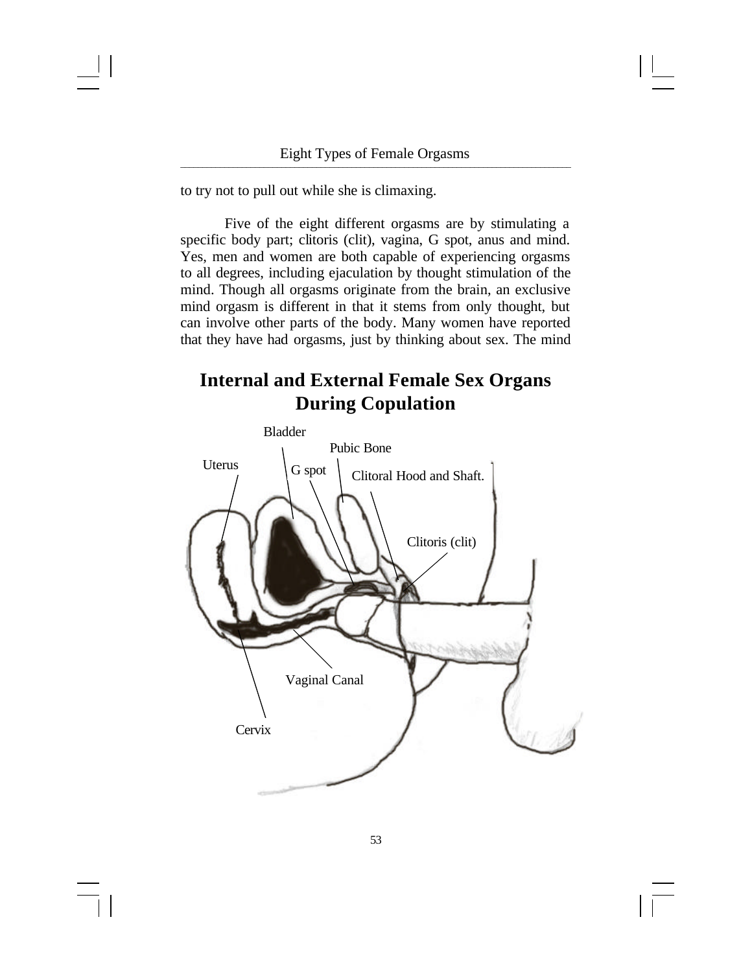to try not to pull out while she is climaxing.

Five of the eight different orgasms are by stimulating a specific body part; clitoris (clit), vagina, G spot, anus and mind. Yes, men and women are both capable of experiencing orgasms to all degrees, including ejaculation by thought stimulation of the mind. Though all orgasms originate from the brain, an exclusive mind orgasm is different in that it stems from only thought, but can involve other parts of the body. Many women have reported that they have had orgasms, just by thinking about sex. The mind

## **Internal and External Female Sex Organs During Copulation**

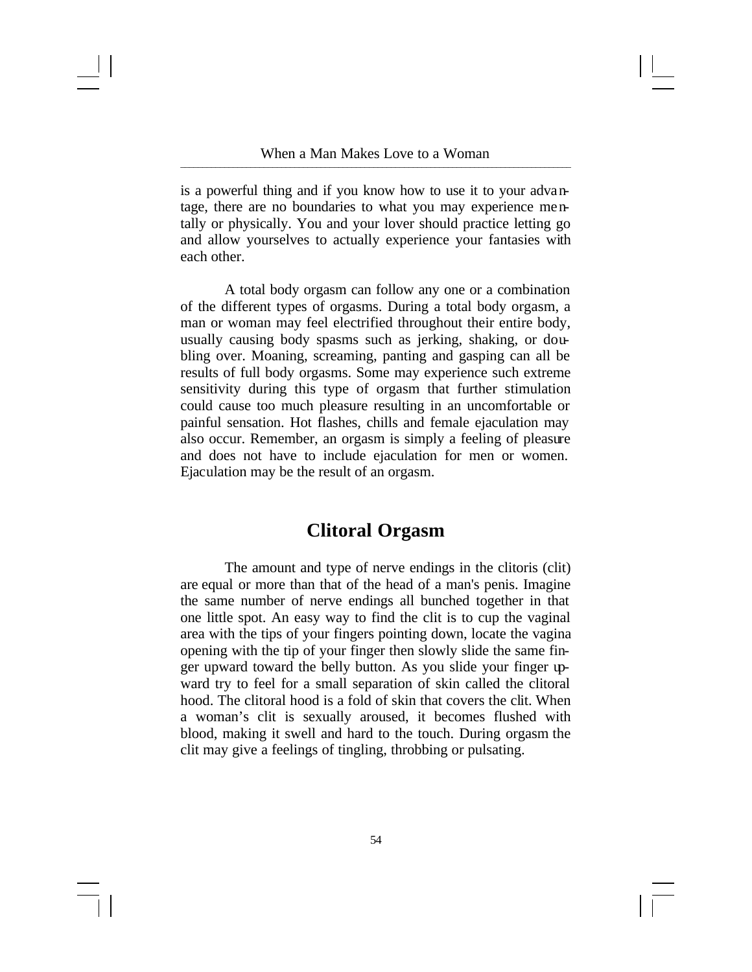is a powerful thing and if you know how to use it to your advantage, there are no boundaries to what you may experience mentally or physically. You and your lover should practice letting go and allow yourselves to actually experience your fantasies with each other.

A total body orgasm can follow any one or a combination of the different types of orgasms. During a total body orgasm, a man or woman may feel electrified throughout their entire body, usually causing body spasms such as jerking, shaking, or doubling over. Moaning, screaming, panting and gasping can all be results of full body orgasms. Some may experience such extreme sensitivity during this type of orgasm that further stimulation could cause too much pleasure resulting in an uncomfortable or painful sensation. Hot flashes, chills and female ejaculation may also occur. Remember, an orgasm is simply a feeling of pleasure and does not have to include ejaculation for men or women. Ejaculation may be the result of an orgasm.

## **Clitoral Orgasm**

The amount and type of nerve endings in the clitoris (clit) are equal or more than that of the head of a man's penis. Imagine the same number of nerve endings all bunched together in that one little spot. An easy way to find the clit is to cup the vaginal area with the tips of your fingers pointing down, locate the vagina opening with the tip of your finger then slowly slide the same finger upward toward the belly button. As you slide your finger upward try to feel for a small separation of skin called the clitoral hood. The clitoral hood is a fold of skin that covers the clit. When a woman's clit is sexually aroused, it becomes flushed with blood, making it swell and hard to the touch. During orgasm the clit may give a feelings of tingling, throbbing or pulsating.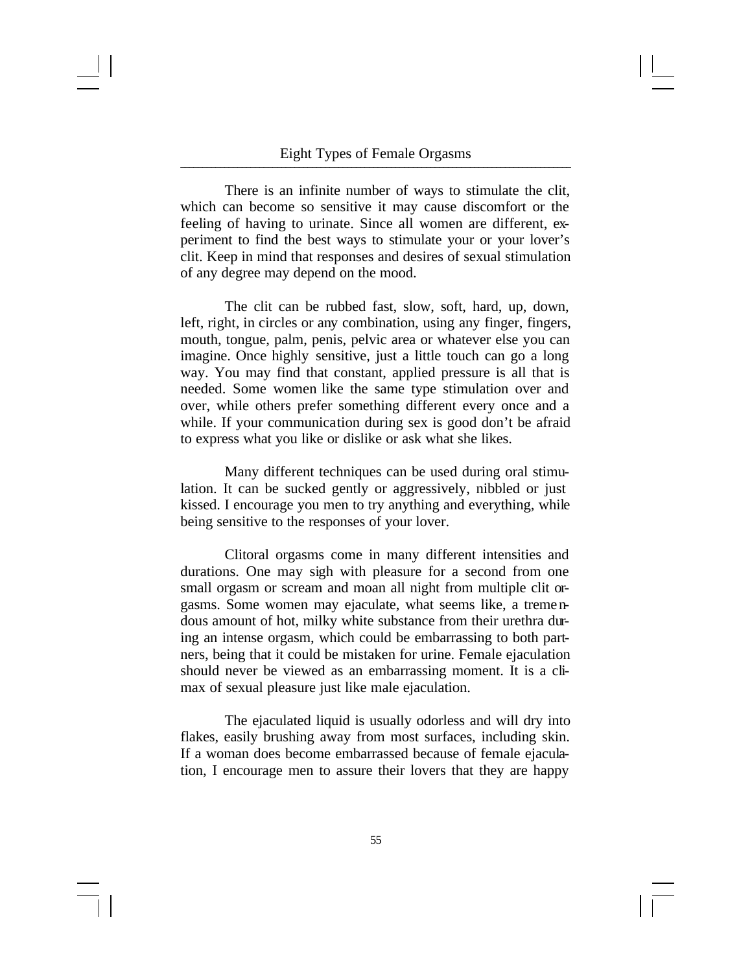There is an infinite number of ways to stimulate the clit, which can become so sensitive it may cause discomfort or the feeling of having to urinate. Since all women are different, experiment to find the best ways to stimulate your or your lover's clit. Keep in mind that responses and desires of sexual stimulation of any degree may depend on the mood.

The clit can be rubbed fast, slow, soft, hard, up, down, left, right, in circles or any combination, using any finger, fingers, mouth, tongue, palm, penis, pelvic area or whatever else you can imagine. Once highly sensitive, just a little touch can go a long way. You may find that constant, applied pressure is all that is needed. Some women like the same type stimulation over and over, while others prefer something different every once and a while. If your communication during sex is good don't be afraid to express what you like or dislike or ask what she likes.

Many different techniques can be used during oral stimulation. It can be sucked gently or aggressively, nibbled or just kissed. I encourage you men to try anything and everything, while being sensitive to the responses of your lover.

Clitoral orgasms come in many different intensities and durations. One may sigh with pleasure for a second from one small orgasm or scream and moan all night from multiple clit orgasms. Some women may ejaculate, what seems like, a tremendous amount of hot, milky white substance from their urethra during an intense orgasm, which could be embarrassing to both partners, being that it could be mistaken for urine. Female ejaculation should never be viewed as an embarrassing moment. It is a climax of sexual pleasure just like male ejaculation.

 The ejaculated liquid is usually odorless and will dry into flakes, easily brushing away from most surfaces, including skin. If a woman does become embarrassed because of female ejaculation, I encourage men to assure their lovers that they are happy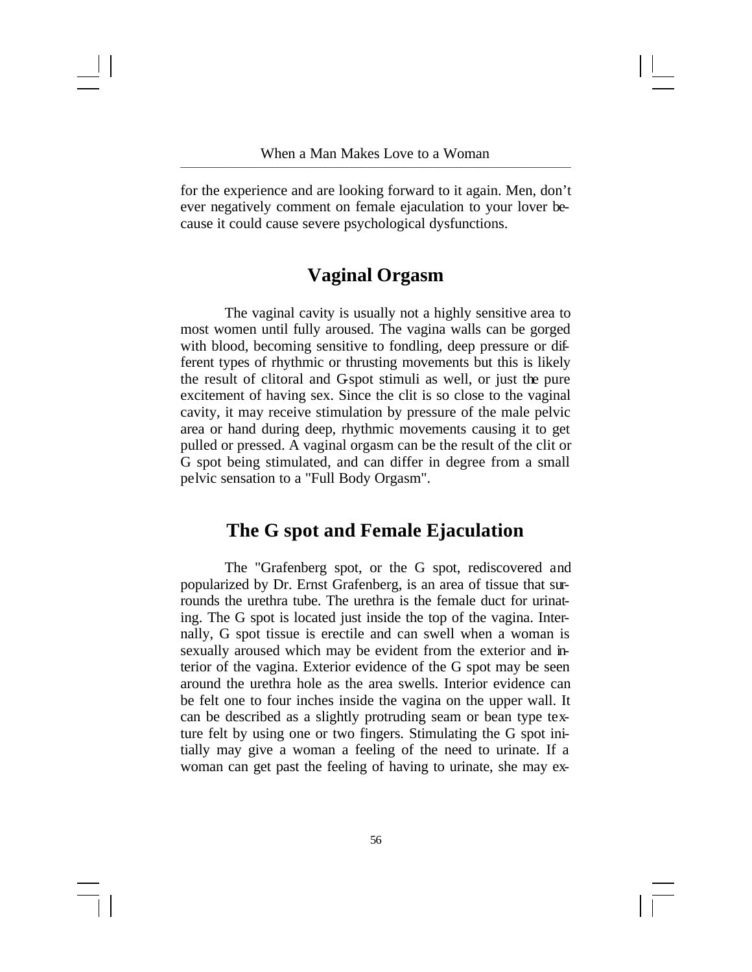for the experience and are looking forward to it again. Men, don't ever negatively comment on female ejaculation to your lover because it could cause severe psychological dysfunctions.

## **Vaginal Orgasm**

The vaginal cavity is usually not a highly sensitive area to most women until fully aroused. The vagina walls can be gorged with blood, becoming sensitive to fondling, deep pressure or different types of rhythmic or thrusting movements but this is likely the result of clitoral and G-spot stimuli as well, or just the pure excitement of having sex. Since the clit is so close to the vaginal cavity, it may receive stimulation by pressure of the male pelvic area or hand during deep, rhythmic movements causing it to get pulled or pressed. A vaginal orgasm can be the result of the clit or G spot being stimulated, and can differ in degree from a small pelvic sensation to a "Full Body Orgasm".

## **The G spot and Female Ejaculation**

The "Grafenberg spot, or the G spot, rediscovered and popularized by Dr. Ernst Grafenberg, is an area of tissue that surrounds the urethra tube. The urethra is the female duct for urinating. The G spot is located just inside the top of the vagina. Internally, G spot tissue is erectile and can swell when a woman is sexually aroused which may be evident from the exterior and interior of the vagina. Exterior evidence of the G spot may be seen around the urethra hole as the area swells. Interior evidence can be felt one to four inches inside the vagina on the upper wall. It can be described as a slightly protruding seam or bean type texture felt by using one or two fingers. Stimulating the G spot initially may give a woman a feeling of the need to urinate. If a woman can get past the feeling of having to urinate, she may ex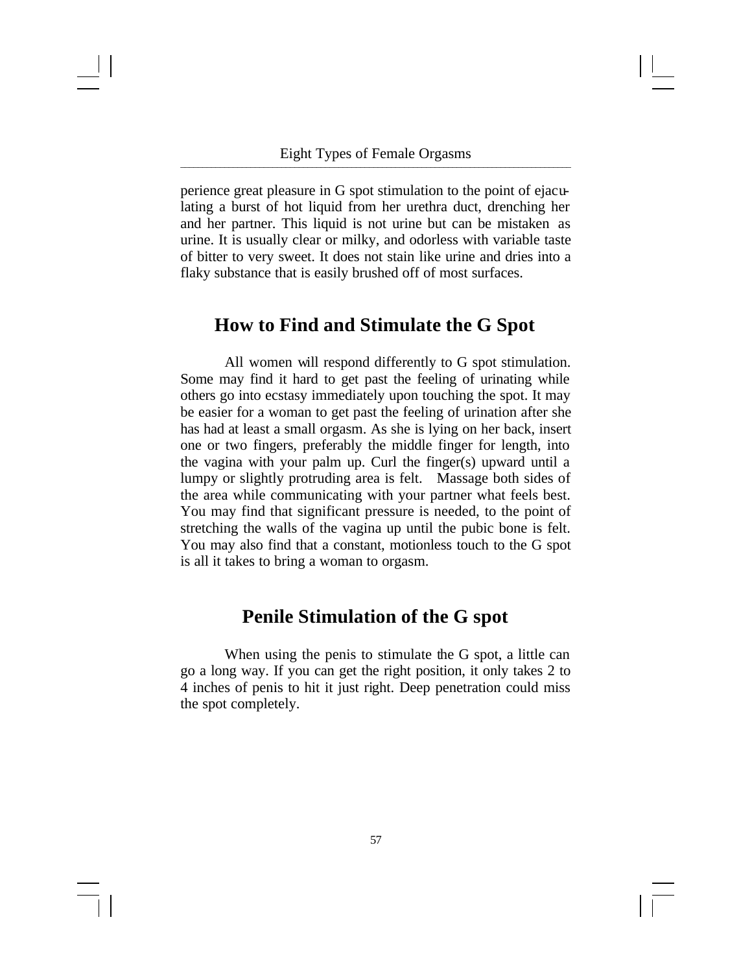perience great pleasure in G spot stimulation to the point of ejaculating a burst of hot liquid from her urethra duct, drenching her and her partner. This liquid is not urine but can be mistaken as urine. It is usually clear or milky, and odorless with variable taste of bitter to very sweet. It does not stain like urine and dries into a flaky substance that is easily brushed off of most surfaces.

## **How to Find and Stimulate the G Spot**

All women will respond differently to G spot stimulation. Some may find it hard to get past the feeling of urinating while others go into ecstasy immediately upon touching the spot. It may be easier for a woman to get past the feeling of urination after she has had at least a small orgasm. As she is lying on her back, insert one or two fingers, preferably the middle finger for length, into the vagina with your palm up. Curl the finger(s) upward until a lumpy or slightly protruding area is felt. Massage both sides of the area while communicating with your partner what feels best. You may find that significant pressure is needed, to the point of stretching the walls of the vagina up until the pubic bone is felt. You may also find that a constant, motionless touch to the G spot is all it takes to bring a woman to orgasm.

## **Penile Stimulation of the G spot**

When using the penis to stimulate the G spot, a little can go a long way. If you can get the right position, it only takes 2 to 4 inches of penis to hit it just right. Deep penetration could miss the spot completely.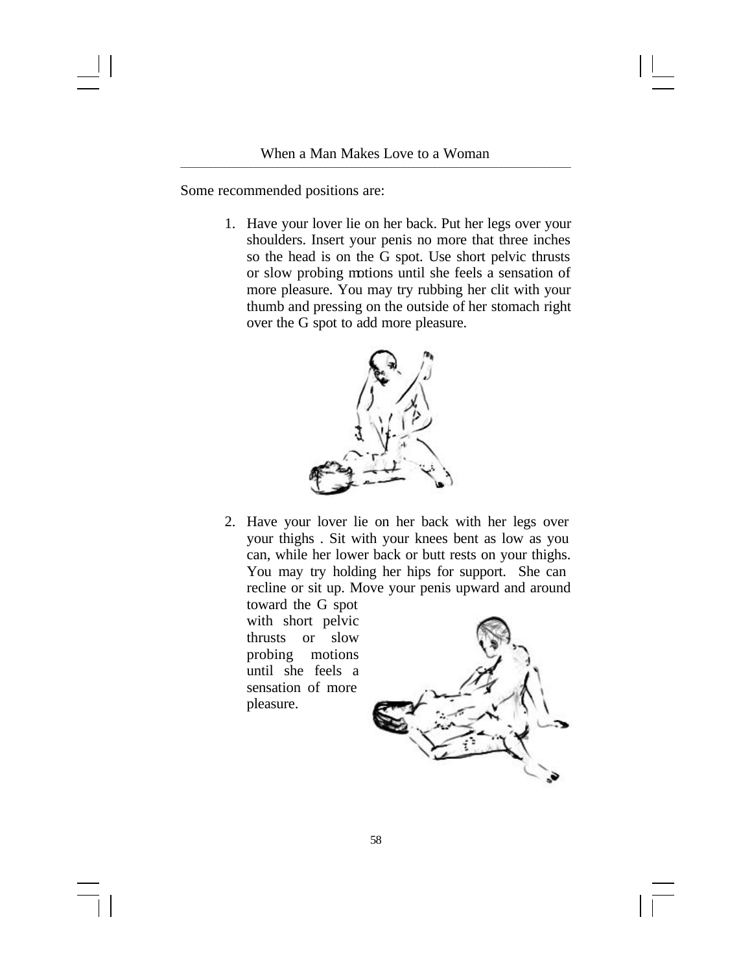Some recommended positions are:

1. Have your lover lie on her back. Put her legs over your shoulders. Insert your penis no more that three inches so the head is on the G spot. Use short pelvic thrusts or slow probing motions until she feels a sensation of more pleasure. You may try rubbing her clit with your thumb and pressing on the outside of her stomach right over the G spot to add more pleasure.



2. Have your lover lie on her back with her legs over your thighs . Sit with your knees bent as low as you can, while her lower back or butt rests on your thighs. You may try holding her hips for support. She can recline or sit up. Move your penis upward and around

toward the G spot with short pelvic thrusts or slow probing motions until she feels a sensation of more pleasure.

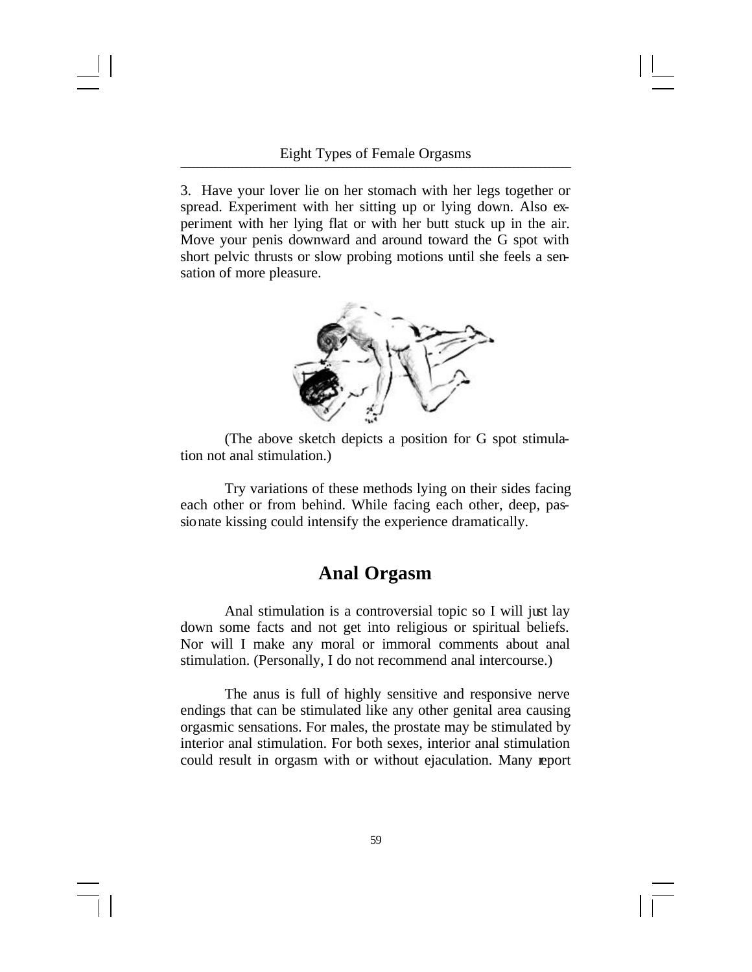3. Have your lover lie on her stomach with her legs together or spread. Experiment with her sitting up or lying down. Also experiment with her lying flat or with her butt stuck up in the air. Move your penis downward and around toward the G spot with short pelvic thrusts or slow probing motions until she feels a sensation of more pleasure.



 (The above sketch depicts a position for G spot stimulation not anal stimulation.)

 Try variations of these methods lying on their sides facing each other or from behind. While facing each other, deep, passionate kissing could intensify the experience dramatically.

## **Anal Orgasm**

Anal stimulation is a controversial topic so I will just lay down some facts and not get into religious or spiritual beliefs. Nor will I make any moral or immoral comments about anal stimulation. (Personally, I do not recommend anal intercourse.)

The anus is full of highly sensitive and responsive nerve endings that can be stimulated like any other genital area causing orgasmic sensations. For males, the prostate may be stimulated by interior anal stimulation. For both sexes, interior anal stimulation could result in orgasm with or without ejaculation. Many report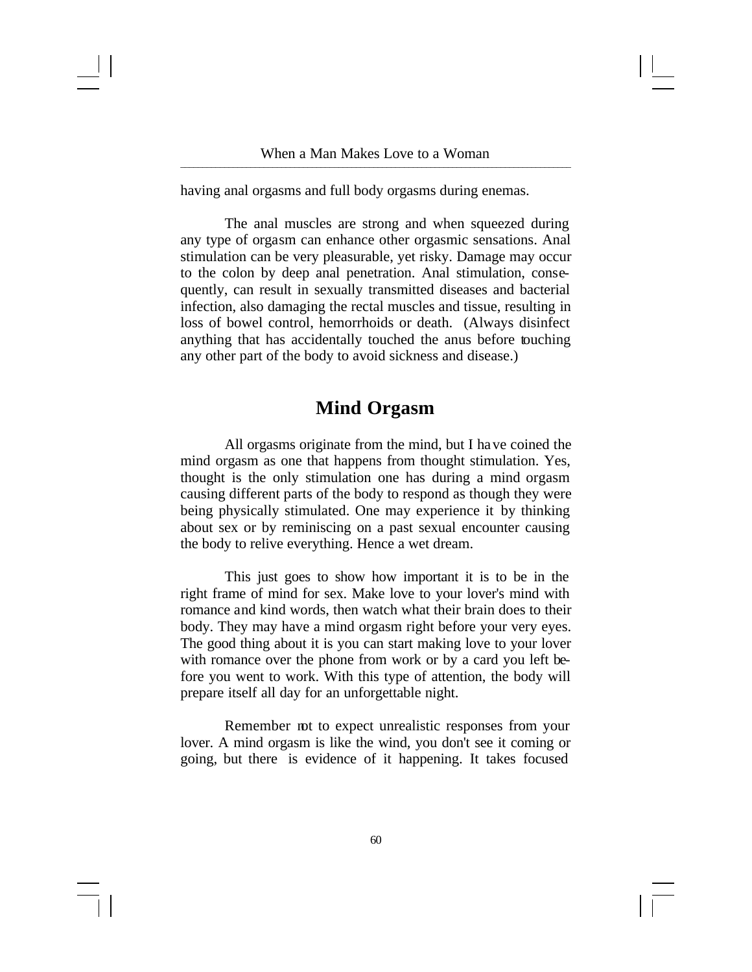having anal orgasms and full body orgasms during enemas.

The anal muscles are strong and when squeezed during any type of orgasm can enhance other orgasmic sensations. Anal stimulation can be very pleasurable, yet risky. Damage may occur to the colon by deep anal penetration. Anal stimulation, consequently, can result in sexually transmitted diseases and bacterial infection, also damaging the rectal muscles and tissue, resulting in loss of bowel control, hemorrhoids or death. (Always disinfect anything that has accidentally touched the anus before touching any other part of the body to avoid sickness and disease.)

## **Mind Orgasm**

All orgasms originate from the mind, but I have coined the mind orgasm as one that happens from thought stimulation. Yes, thought is the only stimulation one has during a mind orgasm causing different parts of the body to respond as though they were being physically stimulated. One may experience it by thinking about sex or by reminiscing on a past sexual encounter causing the body to relive everything. Hence a wet dream.

This just goes to show how important it is to be in the right frame of mind for sex. Make love to your lover's mind with romance and kind words, then watch what their brain does to their body. They may have a mind orgasm right before your very eyes. The good thing about it is you can start making love to your lover with romance over the phone from work or by a card you left before you went to work. With this type of attention, the body will prepare itself all day for an unforgettable night.

Remember not to expect unrealistic responses from your lover. A mind orgasm is like the wind, you don't see it coming or going, but there is evidence of it happening. It takes focused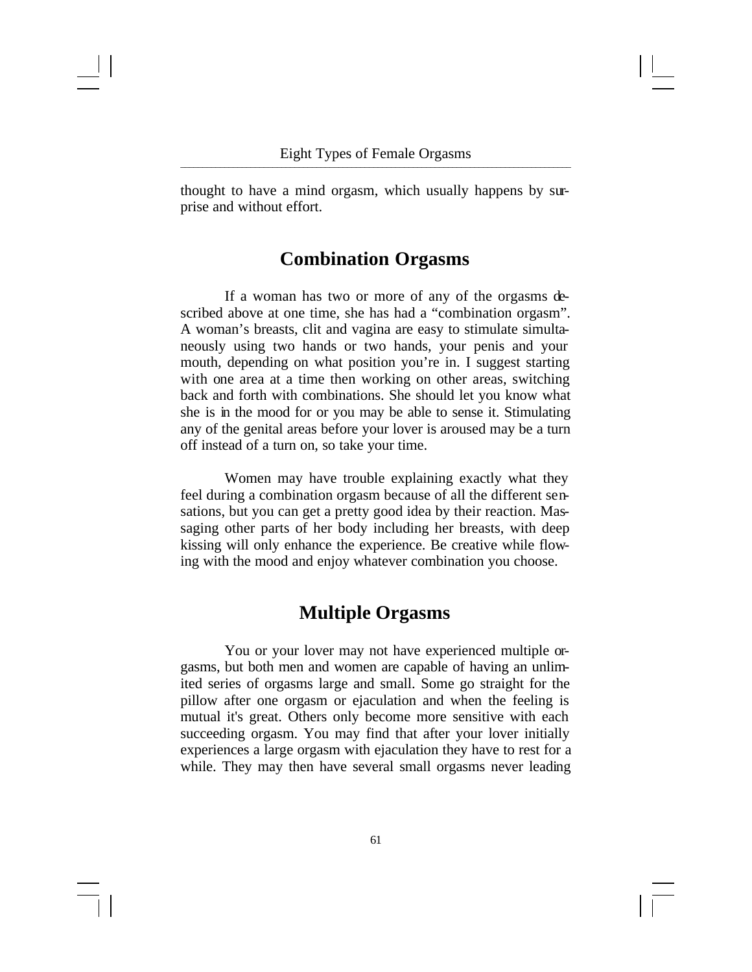thought to have a mind orgasm, which usually happens by surprise and without effort.

## **Combination Orgasms**

If a woman has two or more of any of the orgasms described above at one time, she has had a "combination orgasm". A woman's breasts, clit and vagina are easy to stimulate simultaneously using two hands or two hands, your penis and your mouth, depending on what position you're in. I suggest starting with one area at a time then working on other areas, switching back and forth with combinations. She should let you know what she is in the mood for or you may be able to sense it. Stimulating any of the genital areas before your lover is aroused may be a turn off instead of a turn on, so take your time.

Women may have trouble explaining exactly what they feel during a combination orgasm because of all the different sensations, but you can get a pretty good idea by their reaction. Massaging other parts of her body including her breasts, with deep kissing will only enhance the experience. Be creative while flowing with the mood and enjoy whatever combination you choose.

## **Multiple Orgasms**

You or your lover may not have experienced multiple orgasms, but both men and women are capable of having an unlimited series of orgasms large and small. Some go straight for the pillow after one orgasm or ejaculation and when the feeling is mutual it's great. Others only become more sensitive with each succeeding orgasm. You may find that after your lover initially experiences a large orgasm with ejaculation they have to rest for a while. They may then have several small orgasms never leading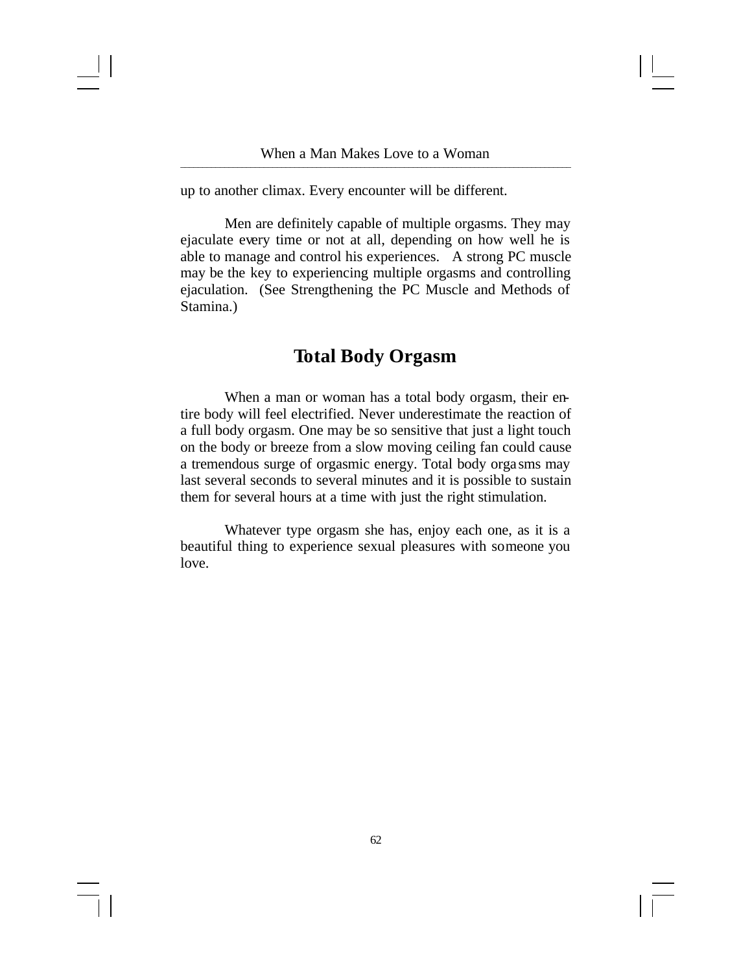up to another climax. Every encounter will be different.

Men are definitely capable of multiple orgasms. They may ejaculate every time or not at all, depending on how well he is able to manage and control his experiences. A strong PC muscle may be the key to experiencing multiple orgasms and controlling ejaculation. (See Strengthening the PC Muscle and Methods of Stamina.)

## **Total Body Orgasm**

When a man or woman has a total body orgasm, their entire body will feel electrified. Never underestimate the reaction of a full body orgasm. One may be so sensitive that just a light touch on the body or breeze from a slow moving ceiling fan could cause a tremendous surge of orgasmic energy. Total body orga sms may last several seconds to several minutes and it is possible to sustain them for several hours at a time with just the right stimulation.

Whatever type orgasm she has, enjoy each one, as it is a beautiful thing to experience sexual pleasures with someone you love.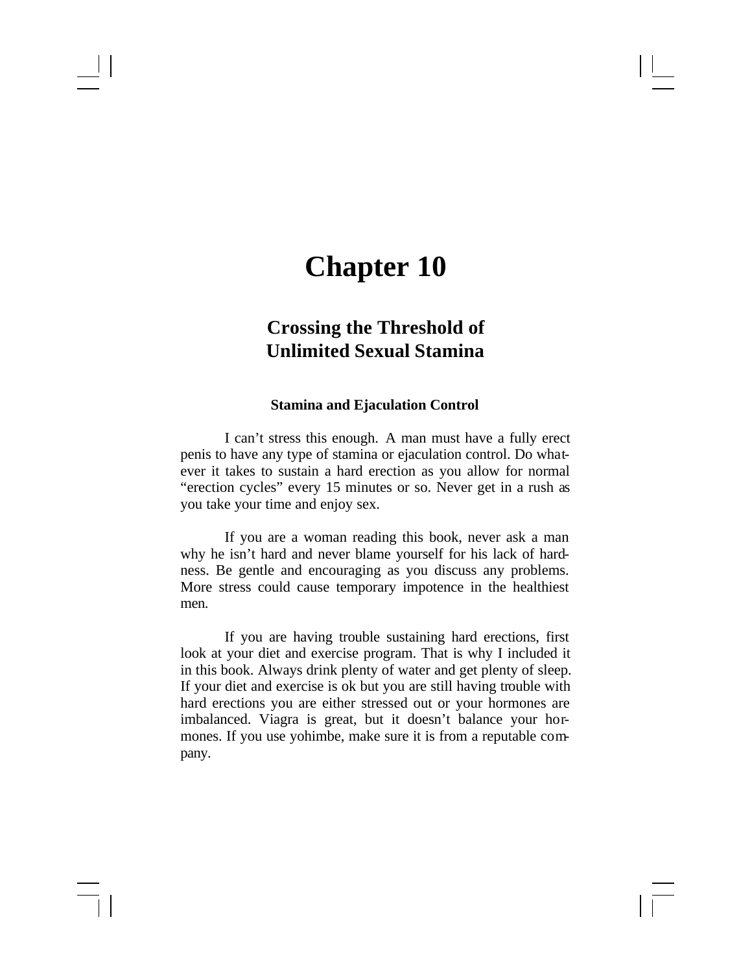# **Chapter 10**

## **Crossing the Threshold of Unlimited Sexual Stamina**

#### **Stamina and Ejaculation Control**

I can't stress this enough. A man must have a fully erect penis to have any type of stamina or ejaculation control. Do whatever it takes to sustain a hard erection as you allow for normal "erection cycles" every 15 minutes or so. Never get in a rush as you take your time and enjoy sex.

If you are a woman reading this book, never ask a man why he isn't hard and never blame yourself for his lack of hardness. Be gentle and encouraging as you discuss any problems. More stress could cause temporary impotence in the healthiest men.

 If you are having trouble sustaining hard erections, first look at your diet and exercise program. That is why I included it in this book. Always drink plenty of water and get plenty of sleep. If your diet and exercise is ok but you are still having trouble with hard erections you are either stressed out or your hormones are imbalanced. Viagra is great, but it doesn't balance your hormones. If you use yohimbe, make sure it is from a reputable company.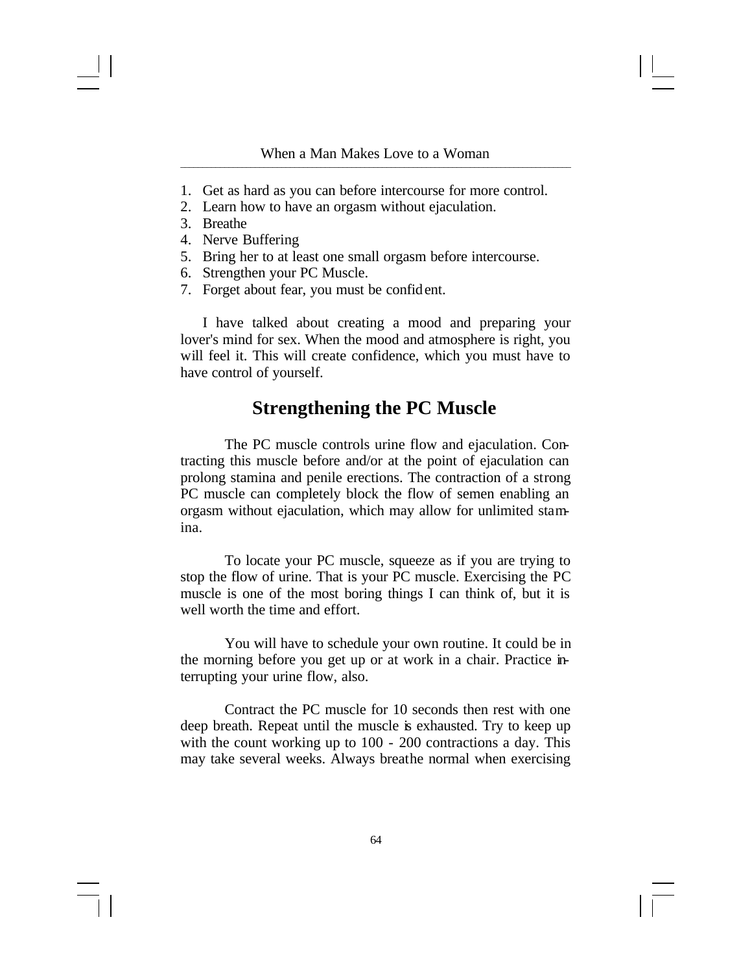- 1. Get as hard as you can before intercourse for more control.
- 2. Learn how to have an orgasm without ejaculation.
- 3. Breathe
- 4. Nerve Buffering
- 5. Bring her to at least one small orgasm before intercourse.
- 6. Strengthen your PC Muscle.
- 7. Forget about fear, you must be confident.

I have talked about creating a mood and preparing your lover's mind for sex. When the mood and atmosphere is right, you will feel it. This will create confidence, which you must have to have control of yourself.

## **Strengthening the PC Muscle**

The PC muscle controls urine flow and ejaculation. Contracting this muscle before and/or at the point of ejaculation can prolong stamina and penile erections. The contraction of a strong PC muscle can completely block the flow of semen enabling an orgasm without ejaculation, which may allow for unlimited stamina.

To locate your PC muscle, squeeze as if you are trying to stop the flow of urine. That is your PC muscle. Exercising the PC muscle is one of the most boring things I can think of, but it is well worth the time and effort.

You will have to schedule your own routine. It could be in the morning before you get up or at work in a chair. Practice interrupting your urine flow, also.

Contract the PC muscle for 10 seconds then rest with one deep breath. Repeat until the muscle is exhausted. Try to keep up with the count working up to 100 - 200 contractions a day. This may take several weeks. Always breathe normal when exercising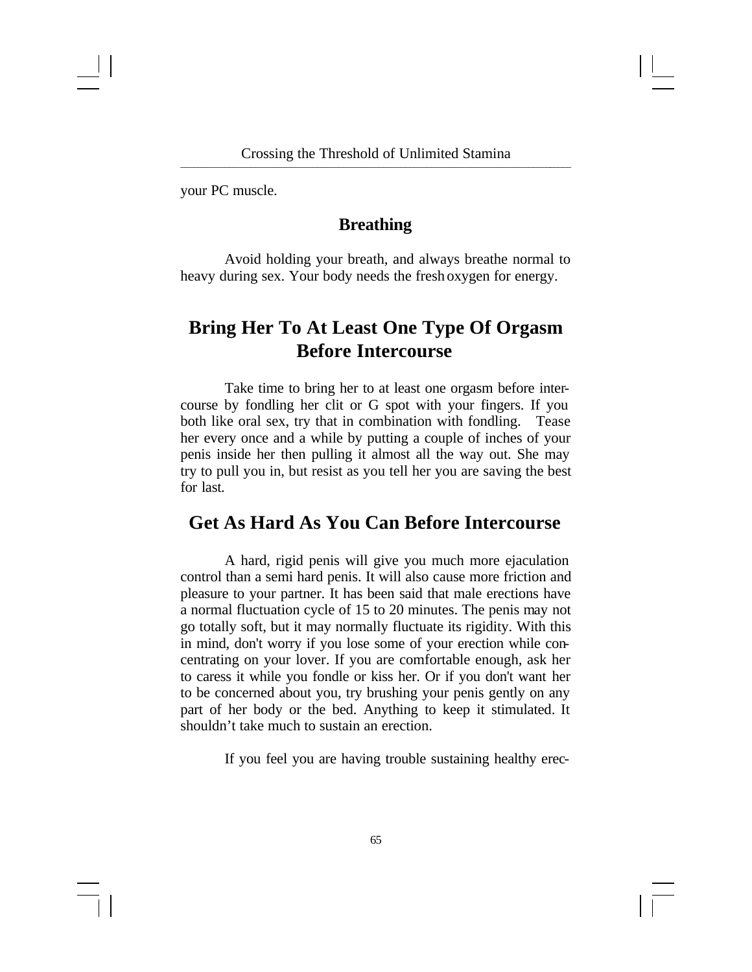your PC muscle.

### **Breathing**

Avoid holding your breath, and always breathe normal to heavy during sex. Your body needs the fresh oxygen for energy.

## **Bring Her To At Least One Type Of Orgasm Before Intercourse**

Take time to bring her to at least one orgasm before intercourse by fondling her clit or G spot with your fingers. If you both like oral sex, try that in combination with fondling. Tease her every once and a while by putting a couple of inches of your penis inside her then pulling it almost all the way out. She may try to pull you in, but resist as you tell her you are saving the best for last.

## **Get As Hard As You Can Before Intercourse**

A hard, rigid penis will give you much more ejaculation control than a semi hard penis. It will also cause more friction and pleasure to your partner. It has been said that male erections have a normal fluctuation cycle of 15 to 20 minutes. The penis may not go totally soft, but it may normally fluctuate its rigidity. With this in mind, don't worry if you lose some of your erection while concentrating on your lover. If you are comfortable enough, ask her to caress it while you fondle or kiss her. Or if you don't want her to be concerned about you, try brushing your penis gently on any part of her body or the bed. Anything to keep it stimulated. It shouldn't take much to sustain an erection.

If you feel you are having trouble sustaining healthy erec-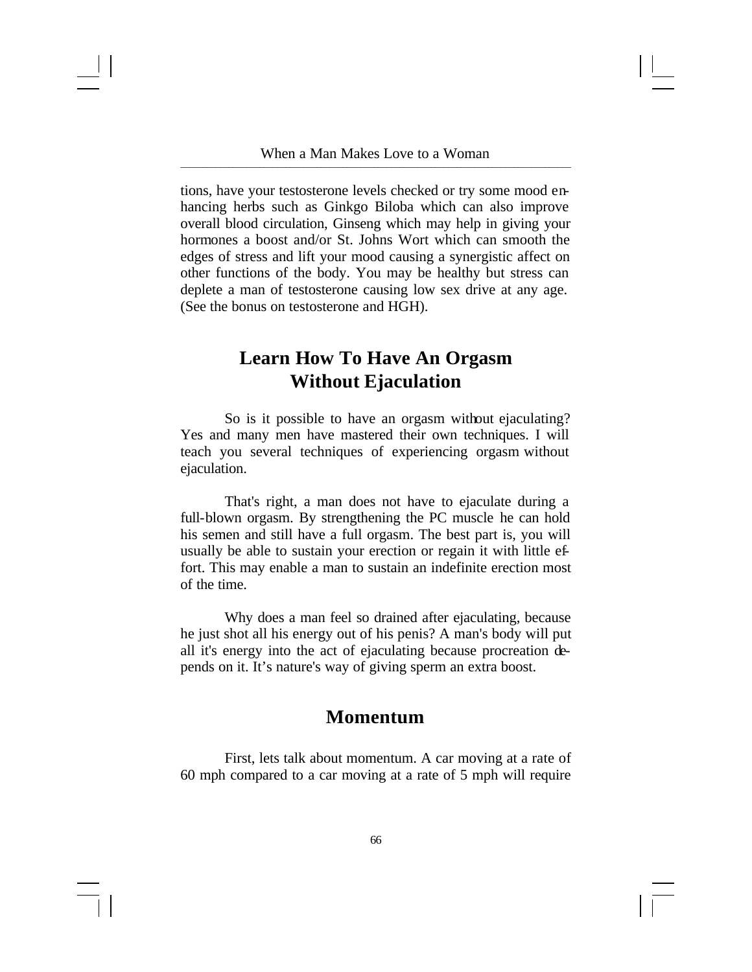tions, have your testosterone levels checked or try some mood enhancing herbs such as Ginkgo Biloba which can also improve overall blood circulation, Ginseng which may help in giving your hormones a boost and/or St. Johns Wort which can smooth the edges of stress and lift your mood causing a synergistic affect on other functions of the body. You may be healthy but stress can deplete a man of testosterone causing low sex drive at any age. (See the bonus on testosterone and HGH).

## **Learn How To Have An Orgasm Without Ejaculation**

So is it possible to have an orgasm without ejaculating? Yes and many men have mastered their own techniques. I will teach you several techniques of experiencing orgasm without ejaculation.

That's right, a man does not have to ejaculate during a full-blown orgasm. By strengthening the PC muscle he can hold his semen and still have a full orgasm. The best part is, you will usually be able to sustain your erection or regain it with little effort. This may enable a man to sustain an indefinite erection most of the time.

Why does a man feel so drained after ejaculating, because he just shot all his energy out of his penis? A man's body will put all it's energy into the act of ejaculating because procreation depends on it. It's nature's way of giving sperm an extra boost.

### **Momentum**

First, lets talk about momentum. A car moving at a rate of 60 mph compared to a car moving at a rate of 5 mph will require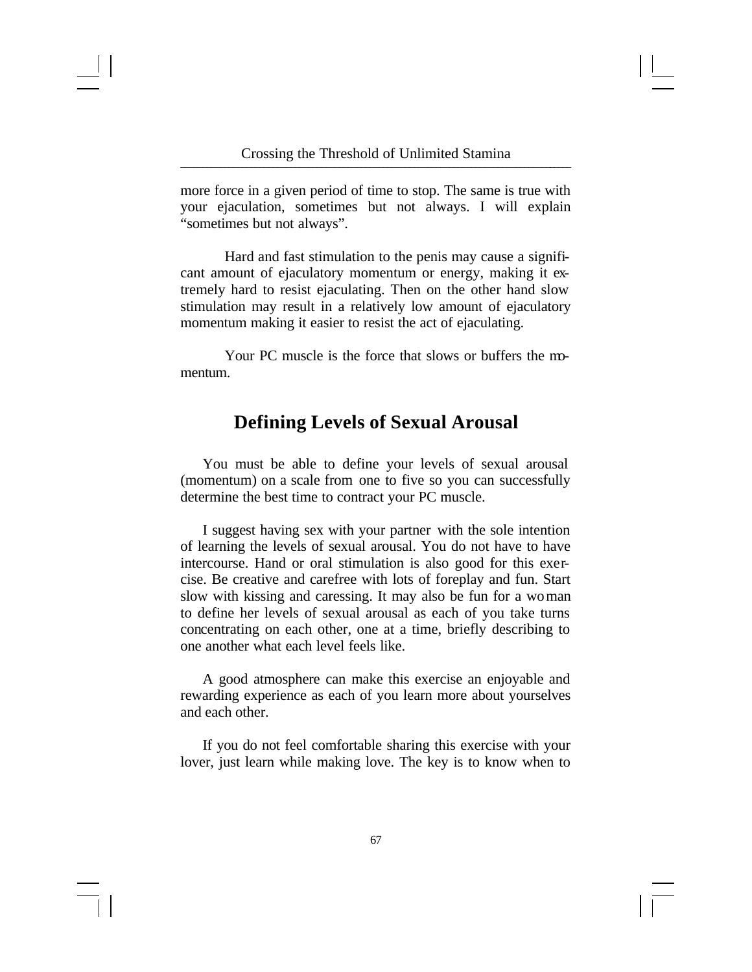more force in a given period of time to stop. The same is true with your ejaculation, sometimes but not always. I will explain "sometimes but not always".

Hard and fast stimulation to the penis may cause a significant amount of ejaculatory momentum or energy, making it extremely hard to resist ejaculating. Then on the other hand slow stimulation may result in a relatively low amount of ejaculatory momentum making it easier to resist the act of ejaculating.

Your PC muscle is the force that slows or buffers the mmentum.

## **Defining Levels of Sexual Arousal**

You must be able to define your levels of sexual arousal (momentum) on a scale from one to five so you can successfully determine the best time to contract your PC muscle.

I suggest having sex with your partner with the sole intention of learning the levels of sexual arousal. You do not have to have intercourse. Hand or oral stimulation is also good for this exercise. Be creative and carefree with lots of foreplay and fun. Start slow with kissing and caressing. It may also be fun for a woman to define her levels of sexual arousal as each of you take turns concentrating on each other, one at a time, briefly describing to one another what each level feels like.

A good atmosphere can make this exercise an enjoyable and rewarding experience as each of you learn more about yourselves and each other.

If you do not feel comfortable sharing this exercise with your lover, just learn while making love. The key is to know when to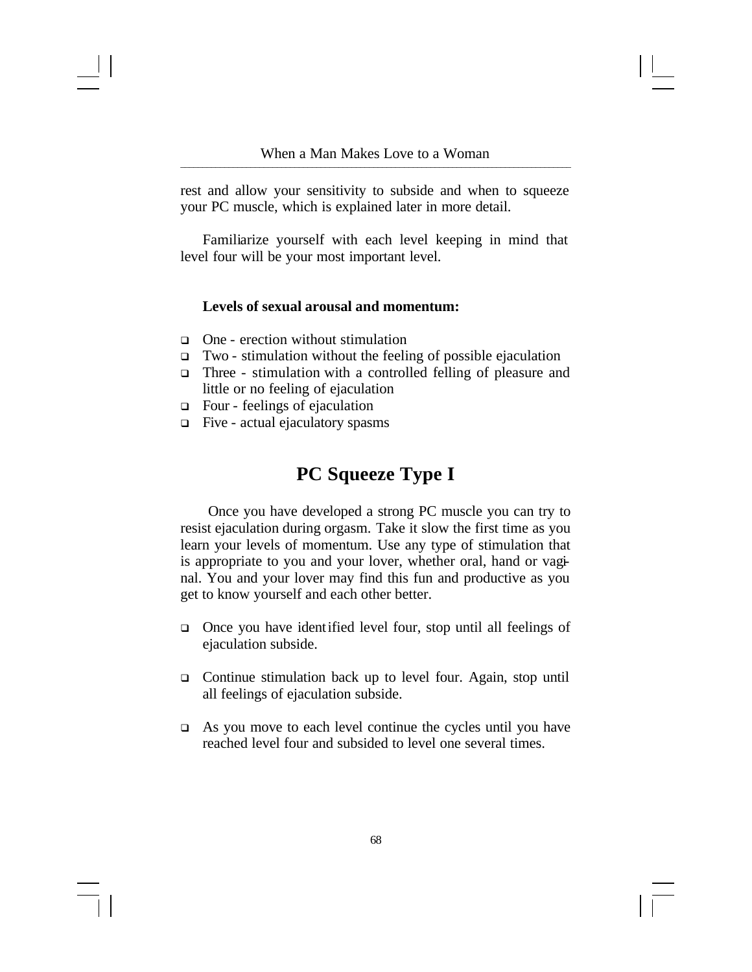rest and allow your sensitivity to subside and when to squeeze your PC muscle, which is explained later in more detail.

Familiarize yourself with each level keeping in mind that level four will be your most important level.

### **Levels of sexual arousal and momentum:**

- $\Box$  One erection without stimulation
- $\Box$  Two stimulation without the feeling of possible ejaculation
- $\Box$  Three stimulation with a controlled felling of pleasure and little or no feeling of ejaculation
- $\Box$  Four feelings of ejaculation
- $\Box$  Five actual ejaculatory spasms

## **PC Squeeze Type I**

Once you have developed a strong PC muscle you can try to resist ejaculation during orgasm. Take it slow the first time as you learn your levels of momentum. Use any type of stimulation that is appropriate to you and your lover, whether oral, hand or vaginal. You and your lover may find this fun and productive as you get to know yourself and each other better.

- <sup>q</sup> Once you have identified level four, stop until all feelings of ejaculation subside.
- <sup>q</sup> Continue stimulation back up to level four. Again, stop until all feelings of ejaculation subside.
- $\Box$  As you move to each level continue the cycles until you have reached level four and subsided to level one several times.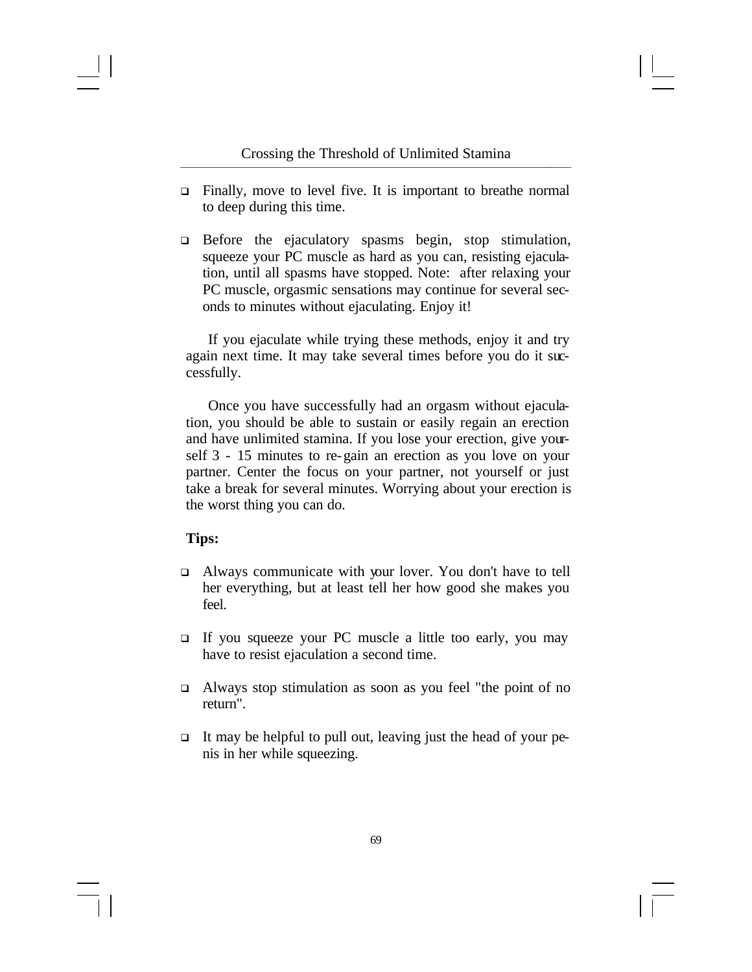- $\Box$  Finally, move to level five. It is important to breathe normal to deep during this time.
- $\Box$  Before the ejaculatory spasms begin, stop stimulation, squeeze your PC muscle as hard as you can, resisting ejaculation, until all spasms have stopped. Note: after relaxing your PC muscle, orgasmic sensations may continue for several seconds to minutes without ejaculating. Enjoy it!

If you ejaculate while trying these methods, enjoy it and try again next time. It may take several times before you do it successfully.

Once you have successfully had an orgasm without ejaculation, you should be able to sustain or easily regain an erection and have unlimited stamina. If you lose your erection, give yourself 3 - 15 minutes to re-gain an erection as you love on your partner. Center the focus on your partner, not yourself or just take a break for several minutes. Worrying about your erection is the worst thing you can do.

### **Tips:**

- <sup>q</sup> Always communicate with your lover. You don't have to tell her everything, but at least tell her how good she makes you feel.
- <sup>q</sup> If you squeeze your PC muscle a little too early, you may have to resist ejaculation a second time.
- $\Box$  Always stop stimulation as soon as you feel "the point of no return".
- <sup>q</sup> It may be helpful to pull out, leaving just the head of your penis in her while squeezing.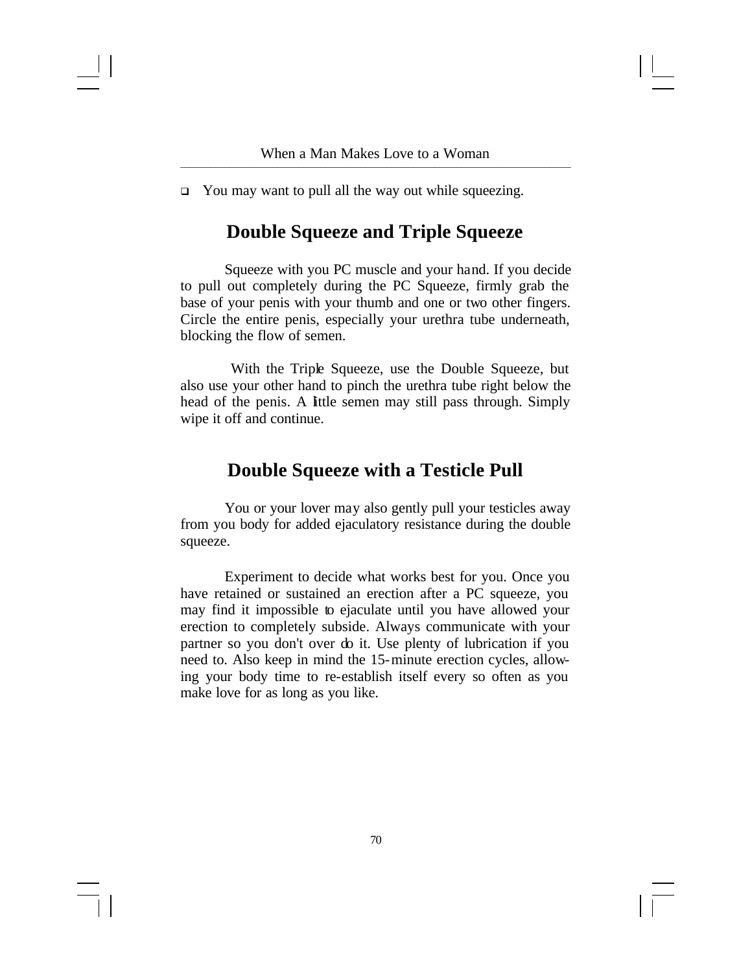$\Box$  You may want to pull all the way out while squeezing.

## **Double Squeeze and Triple Squeeze**

Squeeze with you PC muscle and your hand. If you decide to pull out completely during the PC Squeeze, firmly grab the base of your penis with your thumb and one or two other fingers. Circle the entire penis, especially your urethra tube underneath, blocking the flow of semen.

 With the Triple Squeeze, use the Double Squeeze, but also use your other hand to pinch the urethra tube right below the head of the penis. A little semen may still pass through. Simply wipe it off and continue.

## **Double Squeeze with a Testicle Pull**

You or your lover may also gently pull your testicles away from you body for added ejaculatory resistance during the double squeeze.

Experiment to decide what works best for you. Once you have retained or sustained an erection after a PC squeeze, you may find it impossible to ejaculate until you have allowed your erection to completely subside. Always communicate with your partner so you don't over do it. Use plenty of lubrication if you need to. Also keep in mind the 15-minute erection cycles, allowing your body time to re-establish itself every so often as you make love for as long as you like.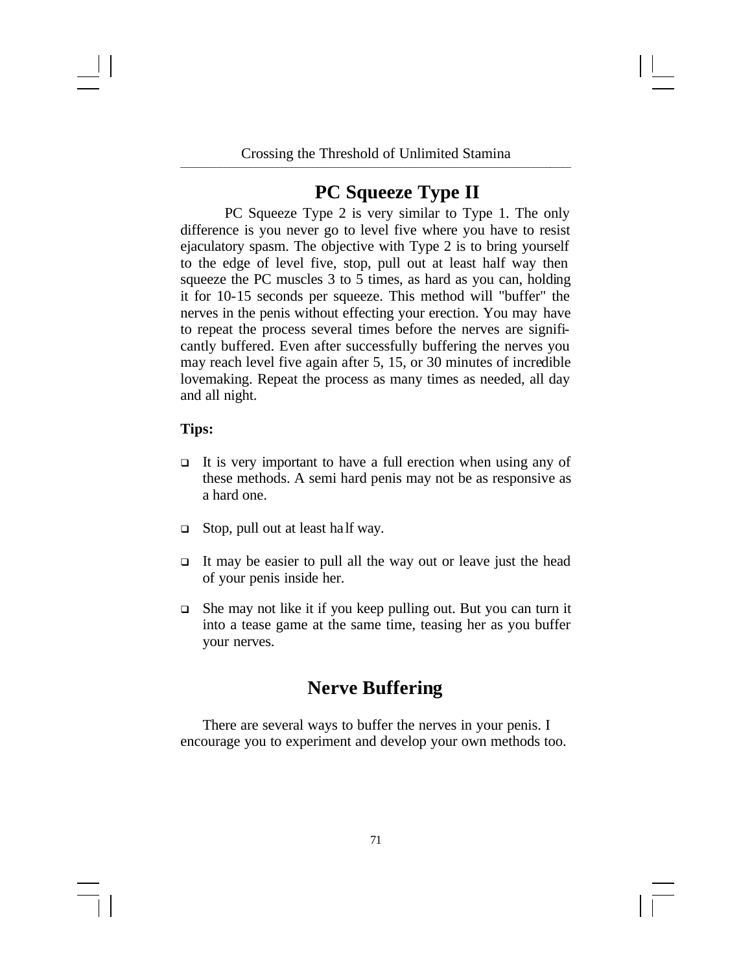## **PC Squeeze Type II**

PC Squeeze Type 2 is very similar to Type 1. The only difference is you never go to level five where you have to resist ejaculatory spasm. The objective with Type 2 is to bring yourself to the edge of level five, stop, pull out at least half way then squeeze the PC muscles 3 to 5 times, as hard as you can, holding it for 10-15 seconds per squeeze. This method will "buffer" the nerves in the penis without effecting your erection. You may have to repeat the process several times before the nerves are significantly buffered. Even after successfully buffering the nerves you may reach level five again after 5, 15, or 30 minutes of incredible lovemaking. Repeat the process as many times as needed, all day and all night.

### **Tips:**

- $\Box$  It is very important to have a full erection when using any of these methods. A semi hard penis may not be as responsive as a hard one.
- $\Box$  Stop, pull out at least half way.
- $\Box$  It may be easier to pull all the way out or leave just the head of your penis inside her.
- $\Box$  She may not like it if you keep pulling out. But you can turn it into a tease game at the same time, teasing her as you buffer your nerves.

## **Nerve Buffering**

There are several ways to buffer the nerves in your penis. I encourage you to experiment and develop your own methods too.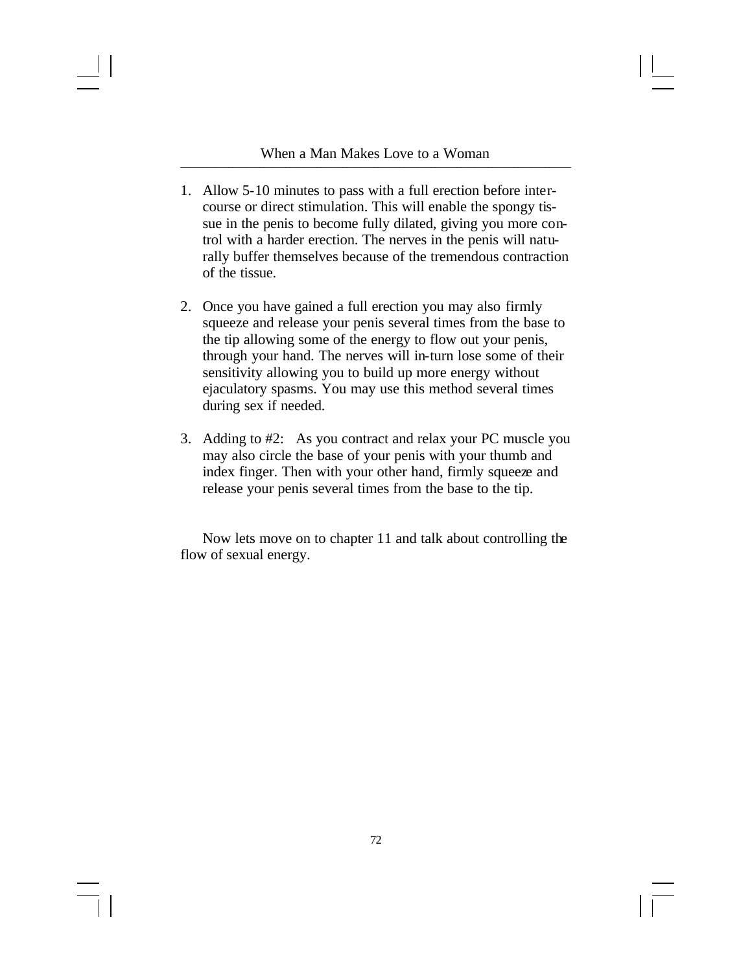- 1. Allow 5-10 minutes to pass with a full erection before intercourse or direct stimulation. This will enable the spongy tissue in the penis to become fully dilated, giving you more control with a harder erection. The nerves in the penis will naturally buffer themselves because of the tremendous contraction of the tissue.
- 2. Once you have gained a full erection you may also firmly squeeze and release your penis several times from the base to the tip allowing some of the energy to flow out your penis, through your hand. The nerves will in-turn lose some of their sensitivity allowing you to build up more energy without ejaculatory spasms. You may use this method several times during sex if needed.
- 3. Adding to #2: As you contract and relax your PC muscle you may also circle the base of your penis with your thumb and index finger. Then with your other hand, firmly squeeze and release your penis several times from the base to the tip.

 Now lets move on to chapter 11 and talk about controlling the flow of sexual energy.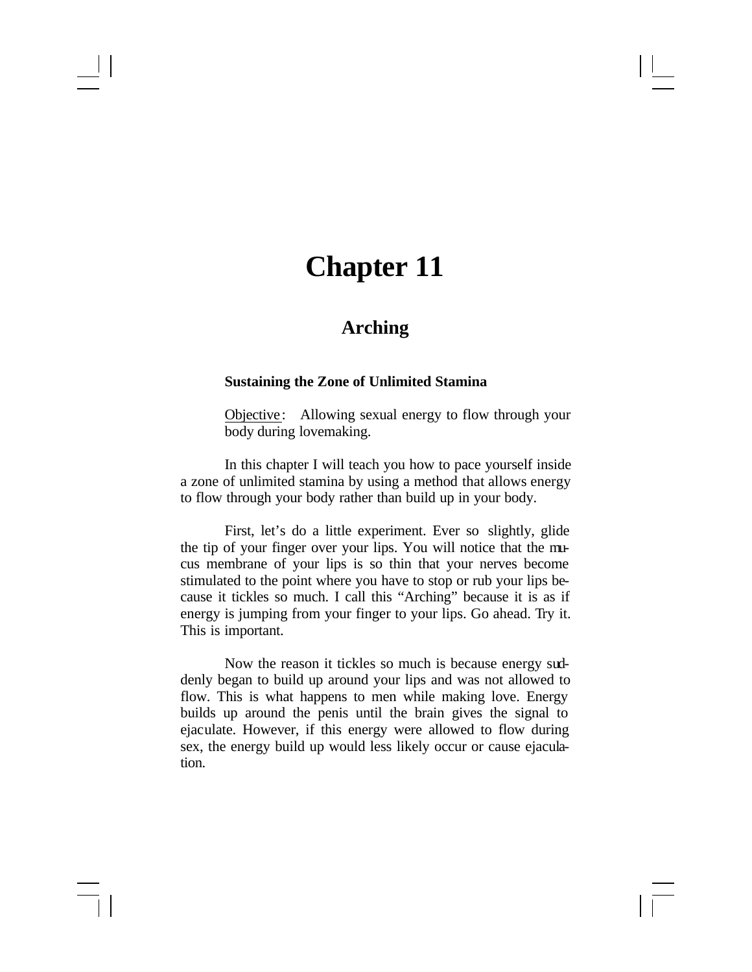# **Chapter 11**

## **Arching**

### **Sustaining the Zone of Unlimited Stamina**

Objective: Allowing sexual energy to flow through your body during lovemaking.

 In this chapter I will teach you how to pace yourself inside a zone of unlimited stamina by using a method that allows energy to flow through your body rather than build up in your body.

 First, let's do a little experiment. Ever so slightly, glide the tip of your finger over your lips. You will notice that the mucus membrane of your lips is so thin that your nerves become stimulated to the point where you have to stop or rub your lips because it tickles so much. I call this "Arching" because it is as if energy is jumping from your finger to your lips. Go ahead. Try it. This is important.

 Now the reason it tickles so much is because energy suddenly began to build up around your lips and was not allowed to flow. This is what happens to men while making love. Energy builds up around the penis until the brain gives the signal to ejaculate. However, if this energy were allowed to flow during sex, the energy build up would less likely occur or cause ejaculation.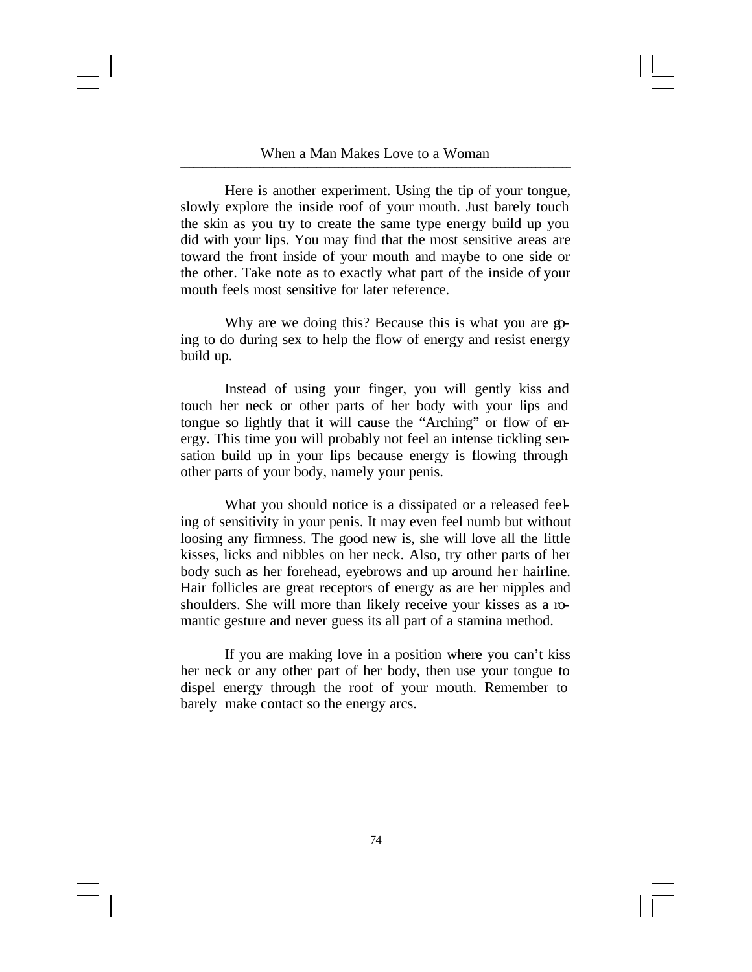Here is another experiment. Using the tip of your tongue, slowly explore the inside roof of your mouth. Just barely touch the skin as you try to create the same type energy build up you did with your lips. You may find that the most sensitive areas are toward the front inside of your mouth and maybe to one side or the other. Take note as to exactly what part of the inside of your mouth feels most sensitive for later reference.

 Why are we doing this? Because this is what you are going to do during sex to help the flow of energy and resist energy build up.

 Instead of using your finger, you will gently kiss and touch her neck or other parts of her body with your lips and tongue so lightly that it will cause the "Arching" or flow of energy. This time you will probably not feel an intense tickling sensation build up in your lips because energy is flowing through other parts of your body, namely your penis.

What you should notice is a dissipated or a released feeling of sensitivity in your penis. It may even feel numb but without loosing any firmness. The good new is, she will love all the little kisses, licks and nibbles on her neck. Also, try other parts of her body such as her forehead, eyebrows and up around her hairline. Hair follicles are great receptors of energy as are her nipples and shoulders. She will more than likely receive your kisses as a romantic gesture and never guess its all part of a stamina method.

 If you are making love in a position where you can't kiss her neck or any other part of her body, then use your tongue to dispel energy through the roof of your mouth. Remember to barely make contact so the energy arcs.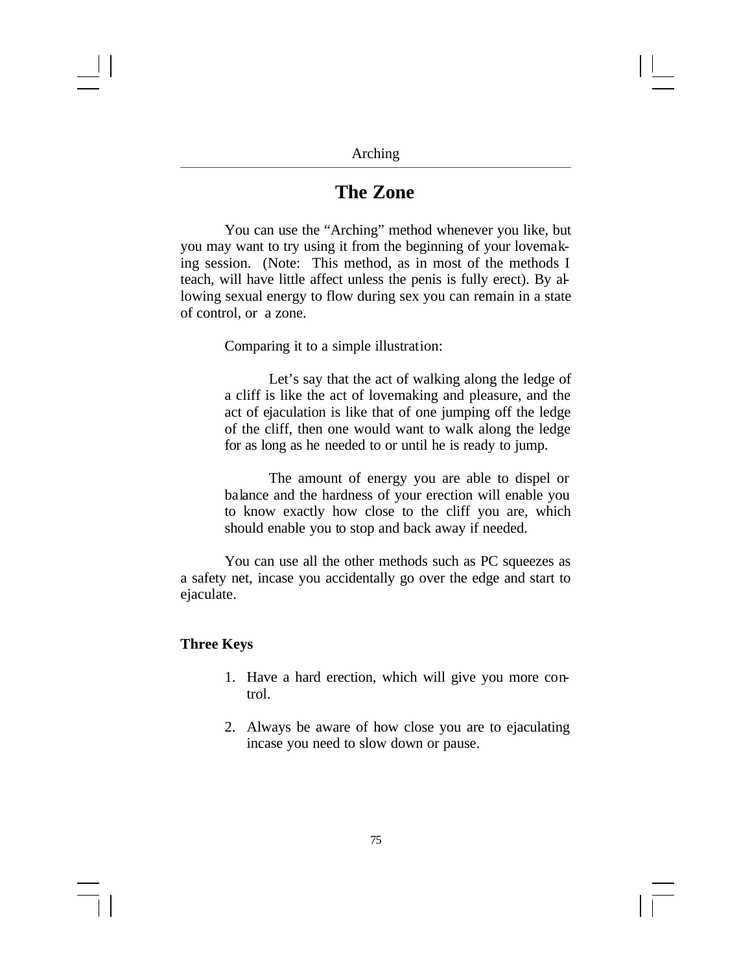## **The Zone**

 You can use the "Arching" method whenever you like, but you may want to try using it from the beginning of your lovemaking session. (Note: This method, as in most of the methods I teach, will have little affect unless the penis is fully erect). By allowing sexual energy to flow during sex you can remain in a state of control, or a zone.

Comparing it to a simple illustration:

 Let's say that the act of walking along the ledge of a cliff is like the act of lovemaking and pleasure, and the act of ejaculation is like that of one jumping off the ledge of the cliff, then one would want to walk along the ledge for as long as he needed to or until he is ready to jump.

 The amount of energy you are able to dispel or balance and the hardness of your erection will enable you to know exactly how close to the cliff you are, which should enable you to stop and back away if needed.

 You can use all the other methods such as PC squeezes as a safety net, incase you accidentally go over the edge and start to ejaculate.

### **Three Keys**

- 1. Have a hard erection, which will give you more control.
- 2. Always be aware of how close you are to ejaculating incase you need to slow down or pause.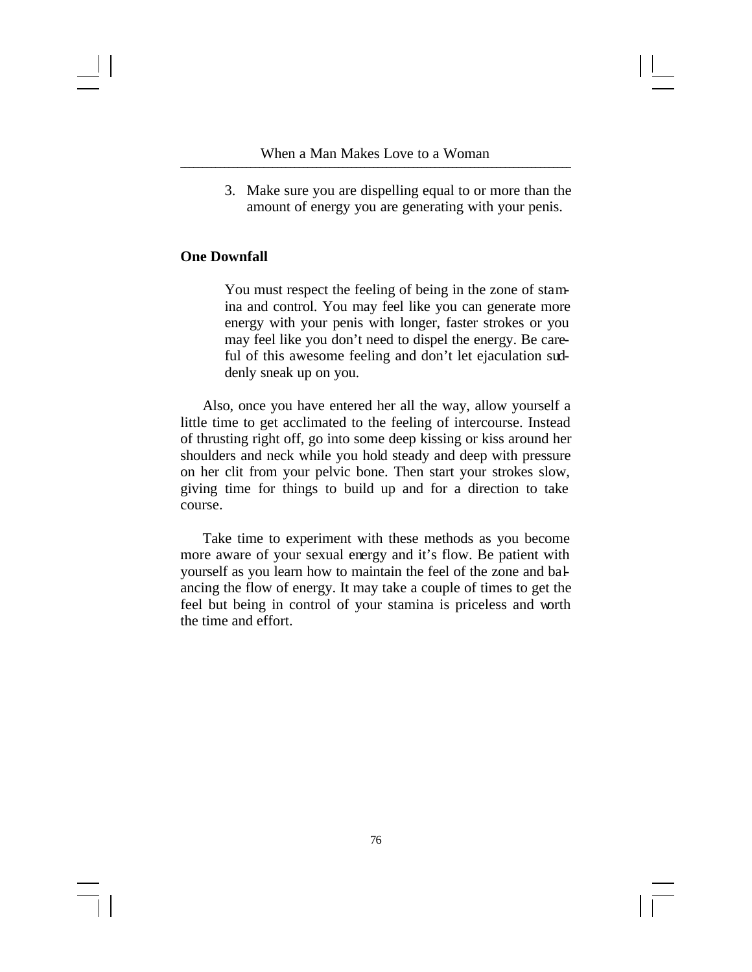3. Make sure you are dispelling equal to or more than the amount of energy you are generating with your penis.

### **One Downfall**

You must respect the feeling of being in the zone of stamina and control. You may feel like you can generate more energy with your penis with longer, faster strokes or you may feel like you don't need to dispel the energy. Be careful of this awesome feeling and don't let ejaculation suddenly sneak up on you.

Also, once you have entered her all the way, allow yourself a little time to get acclimated to the feeling of intercourse. Instead of thrusting right off, go into some deep kissing or kiss around her shoulders and neck while you hold steady and deep with pressure on her clit from your pelvic bone. Then start your strokes slow, giving time for things to build up and for a direction to take course.

Take time to experiment with these methods as you become more aware of your sexual energy and it's flow. Be patient with yourself as you learn how to maintain the feel of the zone and balancing the flow of energy. It may take a couple of times to get the feel but being in control of your stamina is priceless and worth the time and effort.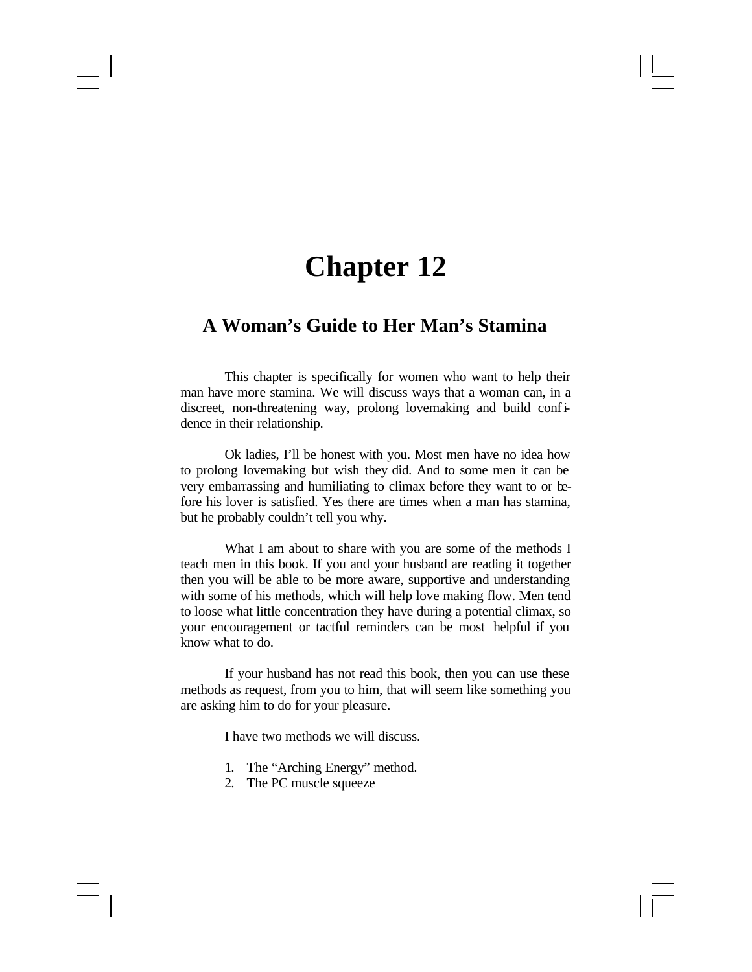# **Chapter 12**

#### **A Woman's Guide to Her Man's Stamina**

 This chapter is specifically for women who want to help their man have more stamina. We will discuss ways that a woman can, in a discreet, non-threatening way, prolong lovemaking and build confidence in their relationship.

 Ok ladies, I'll be honest with you. Most men have no idea how to prolong lovemaking but wish they did. And to some men it can be very embarrassing and humiliating to climax before they want to or before his lover is satisfied. Yes there are times when a man has stamina, but he probably couldn't tell you why.

What I am about to share with you are some of the methods I teach men in this book. If you and your husband are reading it together then you will be able to be more aware, supportive and understanding with some of his methods, which will help love making flow. Men tend to loose what little concentration they have during a potential climax, so your encouragement or tactful reminders can be most helpful if you know what to do.

 If your husband has not read this book, then you can use these methods as request, from you to him, that will seem like something you are asking him to do for your pleasure.

I have two methods we will discuss.

- 1. The "Arching Energy" method.
- 2. The PC muscle squeeze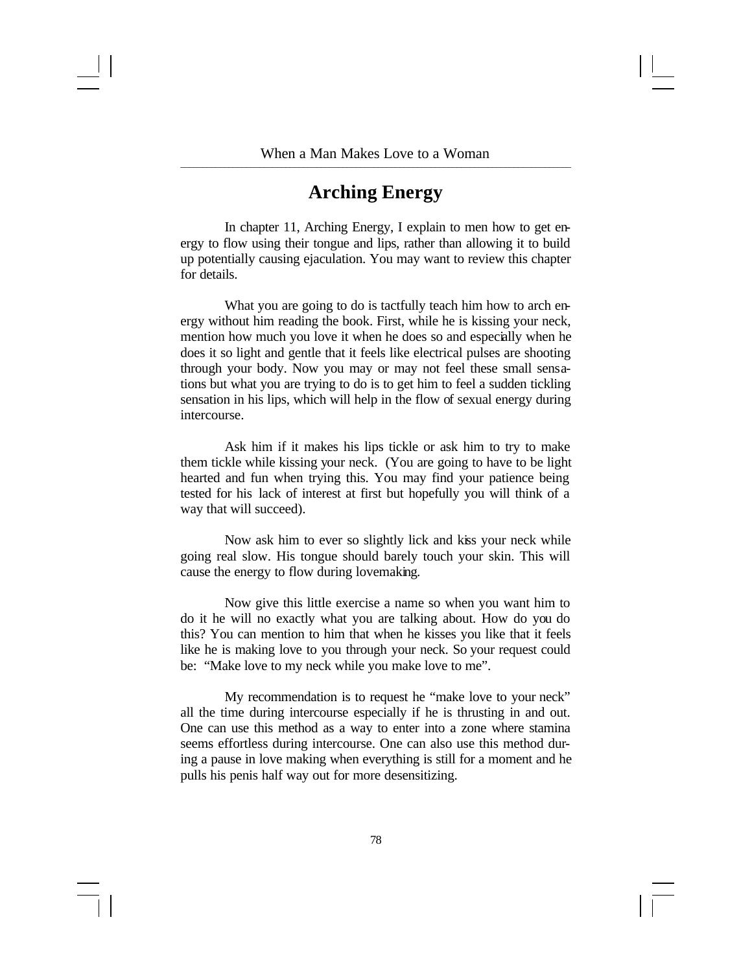## **Arching Energy**

In chapter 11, Arching Energy, I explain to men how to get energy to flow using their tongue and lips, rather than allowing it to build up potentially causing ejaculation. You may want to review this chapter for details.

What you are going to do is tactfully teach him how to arch energy without him reading the book. First, while he is kissing your neck, mention how much you love it when he does so and especially when he does it so light and gentle that it feels like electrical pulses are shooting through your body. Now you may or may not feel these small sensations but what you are trying to do is to get him to feel a sudden tickling sensation in his lips, which will help in the flow of sexual energy during intercourse.

Ask him if it makes his lips tickle or ask him to try to make them tickle while kissing your neck. (You are going to have to be light hearted and fun when trying this. You may find your patience being tested for his lack of interest at first but hopefully you will think of a way that will succeed).

Now ask him to ever so slightly lick and kiss your neck while going real slow. His tongue should barely touch your skin. This will cause the energy to flow during lovemaking.

Now give this little exercise a name so when you want him to do it he will no exactly what you are talking about. How do you do this? You can mention to him that when he kisses you like that it feels like he is making love to you through your neck. So your request could be: "Make love to my neck while you make love to me".

My recommendation is to request he "make love to your neck" all the time during intercourse especially if he is thrusting in and out. One can use this method as a way to enter into a zone where stamina seems effortless during intercourse. One can also use this method during a pause in love making when everything is still for a moment and he pulls his penis half way out for more desensitizing.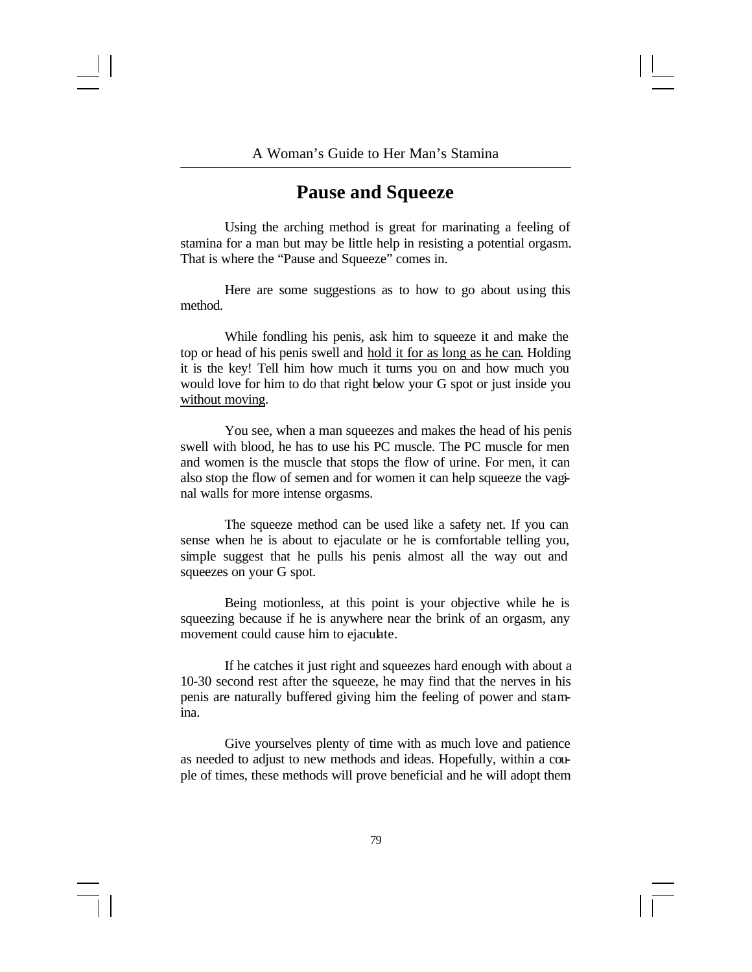#### **Pause and Squeeze**

Using the arching method is great for marinating a feeling of stamina for a man but may be little help in resisting a potential orgasm. That is where the "Pause and Squeeze" comes in.

Here are some suggestions as to how to go about using this method.

While fondling his penis, ask him to squeeze it and make the top or head of his penis swell and hold it for as long as he can. Holding it is the key! Tell him how much it turns you on and how much you would love for him to do that right below your G spot or just inside you without moving.

You see, when a man squeezes and makes the head of his penis swell with blood, he has to use his PC muscle. The PC muscle for men and women is the muscle that stops the flow of urine. For men, it can also stop the flow of semen and for women it can help squeeze the vaginal walls for more intense orgasms.

The squeeze method can be used like a safety net. If you can sense when he is about to ejaculate or he is comfortable telling you, simple suggest that he pulls his penis almost all the way out and squeezes on your G spot.

Being motionless, at this point is your objective while he is squeezing because if he is anywhere near the brink of an orgasm, any movement could cause him to ejaculate.

If he catches it just right and squeezes hard enough with about a 10-30 second rest after the squeeze, he may find that the nerves in his penis are naturally buffered giving him the feeling of power and stamina.

Give yourselves plenty of time with as much love and patience as needed to adjust to new methods and ideas. Hopefully, within a couple of times, these methods will prove beneficial and he will adopt them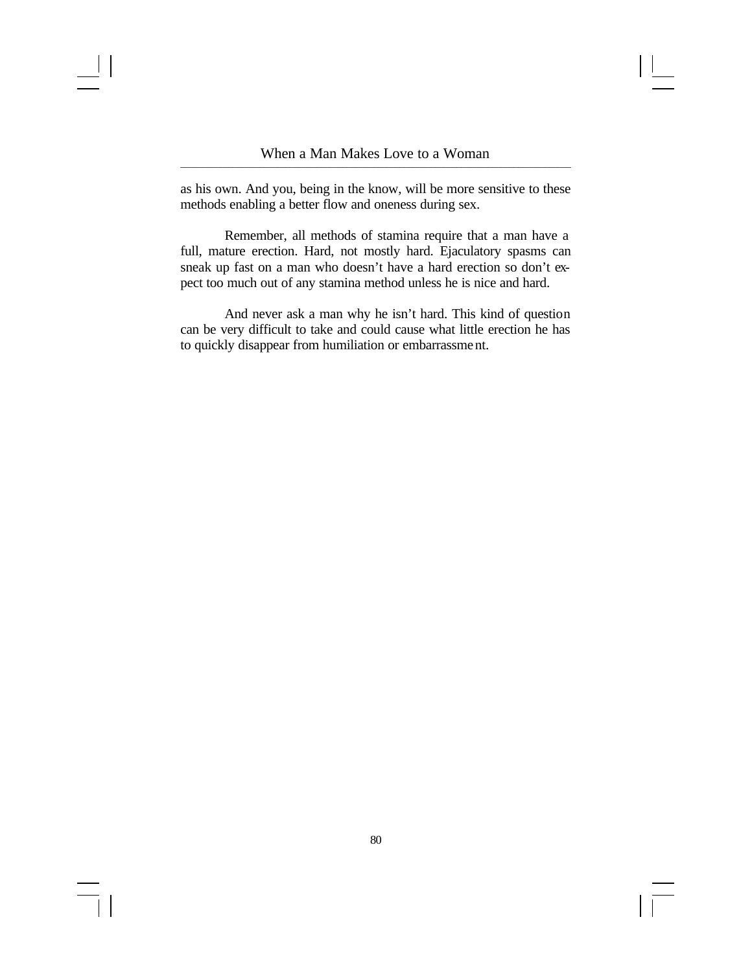as his own. And you, being in the know, will be more sensitive to these methods enabling a better flow and oneness during sex.

Remember, all methods of stamina require that a man have a full, mature erection. Hard, not mostly hard. Ejaculatory spasms can sneak up fast on a man who doesn't have a hard erection so don't expect too much out of any stamina method unless he is nice and hard.

And never ask a man why he isn't hard. This kind of question can be very difficult to take and could cause what little erection he has to quickly disappear from humiliation or embarrassment.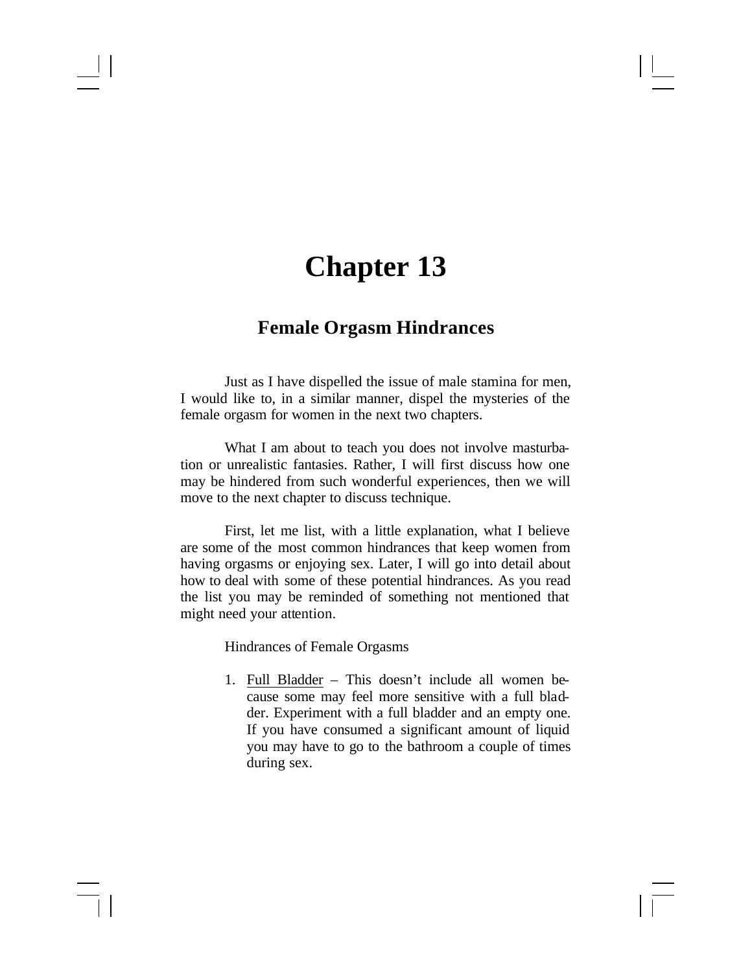# **Chapter 13**

#### **Female Orgasm Hindrances**

Just as I have dispelled the issue of male stamina for men, I would like to, in a similar manner, dispel the mysteries of the female orgasm for women in the next two chapters.

What I am about to teach you does not involve masturbation or unrealistic fantasies. Rather, I will first discuss how one may be hindered from such wonderful experiences, then we will move to the next chapter to discuss technique.

First, let me list, with a little explanation, what I believe are some of the most common hindrances that keep women from having orgasms or enjoying sex. Later, I will go into detail about how to deal with some of these potential hindrances. As you read the list you may be reminded of something not mentioned that might need your attention.

Hindrances of Female Orgasms

1. Full Bladder – This doesn't include all women because some may feel more sensitive with a full bladder. Experiment with a full bladder and an empty one. If you have consumed a significant amount of liquid you may have to go to the bathroom a couple of times during sex.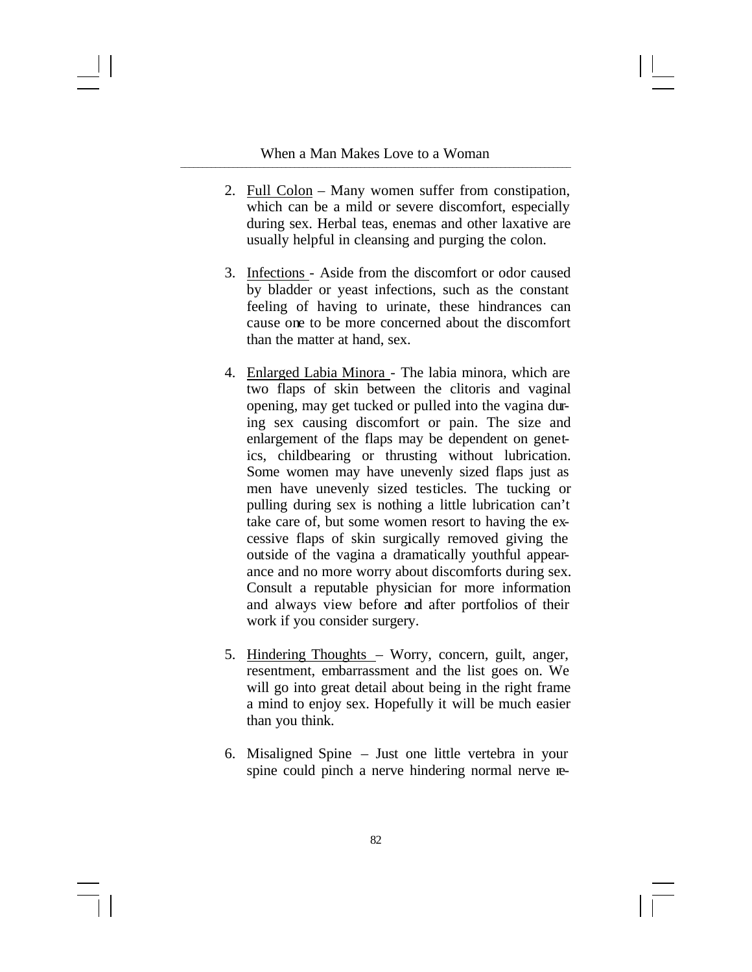- 2. Full Colon Many women suffer from constipation, which can be a mild or severe discomfort, especially during sex. Herbal teas, enemas and other laxative are usually helpful in cleansing and purging the colon.
- 3. Infections Aside from the discomfort or odor caused by bladder or yeast infections, such as the constant feeling of having to urinate, these hindrances can cause one to be more concerned about the discomfort than the matter at hand, sex.
- 4. Enlarged Labia Minora The labia minora, which are two flaps of skin between the clitoris and vaginal opening, may get tucked or pulled into the vagina during sex causing discomfort or pain. The size and enlargement of the flaps may be dependent on genetics, childbearing or thrusting without lubrication. Some women may have unevenly sized flaps just as men have unevenly sized testicles. The tucking or pulling during sex is nothing a little lubrication can't take care of, but some women resort to having the excessive flaps of skin surgically removed giving the outside of the vagina a dramatically youthful appearance and no more worry about discomforts during sex. Consult a reputable physician for more information and always view before and after portfolios of their work if you consider surgery.
- 5. Hindering Thoughts Worry, concern, guilt, anger, resentment, embarrassment and the list goes on. We will go into great detail about being in the right frame a mind to enjoy sex. Hopefully it will be much easier than you think.
- 6. Misaligned Spine Just one little vertebra in your spine could pinch a nerve hindering normal nerve re-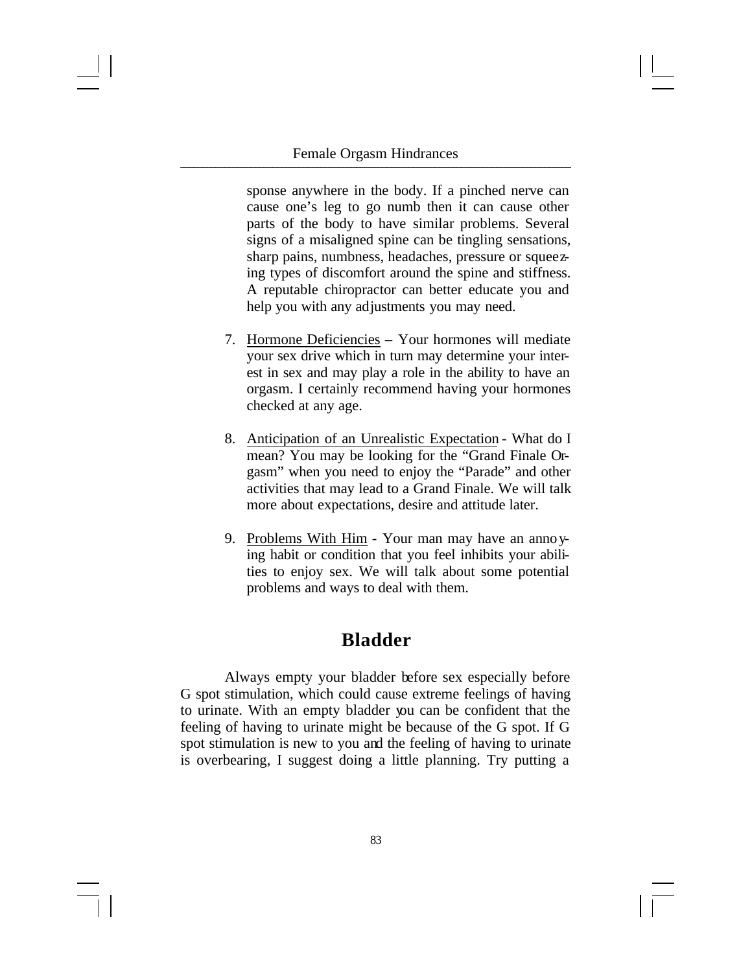sponse anywhere in the body. If a pinched nerve can cause one's leg to go numb then it can cause other parts of the body to have similar problems. Several signs of a misaligned spine can be tingling sensations, sharp pains, numbness, headaches, pressure or squeezing types of discomfort around the spine and stiffness. A reputable chiropractor can better educate you and help you with any adjustments you may need.

- 7. Hormone Deficiencies Your hormones will mediate your sex drive which in turn may determine your interest in sex and may play a role in the ability to have an orgasm. I certainly recommend having your hormones checked at any age.
- 8. Anticipation of an Unrealistic Expectation What do I mean? You may be looking for the "Grand Finale Orgasm" when you need to enjoy the "Parade" and other activities that may lead to a Grand Finale. We will talk more about expectations, desire and attitude later.
- 9. Problems With Him Your man may have an annoying habit or condition that you feel inhibits your abilities to enjoy sex. We will talk about some potential problems and ways to deal with them.

## **Bladder**

Always empty your bladder before sex especially before G spot stimulation, which could cause extreme feelings of having to urinate. With an empty bladder you can be confident that the feeling of having to urinate might be because of the G spot. If G spot stimulation is new to you and the feeling of having to urinate is overbearing, I suggest doing a little planning. Try putting a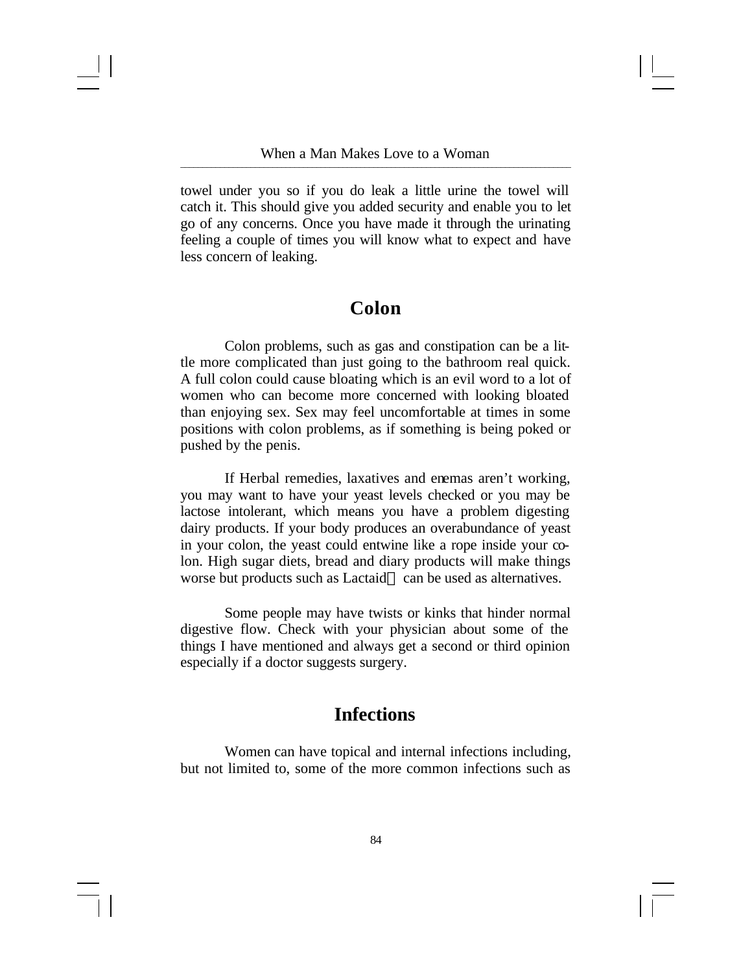towel under you so if you do leak a little urine the towel will catch it. This should give you added security and enable you to let go of any concerns. Once you have made it through the urinating feeling a couple of times you will know what to expect and have less concern of leaking.

#### **Colon**

Colon problems, such as gas and constipation can be a little more complicated than just going to the bathroom real quick. A full colon could cause bloating which is an evil word to a lot of women who can become more concerned with looking bloated than enjoying sex. Sex may feel uncomfortable at times in some positions with colon problems, as if something is being poked or pushed by the penis.

If Herbal remedies, laxatives and enemas aren't working, you may want to have your yeast levels checked or you may be lactose intolerant, which means you have a problem digesting dairy products. If your body produces an overabundance of yeast in your colon, the yeast could entwine like a rope inside your colon. High sugar diets, bread and diary products will make things worse but products such as Lactaid™ can be used as alternatives.

Some people may have twists or kinks that hinder normal digestive flow. Check with your physician about some of the things I have mentioned and always get a second or third opinion especially if a doctor suggests surgery.

#### **Infections**

Women can have topical and internal infections including, but not limited to, some of the more common infections such as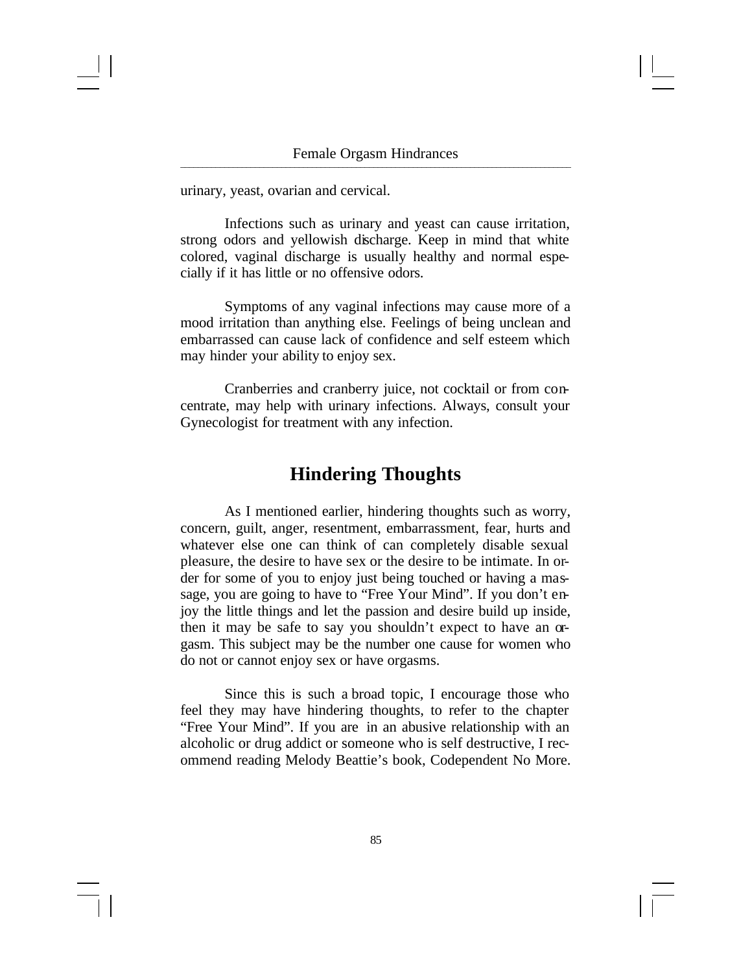urinary, yeast, ovarian and cervical.

Infections such as urinary and yeast can cause irritation, strong odors and yellowish discharge. Keep in mind that white colored, vaginal discharge is usually healthy and normal especially if it has little or no offensive odors.

 Symptoms of any vaginal infections may cause more of a mood irritation than anything else. Feelings of being unclean and embarrassed can cause lack of confidence and self esteem which may hinder your ability to enjoy sex.

 Cranberries and cranberry juice, not cocktail or from concentrate, may help with urinary infections. Always, consult your Gynecologist for treatment with any infection.

#### **Hindering Thoughts**

 As I mentioned earlier, hindering thoughts such as worry, concern, guilt, anger, resentment, embarrassment, fear, hurts and whatever else one can think of can completely disable sexual pleasure, the desire to have sex or the desire to be intimate. In order for some of you to enjoy just being touched or having a massage, you are going to have to "Free Your Mind". If you don't enjoy the little things and let the passion and desire build up inside, then it may be safe to say you shouldn't expect to have an orgasm. This subject may be the number one cause for women who do not or cannot enjoy sex or have orgasms.

Since this is such a broad topic, I encourage those who feel they may have hindering thoughts, to refer to the chapter "Free Your Mind". If you are in an abusive relationship with an alcoholic or drug addict or someone who is self destructive, I recommend reading Melody Beattie's book, Codependent No More.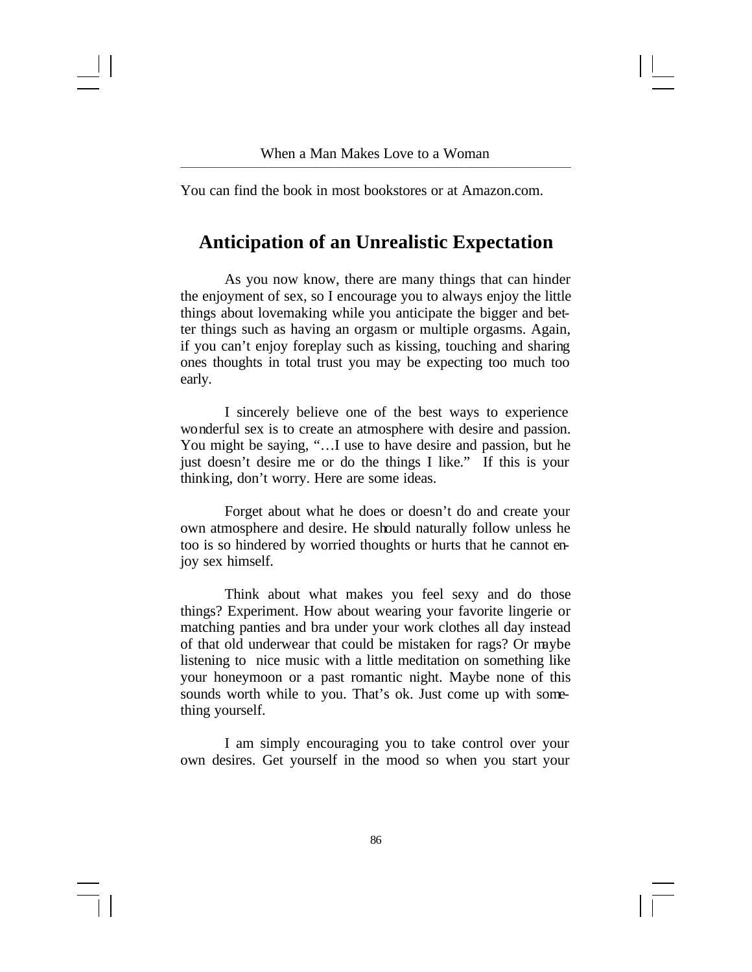You can find the book in most bookstores or at Amazon.com.

### **Anticipation of an Unrealistic Expectation**

As you now know, there are many things that can hinder the enjoyment of sex, so I encourage you to always enjoy the little things about lovemaking while you anticipate the bigger and better things such as having an orgasm or multiple orgasms. Again, if you can't enjoy foreplay such as kissing, touching and sharing ones thoughts in total trust you may be expecting too much too early.

I sincerely believe one of the best ways to experience wonderful sex is to create an atmosphere with desire and passion. You might be saying, "…I use to have desire and passion, but he just doesn't desire me or do the things I like." If this is your thinking, don't worry. Here are some ideas.

Forget about what he does or doesn't do and create your own atmosphere and desire. He should naturally follow unless he too is so hindered by worried thoughts or hurts that he cannot enjoy sex himself.

Think about what makes you feel sexy and do those things? Experiment. How about wearing your favorite lingerie or matching panties and bra under your work clothes all day instead of that old underwear that could be mistaken for rags? Or maybe listening to nice music with a little meditation on something like your honeymoon or a past romantic night. Maybe none of this sounds worth while to you. That's ok. Just come up with something yourself.

I am simply encouraging you to take control over your own desires. Get yourself in the mood so when you start your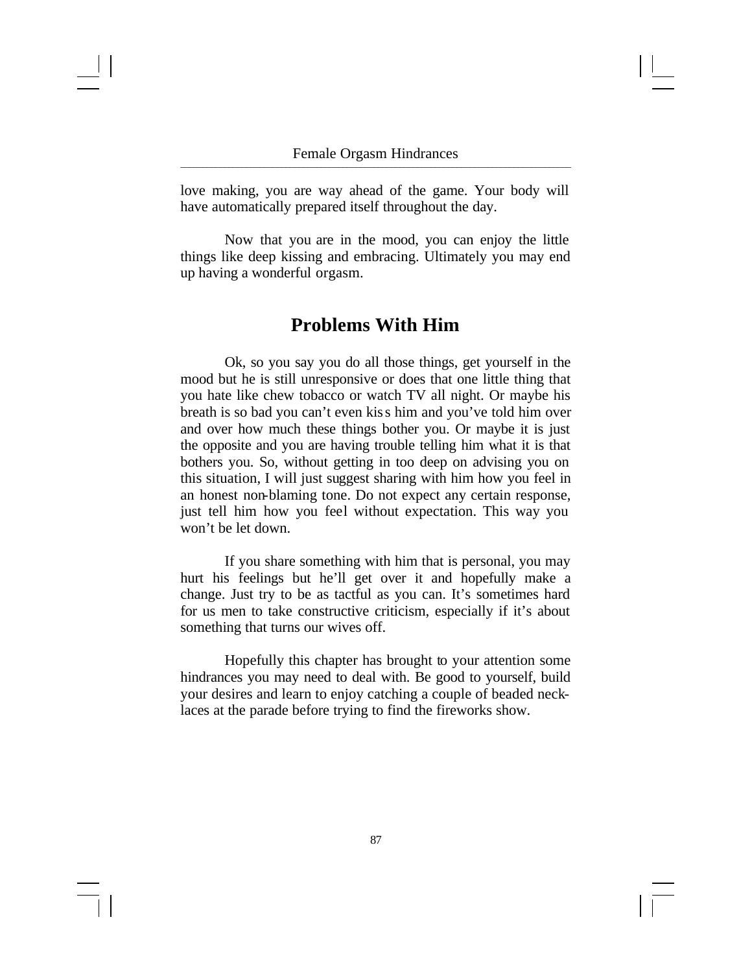love making, you are way ahead of the game. Your body will have automatically prepared itself throughout the day.

Now that you are in the mood, you can enjoy the little things like deep kissing and embracing. Ultimately you may end up having a wonderful orgasm.

#### **Problems With Him**

Ok, so you say you do all those things, get yourself in the mood but he is still unresponsive or does that one little thing that you hate like chew tobacco or watch TV all night. Or maybe his breath is so bad you can't even kiss him and you've told him over and over how much these things bother you. Or maybe it is just the opposite and you are having trouble telling him what it is that bothers you. So, without getting in too deep on advising you on this situation, I will just suggest sharing with him how you feel in an honest non-blaming tone. Do not expect any certain response, just tell him how you feel without expectation. This way you won't be let down.

If you share something with him that is personal, you may hurt his feelings but he'll get over it and hopefully make a change. Just try to be as tactful as you can. It's sometimes hard for us men to take constructive criticism, especially if it's about something that turns our wives off.

Hopefully this chapter has brought to your attention some hindrances you may need to deal with. Be good to yourself, build your desires and learn to enjoy catching a couple of beaded necklaces at the parade before trying to find the fireworks show.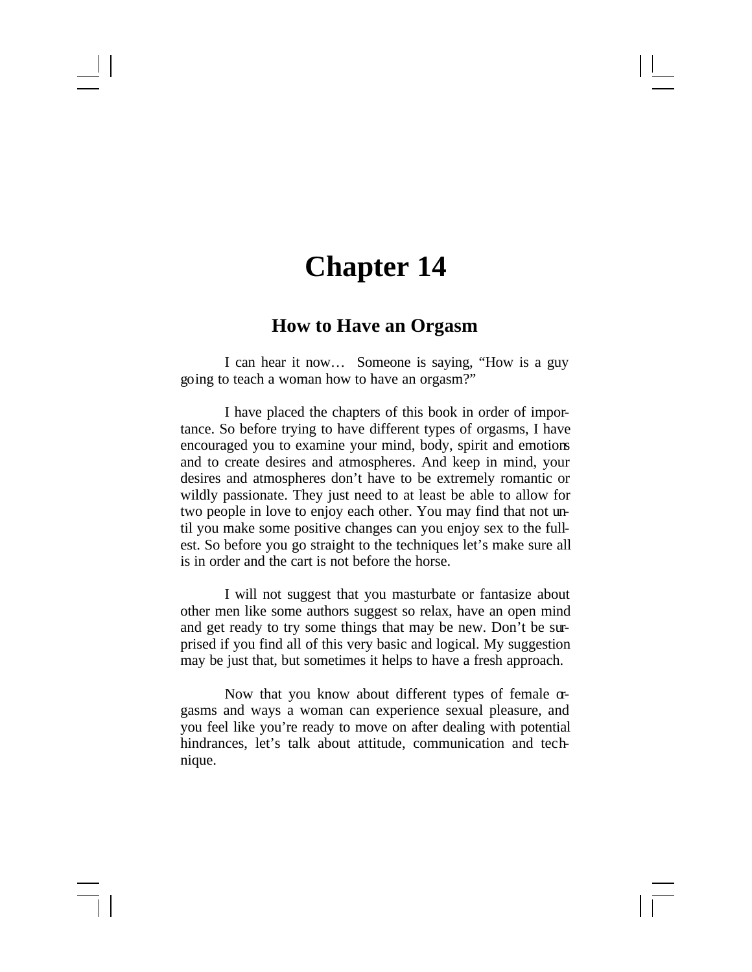# **Chapter 14**

#### **How to Have an Orgasm**

I can hear it now… Someone is saying, "How is a guy going to teach a woman how to have an orgasm?"

I have placed the chapters of this book in order of importance. So before trying to have different types of orgasms, I have encouraged you to examine your mind, body, spirit and emotions and to create desires and atmospheres. And keep in mind, your desires and atmospheres don't have to be extremely romantic or wildly passionate. They just need to at least be able to allow for two people in love to enjoy each other. You may find that not until you make some positive changes can you enjoy sex to the fullest. So before you go straight to the techniques let's make sure all is in order and the cart is not before the horse.

I will not suggest that you masturbate or fantasize about other men like some authors suggest so relax, have an open mind and get ready to try some things that may be new. Don't be surprised if you find all of this very basic and logical. My suggestion may be just that, but sometimes it helps to have a fresh approach.

Now that you know about different types of female orgasms and ways a woman can experience sexual pleasure, and you feel like you're ready to move on after dealing with potential hindrances, let's talk about attitude, communication and technique.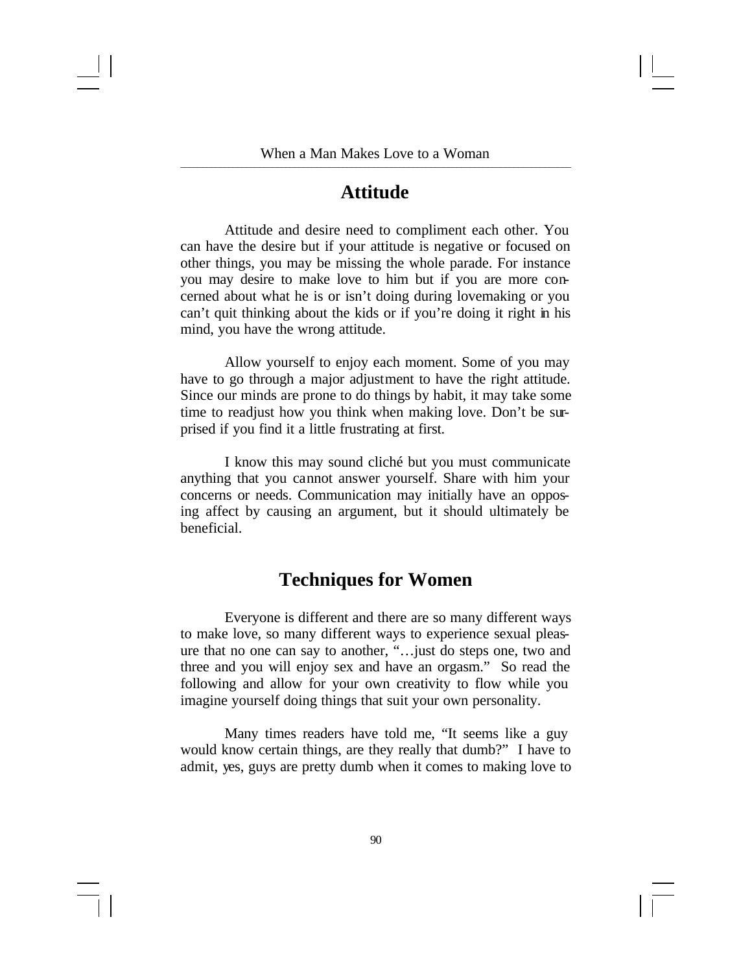## **Attitude**

Attitude and desire need to compliment each other. You can have the desire but if your attitude is negative or focused on other things, you may be missing the whole parade. For instance you may desire to make love to him but if you are more concerned about what he is or isn't doing during lovemaking or you can't quit thinking about the kids or if you're doing it right in his mind, you have the wrong attitude.

Allow yourself to enjoy each moment. Some of you may have to go through a major adjustment to have the right attitude. Since our minds are prone to do things by habit, it may take some time to readjust how you think when making love. Don't be surprised if you find it a little frustrating at first.

I know this may sound cliché but you must communicate anything that you cannot answer yourself. Share with him your concerns or needs. Communication may initially have an opposing affect by causing an argument, but it should ultimately be beneficial.

#### **Techniques for Women**

Everyone is different and there are so many different ways to make love, so many different ways to experience sexual pleasure that no one can say to another, "…just do steps one, two and three and you will enjoy sex and have an orgasm." So read the following and allow for your own creativity to flow while you imagine yourself doing things that suit your own personality.

 Many times readers have told me, "It seems like a guy would know certain things, are they really that dumb?" I have to admit, yes, guys are pretty dumb when it comes to making love to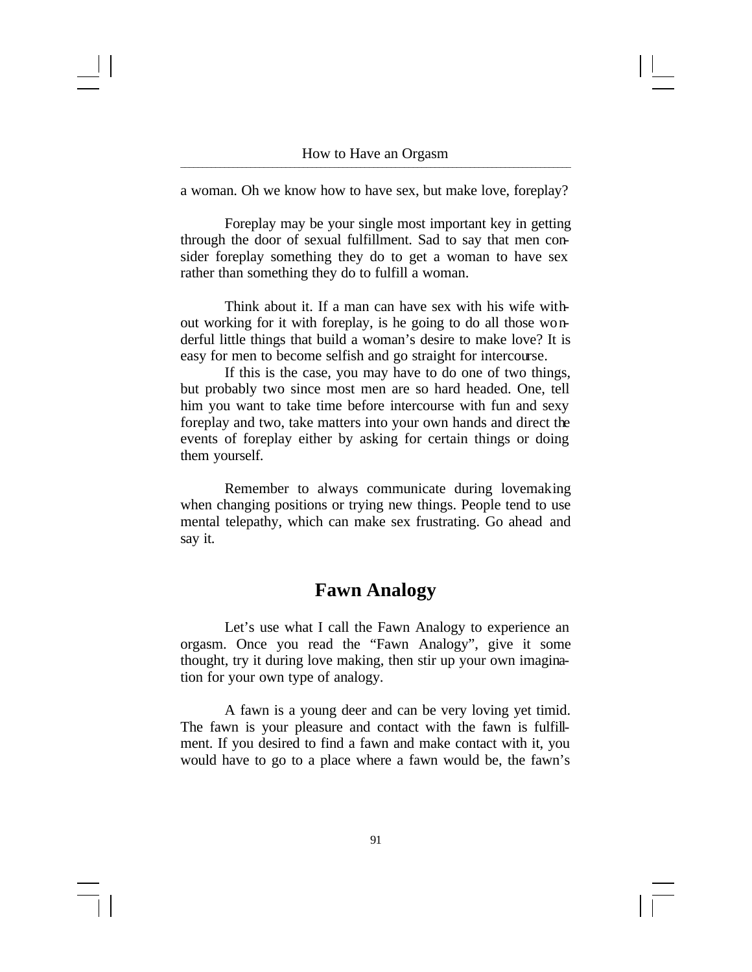a woman. Oh we know how to have sex, but make love, foreplay?

 Foreplay may be your single most important key in getting through the door of sexual fulfillment. Sad to say that men consider foreplay something they do to get a woman to have sex rather than something they do to fulfill a woman.

 Think about it. If a man can have sex with his wife without working for it with foreplay, is he going to do all those wonderful little things that build a woman's desire to make love? It is easy for men to become selfish and go straight for intercourse.

 If this is the case, you may have to do one of two things, but probably two since most men are so hard headed. One, tell him you want to take time before intercourse with fun and sexy foreplay and two, take matters into your own hands and direct the events of foreplay either by asking for certain things or doing them yourself.

 Remember to always communicate during lovemaking when changing positions or trying new things. People tend to use mental telepathy, which can make sex frustrating. Go ahead and say it.

#### **Fawn Analogy**

 Let's use what I call the Fawn Analogy to experience an orgasm. Once you read the "Fawn Analogy", give it some thought, try it during love making, then stir up your own imagination for your own type of analogy.

A fawn is a young deer and can be very loving yet timid. The fawn is your pleasure and contact with the fawn is fulfillment. If you desired to find a fawn and make contact with it, you would have to go to a place where a fawn would be, the fawn's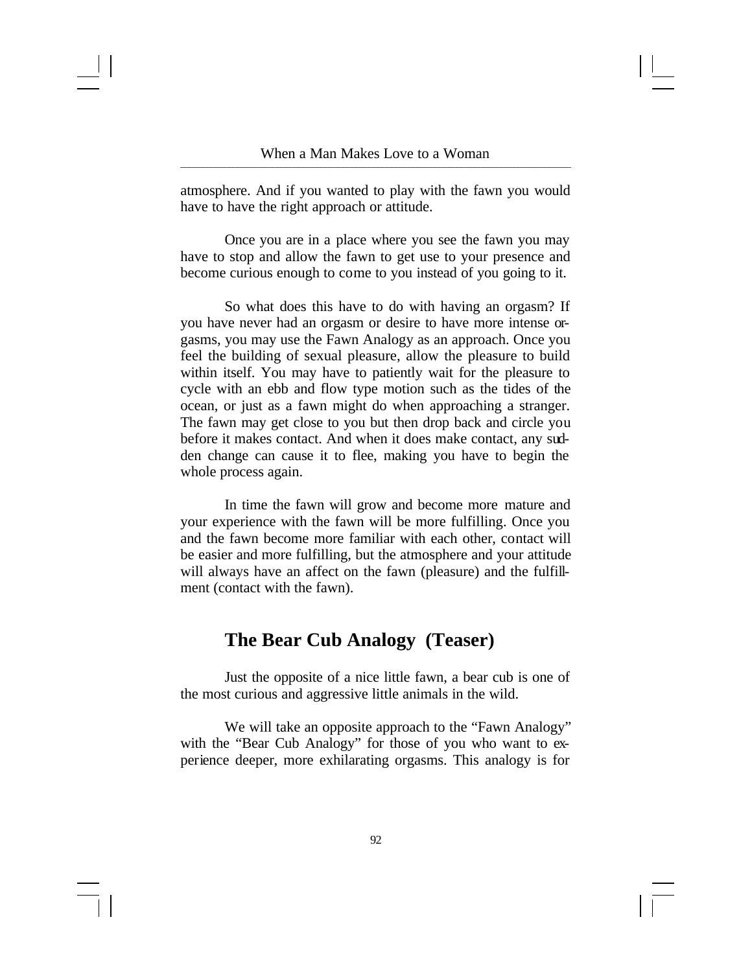atmosphere. And if you wanted to play with the fawn you would have to have the right approach or attitude.

 Once you are in a place where you see the fawn you may have to stop and allow the fawn to get use to your presence and become curious enough to come to you instead of you going to it.

 So what does this have to do with having an orgasm? If you have never had an orgasm or desire to have more intense orgasms, you may use the Fawn Analogy as an approach. Once you feel the building of sexual pleasure, allow the pleasure to build within itself. You may have to patiently wait for the pleasure to cycle with an ebb and flow type motion such as the tides of the ocean, or just as a fawn might do when approaching a stranger. The fawn may get close to you but then drop back and circle you before it makes contact. And when it does make contact, any sudden change can cause it to flee, making you have to begin the whole process again.

 In time the fawn will grow and become more mature and your experience with the fawn will be more fulfilling. Once you and the fawn become more familiar with each other, contact will be easier and more fulfilling, but the atmosphere and your attitude will always have an affect on the fawn (pleasure) and the fulfillment (contact with the fawn).

#### **The Bear Cub Analogy (Teaser)**

Just the opposite of a nice little fawn, a bear cub is one of the most curious and aggressive little animals in the wild.

We will take an opposite approach to the "Fawn Analogy" with the "Bear Cub Analogy" for those of you who want to experience deeper, more exhilarating orgasms. This analogy is for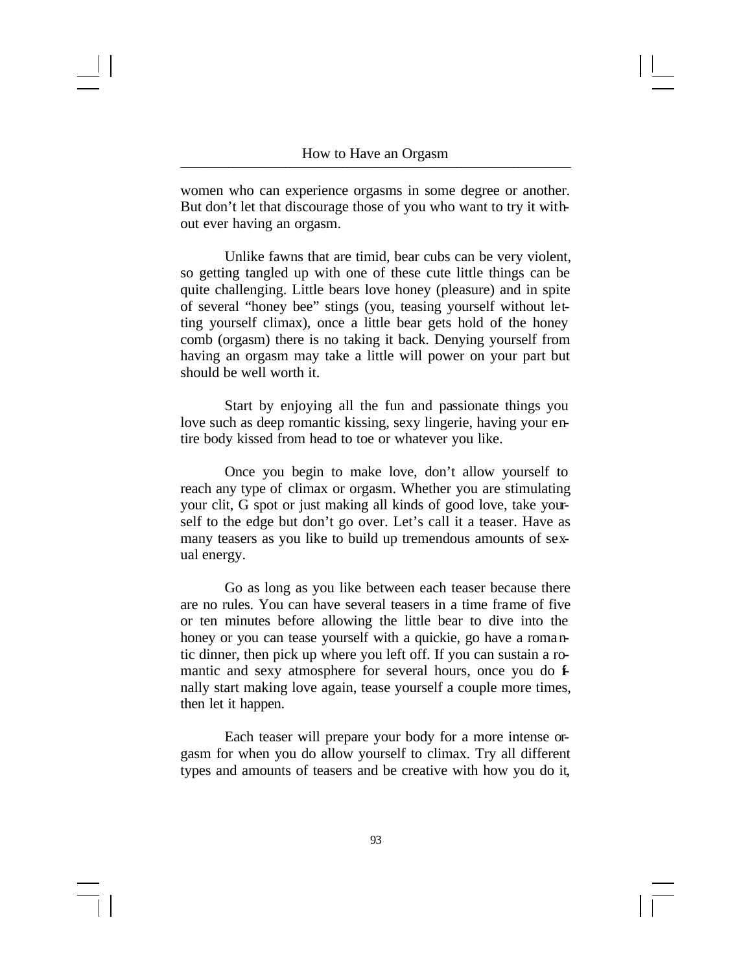women who can experience orgasms in some degree or another. But don't let that discourage those of you who want to try it without ever having an orgasm.

Unlike fawns that are timid, bear cubs can be very violent, so getting tangled up with one of these cute little things can be quite challenging. Little bears love honey (pleasure) and in spite of several "honey bee" stings (you, teasing yourself without letting yourself climax), once a little bear gets hold of the honey comb (orgasm) there is no taking it back. Denying yourself from having an orgasm may take a little will power on your part but should be well worth it.

Start by enjoying all the fun and passionate things you love such as deep romantic kissing, sexy lingerie, having your entire body kissed from head to toe or whatever you like.

Once you begin to make love, don't allow yourself to reach any type of climax or orgasm. Whether you are stimulating your clit, G spot or just making all kinds of good love, take yourself to the edge but don't go over. Let's call it a teaser. Have as many teasers as you like to build up tremendous amounts of sexual energy.

Go as long as you like between each teaser because there are no rules. You can have several teasers in a time frame of five or ten minutes before allowing the little bear to dive into the honey or you can tease yourself with a quickie, go have a romantic dinner, then pick up where you left off. If you can sustain a romantic and sexy atmosphere for several hours, once you do f nally start making love again, tease yourself a couple more times, then let it happen.

Each teaser will prepare your body for a more intense orgasm for when you do allow yourself to climax. Try all different types and amounts of teasers and be creative with how you do it,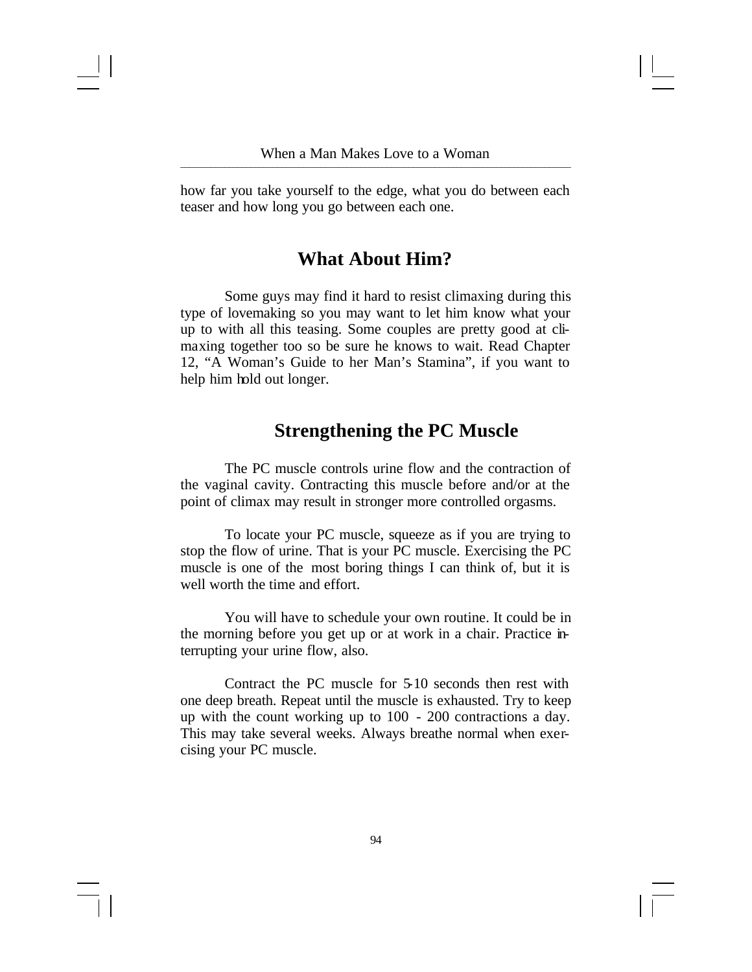how far you take yourself to the edge, what you do between each teaser and how long you go between each one.

#### **What About Him?**

Some guys may find it hard to resist climaxing during this type of lovemaking so you may want to let him know what your up to with all this teasing. Some couples are pretty good at climaxing together too so be sure he knows to wait. Read Chapter 12, "A Woman's Guide to her Man's Stamina", if you want to help him hold out longer.

### **Strengthening the PC Muscle**

The PC muscle controls urine flow and the contraction of the vaginal cavity. Contracting this muscle before and/or at the point of climax may result in stronger more controlled orgasms.

To locate your PC muscle, squeeze as if you are trying to stop the flow of urine. That is your PC muscle. Exercising the PC muscle is one of the most boring things I can think of, but it is well worth the time and effort.

You will have to schedule your own routine. It could be in the morning before you get up or at work in a chair. Practice interrupting your urine flow, also.

Contract the PC muscle for 5-10 seconds then rest with one deep breath. Repeat until the muscle is exhausted. Try to keep up with the count working up to 100 - 200 contractions a day. This may take several weeks. Always breathe normal when exercising your PC muscle.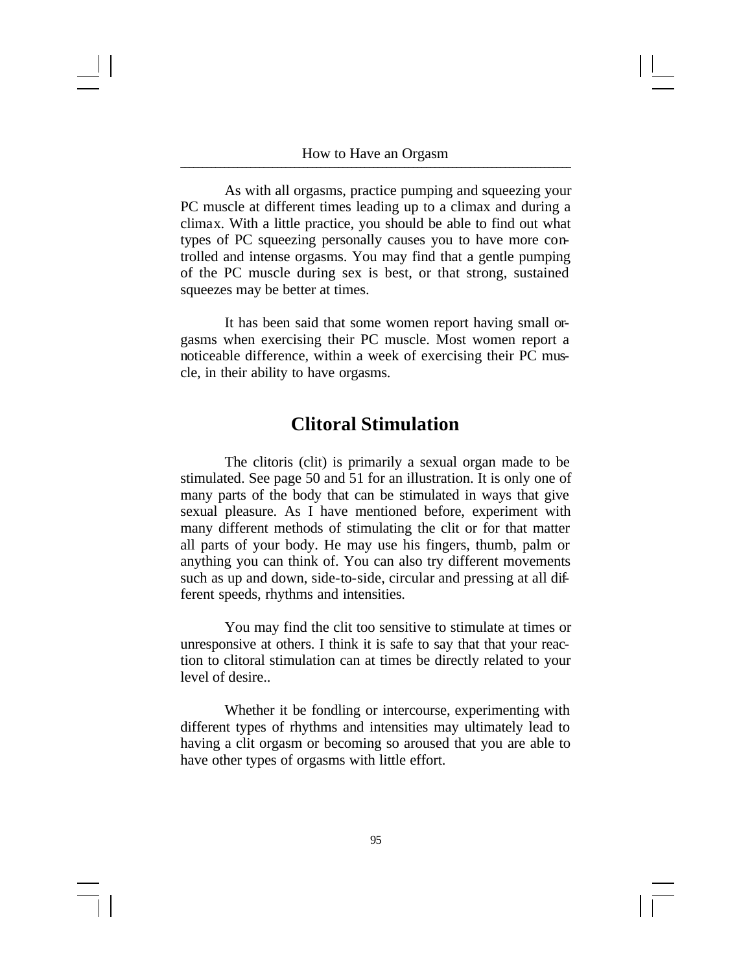As with all orgasms, practice pumping and squeezing your PC muscle at different times leading up to a climax and during a climax. With a little practice, you should be able to find out what types of PC squeezing personally causes you to have more controlled and intense orgasms. You may find that a gentle pumping of the PC muscle during sex is best, or that strong, sustained squeezes may be better at times.

 It has been said that some women report having small orgasms when exercising their PC muscle. Most women report a noticeable difference, within a week of exercising their PC muscle, in their ability to have orgasms.

#### **Clitoral Stimulation**

 The clitoris (clit) is primarily a sexual organ made to be stimulated. See page 50 and 51 for an illustration. It is only one of many parts of the body that can be stimulated in ways that give sexual pleasure. As I have mentioned before, experiment with many different methods of stimulating the clit or for that matter all parts of your body. He may use his fingers, thumb, palm or anything you can think of. You can also try different movements such as up and down, side-to-side, circular and pressing at all different speeds, rhythms and intensities.

 You may find the clit too sensitive to stimulate at times or unresponsive at others. I think it is safe to say that that your reaction to clitoral stimulation can at times be directly related to your level of desire..

 Whether it be fondling or intercourse, experimenting with different types of rhythms and intensities may ultimately lead to having a clit orgasm or becoming so aroused that you are able to have other types of orgasms with little effort.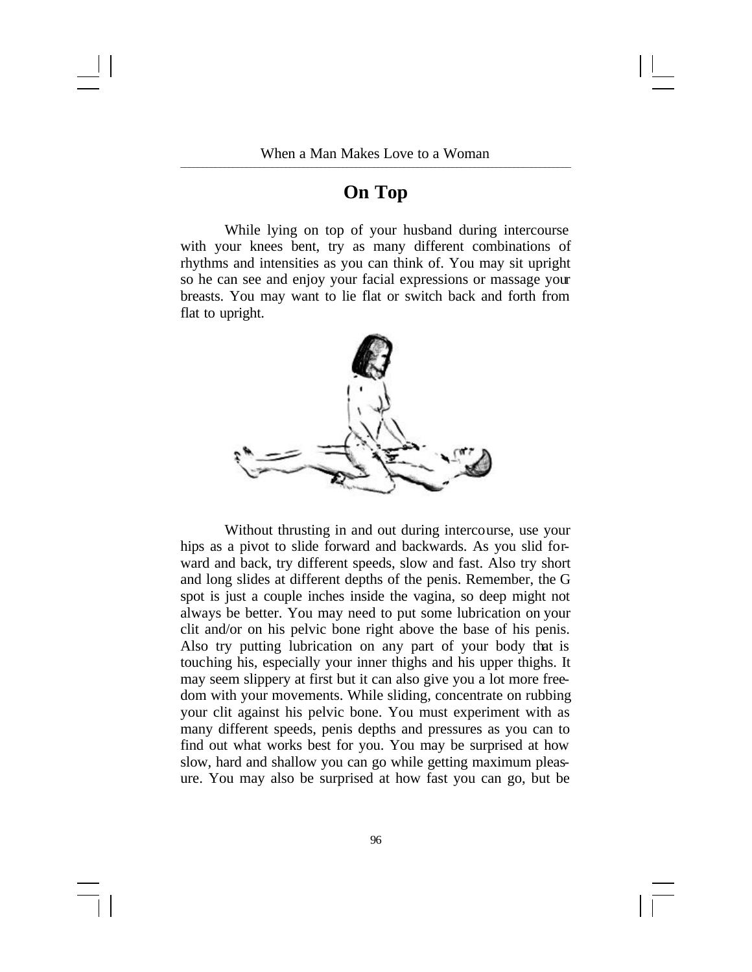## **On Top**

While lying on top of your husband during intercourse with your knees bent, try as many different combinations of rhythms and intensities as you can think of. You may sit upright so he can see and enjoy your facial expressions or massage your breasts. You may want to lie flat or switch back and forth from flat to upright.



 Without thrusting in and out during intercourse, use your hips as a pivot to slide forward and backwards. As you slid forward and back, try different speeds, slow and fast. Also try short and long slides at different depths of the penis. Remember, the G spot is just a couple inches inside the vagina, so deep might not always be better. You may need to put some lubrication on your clit and/or on his pelvic bone right above the base of his penis. Also try putting lubrication on any part of your body that is touching his, especially your inner thighs and his upper thighs. It may seem slippery at first but it can also give you a lot more freedom with your movements. While sliding, concentrate on rubbing your clit against his pelvic bone. You must experiment with as many different speeds, penis depths and pressures as you can to find out what works best for you. You may be surprised at how slow, hard and shallow you can go while getting maximum pleasure. You may also be surprised at how fast you can go, but be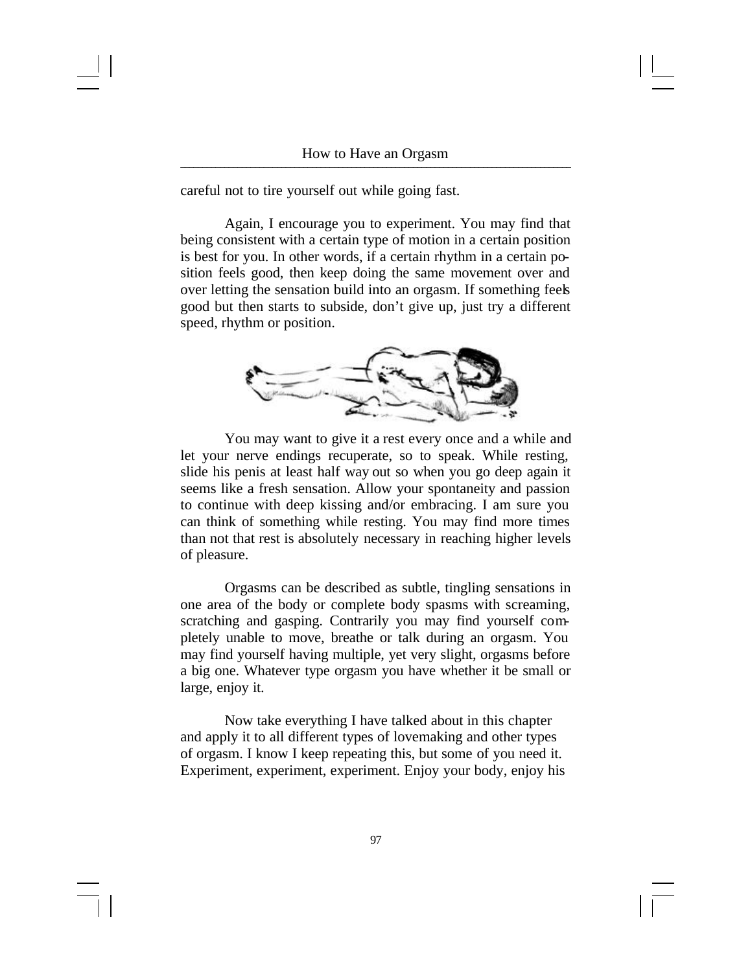careful not to tire yourself out while going fast.

 Again, I encourage you to experiment. You may find that being consistent with a certain type of motion in a certain position is best for you. In other words, if a certain rhythm in a certain position feels good, then keep doing the same movement over and over letting the sensation build into an orgasm. If something feels good but then starts to subside, don't give up, just try a different speed, rhythm or position.



 You may want to give it a rest every once and a while and let your nerve endings recuperate, so to speak. While resting, slide his penis at least half way out so when you go deep again it seems like a fresh sensation. Allow your spontaneity and passion to continue with deep kissing and/or embracing. I am sure you can think of something while resting. You may find more times than not that rest is absolutely necessary in reaching higher levels of pleasure.

 Orgasms can be described as subtle, tingling sensations in one area of the body or complete body spasms with screaming, scratching and gasping. Contrarily you may find yourself completely unable to move, breathe or talk during an orgasm. You may find yourself having multiple, yet very slight, orgasms before a big one. Whatever type orgasm you have whether it be small or large, enjoy it.

 Now take everything I have talked about in this chapter and apply it to all different types of lovemaking and other types of orgasm. I know I keep repeating this, but some of you need it. Experiment, experiment, experiment. Enjoy your body, enjoy his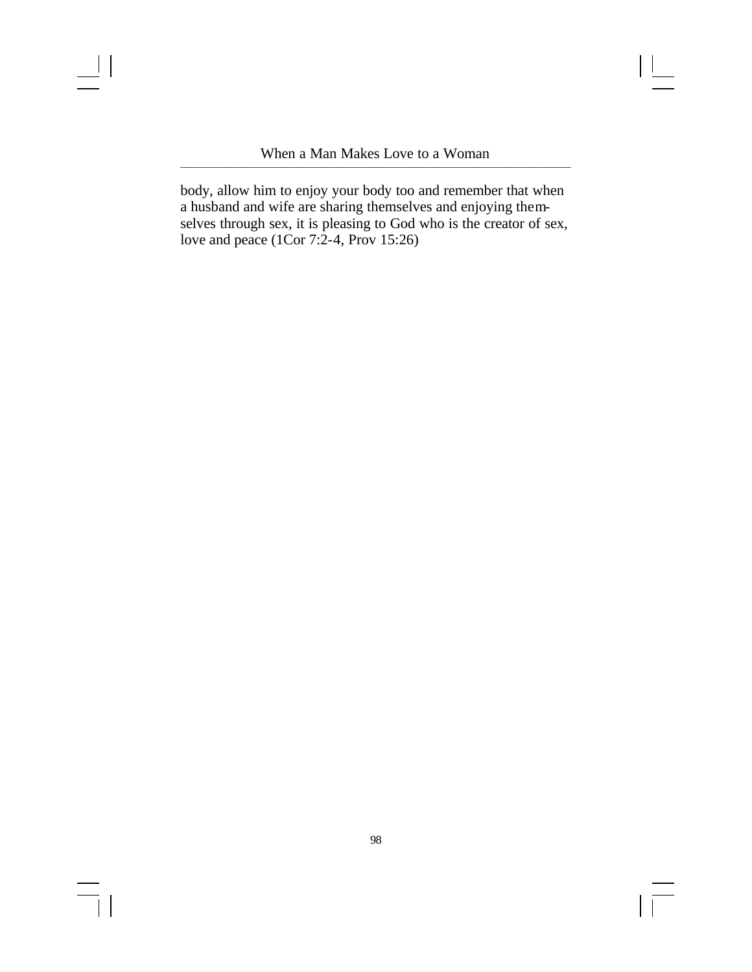body, allow him to enjoy your body too and remember that when a husband and wife are sharing themselves and enjoying themselves through sex, it is pleasing to God who is the creator of sex, love and peace  $(1Cor 7:2-4, Prov 15:26)$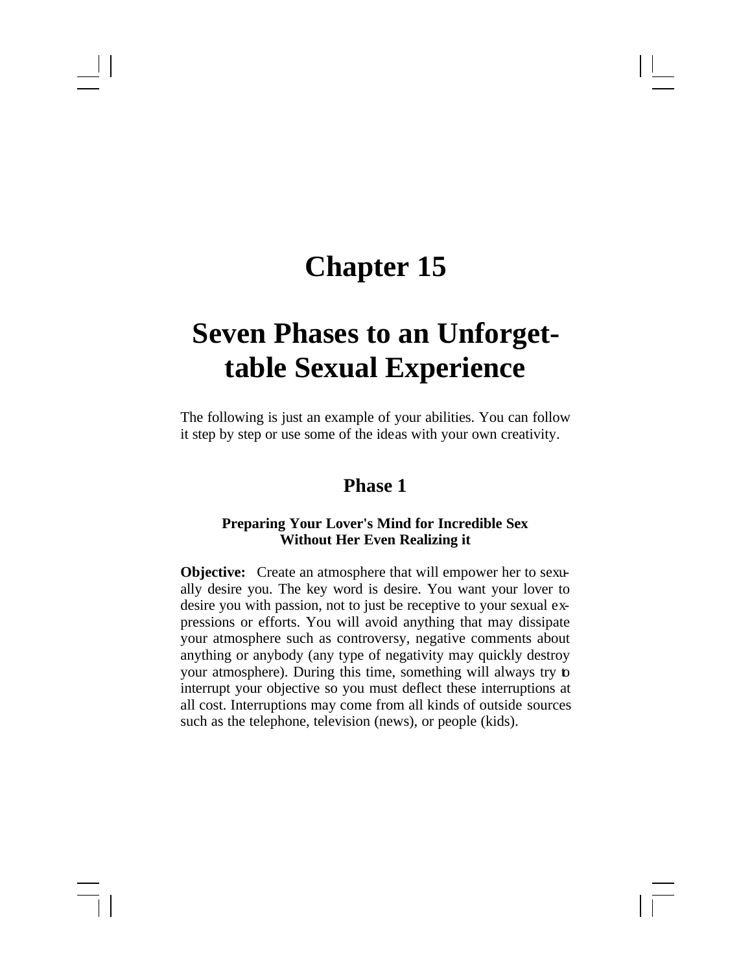# **Chapter 15**

# **Seven Phases to an Unforgettable Sexual Experience**

The following is just an example of your abilities. You can follow it step by step or use some of the ideas with your own creativity.

#### **Phase 1**

#### **Preparing Your Lover's Mind for Incredible Sex Without Her Even Realizing it**

**Objective:** Create an atmosphere that will empower her to sexually desire you. The key word is desire. You want your lover to desire you with passion, not to just be receptive to your sexual expressions or efforts. You will avoid anything that may dissipate your atmosphere such as controversy, negative comments about anything or anybody (any type of negativity may quickly destroy your atmosphere). During this time, something will always try to interrupt your objective so you must deflect these interruptions at all cost. Interruptions may come from all kinds of outside sources such as the telephone, television (news), or people (kids).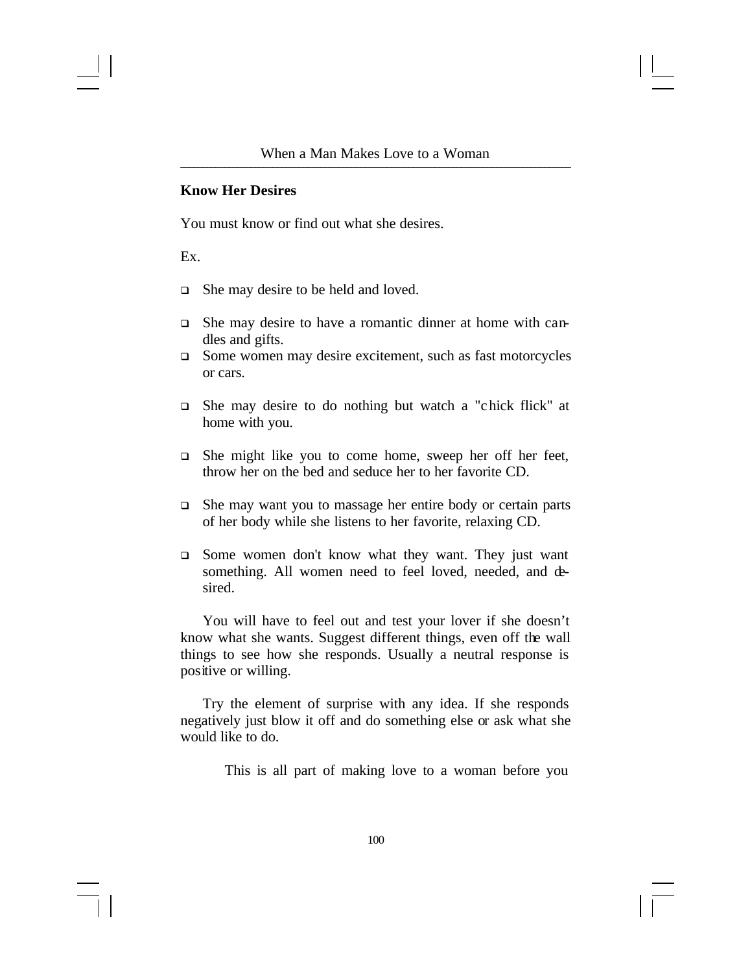#### **Know Her Desires**

You must know or find out what she desires.

Ex.

- $\Box$  She may desire to be held and loved.
- <sup>q</sup> She may desire to have a romantic dinner at home with candles and gifts.
- $\Box$  Some women may desire excitement, such as fast motorcycles or cars.
- <sup>q</sup> She may desire to do nothing but watch a "chick flick" at home with you.
- $\Box$  She might like you to come home, sweep her off her feet, throw her on the bed and seduce her to her favorite CD.
- <sup>q</sup> She may want you to massage her entire body or certain parts of her body while she listens to her favorite, relaxing CD.
- $\Box$  Some women don't know what they want. They just want something. All women need to feel loved, needed, and desired.

You will have to feel out and test your lover if she doesn't know what she wants. Suggest different things, even off the wall things to see how she responds. Usually a neutral response is positive or willing.

Try the element of surprise with any idea. If she responds negatively just blow it off and do something else or ask what she would like to do.

This is all part of making love to a woman before you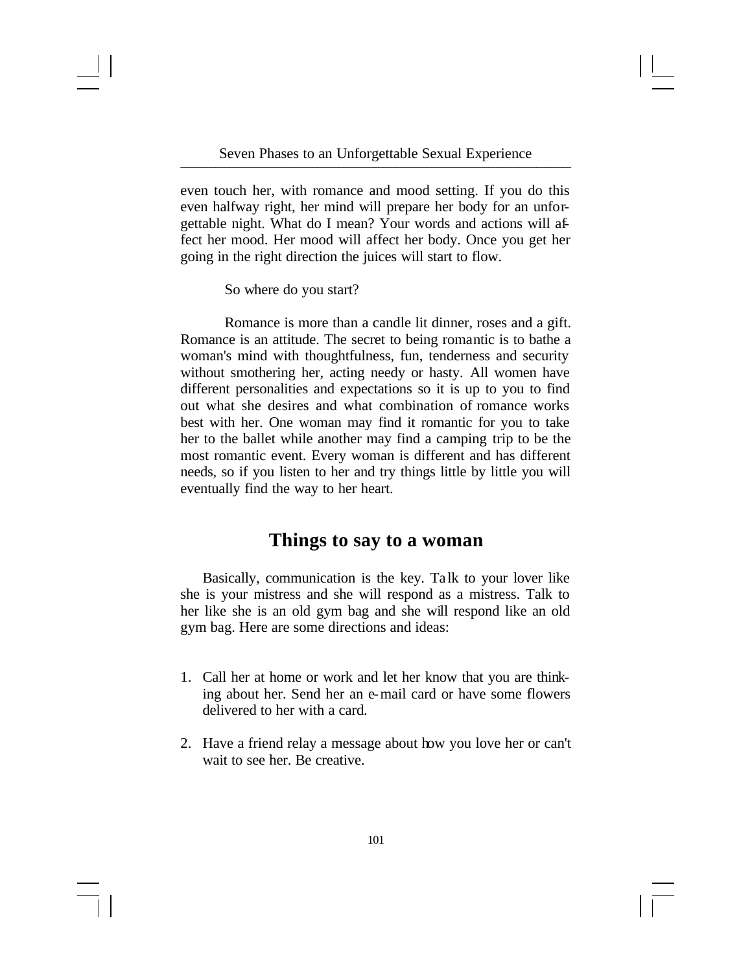even touch her, with romance and mood setting. If you do this even halfway right, her mind will prepare her body for an unforgettable night. What do I mean? Your words and actions will affect her mood. Her mood will affect her body. Once you get her going in the right direction the juices will start to flow.

So where do you start?

Romance is more than a candle lit dinner, roses and a gift. Romance is an attitude. The secret to being romantic is to bathe a woman's mind with thoughtfulness, fun, tenderness and security without smothering her, acting needy or hasty. All women have different personalities and expectations so it is up to you to find out what she desires and what combination of romance works best with her. One woman may find it romantic for you to take her to the ballet while another may find a camping trip to be the most romantic event. Every woman is different and has different needs, so if you listen to her and try things little by little you will eventually find the way to her heart.

#### **Things to say to a woman**

Basically, communication is the key. Ta lk to your lover like she is your mistress and she will respond as a mistress. Talk to her like she is an old gym bag and she will respond like an old gym bag. Here are some directions and ideas:

- 1. Call her at home or work and let her know that you are thinking about her. Send her an e-mail card or have some flowers delivered to her with a card.
- 2. Have a friend relay a message about how you love her or can't wait to see her. Be creative.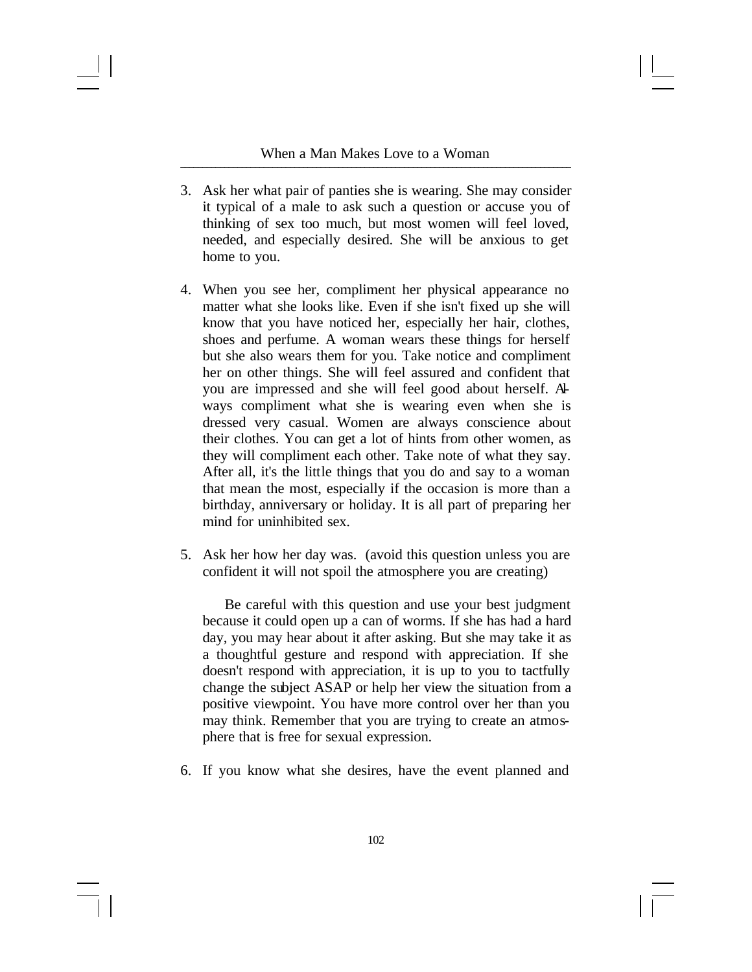- 3. Ask her what pair of panties she is wearing. She may consider it typical of a male to ask such a question or accuse you of thinking of sex too much, but most women will feel loved, needed, and especially desired. She will be anxious to get home to you.
- 4. When you see her, compliment her physical appearance no matter what she looks like. Even if she isn't fixed up she will know that you have noticed her, especially her hair, clothes, shoes and perfume. A woman wears these things for herself but she also wears them for you. Take notice and compliment her on other things. She will feel assured and confident that you are impressed and she will feel good about herself. Always compliment what she is wearing even when she is dressed very casual. Women are always conscience about their clothes. You can get a lot of hints from other women, as they will compliment each other. Take note of what they say. After all, it's the little things that you do and say to a woman that mean the most, especially if the occasion is more than a birthday, anniversary or holiday. It is all part of preparing her mind for uninhibited sex.
- 5. Ask her how her day was. (avoid this question unless you are confident it will not spoil the atmosphere you are creating)

Be careful with this question and use your best judgment because it could open up a can of worms. If she has had a hard day, you may hear about it after asking. But she may take it as a thoughtful gesture and respond with appreciation. If she doesn't respond with appreciation, it is up to you to tactfully change the subject ASAP or help her view the situation from a positive viewpoint. You have more control over her than you may think. Remember that you are trying to create an atmosphere that is free for sexual expression.

6. If you know what she desires, have the event planned and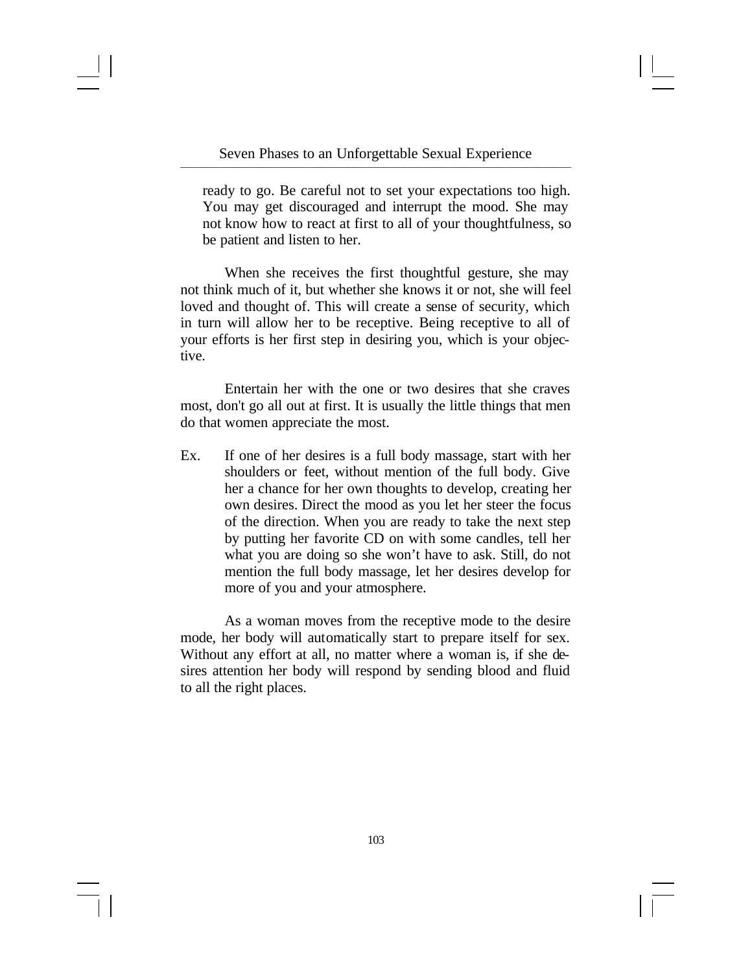ready to go. Be careful not to set your expectations too high. You may get discouraged and interrupt the mood. She may not know how to react at first to all of your thoughtfulness, so be patient and listen to her.

 When she receives the first thoughtful gesture, she may not think much of it, but whether she knows it or not, she will feel loved and thought of. This will create a sense of security, which in turn will allow her to be receptive. Being receptive to all of your efforts is her first step in desiring you, which is your objective.

 Entertain her with the one or two desires that she craves most, don't go all out at first. It is usually the little things that men do that women appreciate the most.

Ex. If one of her desires is a full body massage, start with her shoulders or feet, without mention of the full body. Give her a chance for her own thoughts to develop, creating her own desires. Direct the mood as you let her steer the focus of the direction. When you are ready to take the next step by putting her favorite CD on with some candles, tell her what you are doing so she won't have to ask. Still, do not mention the full body massage, let her desires develop for more of you and your atmosphere.

 As a woman moves from the receptive mode to the desire mode, her body will automatically start to prepare itself for sex. Without any effort at all, no matter where a woman is, if she desires attention her body will respond by sending blood and fluid to all the right places.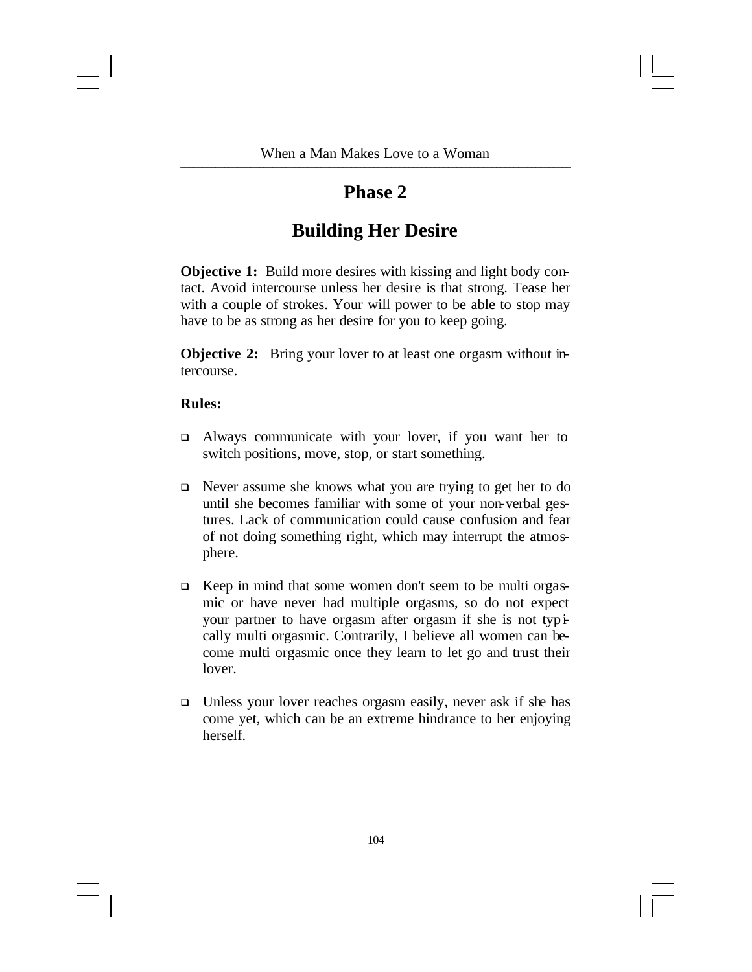# **Phase 2**

## **Building Her Desire**

**Objective 1:** Build more desires with kissing and light body contact. Avoid intercourse unless her desire is that strong. Tease her with a couple of strokes. Your will power to be able to stop may have to be as strong as her desire for you to keep going.

**Objective 2:** Bring your lover to at least one orgasm without intercourse.

#### **Rules:**

- <sup>q</sup> Always communicate with your lover, if you want her to switch positions, move, stop, or start something.
- $\Box$  Never assume she knows what you are trying to get her to do until she becomes familiar with some of your non-verbal gestures. Lack of communication could cause confusion and fear of not doing something right, which may interrupt the atmosphere.
- <sup>q</sup> Keep in mind that some women don't seem to be multi orgasmic or have never had multiple orgasms, so do not expect your partner to have orgasm after orgasm if she is not typically multi orgasmic. Contrarily, I believe all women can become multi orgasmic once they learn to let go and trust their lover.
- $\Box$  Unless your lover reaches orgasm easily, never ask if she has come yet, which can be an extreme hindrance to her enjoying herself.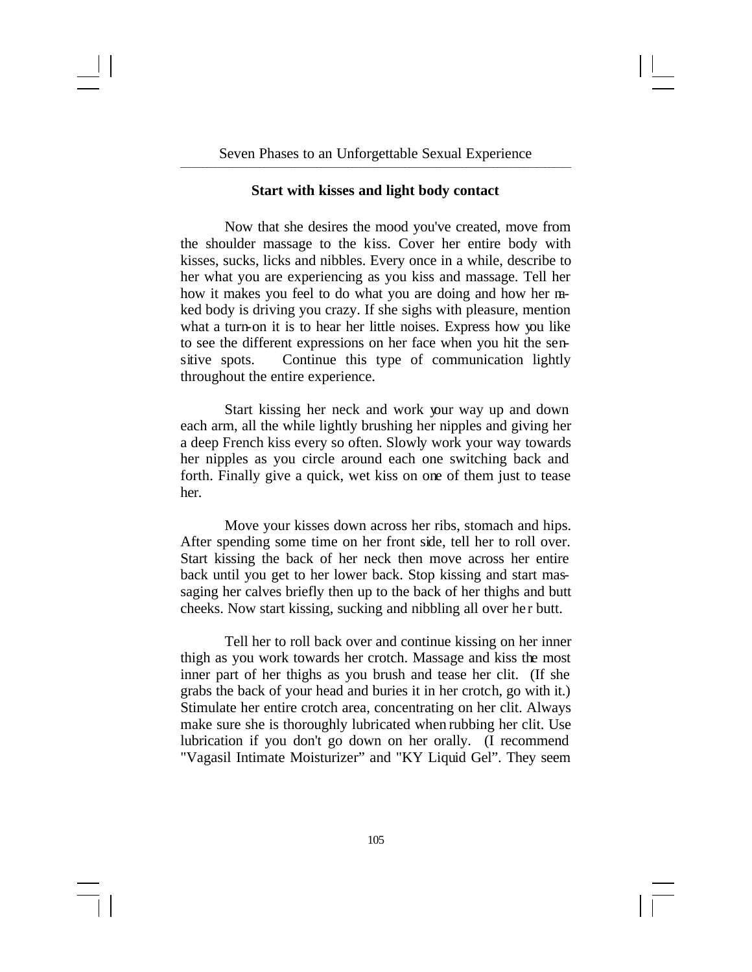#### **Start with kisses and light body contact**

 Now that she desires the mood you've created, move from the shoulder massage to the kiss. Cover her entire body with kisses, sucks, licks and nibbles. Every once in a while, describe to her what you are experiencing as you kiss and massage. Tell her how it makes you feel to do what you are doing and how her mked body is driving you crazy. If she sighs with pleasure, mention what a turn-on it is to hear her little noises. Express how you like to see the different expressions on her face when you hit the sensitive spots. Continue this type of communication lightly throughout the entire experience.

Start kissing her neck and work your way up and down each arm, all the while lightly brushing her nipples and giving her a deep French kiss every so often. Slowly work your way towards her nipples as you circle around each one switching back and forth. Finally give a quick, wet kiss on one of them just to tease her.

Move your kisses down across her ribs, stomach and hips. After spending some time on her front side, tell her to roll over. Start kissing the back of her neck then move across her entire back until you get to her lower back. Stop kissing and start massaging her calves briefly then up to the back of her thighs and butt cheeks. Now start kissing, sucking and nibbling all over her butt.

Tell her to roll back over and continue kissing on her inner thigh as you work towards her crotch. Massage and kiss the most inner part of her thighs as you brush and tease her clit. (If she grabs the back of your head and buries it in her crotch, go with it.) Stimulate her entire crotch area, concentrating on her clit. Always make sure she is thoroughly lubricated when rubbing her clit. Use lubrication if you don't go down on her orally. (I recommend "Vagasil Intimate Moisturizer" and "KY Liquid Gel". They seem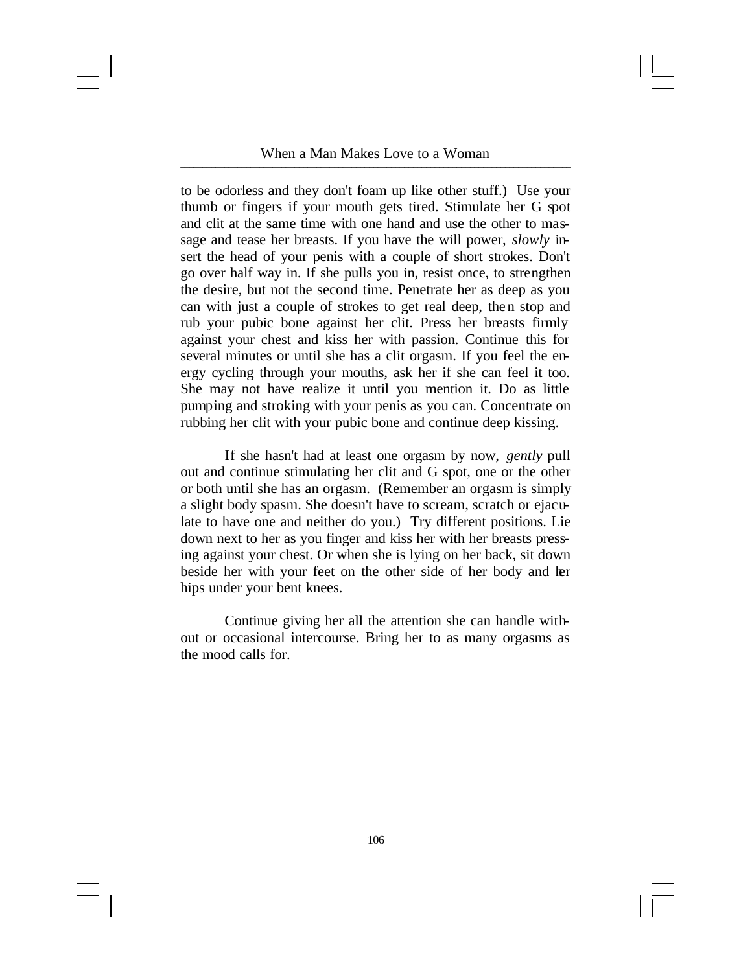to be odorless and they don't foam up like other stuff.) Use your thumb or fingers if your mouth gets tired. Stimulate her G spot and clit at the same time with one hand and use the other to massage and tease her breasts. If you have the will power, *slowly* insert the head of your penis with a couple of short strokes. Don't go over half way in. If she pulls you in, resist once, to strengthen the desire, but not the second time. Penetrate her as deep as you can with just a couple of strokes to get real deep, then stop and rub your pubic bone against her clit. Press her breasts firmly against your chest and kiss her with passion. Continue this for several minutes or until she has a clit orgasm. If you feel the energy cycling through your mouths, ask her if she can feel it too. She may not have realize it until you mention it. Do as little pumping and stroking with your penis as you can. Concentrate on rubbing her clit with your pubic bone and continue deep kissing.

If she hasn't had at least one orgasm by now, *gently* pull out and continue stimulating her clit and G spot, one or the other or both until she has an orgasm. (Remember an orgasm is simply a slight body spasm. She doesn't have to scream, scratch or ejaculate to have one and neither do you.) Try different positions. Lie down next to her as you finger and kiss her with her breasts pressing against your chest. Or when she is lying on her back, sit down beside her with your feet on the other side of her body and her hips under your bent knees.

Continue giving her all the attention she can handle without or occasional intercourse. Bring her to as many orgasms as the mood calls for.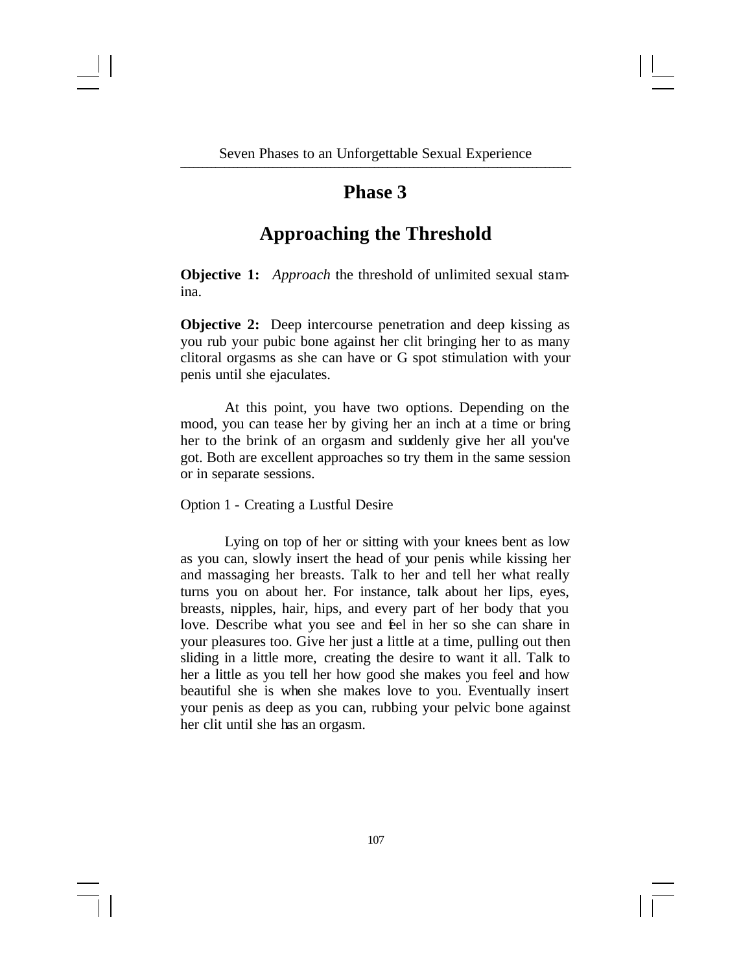# **Phase 3**

## **Approaching the Threshold**

**Objective 1:** *Approach* the threshold of unlimited sexual stamina.

**Objective 2:** Deep intercourse penetration and deep kissing as you rub your pubic bone against her clit bringing her to as many clitoral orgasms as she can have or G spot stimulation with your penis until she ejaculates.

 At this point, you have two options. Depending on the mood, you can tease her by giving her an inch at a time or bring her to the brink of an orgasm and suddenly give her all you've got. Both are excellent approaches so try them in the same session or in separate sessions.

Option 1 - Creating a Lustful Desire

Lying on top of her or sitting with your knees bent as low as you can, slowly insert the head of your penis while kissing her and massaging her breasts. Talk to her and tell her what really turns you on about her. For instance, talk about her lips, eyes, breasts, nipples, hair, hips, and every part of her body that you love. Describe what you see and feel in her so she can share in your pleasures too. Give her just a little at a time, pulling out then sliding in a little more, creating the desire to want it all. Talk to her a little as you tell her how good she makes you feel and how beautiful she is when she makes love to you. Eventually insert your penis as deep as you can, rubbing your pelvic bone against her clit until she has an orgasm.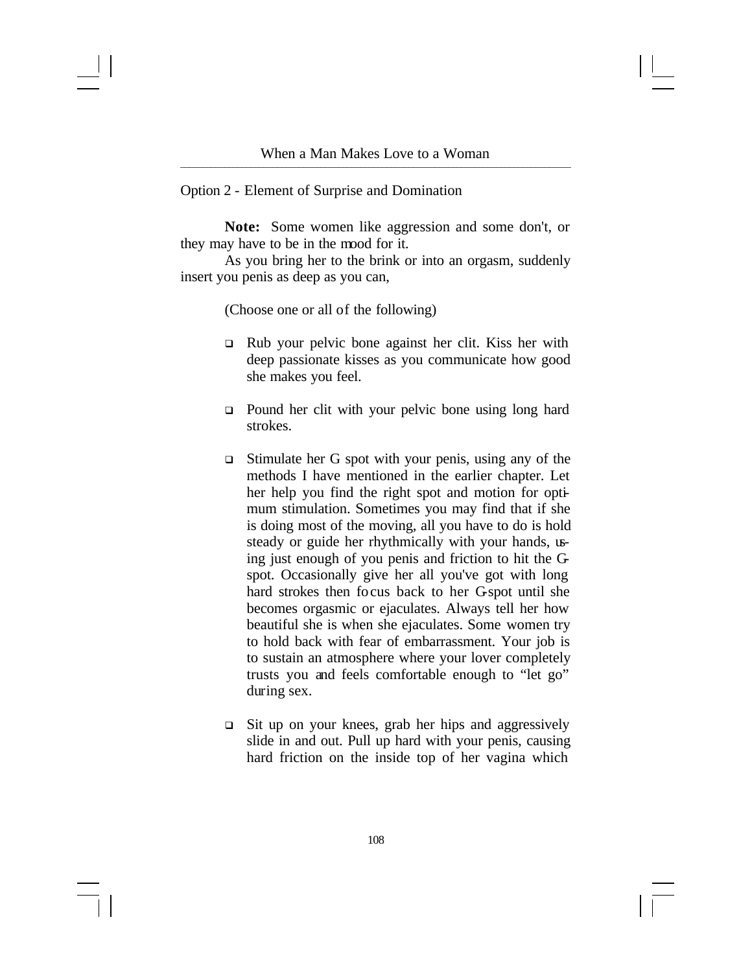Option 2 - Element of Surprise and Domination

**Note:** Some women like aggression and some don't, or they may have to be in the mood for it.

As you bring her to the brink or into an orgasm, suddenly insert you penis as deep as you can,

(Choose one or all of the following)

- $\Box$  Rub your pelvic bone against her clit. Kiss her with deep passionate kisses as you communicate how good she makes you feel.
- $\Box$  Pound her clit with your pelvic bone using long hard strokes.
- $\Box$  Stimulate her G spot with your penis, using any of the methods I have mentioned in the earlier chapter. Let her help you find the right spot and motion for optimum stimulation. Sometimes you may find that if she is doing most of the moving, all you have to do is hold steady or guide her rhythmically with your hands, using just enough of you penis and friction to hit the Gspot. Occasionally give her all you've got with long hard strokes then focus back to her G-spot until she becomes orgasmic or ejaculates. Always tell her how beautiful she is when she ejaculates. Some women try to hold back with fear of embarrassment. Your job is to sustain an atmosphere where your lover completely trusts you and feels comfortable enough to "let go" during sex.
- $\Box$  Sit up on your knees, grab her hips and aggressively slide in and out. Pull up hard with your penis, causing hard friction on the inside top of her vagina which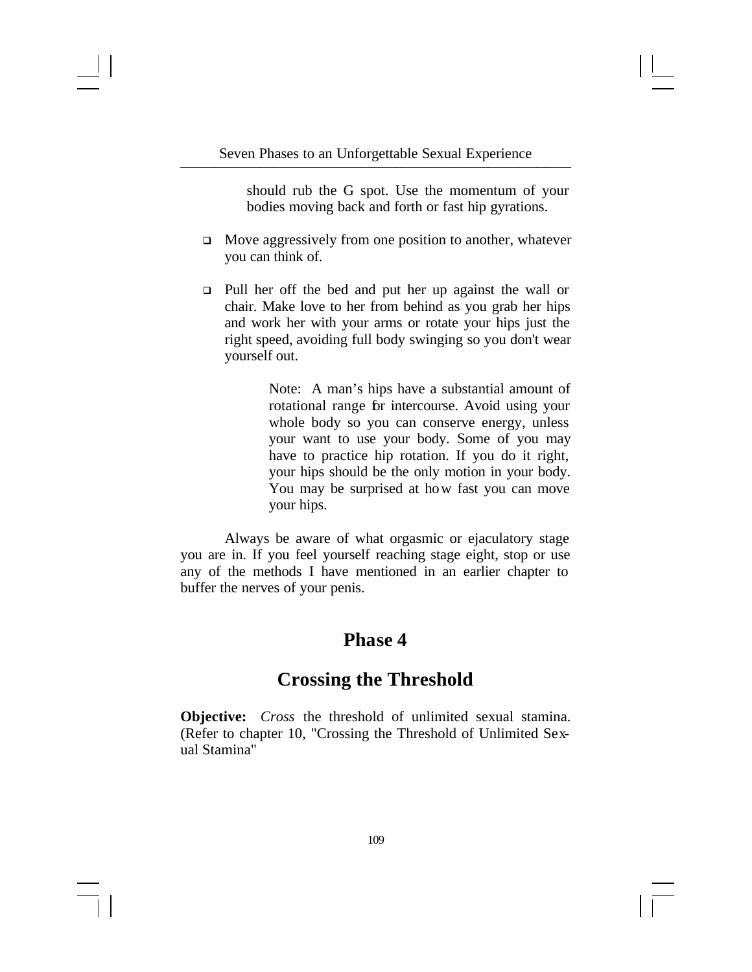should rub the G spot. Use the momentum of your bodies moving back and forth or fast hip gyrations.

- $\Box$  Move aggressively from one position to another, whatever you can think of.
- <sup>q</sup> Pull her off the bed and put her up against the wall or chair. Make love to her from behind as you grab her hips and work her with your arms or rotate your hips just the right speed, avoiding full body swinging so you don't wear yourself out.

Note: A man's hips have a substantial amount of rotational range for intercourse. Avoid using your whole body so you can conserve energy, unless your want to use your body. Some of you may have to practice hip rotation. If you do it right, your hips should be the only motion in your body. You may be surprised at how fast you can move your hips.

Always be aware of what orgasmic or ejaculatory stage you are in. If you feel yourself reaching stage eight, stop or use any of the methods I have mentioned in an earlier chapter to buffer the nerves of your penis.

## **Phase 4**

## **Crossing the Threshold**

**Objective:** *Cross* the threshold of unlimited sexual stamina. (Refer to chapter 10, "Crossing the Threshold of Unlimited Sexual Stamina"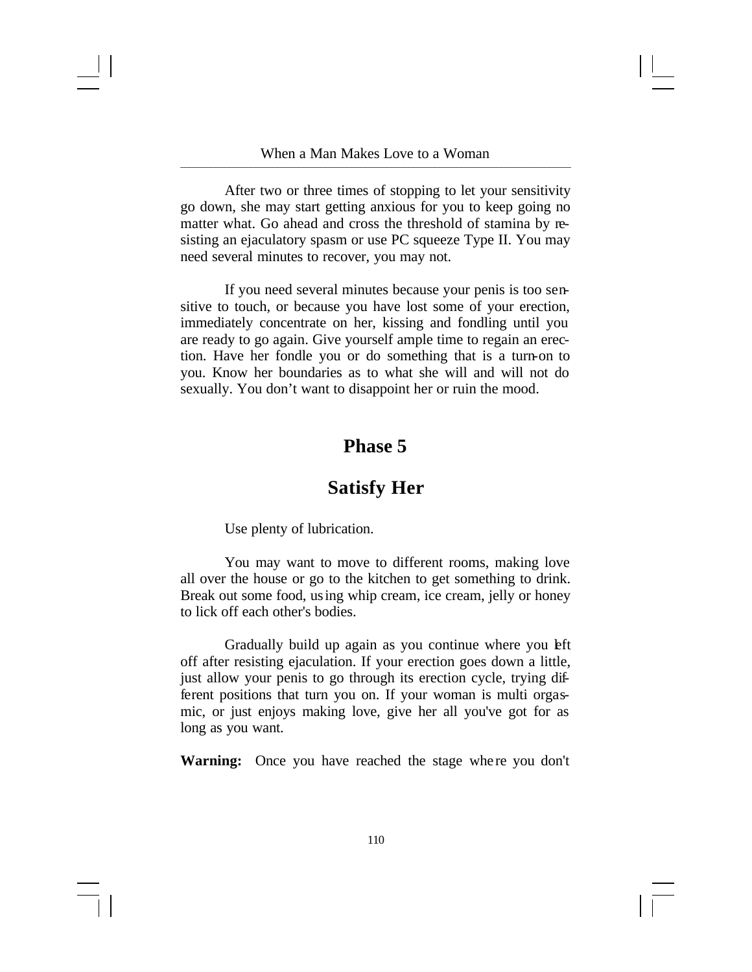After two or three times of stopping to let your sensitivity go down, she may start getting anxious for you to keep going no matter what. Go ahead and cross the threshold of stamina by resisting an ejaculatory spasm or use PC squeeze Type II. You may need several minutes to recover, you may not.

If you need several minutes because your penis is too sensitive to touch, or because you have lost some of your erection, immediately concentrate on her, kissing and fondling until you are ready to go again. Give yourself ample time to regain an erection. Have her fondle you or do something that is a turn-on to you. Know her boundaries as to what she will and will not do sexually. You don't want to disappoint her or ruin the mood.

## **Phase 5**

## **Satisfy Her**

Use plenty of lubrication.

You may want to move to different rooms, making love all over the house or go to the kitchen to get something to drink. Break out some food, using whip cream, ice cream, jelly or honey to lick off each other's bodies.

Gradually build up again as you continue where you left off after resisting ejaculation. If your erection goes down a little, just allow your penis to go through its erection cycle, trying different positions that turn you on. If your woman is multi orgasmic, or just enjoys making love, give her all you've got for as long as you want.

**Warning:** Once you have reached the stage where you don't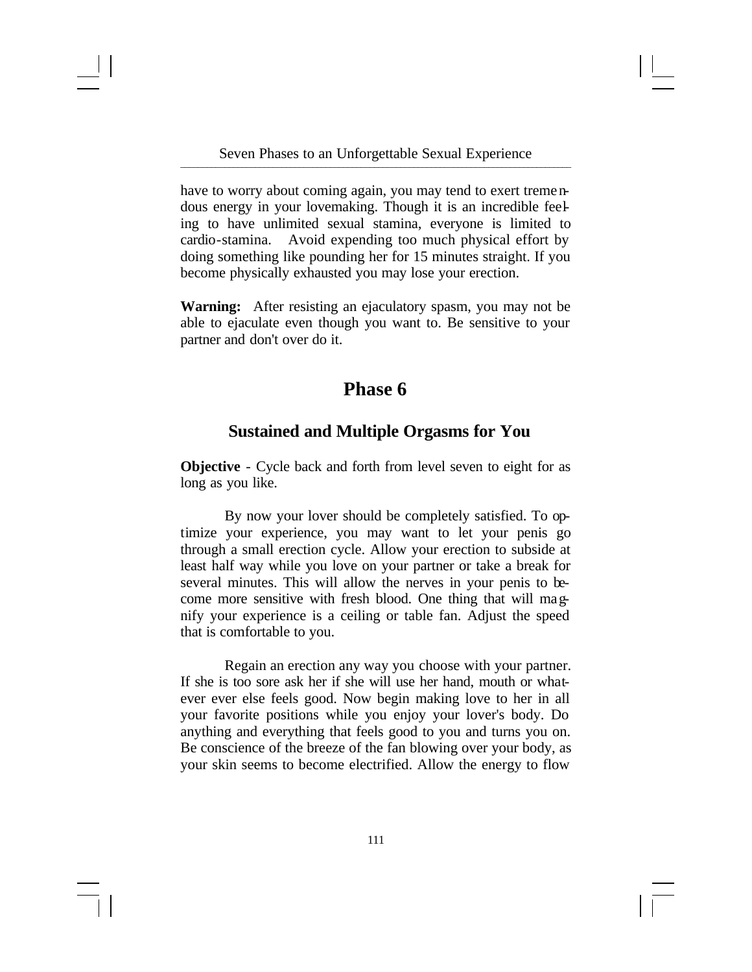have to worry about coming again, you may tend to exert tremendous energy in your lovemaking. Though it is an incredible feeling to have unlimited sexual stamina, everyone is limited to cardio-stamina. Avoid expending too much physical effort by doing something like pounding her for 15 minutes straight. If you become physically exhausted you may lose your erection.

**Warning:** After resisting an ejaculatory spasm, you may not be able to ejaculate even though you want to. Be sensitive to your partner and don't over do it.

## **Phase 6**

### **Sustained and Multiple Orgasms for You**

**Objective** - Cycle back and forth from level seven to eight for as long as you like.

 By now your lover should be completely satisfied. To optimize your experience, you may want to let your penis go through a small erection cycle. Allow your erection to subside at least half way while you love on your partner or take a break for several minutes. This will allow the nerves in your penis to become more sensitive with fresh blood. One thing that will magnify your experience is a ceiling or table fan. Adjust the speed that is comfortable to you.

 Regain an erection any way you choose with your partner. If she is too sore ask her if she will use her hand, mouth or whatever ever else feels good. Now begin making love to her in all your favorite positions while you enjoy your lover's body. Do anything and everything that feels good to you and turns you on. Be conscience of the breeze of the fan blowing over your body, as your skin seems to become electrified. Allow the energy to flow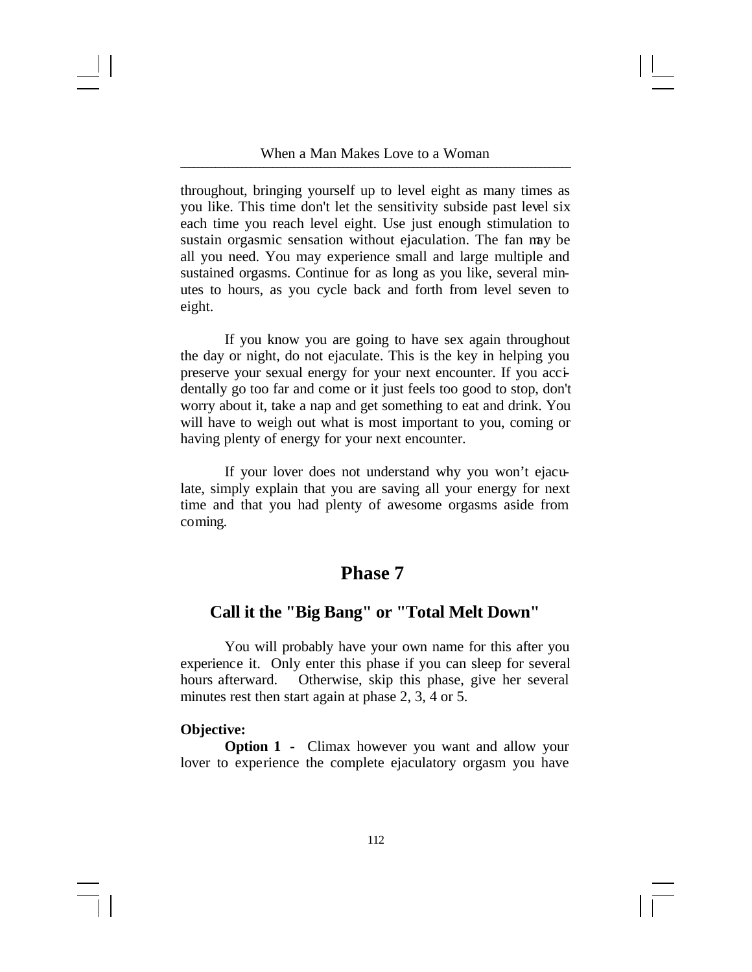throughout, bringing yourself up to level eight as many times as you like. This time don't let the sensitivity subside past level six each time you reach level eight. Use just enough stimulation to sustain orgasmic sensation without ejaculation. The fan may be all you need. You may experience small and large multiple and sustained orgasms. Continue for as long as you like, several minutes to hours, as you cycle back and forth from level seven to eight.

If you know you are going to have sex again throughout the day or night, do not ejaculate. This is the key in helping you preserve your sexual energy for your next encounter. If you accidentally go too far and come or it just feels too good to stop, don't worry about it, take a nap and get something to eat and drink. You will have to weigh out what is most important to you, coming or having plenty of energy for your next encounter.

If your lover does not understand why you won't ejaculate, simply explain that you are saving all your energy for next time and that you had plenty of awesome orgasms aside from coming.

## **Phase 7**

#### **Call it the "Big Bang" or "Total Melt Down"**

You will probably have your own name for this after you experience it. Only enter this phase if you can sleep for several hours afterward. Otherwise, skip this phase, give her several minutes rest then start again at phase 2, 3, 4 or 5.

#### **Objective:**

**Option 1 -** Climax however you want and allow your lover to experience the complete ejaculatory orgasm you have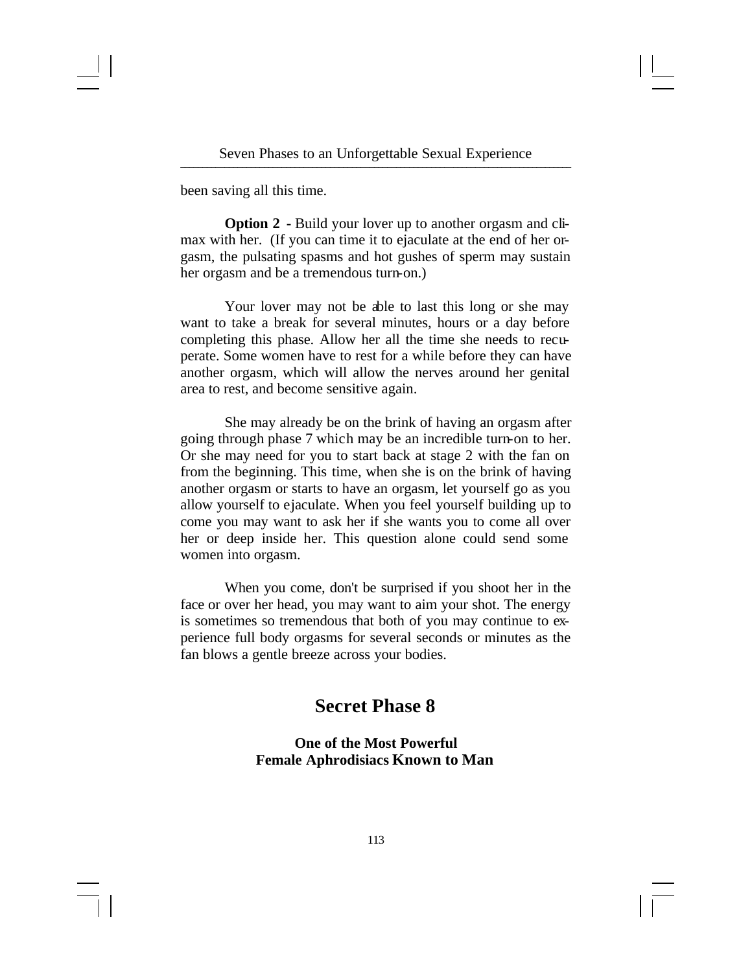been saving all this time.

**Option 2 -** Build your lover up to another orgasm and climax with her. (If you can time it to ejaculate at the end of her orgasm, the pulsating spasms and hot gushes of sperm may sustain her orgasm and be a tremendous turn-on.)

Your lover may not be able to last this long or she may want to take a break for several minutes, hours or a day before completing this phase. Allow her all the time she needs to recuperate. Some women have to rest for a while before they can have another orgasm, which will allow the nerves around her genital area to rest, and become sensitive again.

She may already be on the brink of having an orgasm after going through phase 7 which may be an incredible turn-on to her. Or she may need for you to start back at stage 2 with the fan on from the beginning. This time, when she is on the brink of having another orgasm or starts to have an orgasm, let yourself go as you allow yourself to ejaculate. When you feel yourself building up to come you may want to ask her if she wants you to come all over her or deep inside her. This question alone could send some women into orgasm.

When you come, don't be surprised if you shoot her in the face or over her head, you may want to aim your shot. The energy is sometimes so tremendous that both of you may continue to experience full body orgasms for several seconds or minutes as the fan blows a gentle breeze across your bodies.

#### **Secret Phase 8**

#### **One of the Most Powerful Female Aphrodisiacs Known to Man**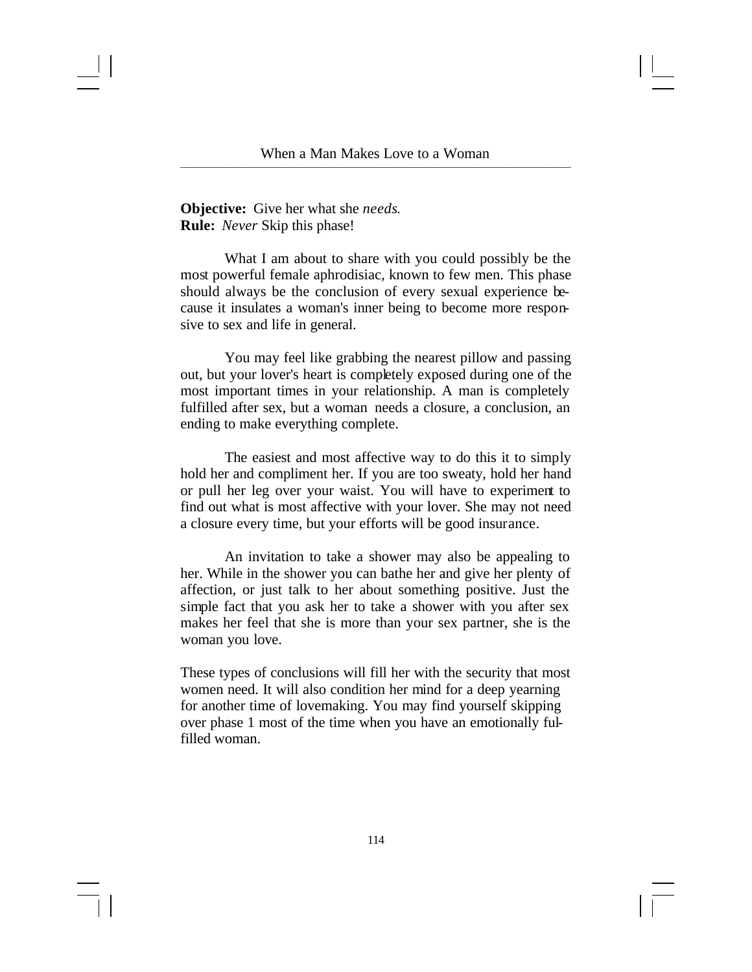**Objective:** Give her what she *needs*. **Rule:** *Never* Skip this phase!

What I am about to share with you could possibly be the most powerful female aphrodisiac, known to few men. This phase should always be the conclusion of every sexual experience because it insulates a woman's inner being to become more responsive to sex and life in general.

You may feel like grabbing the nearest pillow and passing out, but your lover's heart is completely exposed during one of the most important times in your relationship. A man is completely fulfilled after sex, but a woman needs a closure, a conclusion, an ending to make everything complete.

 The easiest and most affective way to do this it to simply hold her and compliment her. If you are too sweaty, hold her hand or pull her leg over your waist. You will have to experiment to find out what is most affective with your lover. She may not need a closure every time, but your efforts will be good insurance.

An invitation to take a shower may also be appealing to her. While in the shower you can bathe her and give her plenty of affection, or just talk to her about something positive. Just the simple fact that you ask her to take a shower with you after sex makes her feel that she is more than your sex partner, she is the woman you love.

These types of conclusions will fill her with the security that most women need. It will also condition her mind for a deep yearning for another time of lovemaking. You may find yourself skipping over phase 1 most of the time when you have an emotionally fulfilled woman.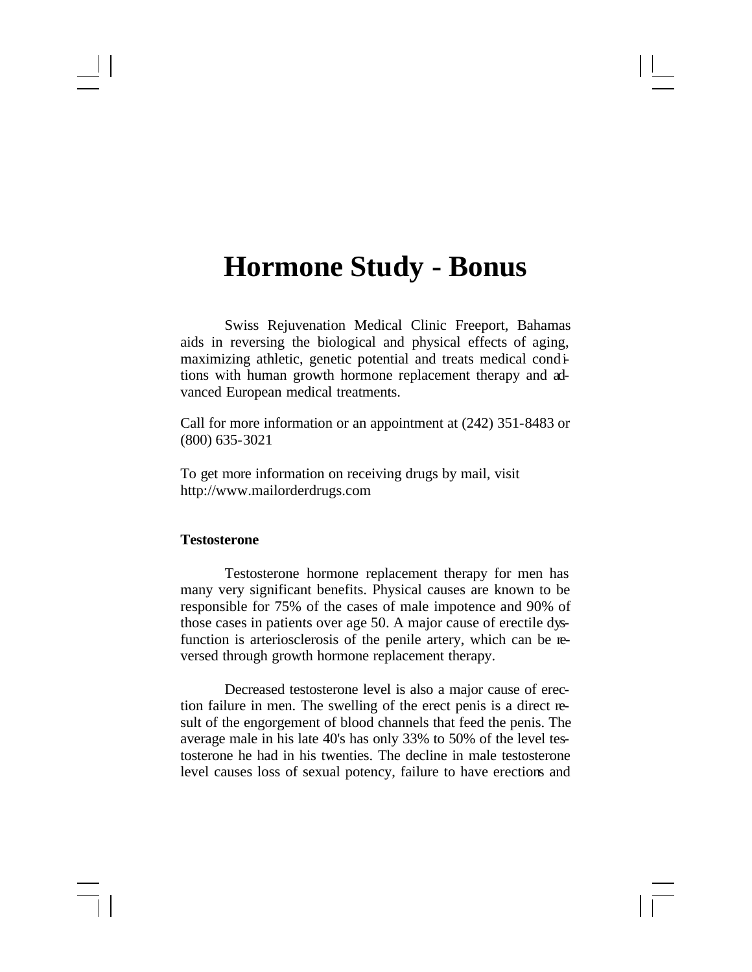# **Hormone Study - Bonus**

Swiss Rejuvenation Medical Clinic Freeport, Bahamas aids in reversing the biological and physical effects of aging, maximizing athletic, genetic potential and treats medical conditions with human growth hormone replacement therapy and advanced European medical treatments.

Call for more information or an appointment at (242) 351-8483 or (800) 635-3021

To get more information on receiving drugs by mail, visit http://www.mailorderdrugs.com

#### **Testosterone**

Testosterone hormone replacement therapy for men has many very significant benefits. Physical causes are known to be responsible for 75% of the cases of male impotence and 90% of those cases in patients over age 50. A major cause of erectile dysfunction is arteriosclerosis of the penile artery, which can be reversed through growth hormone replacement therapy.

Decreased testosterone level is also a major cause of erection failure in men. The swelling of the erect penis is a direct result of the engorgement of blood channels that feed the penis. The average male in his late 40's has only 33% to 50% of the level testosterone he had in his twenties. The decline in male testosterone level causes loss of sexual potency, failure to have erections and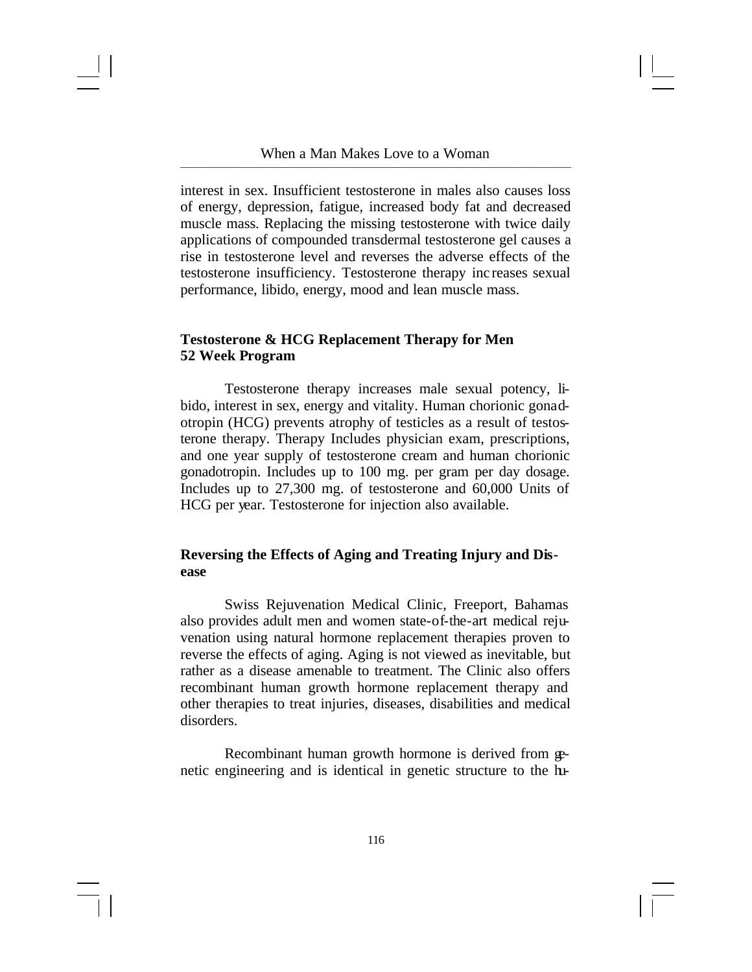interest in sex. Insufficient testosterone in males also causes loss of energy, depression, fatigue, increased body fat and decreased muscle mass. Replacing the missing testosterone with twice daily applications of compounded transdermal testosterone gel causes a rise in testosterone level and reverses the adverse effects of the testosterone insufficiency. Testosterone therapy inc reases sexual performance, libido, energy, mood and lean muscle mass.

#### **Testosterone & HCG Replacement Therapy for Men 52 Week Program**

Testosterone therapy increases male sexual potency, libido, interest in sex, energy and vitality. Human chorionic gonadotropin (HCG) prevents atrophy of testicles as a result of testosterone therapy. Therapy Includes physician exam, prescriptions, and one year supply of testosterone cream and human chorionic gonadotropin. Includes up to 100 mg. per gram per day dosage. Includes up to 27,300 mg. of testosterone and 60,000 Units of HCG per year. Testosterone for injection also available.

#### **Reversing the Effects of Aging and Treating Injury and Disease**

Swiss Rejuvenation Medical Clinic, Freeport, Bahamas also provides adult men and women state-of-the-art medical rejuvenation using natural hormone replacement therapies proven to reverse the effects of aging. Aging is not viewed as inevitable, but rather as a disease amenable to treatment. The Clinic also offers recombinant human growth hormone replacement therapy and other therapies to treat injuries, diseases, disabilities and medical disorders.

Recombinant human growth hormone is derived from genetic engineering and is identical in genetic structure to the hu-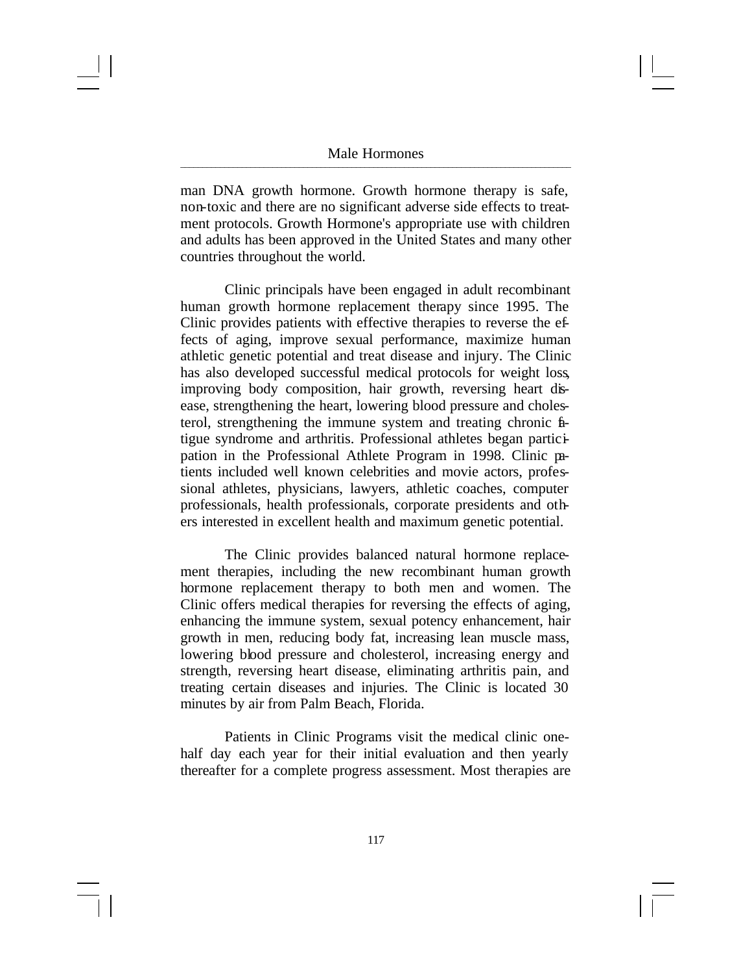man DNA growth hormone. Growth hormone therapy is safe, non-toxic and there are no significant adverse side effects to treatment protocols. Growth Hormone's appropriate use with children and adults has been approved in the United States and many other countries throughout the world.

Clinic principals have been engaged in adult recombinant human growth hormone replacement therapy since 1995. The Clinic provides patients with effective therapies to reverse the effects of aging, improve sexual performance, maximize human athletic genetic potential and treat disease and injury. The Clinic has also developed successful medical protocols for weight loss, improving body composition, hair growth, reversing heart disease, strengthening the heart, lowering blood pressure and cholesterol, strengthening the immune system and treating chronic fatigue syndrome and arthritis. Professional athletes began participation in the Professional Athlete Program in 1998. Clinic patients included well known celebrities and movie actors, professional athletes, physicians, lawyers, athletic coaches, computer professionals, health professionals, corporate presidents and others interested in excellent health and maximum genetic potential.

The Clinic provides balanced natural hormone replacement therapies, including the new recombinant human growth hormone replacement therapy to both men and women. The Clinic offers medical therapies for reversing the effects of aging, enhancing the immune system, sexual potency enhancement, hair growth in men, reducing body fat, increasing lean muscle mass, lowering blood pressure and cholesterol, increasing energy and strength, reversing heart disease, eliminating arthritis pain, and treating certain diseases and injuries. The Clinic is located 30 minutes by air from Palm Beach, Florida.

Patients in Clinic Programs visit the medical clinic onehalf day each year for their initial evaluation and then yearly thereafter for a complete progress assessment. Most therapies are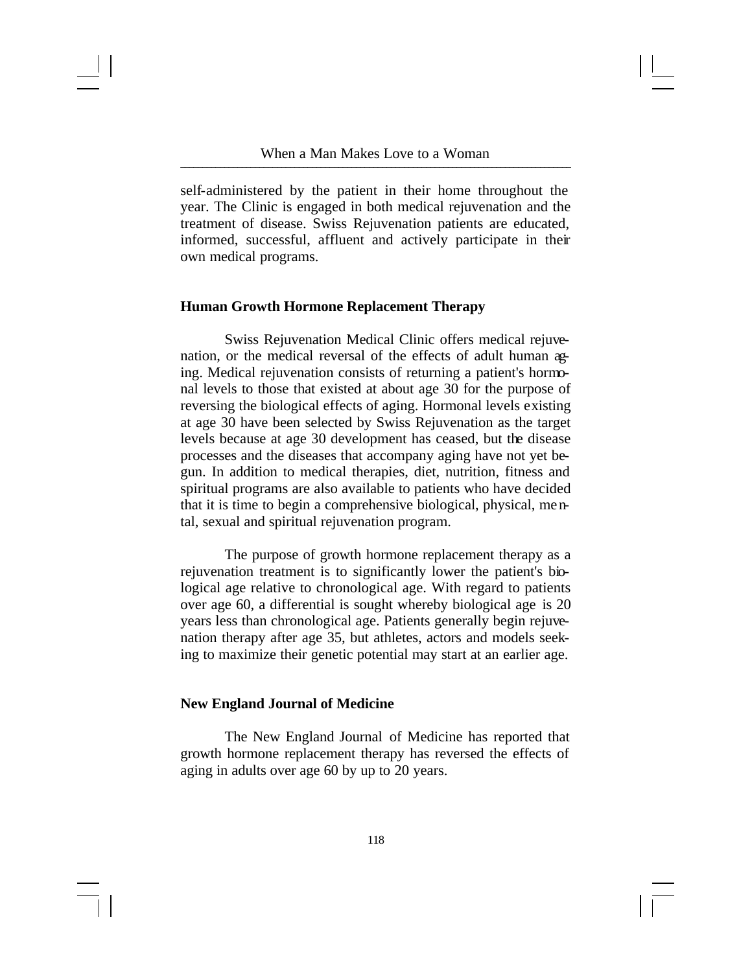self-administered by the patient in their home throughout the year. The Clinic is engaged in both medical rejuvenation and the treatment of disease. Swiss Rejuvenation patients are educated, informed, successful, affluent and actively participate in their own medical programs.

#### **Human Growth Hormone Replacement Therapy**

Swiss Rejuvenation Medical Clinic offers medical rejuvenation, or the medical reversal of the effects of adult human aging. Medical rejuvenation consists of returning a patient's hormonal levels to those that existed at about age 30 for the purpose of reversing the biological effects of aging. Hormonal levels existing at age 30 have been selected by Swiss Rejuvenation as the target levels because at age 30 development has ceased, but the disease processes and the diseases that accompany aging have not yet begun. In addition to medical therapies, diet, nutrition, fitness and spiritual programs are also available to patients who have decided that it is time to begin a comprehensive biological, physical, mental, sexual and spiritual rejuvenation program.

The purpose of growth hormone replacement therapy as a rejuvenation treatment is to significantly lower the patient's biological age relative to chronological age. With regard to patients over age 60, a differential is sought whereby biological age is 20 years less than chronological age. Patients generally begin rejuvenation therapy after age 35, but athletes, actors and models seeking to maximize their genetic potential may start at an earlier age.

#### **New England Journal of Medicine**

The New England Journal of Medicine has reported that growth hormone replacement therapy has reversed the effects of aging in adults over age 60 by up to 20 years.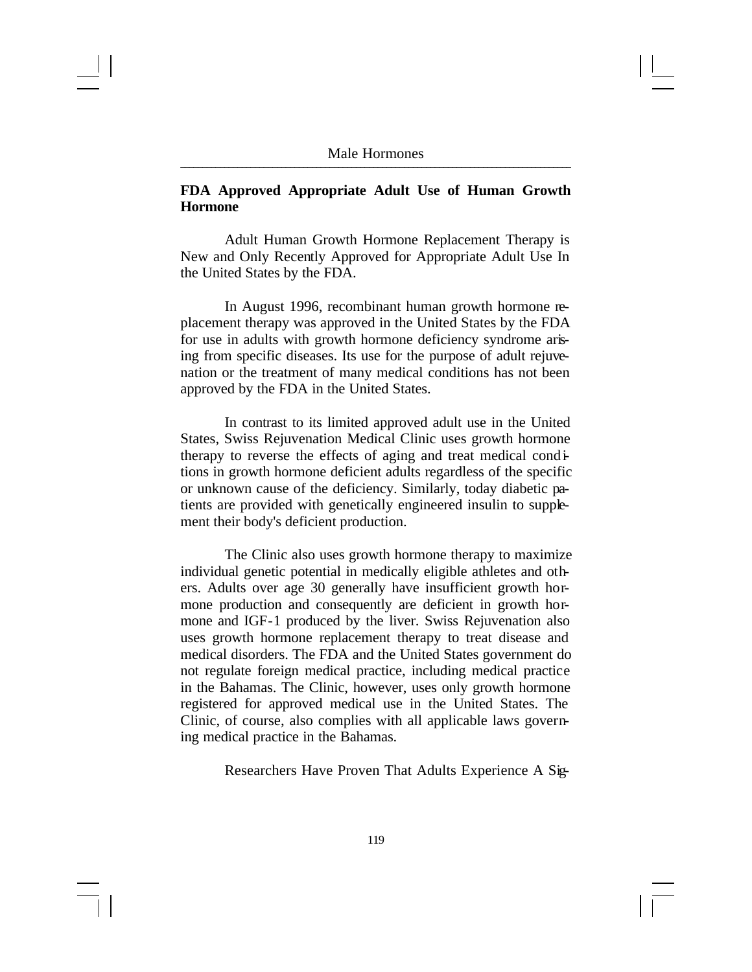#### **FDA Approved Appropriate Adult Use of Human Growth Hormone**

Adult Human Growth Hormone Replacement Therapy is New and Only Recently Approved for Appropriate Adult Use In the United States by the FDA.

In August 1996, recombinant human growth hormone replacement therapy was approved in the United States by the FDA for use in adults with growth hormone deficiency syndrome arising from specific diseases. Its use for the purpose of adult rejuvenation or the treatment of many medical conditions has not been approved by the FDA in the United States.

In contrast to its limited approved adult use in the United States, Swiss Rejuvenation Medical Clinic uses growth hormone therapy to reverse the effects of aging and treat medical conditions in growth hormone deficient adults regardless of the specific or unknown cause of the deficiency. Similarly, today diabetic patients are provided with genetically engineered insulin to supplement their body's deficient production.

The Clinic also uses growth hormone therapy to maximize individual genetic potential in medically eligible athletes and others. Adults over age 30 generally have insufficient growth hormone production and consequently are deficient in growth hormone and IGF-1 produced by the liver. Swiss Rejuvenation also uses growth hormone replacement therapy to treat disease and medical disorders. The FDA and the United States government do not regulate foreign medical practice, including medical practice in the Bahamas. The Clinic, however, uses only growth hormone registered for approved medical use in the United States. The Clinic, of course, also complies with all applicable laws governing medical practice in the Bahamas.

Researchers Have Proven That Adults Experience A Sig-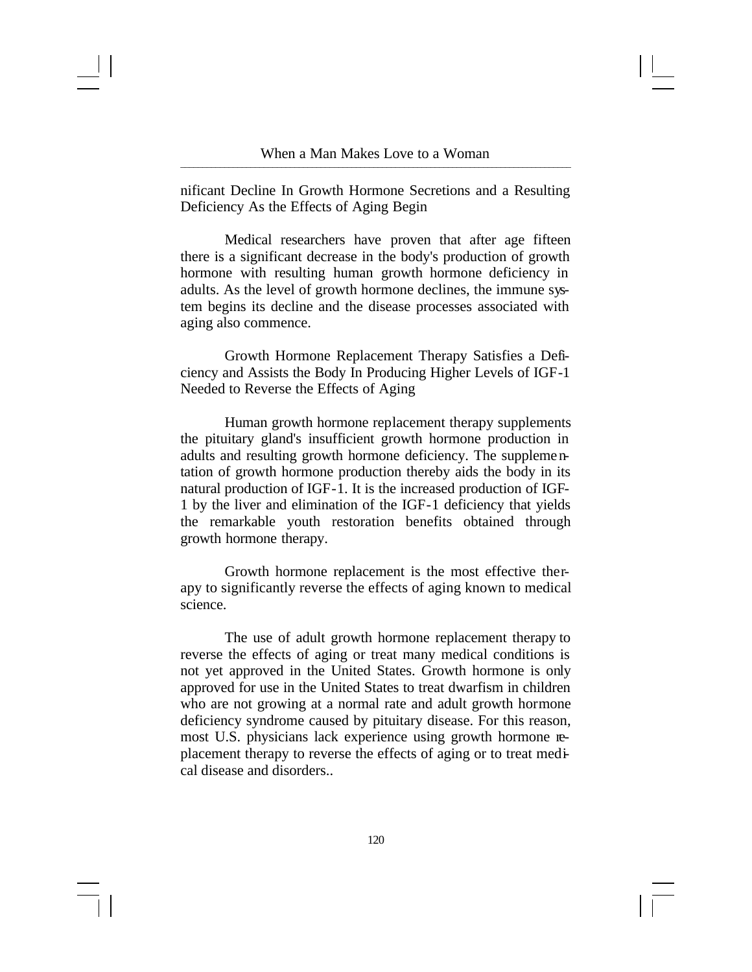nificant Decline In Growth Hormone Secretions and a Resulting Deficiency As the Effects of Aging Begin

Medical researchers have proven that after age fifteen there is a significant decrease in the body's production of growth hormone with resulting human growth hormone deficiency in adults. As the level of growth hormone declines, the immune system begins its decline and the disease processes associated with aging also commence.

Growth Hormone Replacement Therapy Satisfies a Deficiency and Assists the Body In Producing Higher Levels of IGF-1 Needed to Reverse the Effects of Aging

Human growth hormone replacement therapy supplements the pituitary gland's insufficient growth hormone production in adults and resulting growth hormone deficiency. The supplementation of growth hormone production thereby aids the body in its natural production of IGF-1. It is the increased production of IGF-1 by the liver and elimination of the IGF-1 deficiency that yields the remarkable youth restoration benefits obtained through growth hormone therapy.

Growth hormone replacement is the most effective therapy to significantly reverse the effects of aging known to medical science.

The use of adult growth hormone replacement therapy to reverse the effects of aging or treat many medical conditions is not yet approved in the United States. Growth hormone is only approved for use in the United States to treat dwarfism in children who are not growing at a normal rate and adult growth hormone deficiency syndrome caused by pituitary disease. For this reason, most U.S. physicians lack experience using growth hormone replacement therapy to reverse the effects of aging or to treat medical disease and disorders..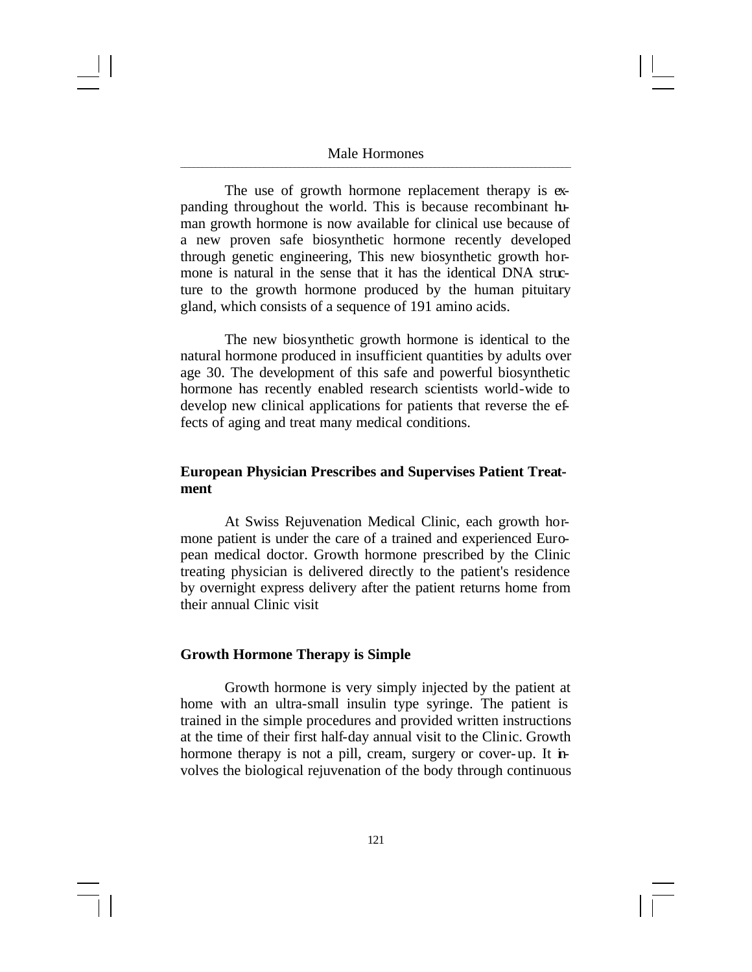The use of growth hormone replacement therapy is expanding throughout the world. This is because recombinant human growth hormone is now available for clinical use because of a new proven safe biosynthetic hormone recently developed through genetic engineering, This new biosynthetic growth hormone is natural in the sense that it has the identical DNA structure to the growth hormone produced by the human pituitary gland, which consists of a sequence of 191 amino acids.

The new biosynthetic growth hormone is identical to the natural hormone produced in insufficient quantities by adults over age 30. The development of this safe and powerful biosynthetic hormone has recently enabled research scientists world-wide to develop new clinical applications for patients that reverse the effects of aging and treat many medical conditions.

#### **European Physician Prescribes and Supervises Patient Treatment**

At Swiss Rejuvenation Medical Clinic, each growth hormone patient is under the care of a trained and experienced European medical doctor. Growth hormone prescribed by the Clinic treating physician is delivered directly to the patient's residence by overnight express delivery after the patient returns home from their annual Clinic visit

#### **Growth Hormone Therapy is Simple**

Growth hormone is very simply injected by the patient at home with an ultra-small insulin type syringe. The patient is trained in the simple procedures and provided written instructions at the time of their first half-day annual visit to the Clinic. Growth hormone therapy is not a pill, cream, surgery or cover-up. It involves the biological rejuvenation of the body through continuous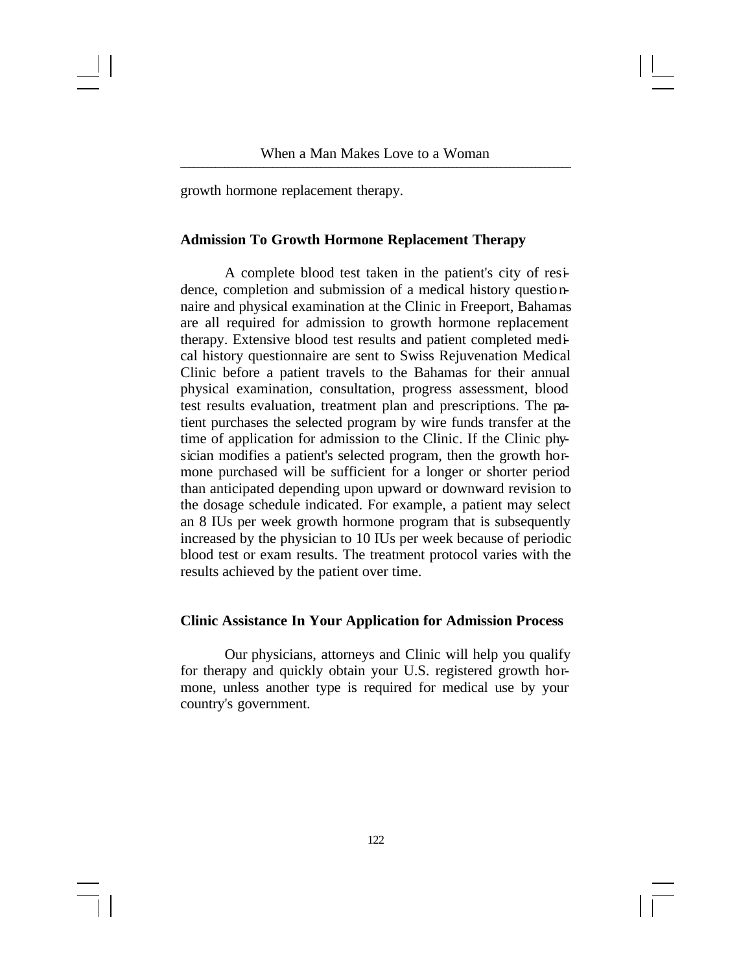growth hormone replacement therapy.

#### **Admission To Growth Hormone Replacement Therapy**

A complete blood test taken in the patient's city of residence, completion and submission of a medical history questionnaire and physical examination at the Clinic in Freeport, Bahamas are all required for admission to growth hormone replacement therapy. Extensive blood test results and patient completed medical history questionnaire are sent to Swiss Rejuvenation Medical Clinic before a patient travels to the Bahamas for their annual physical examination, consultation, progress assessment, blood test results evaluation, treatment plan and prescriptions. The patient purchases the selected program by wire funds transfer at the time of application for admission to the Clinic. If the Clinic physician modifies a patient's selected program, then the growth hormone purchased will be sufficient for a longer or shorter period than anticipated depending upon upward or downward revision to the dosage schedule indicated. For example, a patient may select an 8 IUs per week growth hormone program that is subsequently increased by the physician to 10 IUs per week because of periodic blood test or exam results. The treatment protocol varies with the results achieved by the patient over time.

#### **Clinic Assistance In Your Application for Admission Process**

Our physicians, attorneys and Clinic will help you qualify for therapy and quickly obtain your U.S. registered growth hormone, unless another type is required for medical use by your country's government.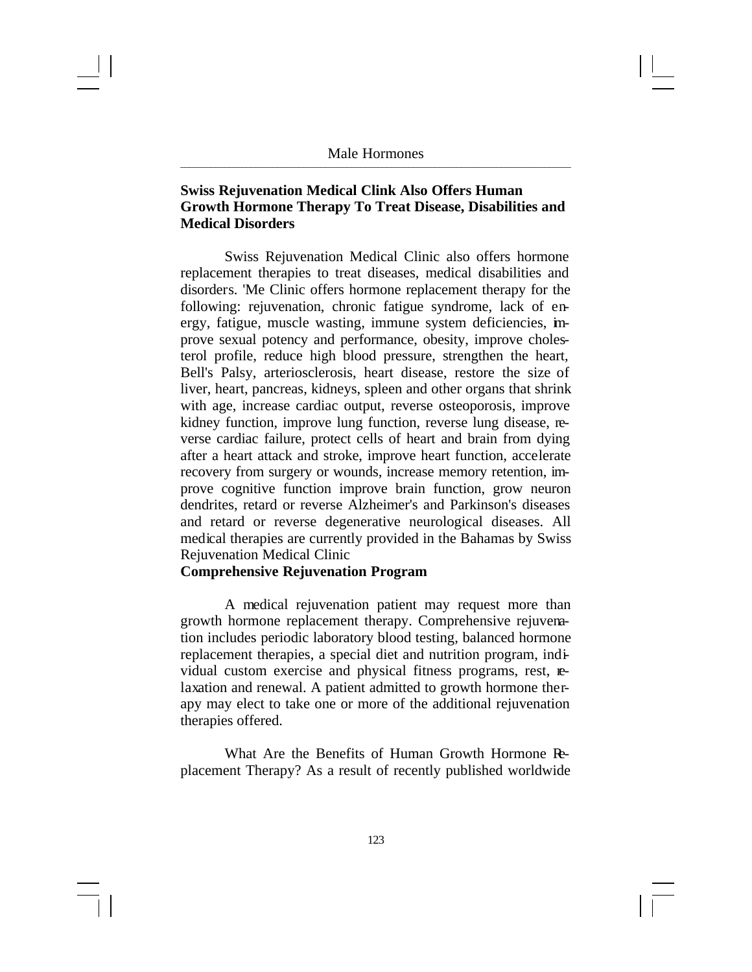#### **Swiss Rejuvenation Medical Clink Also Offers Human Growth Hormone Therapy To Treat Disease, Disabilities and Medical Disorders**

Swiss Rejuvenation Medical Clinic also offers hormone replacement therapies to treat diseases, medical disabilities and disorders. 'Me Clinic offers hormone replacement therapy for the following: rejuvenation, chronic fatigue syndrome, lack of energy, fatigue, muscle wasting, immune system deficiencies, improve sexual potency and performance, obesity, improve cholesterol profile, reduce high blood pressure, strengthen the heart, Bell's Palsy, arteriosclerosis, heart disease, restore the size of liver, heart, pancreas, kidneys, spleen and other organs that shrink with age, increase cardiac output, reverse osteoporosis, improve kidney function, improve lung function, reverse lung disease, reverse cardiac failure, protect cells of heart and brain from dying after a heart attack and stroke, improve heart function, accelerate recovery from surgery or wounds, increase memory retention, improve cognitive function improve brain function, grow neuron dendrites, retard or reverse Alzheimer's and Parkinson's diseases and retard or reverse degenerative neurological diseases. All medical therapies are currently provided in the Bahamas by Swiss Rejuvenation Medical Clinic

#### **Comprehensive Rejuvenation Program**

A medical rejuvenation patient may request more than growth hormone replacement therapy. Comprehensive rejuvenation includes periodic laboratory blood testing, balanced hormone replacement therapies, a special diet and nutrition program, individual custom exercise and physical fitness programs, rest, relaxation and renewal. A patient admitted to growth hormone therapy may elect to take one or more of the additional rejuvenation therapies offered.

What Are the Benefits of Human Growth Hormone Replacement Therapy? As a result of recently published worldwide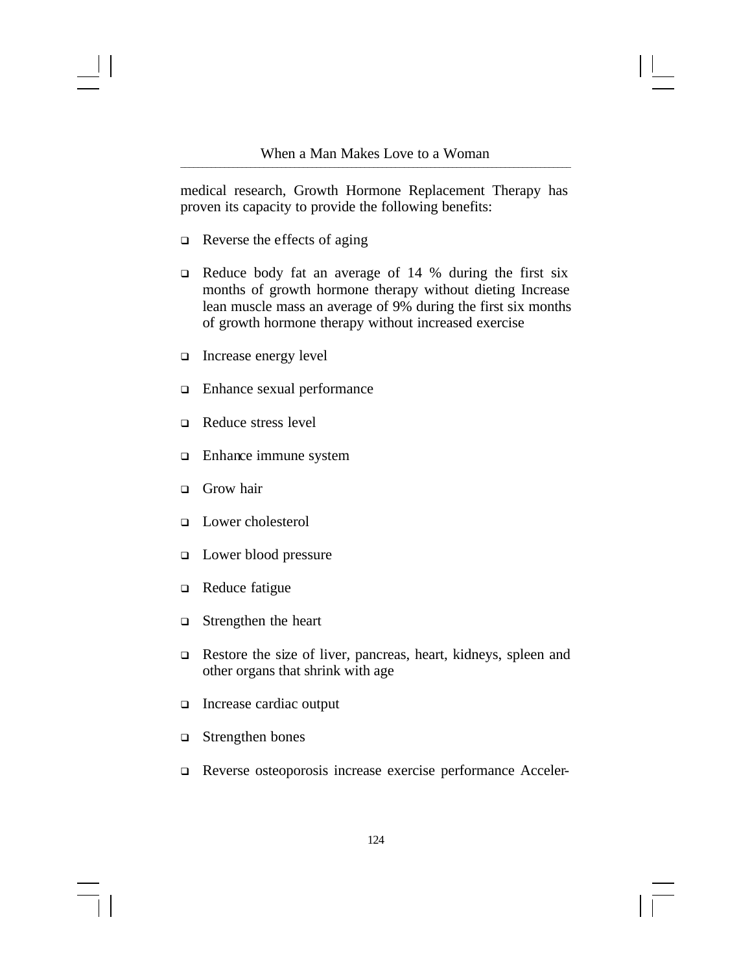medical research, Growth Hormone Replacement Therapy has proven its capacity to provide the following benefits:

- $\Box$  Reverse the effects of aging
- $\Box$  Reduce body fat an average of 14 % during the first six months of growth hormone therapy without dieting Increase lean muscle mass an average of 9% during the first six months of growth hormone therapy without increased exercise
- **q** Increase energy level
- <sup>q</sup> Enhance sexual performance
- **Q** Reduce stress level
- <sup>q</sup> Enhance immune system
- $\Box$  Grow hair
- <sup>q</sup> Lower cholesterol
- <sup>q</sup> Lower blood pressure
- $\Box$  Reduce fatigue
- $\Box$  Strengthen the heart
- <sup>q</sup> Restore the size of liver, pancreas, heart, kidneys, spleen and other organs that shrink with age
- <sup>q</sup> Increase cardiac output
- $\Box$  Strengthen bones
- <sup>q</sup> Reverse osteoporosis increase exercise performance Acceler-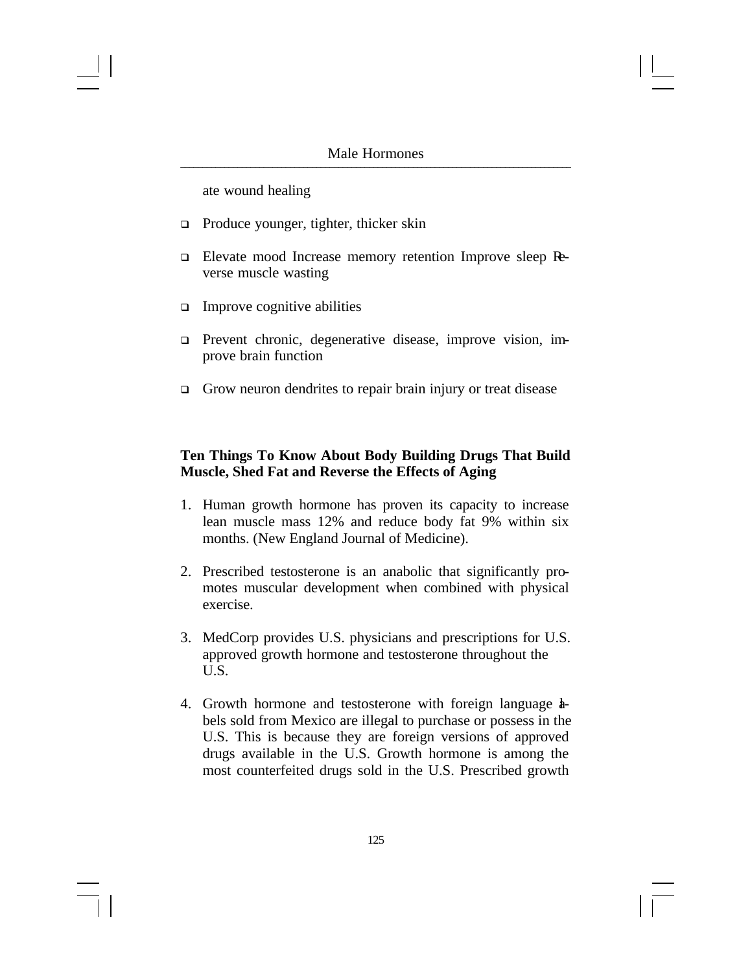ate wound healing

- $\Box$  Produce younger, tighter, thicker skin
- <sup>q</sup> Elevate mood Increase memory retention Improve sleep Reverse muscle wasting
- $\Box$  Improve cognitive abilities
- **q** Prevent chronic, degenerative disease, improve vision, improve brain function
- $\Box$  Grow neuron dendrites to repair brain injury or treat disease

### **Ten Things To Know About Body Building Drugs That Build Muscle, Shed Fat and Reverse the Effects of Aging**

- 1. Human growth hormone has proven its capacity to increase lean muscle mass 12% and reduce body fat 9% within six months. (New England Journal of Medicine).
- 2. Prescribed testosterone is an anabolic that significantly promotes muscular development when combined with physical exercise.
- 3. MedCorp provides U.S. physicians and prescriptions for U.S. approved growth hormone and testosterone throughout the U.S.
- 4. Growth hormone and testosterone with foreign language  $\Delta$ bels sold from Mexico are illegal to purchase or possess in the U.S. This is because they are foreign versions of approved drugs available in the U.S. Growth hormone is among the most counterfeited drugs sold in the U.S. Prescribed growth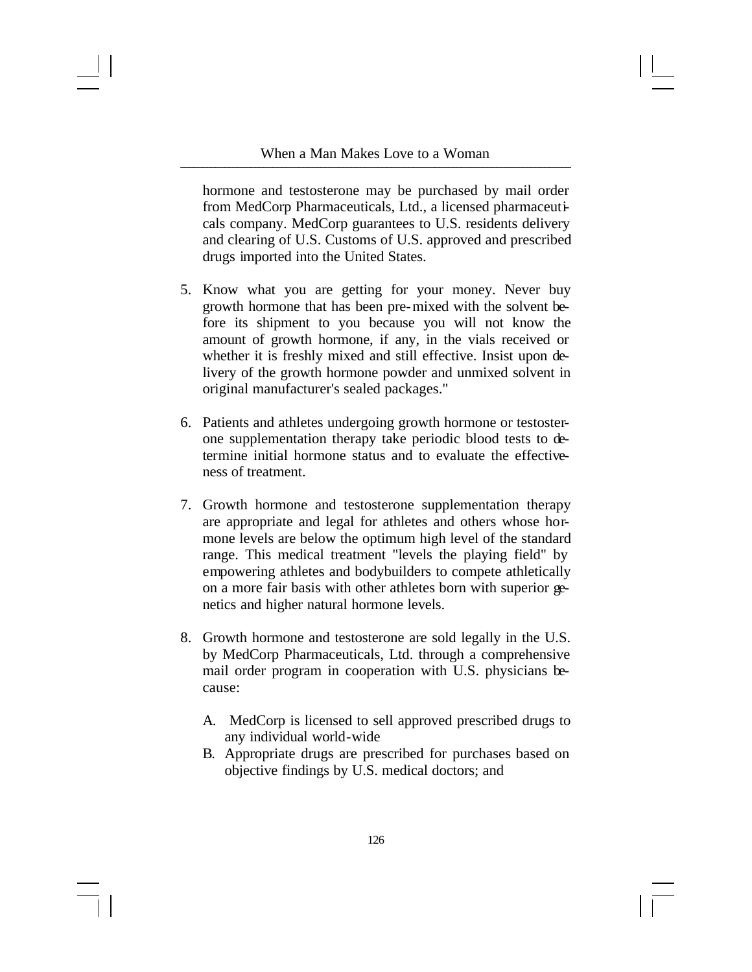hormone and testosterone may be purchased by mail order from MedCorp Pharmaceuticals, Ltd., a licensed pharmaceuticals company. MedCorp guarantees to U.S. residents delivery and clearing of U.S. Customs of U.S. approved and prescribed drugs imported into the United States.

- 5. Know what you are getting for your money. Never buy growth hormone that has been pre-mixed with the solvent before its shipment to you because you will not know the amount of growth hormone, if any, in the vials received or whether it is freshly mixed and still effective. Insist upon delivery of the growth hormone powder and unmixed solvent in original manufacturer's sealed packages."
- 6. Patients and athletes undergoing growth hormone or testosterone supplementation therapy take periodic blood tests to determine initial hormone status and to evaluate the effectiveness of treatment.
- 7. Growth hormone and testosterone supplementation therapy are appropriate and legal for athletes and others whose hormone levels are below the optimum high level of the standard range. This medical treatment "levels the playing field" by empowering athletes and bodybuilders to compete athletically on a more fair basis with other athletes born with superior genetics and higher natural hormone levels.
- 8. Growth hormone and testosterone are sold legally in the U.S. by MedCorp Pharmaceuticals, Ltd. through a comprehensive mail order program in cooperation with U.S. physicians because:
	- A. MedCorp is licensed to sell approved prescribed drugs to any individual world-wide
	- B. Appropriate drugs are prescribed for purchases based on objective findings by U.S. medical doctors; and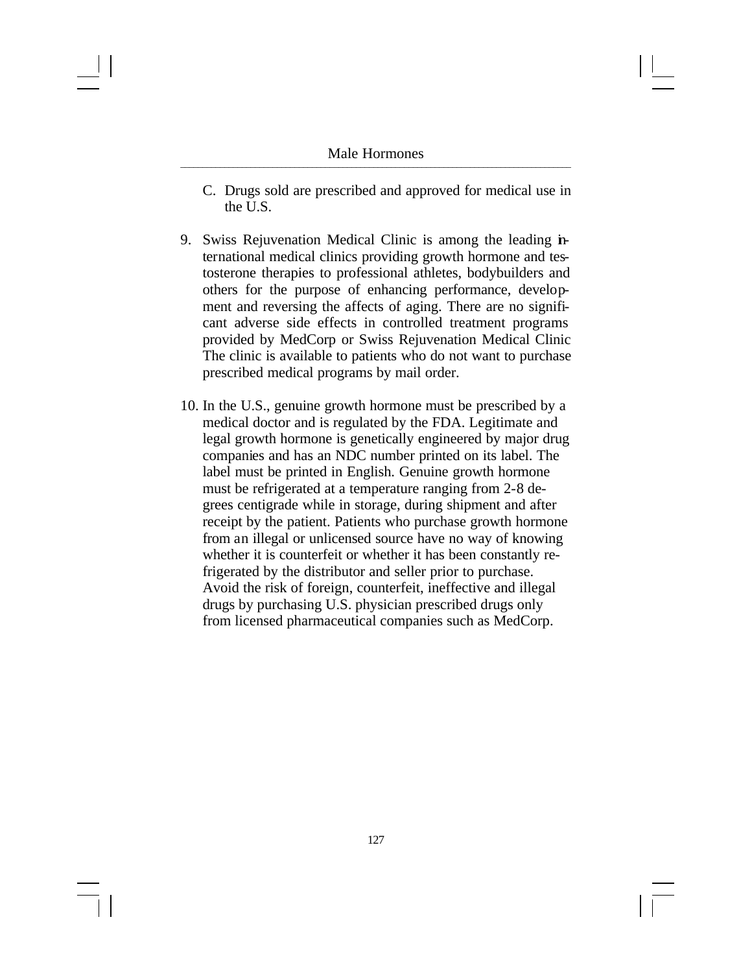- C. Drugs sold are prescribed and approved for medical use in the U.S.
- 9. Swiss Rejuvenation Medical Clinic is among the leading international medical clinics providing growth hormone and testosterone therapies to professional athletes, bodybuilders and others for the purpose of enhancing performance, development and reversing the affects of aging. There are no significant adverse side effects in controlled treatment programs provided by MedCorp or Swiss Rejuvenation Medical Clinic The clinic is available to patients who do not want to purchase prescribed medical programs by mail order.
- 10. In the U.S., genuine growth hormone must be prescribed by a medical doctor and is regulated by the FDA. Legitimate and legal growth hormone is genetically engineered by major drug companies and has an NDC number printed on its label. The label must be printed in English. Genuine growth hormone must be refrigerated at a temperature ranging from 2-8 degrees centigrade while in storage, during shipment and after receipt by the patient. Patients who purchase growth hormone from an illegal or unlicensed source have no way of knowing whether it is counterfeit or whether it has been constantly refrigerated by the distributor and seller prior to purchase. Avoid the risk of foreign, counterfeit, ineffective and illegal drugs by purchasing U.S. physician prescribed drugs only from licensed pharmaceutical companies such as MedCorp.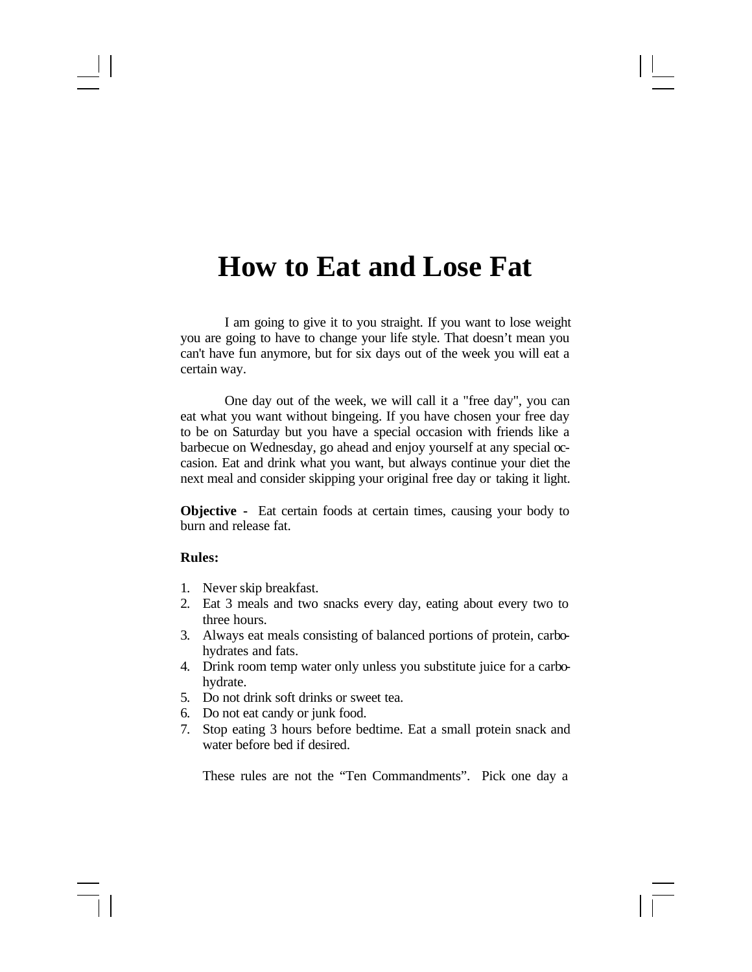# **How to Eat and Lose Fat**

I am going to give it to you straight. If you want to lose weight you are going to have to change your life style. That doesn't mean you can't have fun anymore, but for six days out of the week you will eat a certain way.

One day out of the week, we will call it a "free day", you can eat what you want without bingeing. If you have chosen your free day to be on Saturday but you have a special occasion with friends like a barbecue on Wednesday, go ahead and enjoy yourself at any special occasion. Eat and drink what you want, but always continue your diet the next meal and consider skipping your original free day or taking it light.

**Objective -** Eat certain foods at certain times, causing your body to burn and release fat.

#### **Rules:**

- 1. Never skip breakfast.
- 2. Eat 3 meals and two snacks every day, eating about every two to three hours.
- 3. Always eat meals consisting of balanced portions of protein, carbohydrates and fats.
- 4. Drink room temp water only unless you substitute juice for a carbohydrate.
- 5. Do not drink soft drinks or sweet tea.
- 6. Do not eat candy or junk food.
- 7. Stop eating 3 hours before bedtime. Eat a small protein snack and water before bed if desired.

These rules are not the "Ten Commandments". Pick one day a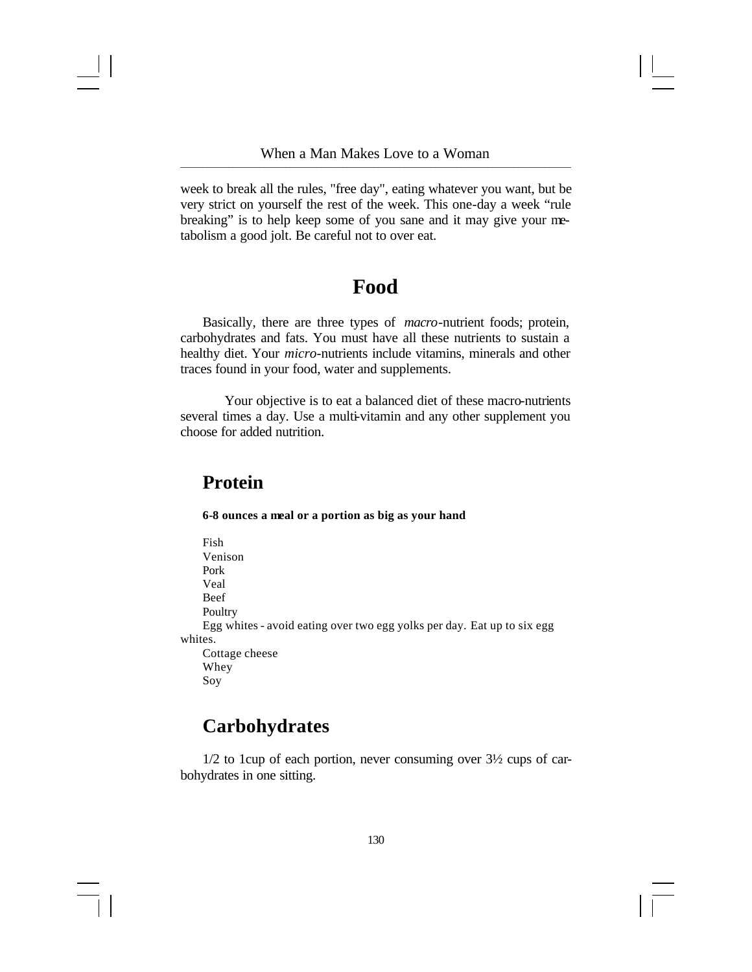week to break all the rules, "free day", eating whatever you want, but be very strict on yourself the rest of the week. This one-day a week "rule breaking" is to help keep some of you sane and it may give your metabolism a good jolt. Be careful not to over eat.

## **Food**

Basically, there are three types of *macro*-nutrient foods; protein, carbohydrates and fats. You must have all these nutrients to sustain a healthy diet. Your *micro-*nutrients include vitamins, minerals and other traces found in your food, water and supplements.

Your objective is to eat a balanced diet of these macro-nutrients several times a day. Use a multi-vitamin and any other supplement you choose for added nutrition.

## **Protein**

**6-8 ounces a meal or a portion as big as your hand**

Fish Venison Pork Veal Beef **Poultry** Egg whites - avoid eating over two egg yolks per day. Eat up to six egg whites. Cottage cheese Whey Soy

## **Carbohydrates**

1/2 to 1cup of each portion, never consuming over 3½ cups of carbohydrates in one sitting.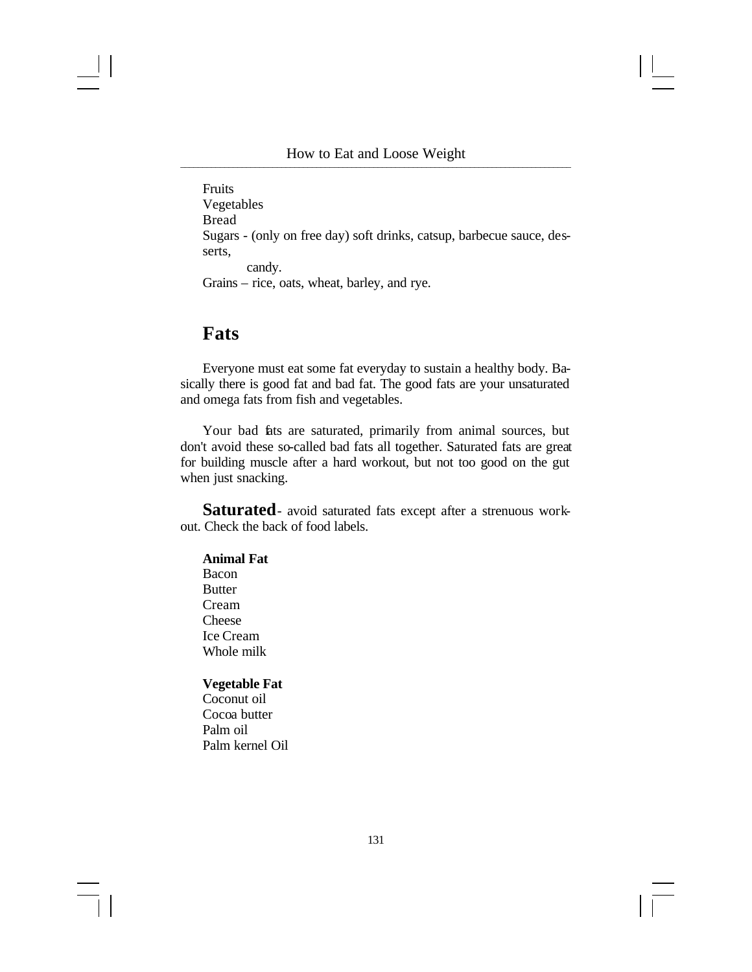**Fruits** Vegetables Bread Sugars - (only on free day) soft drinks, catsup, barbecue sauce, desserts, candy.

Grains – rice, oats, wheat, barley, and rye.

## **Fats**

Everyone must eat some fat everyday to sustain a healthy body. Basically there is good fat and bad fat. The good fats are your unsaturated and omega fats from fish and vegetables.

Your bad fats are saturated, primarily from animal sources, but don't avoid these so-called bad fats all together. Saturated fats are great for building muscle after a hard workout, but not too good on the gut when just snacking.

**Saturated**- avoid saturated fats except after a strenuous workout. Check the back of food labels.

#### **Animal Fat**

Bacon **Butter** Cream **Cheese** Ice Cream Whole milk

#### **Vegetable Fat**

Coconut oil Cocoa butter Palm oil Palm kernel Oil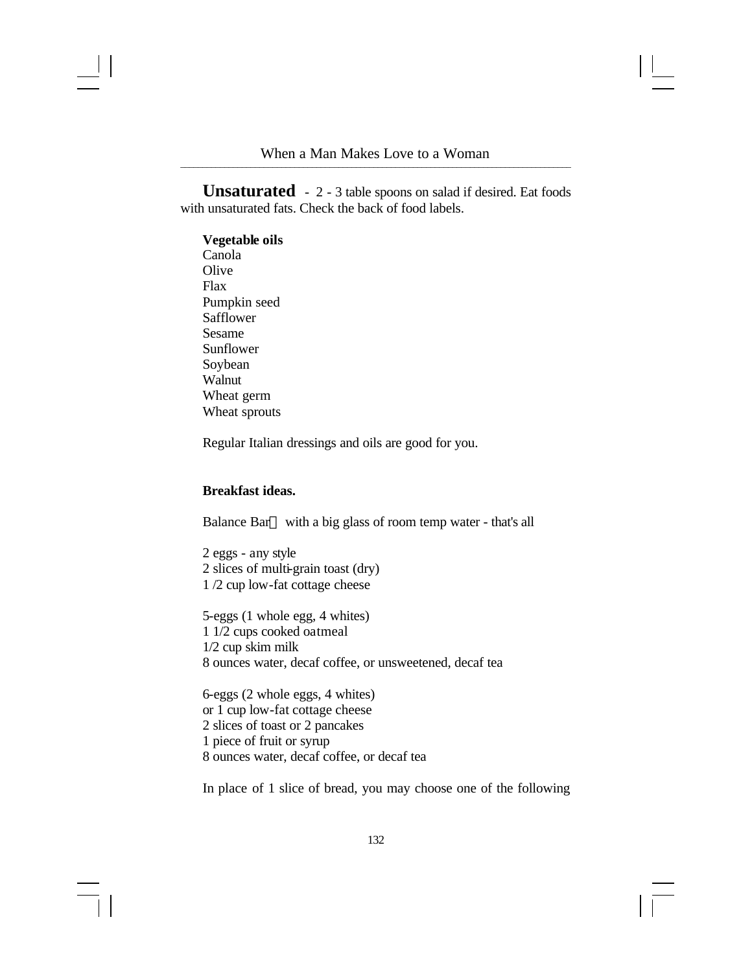**Unsaturated** - 2 - 3 table spoons on salad if desired. Eat foods with unsaturated fats. Check the back of food labels.

#### **Vegetable oils**

Canola **Olive** Flax Pumpkin seed Safflower Sesame Sunflower Soybean Walnut Wheat germ Wheat sprouts

Regular Italian dressings and oils are good for you.

#### **Breakfast ideas.**

Balance Bar<sup>TM</sup> with a big glass of room temp water - that's all

2 eggs - any style 2 slices of multi-grain toast (dry) 1 /2 cup low-fat cottage cheese

5-eggs (1 whole egg, 4 whites) 1 1/2 cups cooked oatmeal 1/2 cup skim milk 8 ounces water, decaf coffee, or unsweetened, decaf tea

6-eggs (2 whole eggs, 4 whites) or 1 cup low-fat cottage cheese 2 slices of toast or 2 pancakes 1 piece of fruit or syrup 8 ounces water, decaf coffee, or decaf tea

In place of 1 slice of bread, you may choose one of the following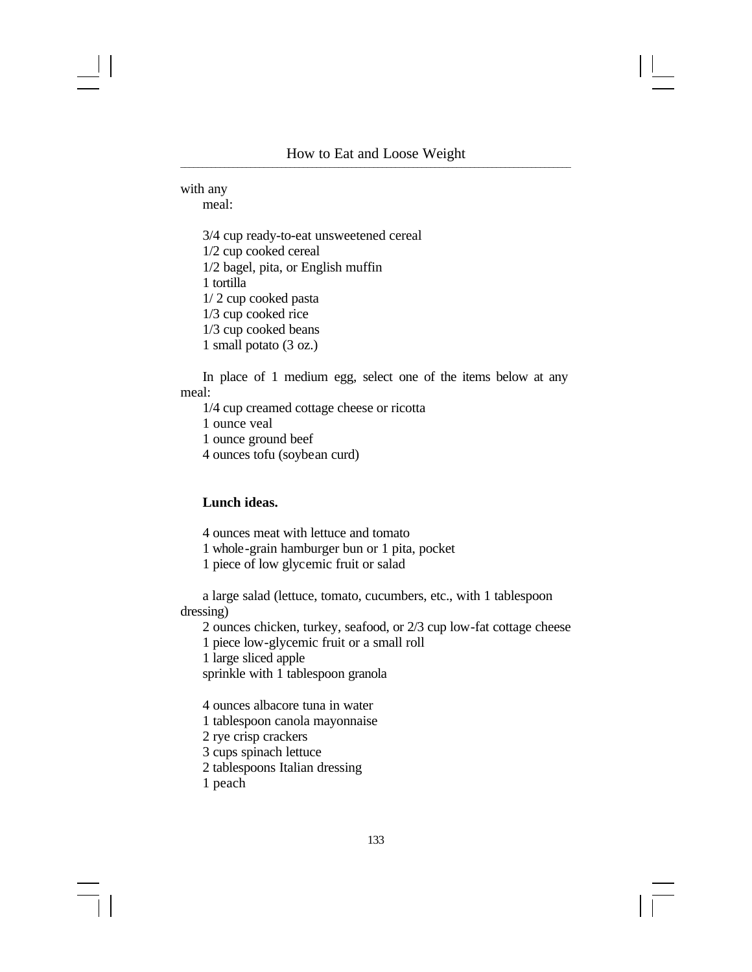with any

meal:

3/4 cup ready-to-eat unsweetened cereal 1/2 cup cooked cereal 1/2 bagel, pita, or English muffin 1 tortilla 1/ 2 cup cooked pasta 1/3 cup cooked rice 1/3 cup cooked beans 1 small potato (3 oz.)

In place of 1 medium egg, select one of the items below at any meal:

1/4 cup creamed cottage cheese or ricotta 1 ounce veal 1 ounce ground beef 4 ounces tofu (soybean curd)

#### **Lunch ideas.**

4 ounces meat with lettuce and tomato

1 whole-grain hamburger bun or 1 pita, pocket

1 piece of low glycemic fruit or salad

a large salad (lettuce, tomato, cucumbers, etc., with 1 tablespoon dressing)

2 ounces chicken, turkey, seafood, or 2/3 cup low-fat cottage cheese 1 piece low-glycemic fruit or a small roll 1 large sliced apple sprinkle with 1 tablespoon granola

4 ounces albacore tuna in water

1 tablespoon canola mayonnaise

2 rye crisp crackers

3 cups spinach lettuce

2 tablespoons Italian dressing

1 peach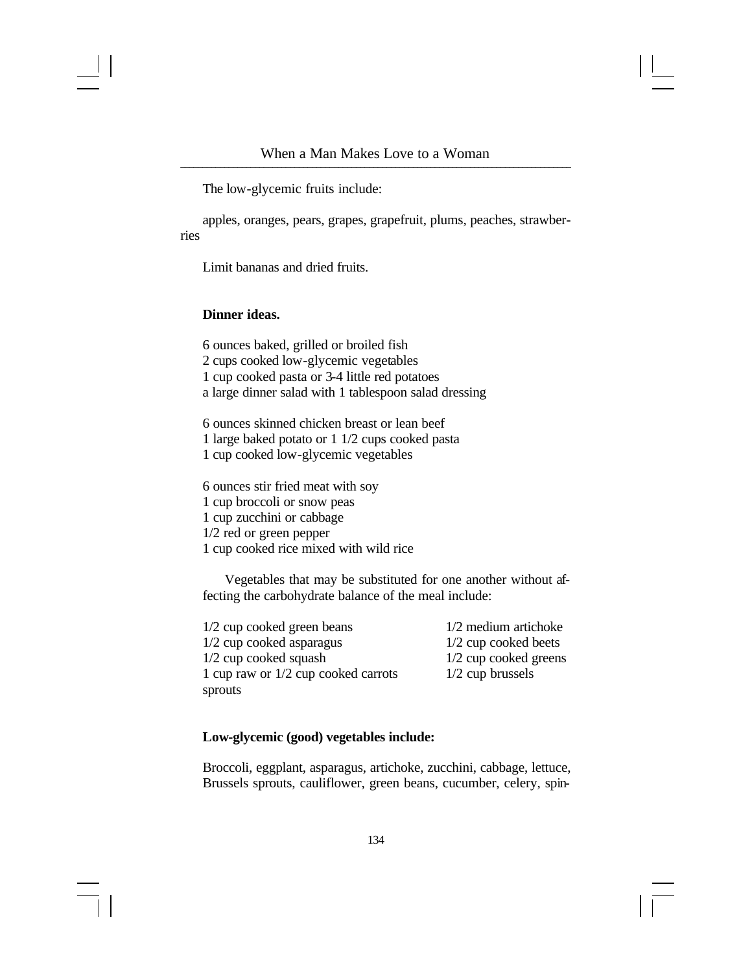The low-glycemic fruits include:

apples, oranges, pears, grapes, grapefruit, plums, peaches, strawberries

Limit bananas and dried fruits.

#### **Dinner ideas.**

6 ounces baked, grilled or broiled fish 2 cups cooked low-glycemic vegetables 1 cup cooked pasta or 3-4 little red potatoes a large dinner salad with 1 tablespoon salad dressing

6 ounces skinned chicken breast or lean beef 1 large baked potato or 1 1/2 cups cooked pasta 1 cup cooked low-glycemic vegetables

6 ounces stir fried meat with soy 1 cup broccoli or snow peas 1 cup zucchini or cabbage 1/2 red or green pepper 1 cup cooked rice mixed with wild rice

Vegetables that may be substituted for one another without affecting the carbohydrate balance of the meal include:

| 1/2 cup cooked green beans          |
|-------------------------------------|
| 1/2 cup cooked asparagus            |
| $1/2$ cup cooked squash             |
| 1 cup raw or 1/2 cup cooked carrots |
| sprouts                             |

 $1/2$  medium artichoke  $1/2$  cup cooked beets  $1/2$  cup cooked greens  $1/2$  cup brussels

#### **Low-glycemic (good) vegetables include:**

Broccoli, eggplant, asparagus, artichoke, zucchini, cabbage, lettuce, Brussels sprouts, cauliflower, green beans, cucumber, celery, spin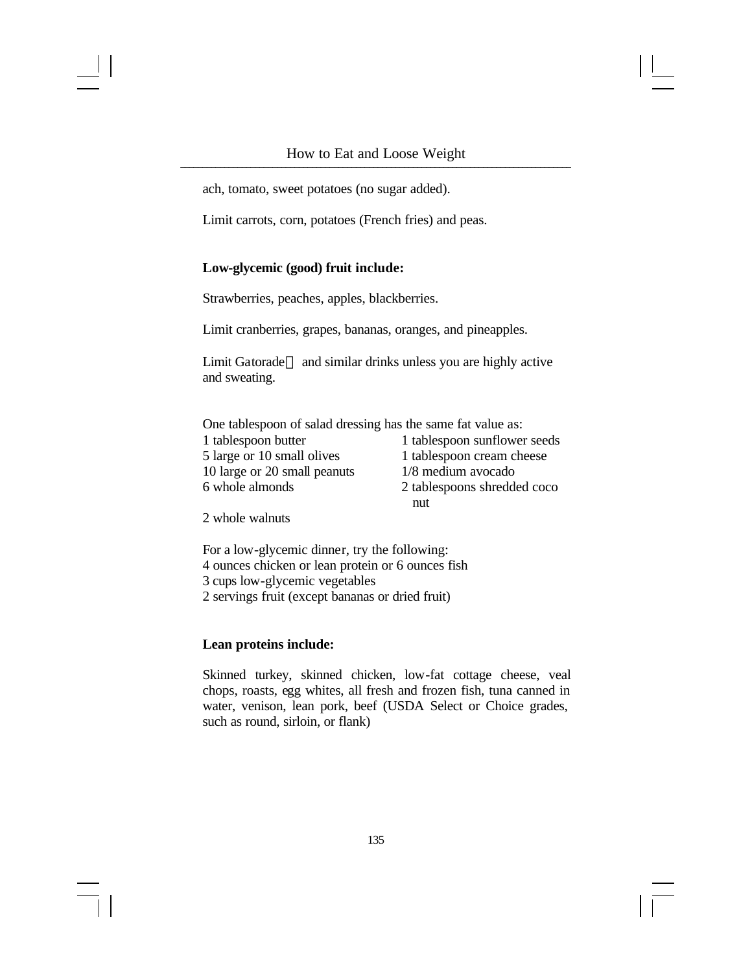ach, tomato, sweet potatoes (no sugar added).

Limit carrots, corn, potatoes (French fries) and peas.

#### **Low-glycemic (good) fruit include:**

Strawberries, peaches, apples, blackberries.

Limit cranberries, grapes, bananas, oranges, and pineapples.

Limit Gatorade<sup>TM</sup> and similar drinks unless you are highly active and sweating.

| One tablespoon of salad dressing has the same fat value as: |                              |  |
|-------------------------------------------------------------|------------------------------|--|
| 1 tablespoon butter                                         | 1 tablespoon sunflower seeds |  |
| 5 large or 10 small olives                                  | 1 tablespoon cream cheese    |  |
| 10 large or 20 small peanuts                                | 1/8 medium avocado           |  |
| 6 whole almonds                                             | 2 tablespoons shredded coco  |  |
|                                                             | nut                          |  |
|                                                             |                              |  |

2 whole walnuts

For a low-glycemic dinner, try the following: 4 ounces chicken or lean protein or 6 ounces fish 3 cups low-glycemic vegetables 2 servings fruit (except bananas or dried fruit)

#### **Lean proteins include:**

Skinned turkey, skinned chicken, low-fat cottage cheese, veal chops, roasts, egg whites, all fresh and frozen fish, tuna canned in water, venison, lean pork, beef (USDA Select or Choice grades, such as round, sirloin, or flank)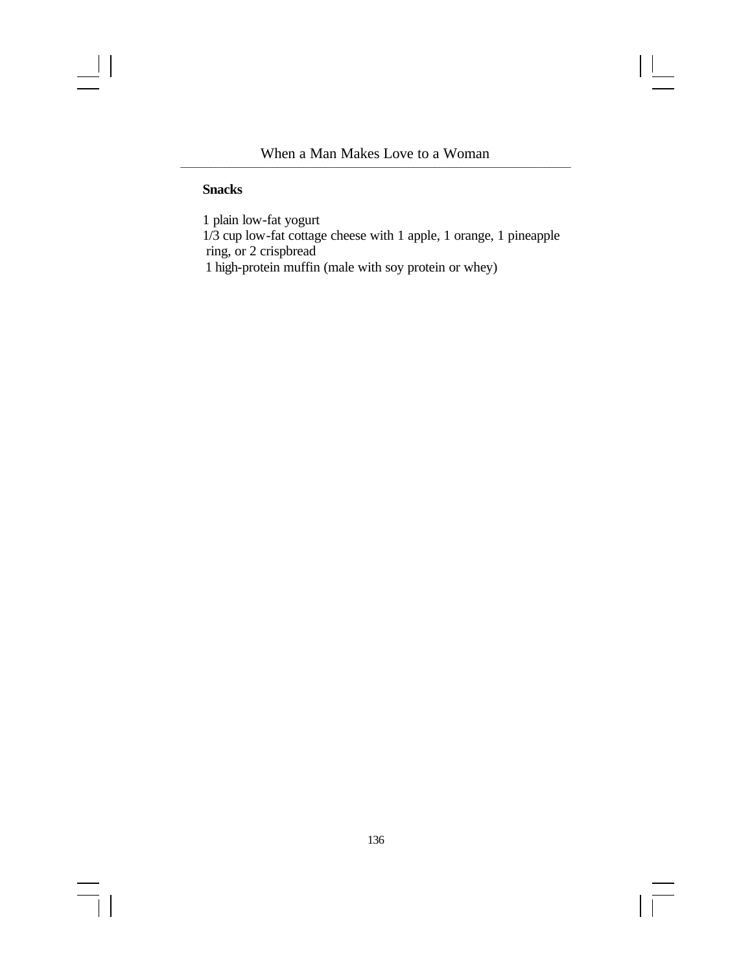## **Snacks**

1 plain low-fat yogurt 1/3 cup low-fat cottage cheese with 1 apple, 1 orange, 1 pineapple ring, or 2 crispbread 1 high-protein muffin (male with soy protein or whey)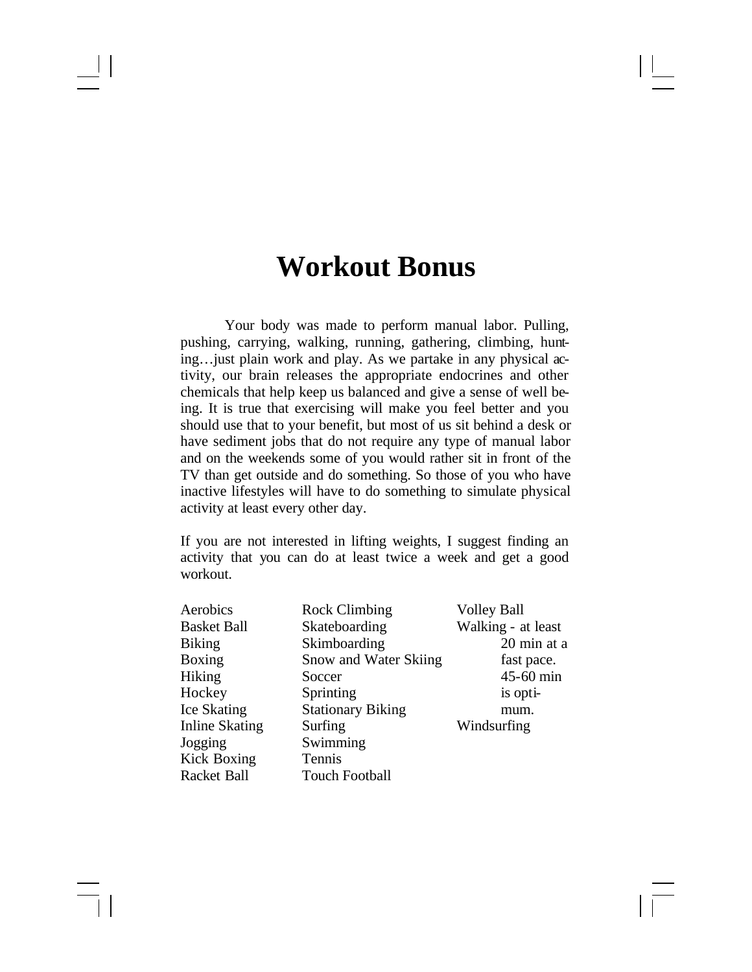## **Workout Bonus**

 Your body was made to perform manual labor. Pulling, pushing, carrying, walking, running, gathering, climbing, hunting…just plain work and play. As we partake in any physical activity, our brain releases the appropriate endocrines and other chemicals that help keep us balanced and give a sense of well being. It is true that exercising will make you feel better and you should use that to your benefit, but most of us sit behind a desk or have sediment jobs that do not require any type of manual labor and on the weekends some of you would rather sit in front of the TV than get outside and do something. So those of you who have inactive lifestyles will have to do something to simulate physical activity at least every other day.

If you are not interested in lifting weights, I suggest finding an activity that you can do at least twice a week and get a good workout.

| Aerobics              | <b>Rock Climbing</b>     | <b>Volley Ball</b> |
|-----------------------|--------------------------|--------------------|
| <b>Basket Ball</b>    | Skateboarding            | Walking - at least |
| <b>Biking</b>         | Skimboarding             | 20 min at a        |
| Boxing                | Snow and Water Skiing    | fast pace.         |
| Hiking                | Soccer                   | 45-60 min          |
| Hockey                | Sprinting                | is opti-           |
| Ice Skating           | <b>Stationary Biking</b> | mum.               |
| <b>Inline Skating</b> | Surfing                  | Windsurfing        |
| Jogging               | Swimming                 |                    |
| Kick Boxing           | Tennis                   |                    |
| Racket Ball           | <b>Touch Football</b>    |                    |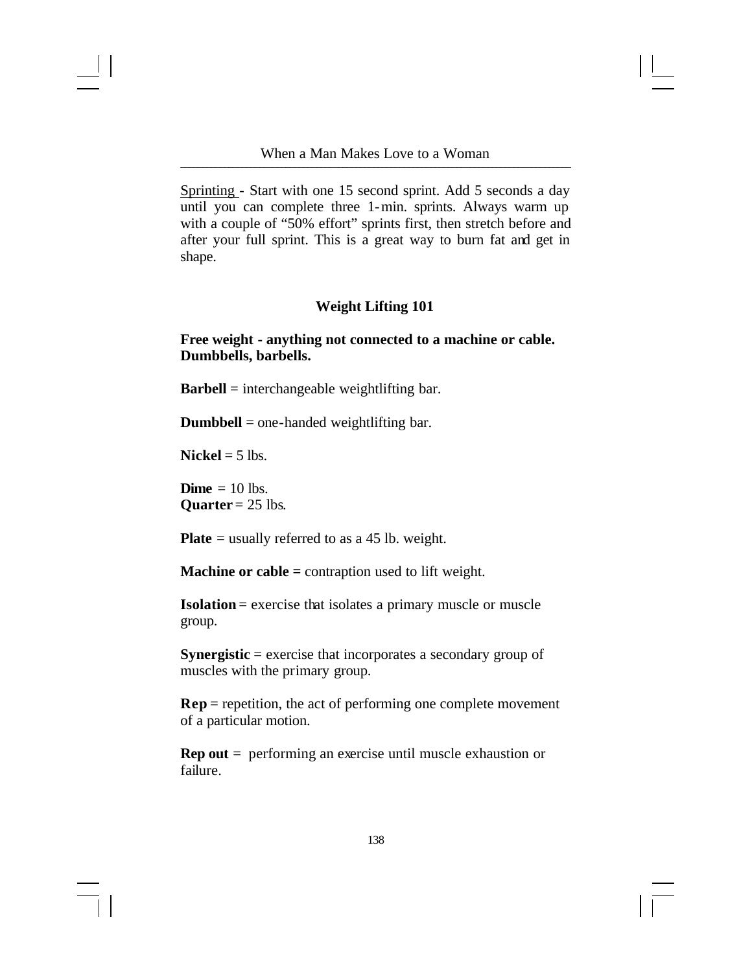Sprinting - Start with one 15 second sprint. Add 5 seconds a day until you can complete three 1-min. sprints. Always warm up with a couple of "50% effort" sprints first, then stretch before and after your full sprint. This is a great way to burn fat and get in shape.

### **Weight Lifting 101**

**Free weight - anything not connected to a machine or cable. Dumbbells, barbells.**

**Barbell** = interchangeable weightlifting bar.

**Dumbbell** = one-handed weightlifting bar.

**Nickel**  $=$  5 lbs.

**Dime**  $= 10$  lbs. **Quarter** =  $25$  lbs.

**Plate** = usually referred to as a 45 lb. weight.

**Machine or cable =** contraption used to lift weight.

**Isolation** = exercise that isolates a primary muscle or muscle group.

**Synergistic** = exercise that incorporates a secondary group of muscles with the primary group.

**Rep** = repetition, the act of performing one complete movement of a particular motion.

**Rep out** = performing an exercise until muscle exhaustion or failure.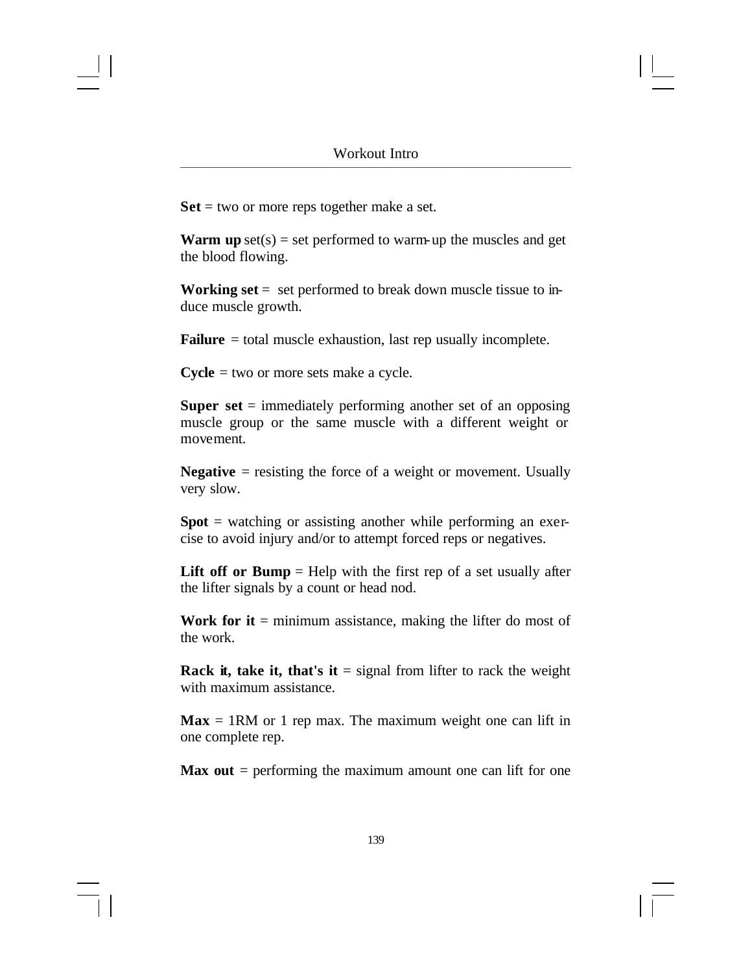**Set** = two or more reps together make a set.

**Warm up** set(s) = set performed to warm-up the muscles and get the blood flowing.

**Working set** = set performed to break down muscle tissue to induce muscle growth.

**Failure** = total muscle exhaustion, last rep usually incomplete.

**Cycle** = two or more sets make a cycle.

**Super set** = immediately performing another set of an opposing muscle group or the same muscle with a different weight or movement.

**Negative** = resisting the force of a weight or movement. Usually very slow.

**Spot** = watching or assisting another while performing an exercise to avoid injury and/or to attempt forced reps or negatives.

**Lift off or Bump** = Help with the first rep of a set usually after the lifter signals by a count or head nod.

**Work for it** = minimum assistance, making the lifter do most of the work.

**Rack it, take it, that's it**  $=$  signal from lifter to rack the weight with maximum assistance.

 $Max = 1RM$  or 1 rep max. The maximum weight one can lift in one complete rep.

**Max out** = performing the maximum amount one can lift for one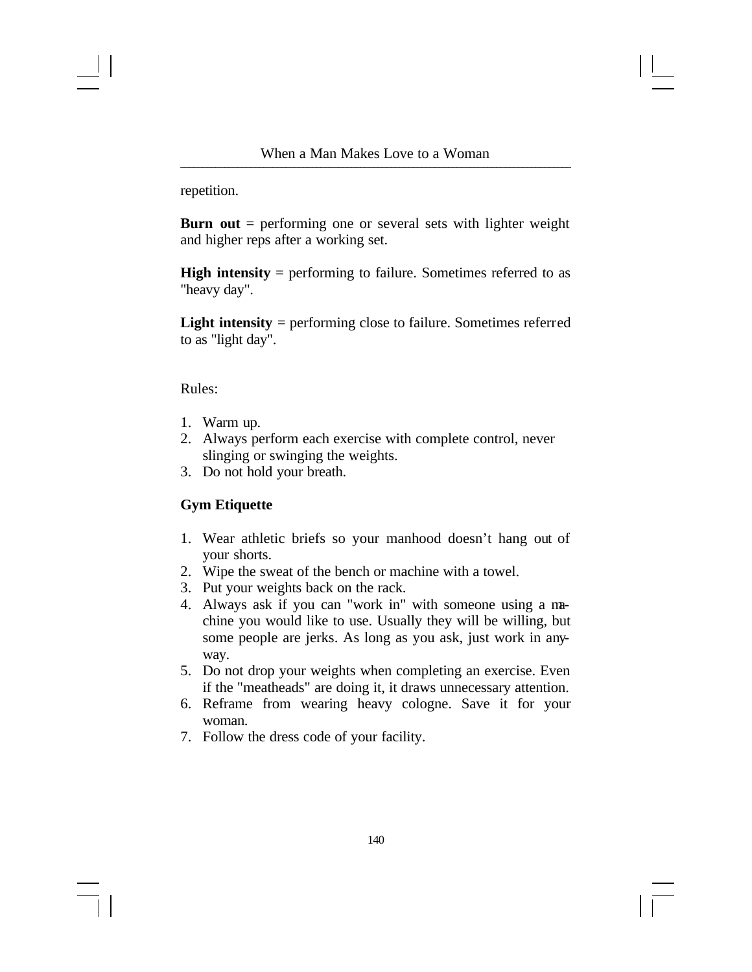repetition.

**Burn out** = performing one or several sets with lighter weight and higher reps after a working set.

**High intensity** = performing to failure. Sometimes referred to as "heavy day".

**Light intensity** = performing close to failure. Sometimes referred to as "light day".

Rules:

- 1. Warm up.
- 2. Always perform each exercise with complete control, never slinging or swinging the weights.
- 3. Do not hold your breath.

## **Gym Etiquette**

- 1. Wear athletic briefs so your manhood doesn't hang out of your shorts.
- 2. Wipe the sweat of the bench or machine with a towel.
- 3. Put your weights back on the rack.
- 4. Always ask if you can "work in" with someone using a machine you would like to use. Usually they will be willing, but some people are jerks. As long as you ask, just work in anyway.
- 5. Do not drop your weights when completing an exercise. Even if the "meatheads" are doing it, it draws unnecessary attention.
- 6. Reframe from wearing heavy cologne. Save it for your woman.
- 7. Follow the dress code of your facility.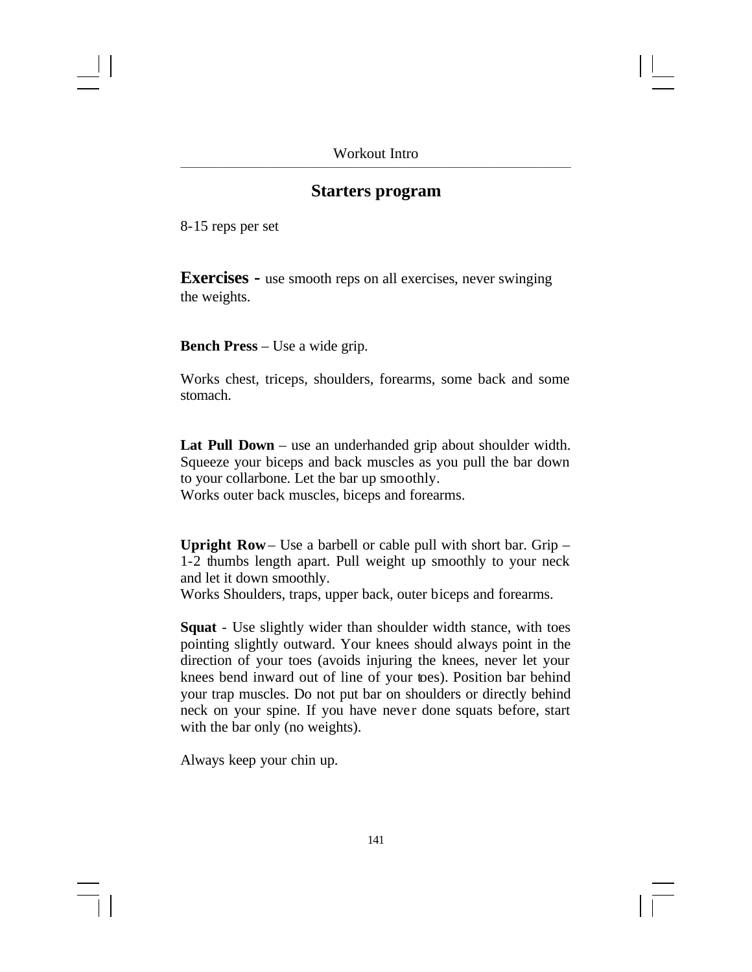## **Starters program**

8-15 reps per set

**Exercises -** use smooth reps on all exercises, never swinging the weights.

**Bench Press** – Use a wide grip.

Works chest, triceps, shoulders, forearms, some back and some stomach.

**Lat Pull Down** – use an underhanded grip about shoulder width. Squeeze your biceps and back muscles as you pull the bar down to your collarbone. Let the bar up smoothly.

Works outer back muscles, biceps and forearms.

**Upright Row**– Use a barbell or cable pull with short bar. Grip – 1-2 thumbs length apart. Pull weight up smoothly to your neck and let it down smoothly.

Works Shoulders, traps, upper back, outer biceps and forearms.

**Squat** - Use slightly wider than shoulder width stance, with toes pointing slightly outward. Your knees should always point in the direction of your toes (avoids injuring the knees, never let your knees bend inward out of line of your toes). Position bar behind your trap muscles. Do not put bar on shoulders or directly behind neck on your spine. If you have never done squats before, start with the bar only (no weights).

Always keep your chin up.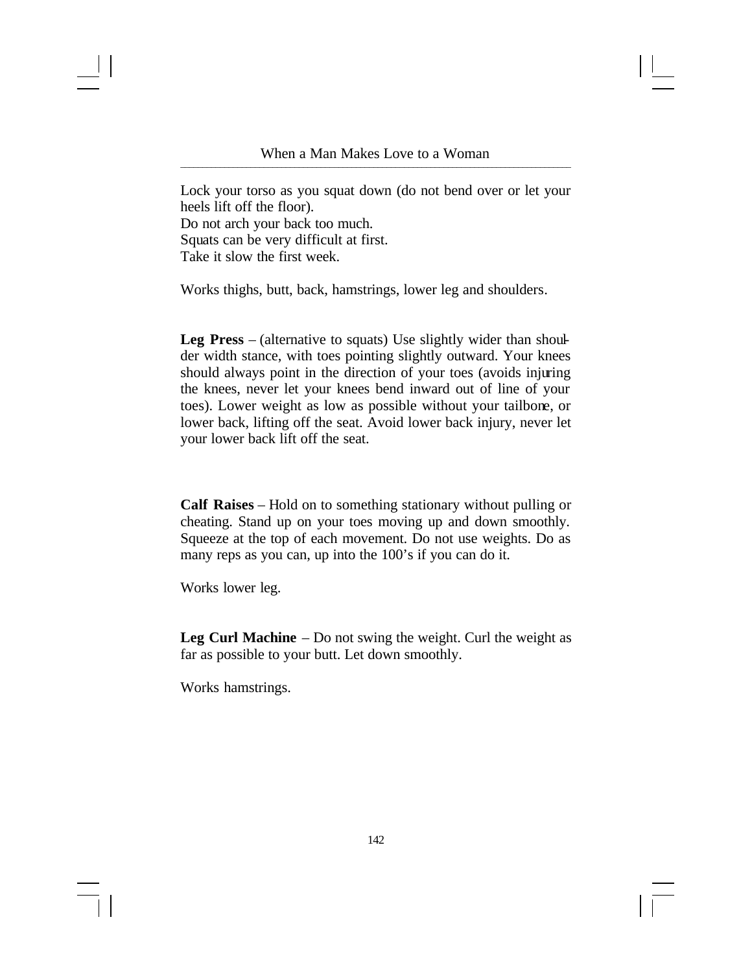Lock your torso as you squat down (do not bend over or let your heels lift off the floor). Do not arch your back too much. Squats can be very difficult at first. Take it slow the first week.

Works thighs, butt, back, hamstrings, lower leg and shoulders.

**Leg Press** – (alternative to squats) Use slightly wider than shoulder width stance, with toes pointing slightly outward. Your knees should always point in the direction of your toes (avoids injuring the knees, never let your knees bend inward out of line of your toes). Lower weight as low as possible without your tailbone, or lower back, lifting off the seat. Avoid lower back injury, never let your lower back lift off the seat.

**Calf Raises** – Hold on to something stationary without pulling or cheating. Stand up on your toes moving up and down smoothly. Squeeze at the top of each movement. Do not use weights. Do as many reps as you can, up into the 100's if you can do it.

Works lower leg.

**Leg Curl Machine** – Do not swing the weight. Curl the weight as far as possible to your butt. Let down smoothly.

Works hamstrings.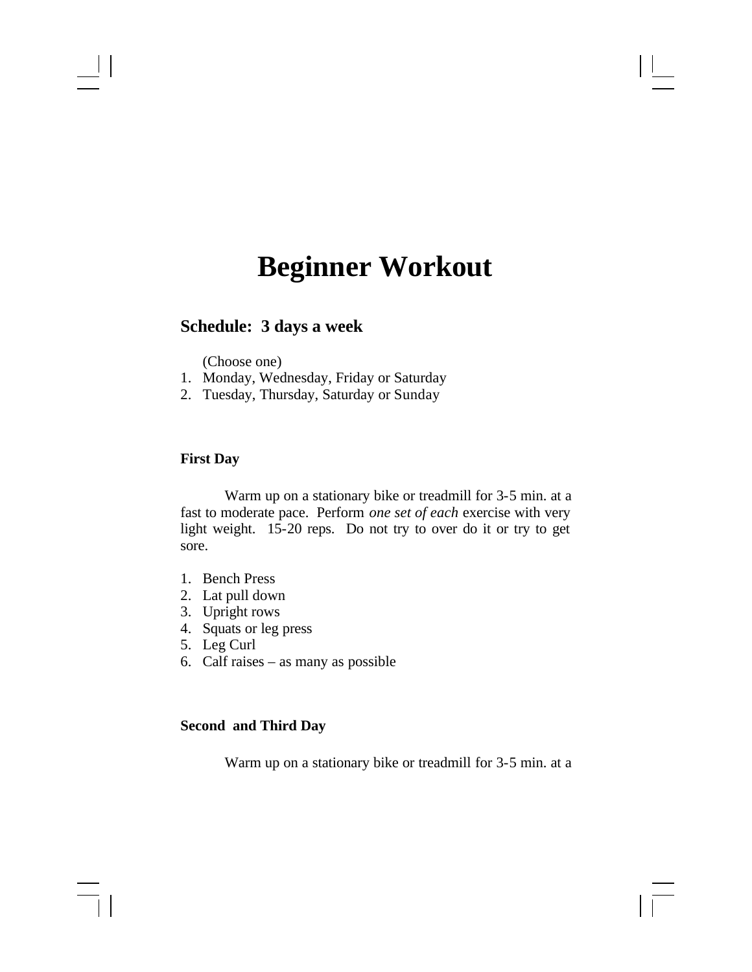# **Beginner Workout**

## **Schedule: 3 days a week**

(Choose one)

- 1. Monday, Wednesday, Friday or Saturday
- 2. Tuesday, Thursday, Saturday or Sunday

#### **First Day**

Warm up on a stationary bike or treadmill for 3-5 min. at a fast to moderate pace. Perform *one set of each* exercise with very light weight. 15-20 reps. Do not try to over do it or try to get sore.

- 1. Bench Press
- 2. Lat pull down
- 3. Upright rows
- 4. Squats or leg press
- 5. Leg Curl
- 6. Calf raises as many as possible

#### **Second and Third Day**

Warm up on a stationary bike or treadmill for 3-5 min. at a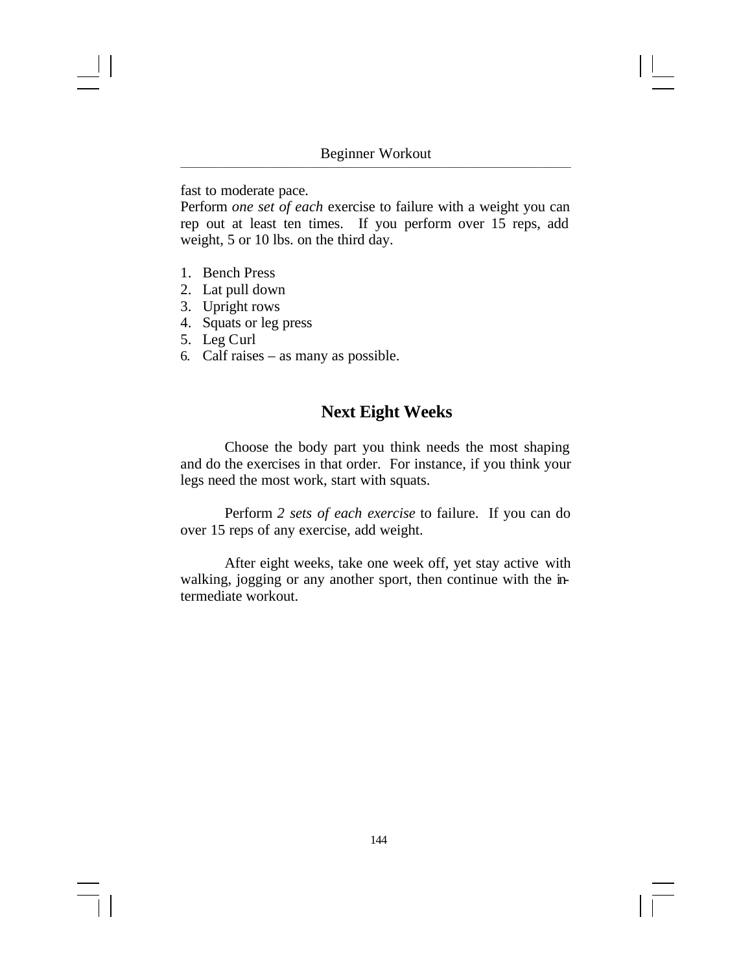fast to moderate pace.

Perform *one set of each* exercise to failure with a weight you can rep out at least ten times. If you perform over 15 reps, add weight, 5 or 10 lbs. on the third day.

- 1. Bench Press
- 2. Lat pull down
- 3. Upright rows
- 4. Squats or leg press
- 5. Leg Curl
- 6. Calf raises as many as possible.

## **Next Eight Weeks**

Choose the body part you think needs the most shaping and do the exercises in that order. For instance, if you think your legs need the most work, start with squats.

Perform *2 sets of each exercise* to failure. If you can do over 15 reps of any exercise, add weight.

After eight weeks, take one week off, yet stay active with walking, jogging or any another sport, then continue with the intermediate workout.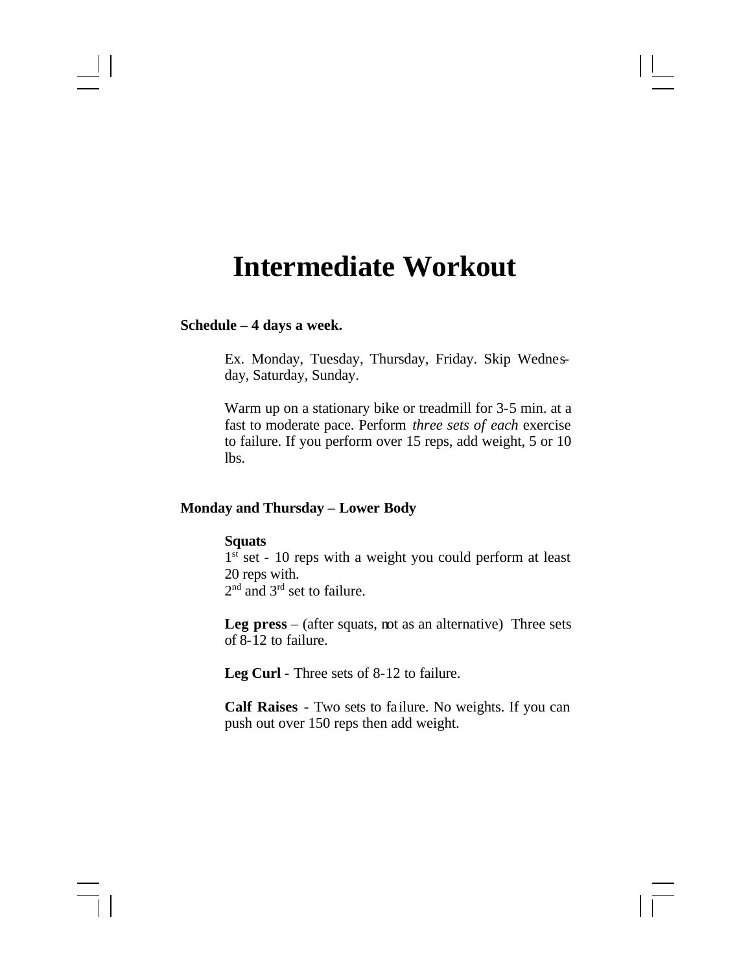## **Intermediate Workout**

#### **Schedule – 4 days a week.**

Ex. Monday, Tuesday, Thursday, Friday. Skip Wednesday, Saturday, Sunday.

Warm up on a stationary bike or treadmill for 3-5 min. at a fast to moderate pace. Perform *three sets of each* exercise to failure. If you perform over 15 reps, add weight, 5 or 10 lbs.

#### **Monday and Thursday – Lower Body**

#### **Squats**

1<sup>st</sup> set - 10 reps with a weight you could perform at least 20 reps with. 2<sup>nd</sup> and 3<sup>rd</sup> set to failure.

> **Leg press** – (after squats, not as an alternative) Three sets of 8-12 to failure.

**Leg Curl -** Three sets of 8-12 to failure.

**Calf Raises -** Two sets to failure. No weights. If you can push out over 150 reps then add weight.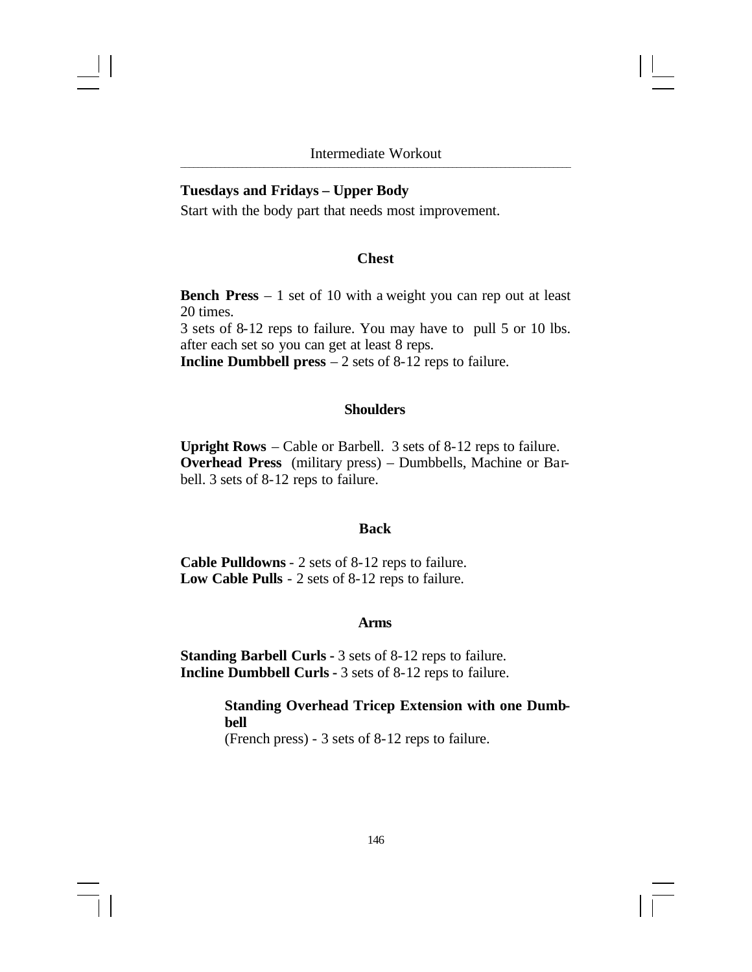#### **Tuesdays and Fridays – Upper Body**

Start with the body part that needs most improvement.

#### **Chest**

**Bench Press** – 1 set of 10 with a weight you can rep out at least 20 times.

3 sets of 8-12 reps to failure. You may have to pull 5 or 10 lbs. after each set so you can get at least 8 reps.

**Incline Dumbbell press** – 2 sets of 8-12 reps to failure.

#### **Shoulders**

**Upright Rows** – Cable or Barbell. 3 sets of 8-12 reps to failure. **Overhead Press** (military press) – Dumbbells, Machine or Barbell. 3 sets of 8-12 reps to failure.

#### **Back**

**Cable Pulldowns** - 2 sets of 8-12 reps to failure. **Low Cable Pulls** - 2 sets of 8-12 reps to failure.

#### **Arms**

**Standing Barbell Curls -** 3 sets of 8-12 reps to failure. **Incline Dumbbell Curls -** 3 sets of 8-12 reps to failure.

> **Standing Overhead Tricep Extension with one Dumbbell**

(French press) - 3 sets of 8-12 reps to failure.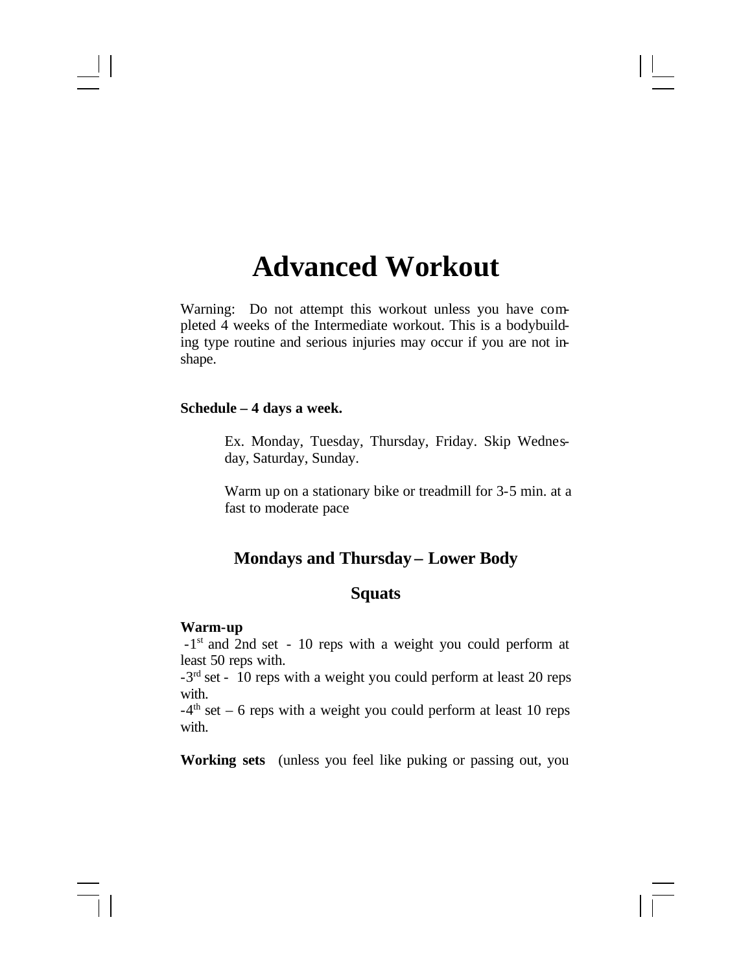# **Advanced Workout**

Warning: Do not attempt this workout unless you have completed 4 weeks of the Intermediate workout. This is a bodybuilding type routine and serious injuries may occur if you are not inshape.

#### **Schedule – 4 days a week.**

Ex. Monday, Tuesday, Thursday, Friday. Skip Wednesday, Saturday, Sunday.

Warm up on a stationary bike or treadmill for 3-5 min. at a fast to moderate pace

## **Mondays and Thursday – Lower Body**

## **Squats**

#### **Warm-up**

-1<sup>st</sup> and 2nd set - 10 reps with a weight you could perform at least 50 reps with.

-3<sup>rd</sup> set - 10 reps with a weight you could perform at least 20 reps with.

 $-4<sup>th</sup>$  set – 6 reps with a weight you could perform at least 10 reps with.

**Working sets** (unless you feel like puking or passing out, you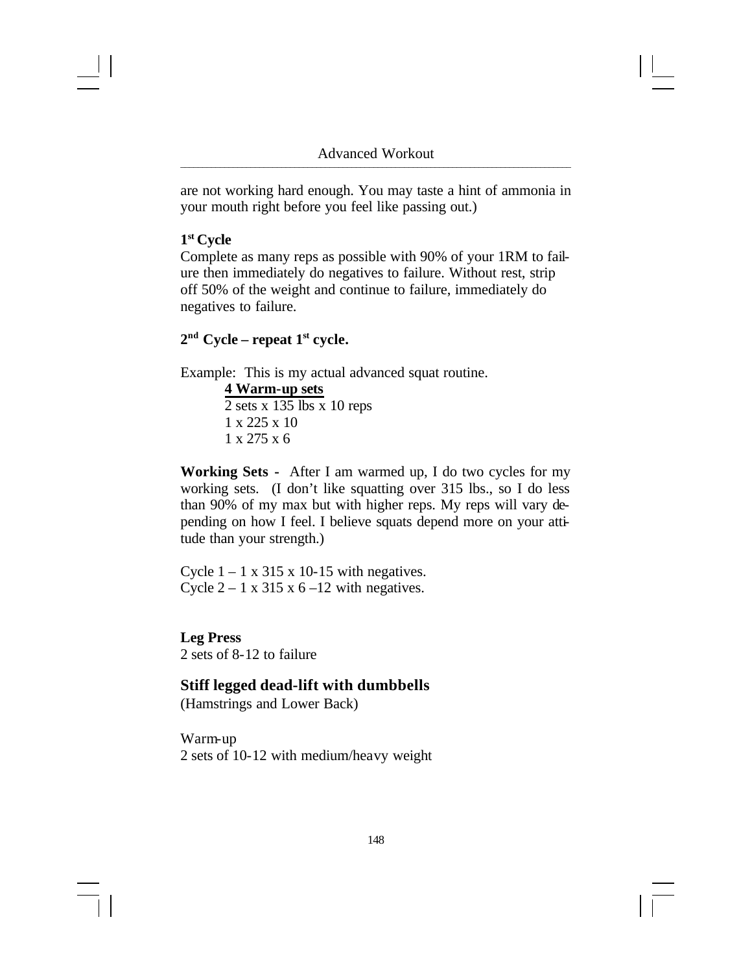are not working hard enough. You may taste a hint of ammonia in your mouth right before you feel like passing out.)

### **1 st Cycle**

Complete as many reps as possible with 90% of your 1RM to failure then immediately do negatives to failure. Without rest, strip off 50% of the weight and continue to failure, immediately do negatives to failure.

### **2 nd Cycle – repeat 1st cycle.**

Example: This is my actual advanced squat routine.

 **4 Warm-up sets**  $2 \text{ sets } x$  135 lbs x 10 reps 1 x 225 x 10 1 x 275 x 6

**Working Sets -** After I am warmed up, I do two cycles for my working sets. (I don't like squatting over 315 lbs., so I do less than 90% of my max but with higher reps. My reps will vary depending on how I feel. I believe squats depend more on your attitude than your strength.)

Cycle  $1 - 1 \times 315 \times 10 - 15$  with negatives. Cycle  $2 - 1 \times 315 \times 6 - 12$  with negatives.

### **Leg Press**

2 sets of 8-12 to failure

## **Stiff legged dead-lift with dumbbells**

(Hamstrings and Lower Back)

Warm-up 2 sets of 10-12 with medium/heavy weight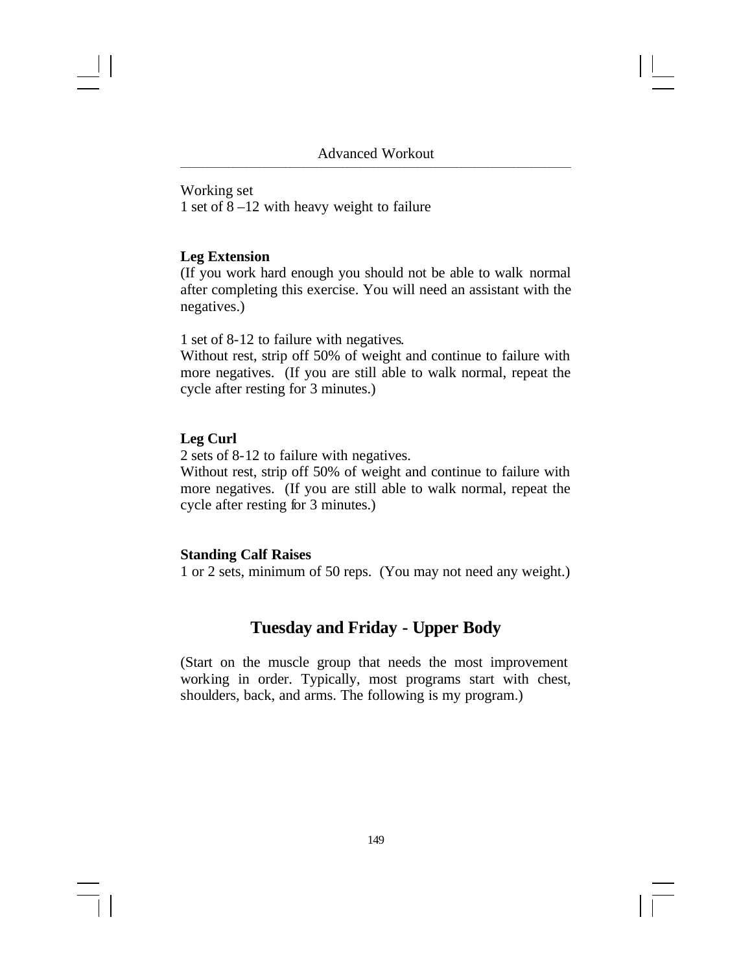Working set 1 set of 8 –12 with heavy weight to failure

#### **Leg Extension**

(If you work hard enough you should not be able to walk normal after completing this exercise. You will need an assistant with the negatives.)

1 set of 8-12 to failure with negatives.

Without rest, strip off 50% of weight and continue to failure with more negatives. (If you are still able to walk normal, repeat the cycle after resting for 3 minutes.)

#### **Leg Curl**

2 sets of 8-12 to failure with negatives.

Without rest, strip off 50% of weight and continue to failure with more negatives. (If you are still able to walk normal, repeat the cycle after resting for 3 minutes.)

#### **Standing Calf Raises**

1 or 2 sets, minimum of 50 reps. (You may not need any weight.)

## **Tuesday and Friday - Upper Body**

(Start on the muscle group that needs the most improvement working in order. Typically, most programs start with chest, shoulders, back, and arms. The following is my program.)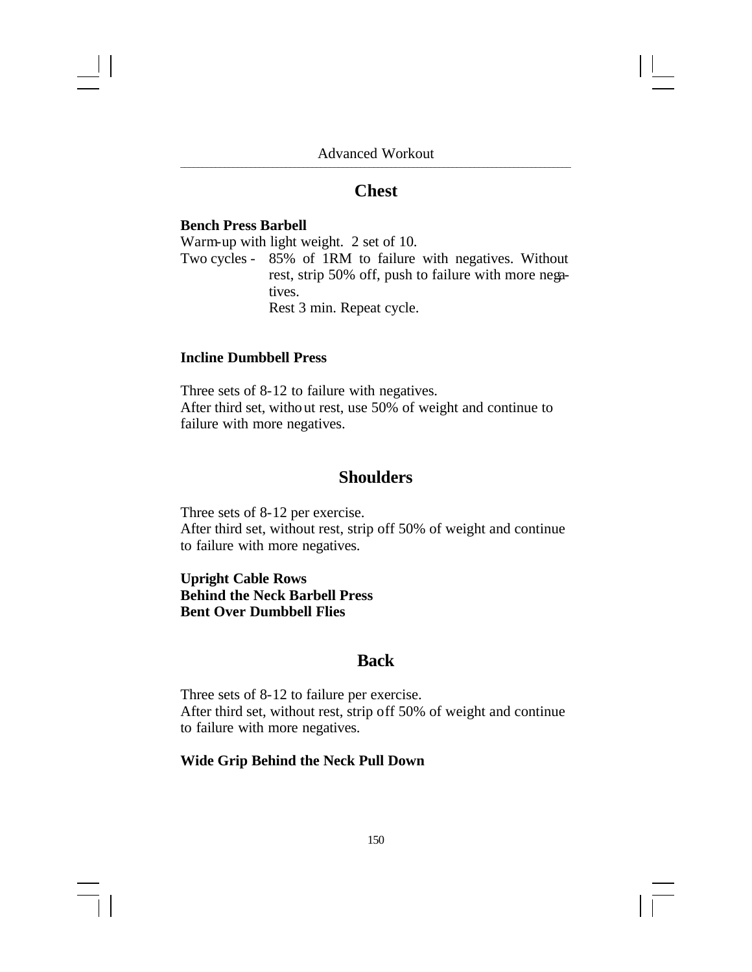## **Chest**

#### **Bench Press Barbell**

Warm-up with light weight. 2 set of 10.

Two cycles - 85% of 1RM to failure with negatives. Without rest, strip 50% off, push to failure with more negatives. Rest 3 min. Repeat cycle.

#### **Incline Dumbbell Press**

Three sets of 8-12 to failure with negatives. After third set, without rest, use 50% of weight and continue to failure with more negatives.

## **Shoulders**

Three sets of 8-12 per exercise. After third set, without rest, strip off 50% of weight and continue to failure with more negatives.

**Upright Cable Rows Behind the Neck Barbell Press Bent Over Dumbbell Flies**

## **Back**

Three sets of 8-12 to failure per exercise. After third set, without rest, strip off 50% of weight and continue to failure with more negatives.

#### **Wide Grip Behind the Neck Pull Down**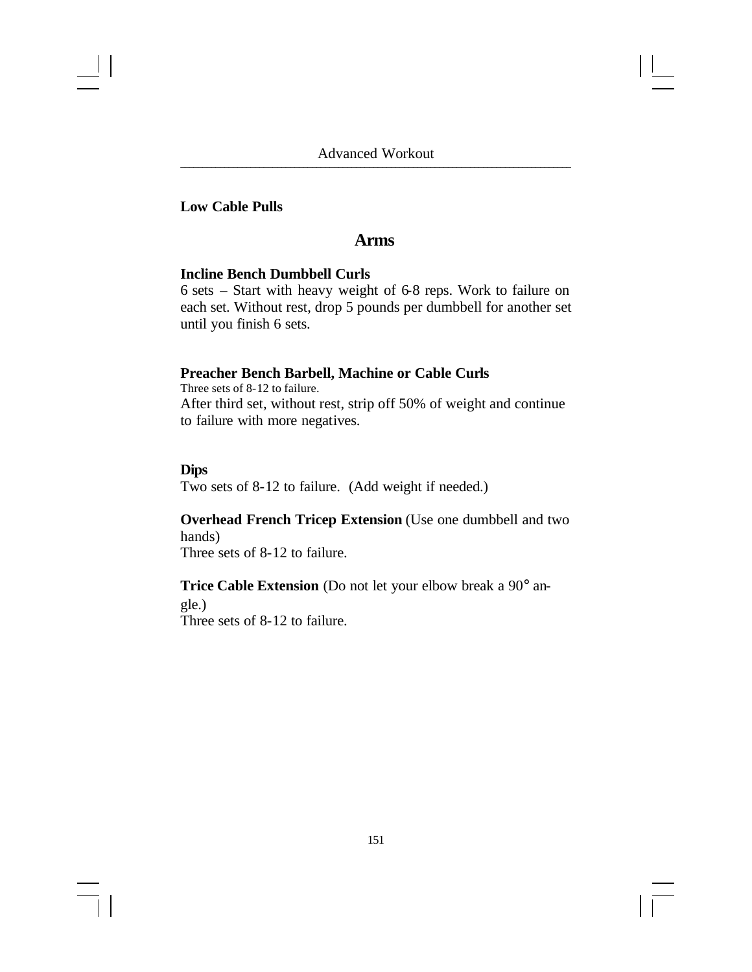#### **Low Cable Pulls**

### **Arms**

#### **Incline Bench Dumbbell Curls**

6 sets – Start with heavy weight of 6-8 reps. Work to failure on each set. Without rest, drop 5 pounds per dumbbell for another set until you finish 6 sets.

### **Preacher Bench Barbell, Machine or Cable Curls**

Three sets of 8-12 to failure. After third set, without rest, strip off 50% of weight and continue to failure with more negatives.

#### **Dips**

Two sets of 8-12 to failure. (Add weight if needed.)

## **Overhead French Tricep Extension** (Use one dumbbell and two

hands) Three sets of 8-12 to failure.

#### **Trice Cable Extension** (Do not let your elbow break a 90° an-

gle.) Three sets of 8-12 to failure.